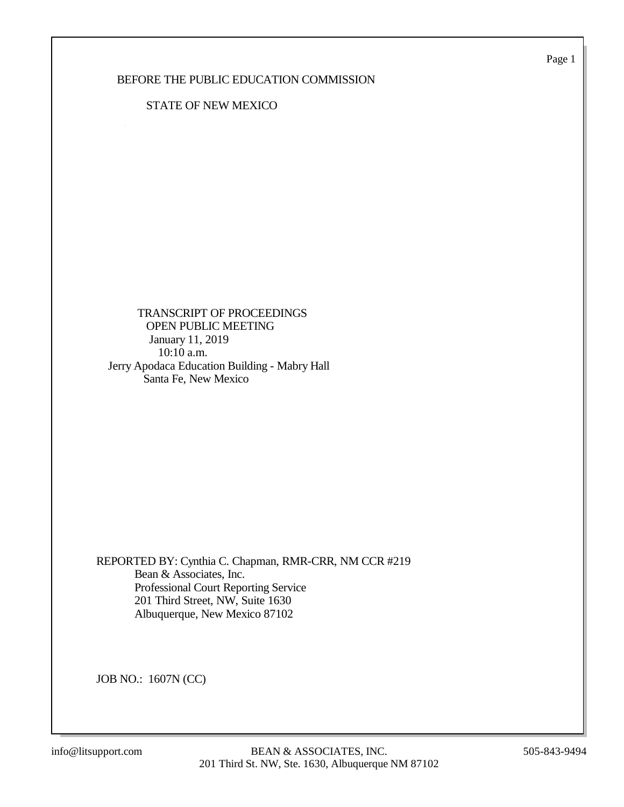Page 1

#### BEFORE THE PUBLIC EDUCATION COMMISSION

#### STATE OF NEW MEXICO

 TRANSCRIPT OF PROCEEDINGS OPEN PUBLIC MEETING January 11, 2019 10:10 a.m. Jerry Apodaca Education Building - Mabry Hall Santa Fe, New Mexico

REPORTED BY: Cynthia C. Chapman, RMR-CRR, NM CCR #219 Bean & Associates, Inc. Professional Court Reporting Service 201 Third Street, NW, Suite 1630 Albuquerque, New Mexico 87102

JOB NO.: 1607N (CC)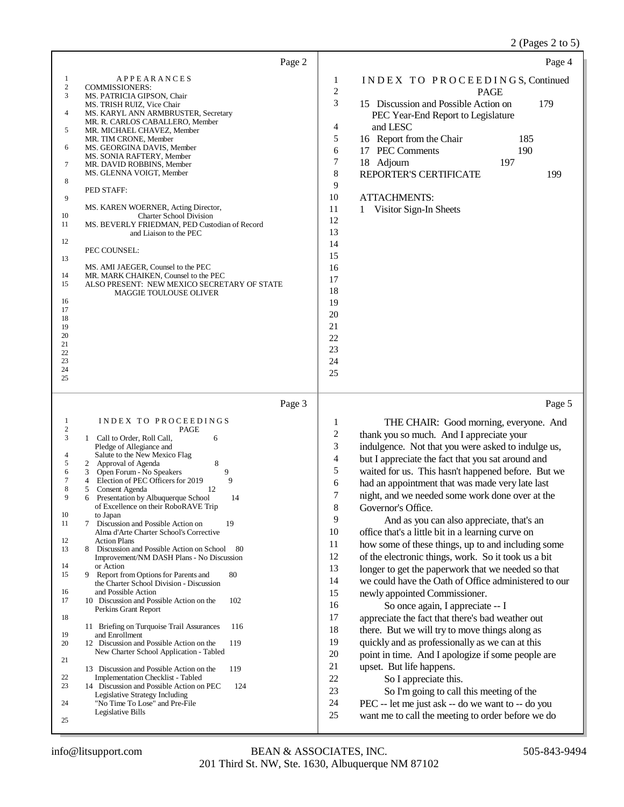## 2 (Pages 2 to 5)

| Page 2                                                                                                                                                                                                                                                                                                                                                                                                                                                                                                                                                                                                                                                                                                                                                                                                                                                                                                                                                                                                                                                                                                                                                                                                                                                                                                                                                                                              | Page 4                                                                                                                                                                                                                                                                                                                                                                                                                                                                                                                                                                                                                                                                                                                                                                                                                                                                                                                                                                                                                                                                                                                                                                                                                                                                                                                                                                                  |
|-----------------------------------------------------------------------------------------------------------------------------------------------------------------------------------------------------------------------------------------------------------------------------------------------------------------------------------------------------------------------------------------------------------------------------------------------------------------------------------------------------------------------------------------------------------------------------------------------------------------------------------------------------------------------------------------------------------------------------------------------------------------------------------------------------------------------------------------------------------------------------------------------------------------------------------------------------------------------------------------------------------------------------------------------------------------------------------------------------------------------------------------------------------------------------------------------------------------------------------------------------------------------------------------------------------------------------------------------------------------------------------------------------|-----------------------------------------------------------------------------------------------------------------------------------------------------------------------------------------------------------------------------------------------------------------------------------------------------------------------------------------------------------------------------------------------------------------------------------------------------------------------------------------------------------------------------------------------------------------------------------------------------------------------------------------------------------------------------------------------------------------------------------------------------------------------------------------------------------------------------------------------------------------------------------------------------------------------------------------------------------------------------------------------------------------------------------------------------------------------------------------------------------------------------------------------------------------------------------------------------------------------------------------------------------------------------------------------------------------------------------------------------------------------------------------|
| 1<br><b>APPEARANCES</b><br>$\mathbf{2}$<br><b>COMMISSIONERS:</b><br>3<br>MS. PATRICIA GIPSON, Chair<br>MS. TRISH RUIZ, Vice Chair<br>4<br>MS. KARYL ANN ARMBRUSTER, Secretary<br>MR. R. CARLOS CABALLERO, Member<br>5<br>MR. MICHAEL CHAVEZ, Member<br>MR. TIM CRONE, Member<br>6<br>MS. GEORGINA DAVIS, Member<br>MS. SONIA RAFTERY, Member<br>7<br>MR. DAVID ROBBINS, Member<br>MS. GLENNA VOIGT, Member<br>8<br>PED STAFF:<br>9<br>MS. KAREN WOERNER, Acting Director,<br>10<br><b>Charter School Division</b><br>11<br>MS. BEVERLY FRIEDMAN, PED Custodian of Record<br>and Liaison to the PEC<br>12<br>PEC COUNSEL:<br>13<br>MS. AMI JAEGER, Counsel to the PEC<br>14<br>MR. MARK CHAIKEN, Counsel to the PEC<br>15<br>ALSO PRESENT: NEW MEXICO SECRETARY OF STATE<br>MAGGIE TOULOUSE OLIVER<br>16<br>17<br>18<br>19<br>20<br>21<br>22<br>23<br>24<br>25                                                                                                                                                                                                                                                                                                                                                                                                                                                                                                                                       | INDEX TO PROCEEDINGS, Continued<br>1<br>$\sqrt{2}$<br><b>PAGE</b><br>3<br>15 Discussion and Possible Action on<br>179<br>PEC Year-End Report to Legislature<br>4<br>and LESC<br>5<br>16 Report from the Chair<br>185<br>6<br>17 PEC Comments<br>190<br>7<br>18 Adjourn<br>197<br>8<br>REPORTER'S CERTIFICATE<br>199<br>9<br>10<br><b>ATTACHMENTS:</b><br>11<br>Visitor Sign-In Sheets<br>1<br>12<br>13<br>14<br>15<br>16<br>17<br>18<br>19<br>20<br>21<br>22<br>23<br>24<br>25                                                                                                                                                                                                                                                                                                                                                                                                                                                                                                                                                                                                                                                                                                                                                                                                                                                                                                          |
| Page 3                                                                                                                                                                                                                                                                                                                                                                                                                                                                                                                                                                                                                                                                                                                                                                                                                                                                                                                                                                                                                                                                                                                                                                                                                                                                                                                                                                                              | Page 5                                                                                                                                                                                                                                                                                                                                                                                                                                                                                                                                                                                                                                                                                                                                                                                                                                                                                                                                                                                                                                                                                                                                                                                                                                                                                                                                                                                  |
| INDEX TO PROCEEDINGS<br>1<br>$\overline{\mathbf{c}}$<br>PAGE<br>3<br>1 Call to Order, Roll Call,<br>6<br>Pledge of Allegiance and<br>Salute to the New Mexico Flag<br>4<br>8<br>5<br>2 Approval of Agenda<br>Open Forum - No Speakers<br>9<br>6<br>3<br>9<br>7<br>Election of PEC Officers for 2019<br>4<br>8<br>Consent Agenda<br>12<br>5<br>9<br>14<br>Presentation by Albuquerque School<br>of Excellence on their RoboRAVE Trip<br>$10\,$<br>to Japan<br>Discussion and Possible Action on<br>11<br>19<br>7<br>Alma d'Arte Charter School's Corrective<br>12<br><b>Action Plans</b><br>13<br>Discussion and Possible Action on School<br>-80<br>8<br>Improvement/NM DASH Plans - No Discussion<br>14<br>or Action<br>15<br>9 Report from Options for Parents and<br>80<br>the Charter School Division - Discussion<br>and Possible Action<br>16<br>102<br>17<br>10 Discussion and Possible Action on the<br>Perkins Grant Report<br>18<br>116<br>11 Briefing on Turquoise Trail Assurances<br>19<br>and Enrollment<br>12 Discussion and Possible Action on the<br>119<br>20<br>New Charter School Application - Tabled<br>21<br>119<br>13 Discussion and Possible Action on the<br>22<br><b>Implementation Checklist - Tabled</b><br>23<br>14 Discussion and Possible Action on PEC<br>124<br>Legislative Strategy Including<br>24<br>"No Time To Lose" and Pre-File<br>Legislative Bills<br>25 | 1<br>THE CHAIR: Good morning, everyone. And<br>$\boldsymbol{2}$<br>thank you so much. And I appreciate your<br>3<br>indulgence. Not that you were asked to indulge us,<br>$\overline{4}$<br>but I appreciate the fact that you sat around and<br>5<br>waited for us. This hasn't happened before. But we<br>6<br>had an appointment that was made very late last<br>7<br>night, and we needed some work done over at the<br>8<br>Governor's Office.<br>9<br>And as you can also appreciate, that's an<br>10<br>office that's a little bit in a learning curve on<br>11<br>how some of these things, up to and including some<br>12<br>of the electronic things, work. So it took us a bit<br>13<br>longer to get the paperwork that we needed so that<br>14<br>we could have the Oath of Office administered to our<br>15<br>newly appointed Commissioner.<br>16<br>So once again, I appreciate -- I<br>17<br>appreciate the fact that there's bad weather out<br>18<br>there. But we will try to move things along as<br>19<br>quickly and as professionally as we can at this<br>20<br>point in time. And I apologize if some people are<br>21<br>upset. But life happens.<br>22<br>So I appreciate this.<br>23<br>So I'm going to call this meeting of the<br>24<br>PEC -- let me just ask -- do we want to -- do you<br>$25\,$<br>want me to call the meeting to order before we do |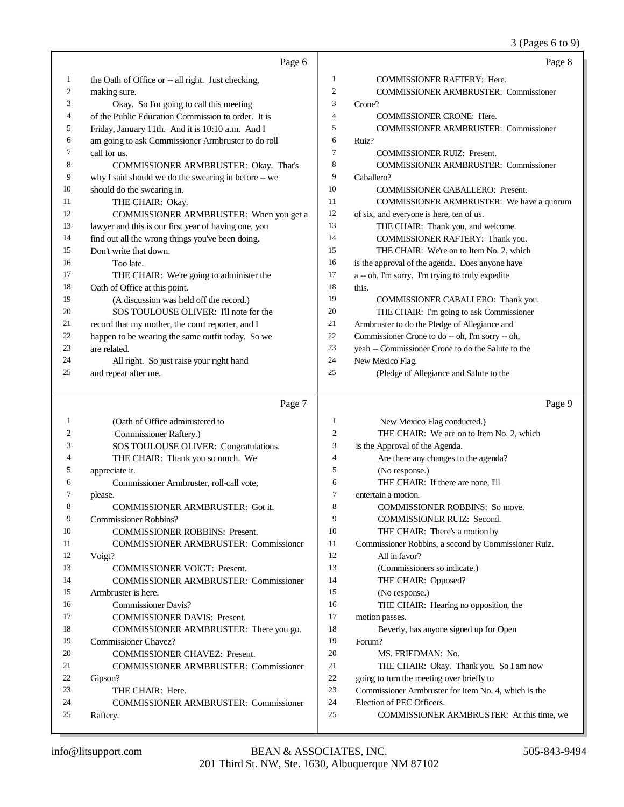#### 3 (Pages 6 to 9)

|    | Page 6                                               |    | Page 8                                             |
|----|------------------------------------------------------|----|----------------------------------------------------|
| 1  | the Oath of Office or -- all right. Just checking,   | 1  | <b>COMMISSIONER RAFTERY: Here.</b>                 |
| 2  | making sure.                                         | 2  | <b>COMMISSIONER ARMBRUSTER: Commissioner</b>       |
| 3  | Okay. So I'm going to call this meeting              | 3  | Crone?                                             |
| 4  | of the Public Education Commission to order. It is   | 4  | <b>COMMISSIONER CRONE: Here.</b>                   |
| 5  | Friday, January 11th. And it is 10:10 a.m. And I     | 5  | <b>COMMISSIONER ARMBRUSTER: Commissioner</b>       |
| 6  | am going to ask Commissioner Armbruster to do roll   | 6  | Ruiz?                                              |
| 7  | call for us.                                         | 7  | <b>COMMISSIONER RUIZ: Present.</b>                 |
| 8  | COMMISSIONER ARMBRUSTER: Okay. That's                | 8  | <b>COMMISSIONER ARMBRUSTER: Commissioner</b>       |
| 9  | why I said should we do the swearing in before -- we | 9  | Caballero?                                         |
| 10 | should do the swearing in.                           | 10 | <b>COMMISSIONER CABALLERO: Present.</b>            |
| 11 | THE CHAIR: Okay.                                     | 11 | COMMISSIONER ARMBRUSTER: We have a quorum          |
| 12 | COMMISSIONER ARMBRUSTER: When you get a              | 12 | of six, and everyone is here, ten of us.           |
| 13 | lawyer and this is our first year of having one, you | 13 | THE CHAIR: Thank you, and welcome.                 |
| 14 | find out all the wrong things you've been doing.     | 14 | COMMISSIONER RAFTERY: Thank you.                   |
| 15 | Don't write that down.                               | 15 | THE CHAIR: We're on to Item No. 2, which           |
| 16 | Too late.                                            | 16 | is the approval of the agenda. Does anyone have    |
| 17 | THE CHAIR: We're going to administer the             | 17 | a -- oh, I'm sorry. I'm trying to truly expedite   |
| 18 | Oath of Office at this point.                        | 18 | this.                                              |
| 19 | (A discussion was held off the record.)              | 19 | COMMISSIONER CABALLERO: Thank you.                 |
| 20 | SOS TOULOUSE OLIVER: I'll note for the               | 20 | THE CHAIR: I'm going to ask Commissioner           |
| 21 | record that my mother, the court reporter, and I     | 21 | Armbruster to do the Pledge of Allegiance and      |
| 22 | happen to be wearing the same outfit today. So we    | 22 | Commissioner Crone to do -- oh, I'm sorry -- oh,   |
| 23 | are related.                                         | 23 | yeah -- Commissioner Crone to do the Salute to the |
| 24 | All right. So just raise your right hand             | 24 | New Mexico Flag.                                   |
| 25 | and repeat after me.                                 | 25 | (Pledge of Allegiance and Salute to the            |

#### Page 7

 (Oath of Office administered to SOS TOULOUSE OLIVER: Congratulations. THE CHAIR: Thank you so much. We Commissioner Armbruster, roll-call vote, COMMISSIONER ARMBRUSTER: Got it. COMMISSIONER ROBBINS: Present. COMMISSIONER ARMBRUSTER: Commissioner COMMISSIONER VOIGT: Present. COMMISSIONER ARMBRUSTER: Commissioner COMMISSIONER DAVIS: Present. COMMISSIONER ARMBRUSTER: There you go. COMMISSIONER CHAVEZ: Present. COMMISSIONER ARMBRUSTER: Commissioner COMMISSIONER ARMBRUSTER: Commissioner Page 9 New Mexico Flag conducted.) THE CHAIR: We are on to Item No. 2, which is the Approval of the Agenda. Are there any changes to the agenda? (No response.) THE CHAIR: If there are none, I'll entertain a motion. 8 COMMISSIONER ROBBINS: So move. COMMISSIONER RUIZ: Second. THE CHAIR: There's a motion by Commissioner Robbins, a second by Commissioner Ruiz. All in favor? (Commissioners so indicate.) THE CHAIR: Opposed? (No response.) THE CHAIR: Hearing no opposition, the motion passes. Beverly, has anyone signed up for Open Forum? MS. FRIEDMAN: No. THE CHAIR: Okay. Thank you. So I am now going to turn the meeting over briefly to Commissioner Armbruster for Item No. 4, which is the

- Election of PEC Officers.
- COMMISSIONER ARMBRUSTER: At this time, we

Gipson?

Raftery.

Commissioner Raftery.)

Commissioner Robbins?

 Armbruster is here. Commissioner Davis?

Commissioner Chavez?

THE CHAIR: Here.

appreciate it.

please.

Voigt?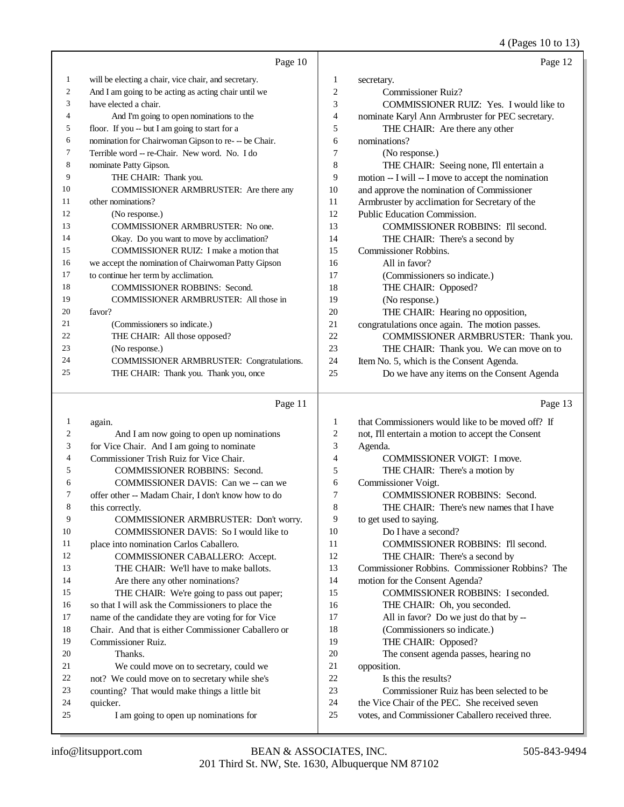4 (Pages 10 to 13)

|    | Page 10                                              |    | Page 12                                             |
|----|------------------------------------------------------|----|-----------------------------------------------------|
| 1  | will be electing a chair, vice chair, and secretary. | 1  | secretary.                                          |
| 2  | And I am going to be acting as acting chair until we | 2  | Commissioner Ruiz?                                  |
| 3  | have elected a chair.                                | 3  | COMMISSIONER RUIZ: Yes. I would like to             |
| 4  | And I'm going to open nominations to the             | 4  | nominate Karyl Ann Armbruster for PEC secretary.    |
| 5  | floor. If you -- but I am going to start for a       | 5  | THE CHAIR: Are there any other                      |
| 6  | nomination for Chairwoman Gipson to re- -- be Chair. | 6  | nominations?                                        |
| 7  | Terrible word -- re-Chair. New word. No. I do        | 7  | (No response.)                                      |
| 8  | nominate Patty Gipson.                               | 8  | THE CHAIR: Seeing none, I'll entertain a            |
| 9  | THE CHAIR: Thank you.                                | 9  | motion -- I will -- I move to accept the nomination |
| 10 | COMMISSIONER ARMBRUSTER: Are there any               | 10 | and approve the nomination of Commissioner          |
| 11 | other nominations?                                   | 11 | Armbruster by acclimation for Secretary of the      |
| 12 | (No response.)                                       | 12 | Public Education Commission.                        |
| 13 | COMMISSIONER ARMBRUSTER: No one.                     | 13 | <b>COMMISSIONER ROBBINS: I'll second.</b>           |
| 14 | Okay. Do you want to move by acclimation?            | 14 | THE CHAIR: There's a second by                      |
| 15 | COMMISSIONER RUIZ: I make a motion that              | 15 | Commissioner Robbins.                               |
| 16 | we accept the nomination of Chairwoman Patty Gipson  | 16 | All in favor?                                       |
| 17 | to continue her term by acclimation.                 | 17 | (Commissioners so indicate.)                        |
| 18 | <b>COMMISSIONER ROBBINS: Second.</b>                 | 18 | THE CHAIR: Opposed?                                 |
| 19 | <b>COMMISSIONER ARMBRUSTER: All those in</b>         | 19 | (No response.)                                      |
| 20 | favor?                                               | 20 | THE CHAIR: Hearing no opposition,                   |
| 21 | (Commissioners so indicate.)                         | 21 | congratulations once again. The motion passes.      |
| 22 | THE CHAIR: All those opposed?                        | 22 | COMMISSIONER ARMBRUSTER: Thank you.                 |
| 23 | (No response.)                                       | 23 | THE CHAIR: Thank you. We can move on to             |
| 24 | COMMISSIONER ARMBRUSTER: Congratulations.            | 24 | Item No. 5, which is the Consent Agenda.            |
| 25 | THE CHAIR: Thank you. Thank you, once                | 25 | Do we have any items on the Consent Agenda          |
|    |                                                      |    |                                                     |

#### Page 11

 again. And I am now going to open up nominations for Vice Chair. And I am going to nominate 4 Commissioner Trish Ruiz for Vice Chair.<br>5 COMMISSIONER ROBBINS: Sec COMMISSIONER ROBBINS: Second. 6 COMMISSIONER DAVIS: Can we -- can we<br>
7 offer other -- Madam Chair. I don't know how to do offer other -- Madam Chair, I don't know how to do this correctly. COMMISSIONER ARMBRUSTER: Don't worry. COMMISSIONER DAVIS: So I would like to 11 place into nomination Carlos Caballero.<br>12 COMMISSIONER CABALLERC COMMISSIONER CABALLERO: Accept. 13 THE CHAIR: We'll have to make ballots. 14 Are there any other nominations? 15 THE CHAIR: We're going to pass out paper; so that I will ask the Commissioners to place the name of the candidate they are voting for for Vice Chair. And that is either Commissioner Caballero or Commissioner Ruiz. Thanks. 21 We could move on to secretary, could we<br>22 not? We could move on to secretary while she's 22 not? We could move on to secretary while she's<br>23 counting? That would make things a little bit counting? That would make things a little bit quicker. I am going to open up nominations for that Commissioners would like to be moved off? If not, I'll entertain a motion to accept the Consent Agenda. COMMISSIONER VOIGT: I move. THE CHAIR: There's a motion by Commissioner Voigt. COMMISSIONER ROBBINS: Second. THE CHAIR: There's new names that I have to get used to saying. Do I have a second? 11 COMMISSIONER ROBBINS: I'll second. 12 THE CHAIR: There's a second by Commissioner Robbins. Commissioner Robbins? The motion for the Consent Agenda? COMMISSIONER ROBBINS: I seconded. THE CHAIR: Oh, you seconded. All in favor? Do we just do that by -- (Commissioners so indicate.) THE CHAIR: Opposed? The consent agenda passes, hearing no opposition. Is this the results? Commissioner Ruiz has been selected to be the Vice Chair of the PEC. She received seven votes, and Commissioner Caballero received three.

Page 13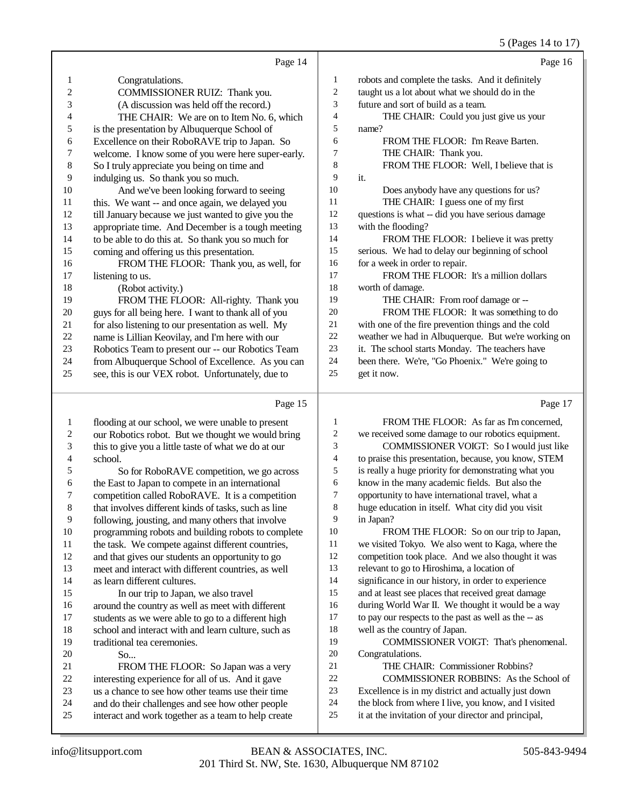#### 5 (Pages 14 to 17)

|                |                                                     |                | $(1.45 \times 1.101)$                               |
|----------------|-----------------------------------------------------|----------------|-----------------------------------------------------|
|                | Page 14                                             |                | Page 16                                             |
| 1              | Congratulations.                                    | 1              | robots and complete the tasks. And it definitely    |
| $\overline{c}$ | COMMISSIONER RUIZ: Thank you.                       | $\overline{c}$ | taught us a lot about what we should do in the      |
| 3              | (A discussion was held off the record.)             | 3              | future and sort of build as a team.                 |
| 4              | THE CHAIR: We are on to Item No. 6, which           | 4              | THE CHAIR: Could you just give us your              |
| 5              | is the presentation by Albuquerque School of        | 5              | name?                                               |
| 6              | Excellence on their RoboRAVE trip to Japan. So      | 6              | FROM THE FLOOR: I'm Reave Barten.                   |
| 7              | welcome. I know some of you were here super-early.  | 7              | THE CHAIR: Thank you.                               |
| 8              | So I truly appreciate you being on time and         | 8              | FROM THE FLOOR: Well, I believe that is             |
| 9              | indulging us. So thank you so much.                 | 9              | it.                                                 |
| 10             | And we've been looking forward to seeing            | 10             | Does anybody have any questions for us?             |
| 11             | this. We want -- and once again, we delayed you     | 11             | THE CHAIR: I guess one of my first                  |
| 12             | till January because we just wanted to give you the | 12             | questions is what -- did you have serious damage    |
| 13             | appropriate time. And December is a tough meeting   | 13             | with the flooding?                                  |
| 14             | to be able to do this at. So thank you so much for  | 14             | FROM THE FLOOR: I believe it was pretty             |
| 15             | coming and offering us this presentation.           | 15             | serious. We had to delay our beginning of school    |
| 16             | FROM THE FLOOR: Thank you, as well, for             | 16             | for a week in order to repair.                      |
| 17             | listening to us.                                    | 17             | FROM THE FLOOR: It's a million dollars              |
| 18             | (Robot activity.)                                   | 18             | worth of damage.                                    |
| 19             | FROM THE FLOOR: All-righty. Thank you               | 19             | THE CHAIR: From roof damage or --                   |
| 20             | guys for all being here. I want to thank all of you | 20             | FROM THE FLOOR: It was something to do              |
| 21             | for also listening to our presentation as well. My  | 21             | with one of the fire prevention things and the cold |
| 22             | name is Lillian Keovilay, and I'm here with our     | 22             | weather we had in Albuquerque. But we're working on |
| 23             | Robotics Team to present our -- our Robotics Team   | 23             | it. The school starts Monday. The teachers have     |
| 24             | from Albuquerque School of Excellence. As you can   | 24             | been there. We're, "Go Phoenix." We're going to     |
| 25             | see, this is our VEX robot. Unfortunately, due to   | 25             | get it now.                                         |
|                | Page 15                                             |                | Page 17                                             |
| 1              | flooding at our school, we were unable to present   | 1              | FROM THE FLOOR: As far as I'm concerned,            |

|    | hooding at our school, we were unable to present     |    |                                                      |
|----|------------------------------------------------------|----|------------------------------------------------------|
| 2  | our Robotics robot. But we thought we would bring    | 2  | we received some damage to our robotics equipment.   |
| 3  | this to give you a little taste of what we do at our | 3  | COMMISSIONER VOIGT: So I would just like             |
| 4  | school.                                              | 4  | to praise this presentation, because, you know, STEM |
| 5  | So for RoboRAVE competition, we go across            | 5  | is really a huge priority for demonstrating what you |
| 6  | the East to Japan to compete in an international     | 6  | know in the many academic fields. But also the       |
| 7  | competition called RoboRAVE. It is a competition     | 7  | opportunity to have international travel, what a     |
| 8  | that involves different kinds of tasks, such as line | 8  | huge education in itself. What city did you visit    |
| 9  | following, jousting, and many others that involve    | 9  | in Japan?                                            |
| 10 | programming robots and building robots to complete   | 10 | FROM THE FLOOR: So on our trip to Japan,             |
| 11 | the task. We compete against different countries,    | 11 | we visited Tokyo. We also went to Kaga, where the    |
| 12 | and that gives our students an opportunity to go     | 12 | competition took place. And we also thought it was   |
| 13 | meet and interact with different countries, as well  | 13 | relevant to go to Hiroshima, a location of           |
| 14 | as learn different cultures.                         | 14 | significance in our history, in order to experience  |
| 15 | In our trip to Japan, we also travel                 | 15 | and at least see places that received great damage   |
| 16 | around the country as well as meet with different    | 16 | during World War II. We thought it would be a way    |
| 17 | students as we were able to go to a different high   | 17 | to pay our respects to the past as well as the -- as |
| 18 | school and interact with and learn culture, such as  | 18 | well as the country of Japan.                        |
| 19 | traditional tea ceremonies.                          | 19 | COMMISSIONER VOIGT: That's phenomenal.               |
| 20 | So                                                   | 20 | Congratulations.                                     |
| 21 | FROM THE FLOOR: So Japan was a very                  | 21 | THE CHAIR: Commissioner Robbins?                     |
| 22 | interesting experience for all of us. And it gave    | 22 | COMMISSIONER ROBBINS: As the School of               |
| 23 | us a chance to see how other teams use their time    | 23 | Excellence is in my district and actually just down  |
| 24 | and do their challenges and see how other people     | 24 | the block from where I live, you know, and I visited |
| 25 | interact and work together as a team to help create  | 25 | it at the invitation of your director and principal, |
|    |                                                      |    |                                                      |
|    |                                                      |    |                                                      |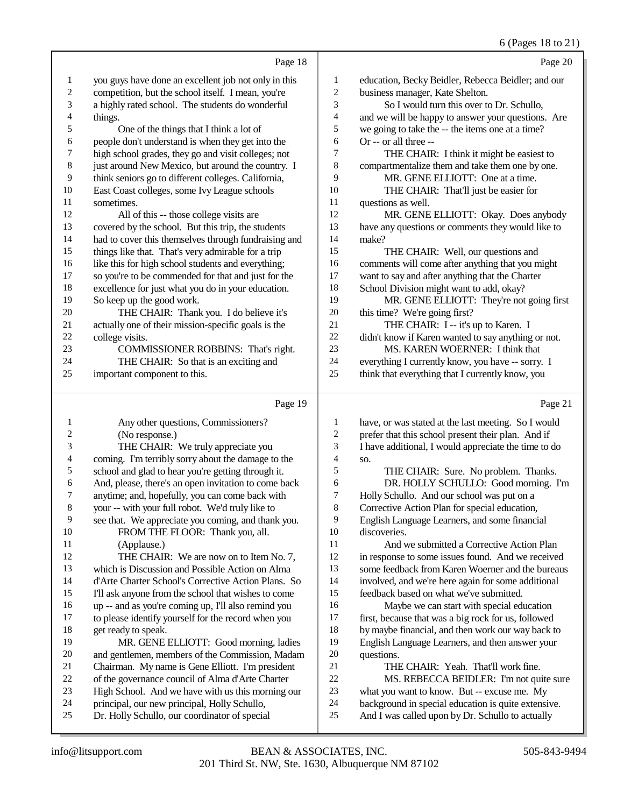## 6 (Pages 18 to 21)

|                         | Page 18                                                                                                    |                         | Page 20                                                                                                  |
|-------------------------|------------------------------------------------------------------------------------------------------------|-------------------------|----------------------------------------------------------------------------------------------------------|
| $\mathbf{1}$            | you guys have done an excellent job not only in this                                                       | $\mathbf{1}$            | education, Becky Beidler, Rebecca Beidler; and our                                                       |
| $\overline{\mathbf{c}}$ | competition, but the school itself. I mean, you're                                                         | $\overline{\mathbf{c}}$ | business manager, Kate Shelton.                                                                          |
| 3                       | a highly rated school. The students do wonderful                                                           | 3                       | So I would turn this over to Dr. Schullo,                                                                |
| 4                       | things.                                                                                                    | 4                       | and we will be happy to answer your questions. Are                                                       |
| 5                       | One of the things that I think a lot of                                                                    | 5                       | we going to take the -- the items one at a time?                                                         |
| 6                       | people don't understand is when they get into the                                                          | 6                       | Or -- or all three --                                                                                    |
| 7                       | high school grades, they go and visit colleges; not                                                        | 7                       | THE CHAIR: I think it might be easiest to                                                                |
| 8                       | just around New Mexico, but around the country. I                                                          | 8                       | compartmentalize them and take them one by one.                                                          |
| 9                       | think seniors go to different colleges. California,                                                        | 9                       | MR. GENE ELLIOTT: One at a time.                                                                         |
| 10                      | East Coast colleges, some Ivy League schools                                                               | 10                      | THE CHAIR: That'll just be easier for                                                                    |
| 11                      | sometimes.                                                                                                 | 11                      | questions as well.                                                                                       |
| 12                      | All of this -- those college visits are                                                                    | 12                      | MR. GENE ELLIOTT: Okay. Does anybody                                                                     |
| 13                      | covered by the school. But this trip, the students                                                         | 13                      | have any questions or comments they would like to                                                        |
| 14                      | had to cover this themselves through fundraising and                                                       | 14                      | make?                                                                                                    |
| 15<br>16                | things like that. That's very admirable for a trip                                                         | 15                      | THE CHAIR: Well, our questions and                                                                       |
| 17                      | like this for high school students and everything;<br>so you're to be commended for that and just for the  | 16<br>17                | comments will come after anything that you might<br>want to say and after anything that the Charter      |
| 18                      | excellence for just what you do in your education.                                                         | 18                      | School Division might want to add, okay?                                                                 |
| 19                      | So keep up the good work.                                                                                  | 19                      | MR. GENE ELLIOTT: They're not going first                                                                |
| $20\,$                  | THE CHAIR: Thank you. I do believe it's                                                                    | 20                      | this time? We're going first?                                                                            |
| 21                      | actually one of their mission-specific goals is the                                                        | 21                      | THE CHAIR: I -- it's up to Karen. I                                                                      |
| $22\,$                  | college visits.                                                                                            | $22\,$                  | didn't know if Karen wanted to say anything or not.                                                      |
| 23                      | COMMISSIONER ROBBINS: That's right.                                                                        | 23                      | MS. KAREN WOERNER: I think that                                                                          |
| 24                      | THE CHAIR: So that is an exciting and                                                                      | 24                      | everything I currently know, you have -- sorry. I                                                        |
| 25                      | important component to this.                                                                               | 25                      | think that everything that I currently know, you                                                         |
|                         |                                                                                                            |                         |                                                                                                          |
|                         |                                                                                                            |                         |                                                                                                          |
|                         | Page 19                                                                                                    |                         | Page 21                                                                                                  |
| 1                       | Any other questions, Commissioners?                                                                        | $\mathbf{1}$            | have, or was stated at the last meeting. So I would                                                      |
| $\overline{\mathbf{c}}$ | (No response.)                                                                                             | $\overline{\mathbf{c}}$ | prefer that this school present their plan. And if                                                       |
| 3                       | THE CHAIR: We truly appreciate you                                                                         | 3                       | I have additional, I would appreciate the time to do                                                     |
| 4                       | coming. I'm terribly sorry about the damage to the                                                         | 4                       | SO.                                                                                                      |
| 5                       | school and glad to hear you're getting through it.                                                         | 5                       | THE CHAIR: Sure. No problem. Thanks.                                                                     |
| 6                       | And, please, there's an open invitation to come back                                                       | 6                       | DR. HOLLY SCHULLO: Good morning. I'm                                                                     |
| 7                       | anytime; and, hopefully, you can come back with                                                            | 7                       | Holly Schullo. And our school was put on a                                                               |
| 8                       | your -- with your full robot. We'd truly like to                                                           | 8                       | Corrective Action Plan for special education,                                                            |
| 9                       | see that. We appreciate you coming, and thank you.                                                         | 9                       | English Language Learners, and some financial                                                            |
| 10                      | FROM THE FLOOR: Thank you, all.                                                                            | 10                      | discoveries.                                                                                             |
| 11                      | (Applause.)                                                                                                | 11                      | And we submitted a Corrective Action Plan                                                                |
| 12                      | THE CHAIR: We are now on to Item No. 7,                                                                    | 12                      | in response to some issues found. And we received                                                        |
| 13                      | which is Discussion and Possible Action on Alma                                                            | 13                      | some feedback from Karen Woerner and the bureaus                                                         |
| 14<br>15                | d'Arte Charter School's Corrective Action Plans. So                                                        | 14<br>15                | involved, and we're here again for some additional<br>feedback based on what we've submitted.            |
| 16                      | I'll ask anyone from the school that wishes to come                                                        | 16                      |                                                                                                          |
| 17                      | up -- and as you're coming up, I'll also remind you<br>to please identify yourself for the record when you | 17                      | Maybe we can start with special education                                                                |
| 18                      | get ready to speak.                                                                                        | 18                      | first, because that was a big rock for us, followed<br>by maybe financial, and then work our way back to |
| 19                      | MR. GENE ELLIOTT: Good morning, ladies                                                                     | 19                      | English Language Learners, and then answer your                                                          |
| 20                      | and gentlemen, members of the Commission, Madam                                                            | $20\,$                  | questions.                                                                                               |
| 21                      | Chairman. My name is Gene Elliott. I'm president                                                           | 21                      | THE CHAIR: Yeah. That'll work fine.                                                                      |
| $22\,$                  | of the governance council of Alma d'Arte Charter                                                           | $22\,$                  | MS. REBECCA BEIDLER: I'm not quite sure                                                                  |
| 23                      | High School. And we have with us this morning our                                                          | 23                      | what you want to know. But -- excuse me. My                                                              |
| 24<br>$25\,$            | principal, our new principal, Holly Schullo,<br>Dr. Holly Schullo, our coordinator of special              | 24<br>$25\,$            | background in special education is quite extensive.<br>And I was called upon by Dr. Schullo to actually  |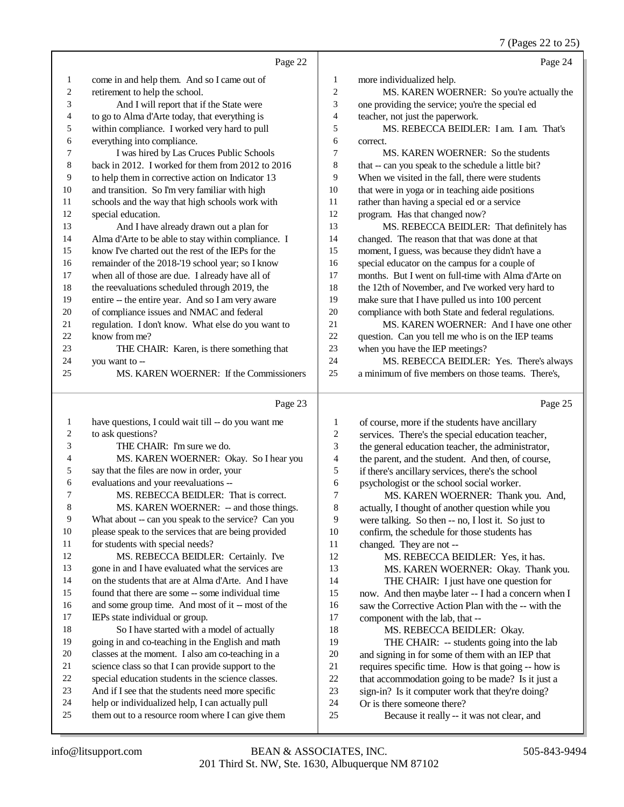7 (Pages 22 to 25)

|                |                                                                                                       |                | $\mathfrak{c}$ $\mathfrak{u}_{\mathcal{D}}$<br>UU 22 W 20 J              |
|----------------|-------------------------------------------------------------------------------------------------------|----------------|--------------------------------------------------------------------------|
|                | Page 22                                                                                               |                | Page 24                                                                  |
| $\mathbf{1}$   | come in and help them. And so I came out of                                                           | 1              | more individualized help.                                                |
| $\overline{c}$ | retirement to help the school.                                                                        | 2              | MS. KAREN WOERNER: So you're actually the                                |
| 3              | And I will report that if the State were                                                              | 3              | one providing the service; you're the special ed                         |
| 4              | to go to Alma d'Arte today, that everything is                                                        | $\overline{4}$ | teacher, not just the paperwork.                                         |
| 5              | within compliance. I worked very hard to pull                                                         | 5              | MS. REBECCA BEIDLER: I am. I am. That's                                  |
| 6              | everything into compliance.                                                                           | 6              | correct.                                                                 |
| 7              | I was hired by Las Cruces Public Schools                                                              | $\tau$         | MS. KAREN WOERNER: So the students                                       |
| 8              | back in 2012. I worked for them from 2012 to 2016                                                     | 8              | that -- can you speak to the schedule a little bit?                      |
| 9              | to help them in corrective action on Indicator 13                                                     | 9              | When we visited in the fall, there were students                         |
| 10             | and transition. So I'm very familiar with high                                                        | 10             | that were in yoga or in teaching aide positions                          |
| 11             | schools and the way that high schools work with                                                       | 11             | rather than having a special ed or a service                             |
| 12             | special education.                                                                                    | 12             | program. Has that changed now?                                           |
| 13             | And I have already drawn out a plan for                                                               | 13             | MS. REBECCA BEIDLER: That definitely has                                 |
| 14             | Alma d'Arte to be able to stay within compliance. I                                                   | 14             | changed. The reason that that was done at that                           |
| 15             | know I've charted out the rest of the IEPs for the                                                    | 15             | moment, I guess, was because they didn't have a                          |
| 16             | remainder of the 2018-'19 school year; so I know                                                      | 16             | special educator on the campus for a couple of                           |
| 17             | when all of those are due. I already have all of                                                      | 17             | months. But I went on full-time with Alma d'Arte on                      |
| 18             | the reevaluations scheduled through 2019, the                                                         | 18             | the 12th of November, and I've worked very hard to                       |
| 19             | entire -- the entire year. And so I am very aware                                                     | 19             | make sure that I have pulled us into 100 percent                         |
| 20             | of compliance issues and NMAC and federal                                                             | 20             | compliance with both State and federal regulations.                      |
| 21             | regulation. I don't know. What else do you want to                                                    | 21             | MS. KAREN WOERNER: And I have one other                                  |
| 22             | know from me?                                                                                         | 22             | question. Can you tell me who is on the IEP teams                        |
| 23             | THE CHAIR: Karen, is there something that                                                             | 23             | when you have the IEP meetings?                                          |
| 24             | you want to --                                                                                        | 24             | MS. REBECCA BEIDLER: Yes. There's always                                 |
| 25             | MS. KAREN WOERNER: If the Commissioners                                                               | 25             | a minimum of five members on those teams. There's,                       |
|                |                                                                                                       |                |                                                                          |
|                |                                                                                                       |                |                                                                          |
|                | Page 23                                                                                               |                | Page 25                                                                  |
| $\mathbf{1}$   | have questions, I could wait till -- do you want me                                                   | 1              | of course, more if the students have ancillary                           |
| 2              | to ask questions?                                                                                     | $\mathbf{2}$   | services. There's the special education teacher,                         |
| 3              | THE CHAIR: I'm sure we do.                                                                            | 3              | the general education teacher, the administrator,                        |
| 4              | MS. KAREN WOERNER: Okay. So I hear you                                                                | 4              | the parent, and the student. And then, of course,                        |
| 5              | say that the files are now in order, your                                                             | 5              | if there's ancillary services, there's the school                        |
| 6              | evaluations and your reevaluations --                                                                 | 6              | psychologist or the school social worker.                                |
| 7              | MS. REBECCA BEIDLER: That is correct.                                                                 | 7              | MS. KAREN WOERNER: Thank you. And,                                       |
| 8              | MS. KAREN WOERNER: -- and those things.                                                               | 8              | actually, I thought of another question while you                        |
| 9              | What about -- can you speak to the service? Can you                                                   | 9              | were talking. So then -- no, I lost it. So just to                       |
| 10             | please speak to the services that are being provided                                                  | 10             | confirm, the schedule for those students has                             |
| 11             | for students with special needs?                                                                      | 11             | changed. They are not --                                                 |
| 12             | MS. REBECCA BEIDLER: Certainly. I've                                                                  | 12             | MS. REBECCA BEIDLER: Yes, it has.                                        |
| 13             | gone in and I have evaluated what the services are                                                    | 13             | MS. KAREN WOERNER: Okay. Thank you.                                      |
| 14             | on the students that are at Alma d'Arte. And I have                                                   | 14             | THE CHAIR: I just have one question for                                  |
| 15             | found that there are some -- some individual time                                                     | 15             | now. And then maybe later -- I had a concern when I                      |
| 16             | and some group time. And most of it -- most of the                                                    | 16             | saw the Corrective Action Plan with the -- with the                      |
| 17             | IEPs state individual or group.                                                                       | 17             | component with the lab, that --                                          |
| 18             | So I have started with a model of actually                                                            | 18             | MS. REBECCA BEIDLER: Okay.                                               |
| 19             | going in and co-teaching in the English and math                                                      | 19             | THE CHAIR: -- students going into the lab                                |
| 20             | classes at the moment. I also am co-teaching in a                                                     | $20\,$         | and signing in for some of them with an IEP that                         |
| 21             | science class so that I can provide support to the                                                    | 21             | requires specific time. How is that going -- how is                      |
| 22             | special education students in the science classes.                                                    | 22             | that accommodation going to be made? Is it just a                        |
| 23             | And if I see that the students need more specific                                                     | 23             | sign-in? Is it computer work that they're doing?                         |
| 24<br>25       | help or individualized help, I can actually pull<br>them out to a resource room where I can give them | 24<br>25       | Or is there someone there?<br>Because it really -- it was not clear, and |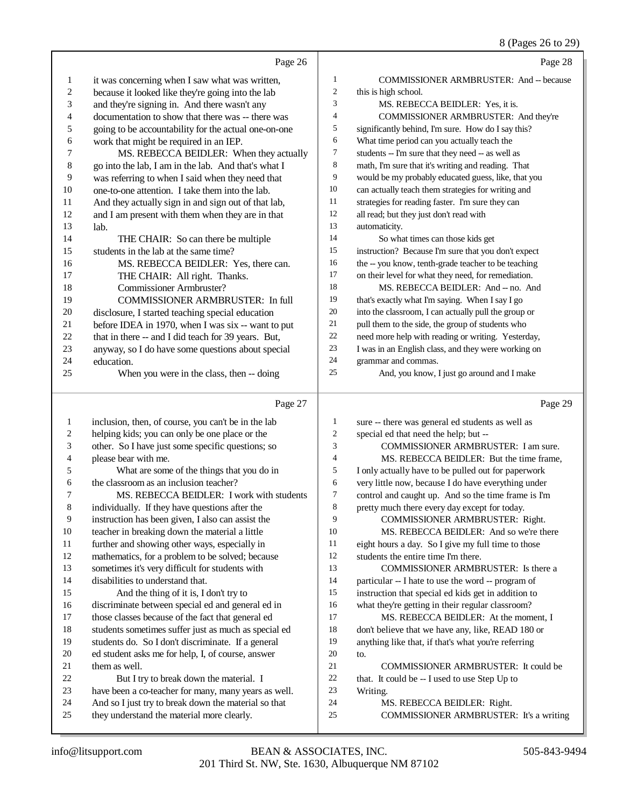#### 8 (Pages 26 to 29)

|                         |                                                                                                 |                  | 8 (Pages 26 to 29)                                                         |
|-------------------------|-------------------------------------------------------------------------------------------------|------------------|----------------------------------------------------------------------------|
|                         | Page 26                                                                                         |                  | Page 28                                                                    |
| 1                       | it was concerning when I saw what was written,                                                  | 1                | COMMISSIONER ARMBRUSTER: And -- because                                    |
| 2                       | because it looked like they're going into the lab                                               | $\mathfrak{2}$   | this is high school.                                                       |
| 3                       | and they're signing in. And there wasn't any                                                    | 3                | MS. REBECCA BEIDLER: Yes, it is.                                           |
| 4                       | documentation to show that there was -- there was                                               | 4                | COMMISSIONER ARMBRUSTER: And they're                                       |
| 5                       | going to be accountability for the actual one-on-one                                            | 5                | significantly behind, I'm sure. How do I say this?                         |
| 6                       | work that might be required in an IEP.                                                          | 6                | What time period can you actually teach the                                |
| 7                       | MS. REBECCA BEIDLER: When they actually                                                         | 7                | students -- I'm sure that they need -- as well as                          |
| 8                       | go into the lab, I am in the lab. And that's what I                                             | 8                | math, I'm sure that it's writing and reading. That                         |
| 9                       | was referring to when I said when they need that                                                | 9                | would be my probably educated guess, like, that you                        |
| 10                      | one-to-one attention. I take them into the lab.                                                 | $10\,$           | can actually teach them strategies for writing and                         |
| 11                      | And they actually sign in and sign out of that lab,                                             | 11               | strategies for reading faster. I'm sure they can                           |
| 12                      | and I am present with them when they are in that                                                | 12               | all read; but they just don't read with                                    |
| 13                      | lab.                                                                                            | 13               | automaticity.                                                              |
| 14                      | THE CHAIR: So can there be multiple                                                             | 14               | So what times can those kids get                                           |
| 15                      | students in the lab at the same time?                                                           | 15               | instruction? Because I'm sure that you don't expect                        |
| 16                      | MS. REBECCA BEIDLER: Yes, there can.                                                            | 16               | the -- you know, tenth-grade teacher to be teaching                        |
| 17                      | THE CHAIR: All right. Thanks.                                                                   | 17               | on their level for what they need, for remediation.                        |
| 18                      | <b>Commissioner Armbruster?</b>                                                                 | 18               | MS. REBECCA BEIDLER: And -- no. And                                        |
| 19                      | COMMISSIONER ARMBRUSTER: In full                                                                | 19               | that's exactly what I'm saying. When I say I go                            |
| 20                      | disclosure, I started teaching special education                                                | $20\,$           | into the classroom, I can actually pull the group or                       |
| 21                      | before IDEA in 1970, when I was six -- want to put                                              | 21<br>$22\,$     | pull them to the side, the group of students who                           |
| 22                      | that in there -- and I did teach for 39 years. But,                                             | $23\,$           | need more help with reading or writing. Yesterday,                         |
| 23                      | anyway, so I do have some questions about special                                               | 24               | I was in an English class, and they were working on<br>grammar and commas. |
| 24<br>25                | education.                                                                                      | 25               | And, you know, I just go around and I make                                 |
|                         | When you were in the class, then -- doing                                                       |                  |                                                                            |
|                         | Page 27                                                                                         |                  | Page 29                                                                    |
| $\mathbf{1}$            | inclusion, then, of course, you can't be in the lab                                             | 1                | sure -- there was general ed students as well as                           |
| $\overline{\mathbf{c}}$ | helping kids; you can only be one place or the                                                  | $\boldsymbol{2}$ | special ed that need the help; but --                                      |
| 3                       | other. So I have just some specific questions; so                                               | 3                | COMMISSIONER ARMBRUSTER: I am sure.                                        |
| 4                       | please bear with me.                                                                            | 4                | MS. REBECCA BEIDLER: But the time frame,                                   |
| 5                       | What are some of the things that you do in                                                      | 5                | I only actually have to be pulled out for paperwork                        |
| 6                       | the classroom as an inclusion teacher?                                                          | 6                | very little now, because I do have everything under                        |
| 7                       | MS. REBECCA BEIDLER: I work with students                                                       | 7                | control and caught up. And so the time frame is I'm                        |
| 8                       | individually. If they have questions after the                                                  | 8                | pretty much there every day except for today.                              |
| 9                       | instruction has been given, I also can assist the                                               | 9                | COMMISSIONER ARMBRUSTER: Right.                                            |
| 10                      | teacher in breaking down the material a little                                                  | 10               | MS. REBECCA BEIDLER: And so we're there                                    |
| 11                      | further and showing other ways, especially in                                                   | 11               | eight hours a day. So I give my full time to those                         |
| 12                      | mathematics, for a problem to be solved; because                                                | 12               | students the entire time I'm there.                                        |
| 13                      | sometimes it's very difficult for students with                                                 | 13               | COMMISSIONER ARMBRUSTER: Is there a                                        |
| 14                      | disabilities to understand that.                                                                | 14               | particular -- I hate to use the word -- program of                         |
| 15                      | And the thing of it is, I don't try to                                                          | 15               | instruction that special ed kids get in addition to                        |
| 16                      | discriminate between special ed and general ed in                                               | 16               | what they're getting in their regular classroom?                           |
| 17                      | those classes because of the fact that general ed                                               | 17               | MS. REBECCA BEIDLER: At the moment, I                                      |
| 18                      | students sometimes suffer just as much as special ed                                            | 18               | don't believe that we have any, like, READ 180 or                          |
| 19                      | students do. So I don't discriminate. If a general                                              | 19               | anything like that, if that's what you're referring                        |
| 20                      | ed student asks me for help, I, of course, answer                                               | 20               | to.                                                                        |
| 21                      | them as well.                                                                                   | 21<br>$22\,$     | COMMISSIONER ARMBRUSTER: It could be                                       |
| 22<br>23                | But I try to break down the material. I<br>have been a co-teacher for many, many years as well. | 23               | that. It could be -- I used to use Step Up to<br>Writing.                  |
|                         |                                                                                                 |                  |                                                                            |

 And so I just try to break down the material so that they understand the material more clearly.

# 24 MS. REBECCA BEIDLER: Right.<br>25 COMMISSIONER ARMBRUSTER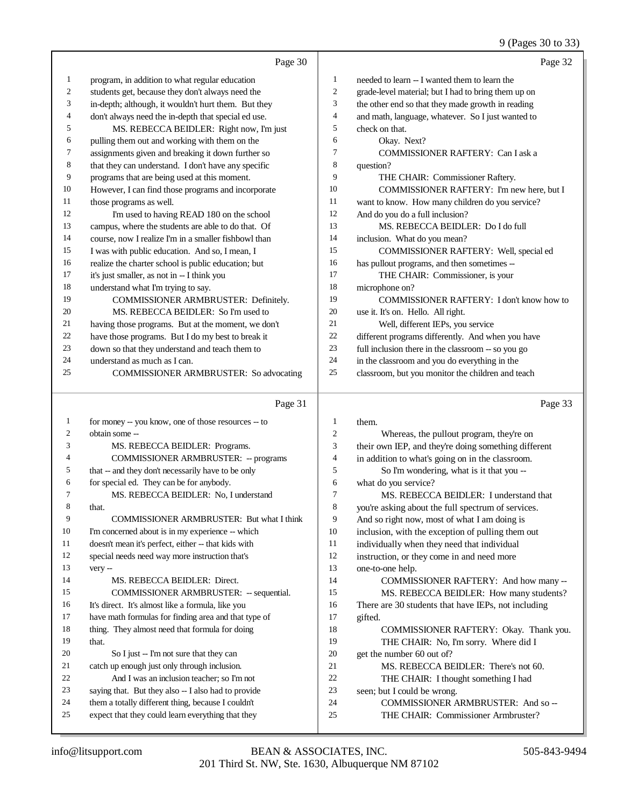#### 9 (Pages 30 to 33)

|              |                                                      |                | $2(1 \text{ ages } 30 \text{ to } 32)$               |
|--------------|------------------------------------------------------|----------------|------------------------------------------------------|
|              | Page 30                                              |                | Page 32                                              |
| 1            | program, in addition to what regular education       | 1              | needed to learn -- I wanted them to learn the        |
| 2            | students get, because they don't always need the     | 2              | grade-level material; but I had to bring them up on  |
| 3            | in-depth; although, it wouldn't hurt them. But they  | 3              | the other end so that they made growth in reading    |
| 4            | don't always need the in-depth that special ed use.  | 4              | and math, language, whatever. So I just wanted to    |
| 5            | MS. REBECCA BEIDLER: Right now, I'm just             | 5              | check on that.                                       |
| 6            | pulling them out and working with them on the        | 6              | Okay. Next?                                          |
| 7            | assignments given and breaking it down further so    | 7              | COMMISSIONER RAFTERY: Can I ask a                    |
| 8            | that they can understand. I don't have any specific  | 8              | question?                                            |
| 9            | programs that are being used at this moment.         | 9              | THE CHAIR: Commissioner Raftery.                     |
| 10           | However, I can find those programs and incorporate   | 10             | COMMISSIONER RAFTERY: I'm new here, but I            |
| 11           | those programs as well.                              | 11             | want to know. How many children do you service?      |
| 12           | I'm used to having READ 180 on the school            | 12             | And do you do a full inclusion?                      |
| 13           | campus, where the students are able to do that. Of   | 13             | MS. REBECCA BEIDLER: Do I do full                    |
| 14           | course, now I realize I'm in a smaller fishbowl than | 14             | inclusion. What do you mean?                         |
| 15           | I was with public education. And so, I mean, I       | 15             | COMMISSIONER RAFTERY: Well, special ed               |
| 16           | realize the charter school is public education; but  | 16             | has pullout programs, and then sometimes --          |
| 17           | it's just smaller, as not in -- I think you          | 17             | THE CHAIR: Commissioner, is your                     |
| 18           | understand what I'm trying to say.                   | 18             | microphone on?                                       |
| 19           | COMMISSIONER ARMBRUSTER: Definitely.                 | 19             | COMMISSIONER RAFTERY: I don't know how to            |
| 20           | MS. REBECCA BEIDLER: So I'm used to                  | 20             | use it. It's on. Hello. All right.                   |
| 21           | having those programs. But at the moment, we don't   | 21             | Well, different IEPs, you service                    |
| 22           | have those programs. But I do my best to break it    | 22             | different programs differently. And when you have    |
| 23           | down so that they understand and teach them to       | 23             | full inclusion there in the classroom -- so you go   |
| 24           | understand as much as I can.                         | 24             | in the classroom and you do everything in the        |
| 25           | COMMISSIONER ARMBRUSTER: So advocating               | 25             | classroom, but you monitor the children and teach    |
|              |                                                      |                |                                                      |
|              | Page 31                                              |                | Page 33                                              |
| $\mathbf{1}$ | for money -- you know, one of those resources -- to  | 1              | them.                                                |
| 2            | obtain some --                                       | $\overline{c}$ | Whereas, the pullout program, they're on             |
| 3            | MS. REBECCA BEIDLER: Programs.                       | 3              | their own IEP, and they're doing something different |
| 4            | <b>COMMISSIONER ARMBRUSTER: -- programs</b>          | 4              | in addition to what's going on in the classroom.     |
| 5            | that -- and they don't necessarily have to be only   | 5              | So I'm wondering, what is it that you --             |
| 6            | for special ed. They can be for anybody.             | 6              | what do you service?                                 |
| 7            | MS. REBECCA BEIDLER: No, I understand                | 7              | MS. REBECCA BEIDLER: I understand that               |
| 8            | that.                                                | 8              | you're asking about the full spectrum of services.   |
| 9            | COMMISSIONER ARMBRUSTER: But what I think            | 9              | And so right now, most of what I am doing is         |
| 10           | I'm concerned about is in my experience -- which     | 10             | inclusion, with the exception of pulling them out    |
| 11           | doesn't mean it's perfect, either -- that kids with  | 11             | individually when they need that individual          |
| 12           | special needs need way more instruction that's       | 12             | instruction, or they come in and need more           |
| 13           | very --                                              | 13             | one-to-one help.                                     |
| 14           | MS. REBECCA BEIDLER: Direct.                         | 14             | COMMISSIONER RAFTERY: And how many --                |
| 15           | COMMISSIONER ARMBRUSTER: -- sequential.              | 15             | MS. REBECCA BEIDLER: How many students?              |

- 16 There are 30 students that have IEPs, not including offed. gifted.
- 18 COMMISSIONER RAFTERY: Okay. Thank you.<br>19 THE CHAIR: No. I'm sorry. Where did I THE CHAIR: No, I'm sorry. Where did I get the number 60 out of? 21 MS. REBECCA BEIDLER: There's not 60.<br>22 THE CHAIR: I thought something I had
- 22 THE CHAIR: I thought something I had<br>23 seen: but I could be wrong.
- seen; but I could be wrong.
- 24 COMMISSIONER ARMBRUSTER: And so --<br>25 THE CHAIR: Commissioner Armbruster?
	- THE CHAIR: Commissioner Armbruster?

that.

 It's direct. It's almost like a formula, like you have math formulas for finding area and that type of 18 thing. They almost need that formula for doing

20 So I just -- I'm not sure that they can catch up enough just only through inclusion. And I was an inclusion teacher; so I'm not saying that. But they also -- I also had to provide them a totally different thing, because I couldn't expect that they could learn everything that they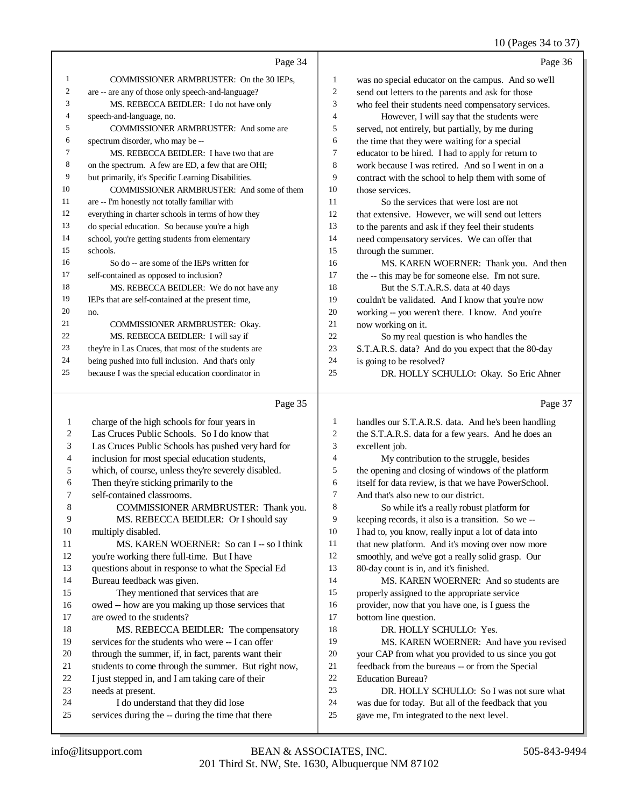#### 10 (Pages 34 to 37)

|                | Page 34                                             |    | Page 36                                             |
|----------------|-----------------------------------------------------|----|-----------------------------------------------------|
|                | COMMISSIONER ARMBRUSTER: On the 30 IEPs,            |    | was no special educator on the campus. And so we'll |
| 2              | are -- are any of those only speech-and-language?   |    | send out letters to the parents and ask for those   |
| 3              | MS. REBECCA BEIDLER: I do not have only             | 3  | who feel their students need compensatory services. |
| $\overline{4}$ | speech-and-language, no.                            | 4  | However, I will say that the students were          |
| 5              | <b>COMMISSIONER ARMBRUSTER:</b> And some are        |    | served, not entirely, but partially, by me during   |
| 6              | spectrum disorder, who may be --                    | 6  | the time that they were waiting for a special       |
|                | MS. REBECCA BEIDLER: I have two that are            |    | educator to be hired. I had to apply for return to  |
| 8              | on the spectrum. A few are ED, a few that are OHI;  | 8  | work because I was retired. And so I went in on a   |
| 9              | but primarily, it's Specific Learning Disabilities. | 9  | contract with the school to help them with some of  |
| 10             | COMMISSIONER ARMBRUSTER: And some of them           | 10 | those services.                                     |
| 11             | are -- I'm honestly not totally familiar with       |    | So the services that were lost are not              |

 everything in charter schools in terms of how they do special education. So because you're a high school, you're getting students from elementary schools. So do -- are some of the IEPs written for self-contained as opposed to inclusion? 18 MS. REBECCA BEIDLER: We do not have any IEPs that are self-contained at the present time, no. COMMISSIONER ARMBRUSTER: Okay. MS. REBECCA BEIDLER: I will say if they're in Las Cruces, that most of the students are being pushed into full inclusion. And that's only because I was the special education coordinator in that extensive. However, we will send out letters to the parents and ask if they feel their students need compensatory services. We can offer that through the summer. MS. KAREN WOERNER: Thank you. And then the -- this may be for someone else. I'm not sure. 18 But the S.T.A.R.S. data at 40 days couldn't be validated. And I know that you're now working -- you weren't there. I know. And you're now working on it. So my real question is who handles the S.T.A.R.S. data? And do you expect that the 80-day is going to be resolved? DR. HOLLY SCHULLO: Okay. So Eric Ahner

#### Page 35

|    | Page 35                                             |    | Page 37                                              |
|----|-----------------------------------------------------|----|------------------------------------------------------|
| 1  | charge of the high schools for four years in        | 1  | handles our S.T.A.R.S. data. And he's been handling  |
| 2  | Las Cruces Public Schools. So I do know that        | 2  | the S.T.A.R.S. data for a few years. And he does an  |
| 3  | Las Cruces Public Schools has pushed very hard for  | 3  | excellent job.                                       |
| 4  | inclusion for most special education students,      | 4  | My contribution to the struggle, besides             |
| 5  | which, of course, unless they're severely disabled. | 5  | the opening and closing of windows of the platform   |
| 6  | Then they're sticking primarily to the              | 6  | itself for data review, is that we have PowerSchool. |
| 7  | self-contained classrooms.                          | 7  | And that's also new to our district.                 |
| 8  | COMMISSIONER ARMBRUSTER: Thank you.                 | 8  | So while it's a really robust platform for           |
| 9  | MS. REBECCA BEIDLER: Or I should say                | 9  | keeping records, it also is a transition. So we --   |
| 10 | multiply disabled.                                  | 10 | I had to, you know, really input a lot of data into  |
| 11 | MS. KAREN WOERNER: So can I -- so I think           | 11 | that new platform. And it's moving over now more     |
| 12 | you're working there full-time. But I have          | 12 | smoothly, and we've got a really solid grasp. Our    |
| 13 | questions about in response to what the Special Ed  | 13 | 80-day count is in, and it's finished.               |
| 14 | Bureau feedback was given.                          | 14 | MS. KAREN WOERNER: And so students are               |
| 15 | They mentioned that services that are               | 15 | properly assigned to the appropriate service         |
| 16 | owed -- how are you making up those services that   | 16 | provider, now that you have one, is I guess the      |
| 17 | are owed to the students?                           | 17 | bottom line question.                                |
| 18 | MS. REBECCA BEIDLER: The compensatory               | 18 | DR. HOLLY SCHULLO: Yes.                              |
| 19 | services for the students who were -- I can offer   | 19 | MS. KAREN WOERNER: And have you revised              |
| 20 | through the summer, if, in fact, parents want their | 20 | your CAP from what you provided to us since you got  |
| 21 | students to come through the summer. But right now, | 21 | feedback from the bureaus -- or from the Special     |
| 22 | I just stepped in, and I am taking care of their    | 22 | <b>Education Bureau?</b>                             |
| 23 | needs at present.                                   | 23 | DR. HOLLY SCHULLO: So I was not sure what            |
| 24 | I do understand that they did lose                  | 24 | was due for today. But all of the feedback that you  |
| 25 | services during the -- during the time that there   | 25 | gave me, I'm integrated to the next level.           |
|    |                                                     |    |                                                      |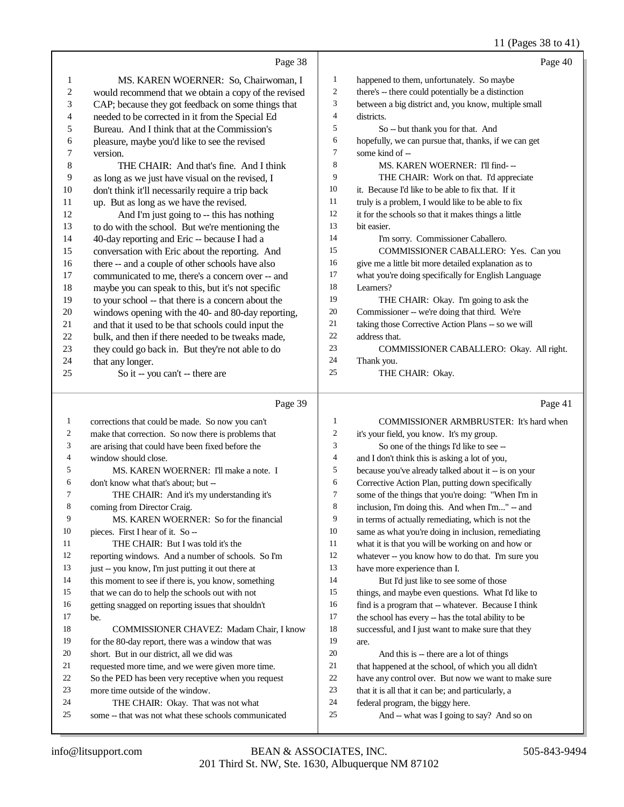#### 11 (Pages 38 to 41)

|          | Page 38                                                                                    |                  | Page 40                                                                       |
|----------|--------------------------------------------------------------------------------------------|------------------|-------------------------------------------------------------------------------|
| 1        | MS. KAREN WOERNER: So, Chairwoman, I                                                       | $\mathbf{1}$     | happened to them, unfortunately. So maybe                                     |
| 2        | would recommend that we obtain a copy of the revised                                       | $\overline{2}$   | there's -- there could potentially be a distinction                           |
| 3        | CAP; because they got feedback on some things that                                         | 3                | between a big district and, you know, multiple small                          |
| 4        | needed to be corrected in it from the Special Ed                                           | $\overline{4}$   | districts.                                                                    |
| 5        | Bureau. And I think that at the Commission's                                               | 5                | So -- but thank you for that. And                                             |
| 6        | pleasure, maybe you'd like to see the revised                                              | 6                | hopefully, we can pursue that, thanks, if we can get                          |
| 7        | version.                                                                                   | $\tau$           | some kind of --                                                               |
| 8        | THE CHAIR: And that's fine. And I think                                                    | 8                | MS. KAREN WOERNER: I'll find---                                               |
| 9        | as long as we just have visual on the revised, I                                           | 9                | THE CHAIR: Work on that. I'd appreciate                                       |
| 10       | don't think it'll necessarily require a trip back                                          | 10               | it. Because I'd like to be able to fix that. If it                            |
| 11       | up. But as long as we have the revised.                                                    | 11               | truly is a problem, I would like to be able to fix                            |
| 12       | And I'm just going to -- this has nothing                                                  | 12               | it for the schools so that it makes things a little                           |
| 13       | to do with the school. But we're mentioning the                                            | 13               | bit easier.                                                                   |
| 14       | 40-day reporting and Eric -- because I had a                                               | 14               | I'm sorry. Commissioner Caballero.                                            |
| 15       | conversation with Eric about the reporting. And                                            | 15               | COMMISSIONER CABALLERO: Yes. Can you                                          |
| 16       | there -- and a couple of other schools have also                                           | 16               | give me a little bit more detailed explanation as to                          |
| 17       | communicated to me, there's a concern over -- and                                          | 17               | what you're doing specifically for English Language                           |
| 18       | maybe you can speak to this, but it's not specific                                         | 18               | Learners?                                                                     |
| 19       | to your school -- that there is a concern about the                                        | 19               | THE CHAIR: Okay. I'm going to ask the                                         |
| 20       | windows opening with the 40- and 80-day reporting,                                         | 20               | Commissioner -- we're doing that third. We're                                 |
| 21       | and that it used to be that schools could input the                                        | 21<br>22         | taking those Corrective Action Plans -- so we will                            |
| 22       | bulk, and then if there needed to be tweaks made,                                          | 23               | address that.                                                                 |
| 23       | they could go back in. But they're not able to do                                          | 24               | COMMISSIONER CABALLERO: Okay. All right.                                      |
| 24<br>25 | that any longer.                                                                           | 25               | Thank you.<br>THE CHAIR: Okay.                                                |
|          | So it -- you can't -- there are                                                            |                  |                                                                               |
|          |                                                                                            |                  |                                                                               |
|          | Page 39                                                                                    |                  | Page 41                                                                       |
| 1        | corrections that could be made. So now you can't                                           | 1                | COMMISSIONER ARMBRUSTER: It's hard when                                       |
| 2        | make that correction. So now there is problems that                                        | $\boldsymbol{2}$ | it's your field, you know. It's my group.                                     |
| 3        | are arising that could have been fixed before the                                          | 3                | So one of the things I'd like to see --                                       |
| 4        | window should close.                                                                       | $\overline{4}$   | and I don't think this is asking a lot of you,                                |
| 5        | MS. KAREN WOERNER: I'll make a note. I                                                     | 5                | because you've already talked about it -- is on your                          |
| 6        | don't know what that's about; but --                                                       | 6                | Corrective Action Plan, putting down specifically                             |
| 7        | THE CHAIR: And it's my understanding it's                                                  | $\tau$           | some of the things that you're doing: "When I'm in                            |
| 8        | coming from Director Craig.                                                                | 8                | inclusion, I'm doing this. And when I'm" -- and                               |
| 9        | MS. KAREN WOERNER: So for the financial                                                    | 9                | in terms of actually remediating, which is not the                            |
| 10       | pieces. First I hear of it. So --                                                          | 10               | same as what you're doing in inclusion, remediating                           |
| 11       | THE CHAIR: But I was told it's the                                                         | 11               | what it is that you will be working on and how or                             |
| 12       | reporting windows. And a number of schools. So I'm                                         | 12               | whatever -- you know how to do that. I'm sure you                             |
| 13       | just -- you know, I'm just putting it out there at                                         | 13               | have more experience than I.                                                  |
| 14       | this moment to see if there is, you know, something                                        | 14               | But I'd just like to see some of those                                        |
| 15       | that we can do to help the schools out with not                                            | 15               | things, and maybe even questions. What I'd like to                            |
| 16       | getting snagged on reporting issues that shouldn't                                         | 16               | find is a program that -- whatever. Because I think                           |
| 17       | be.                                                                                        | 17               | the school has every -- has the total ability to be                           |
| 18       | COMMISSIONER CHAVEZ: Madam Chair, I know                                                   | 18               | successful, and I just want to make sure that they                            |
| 19       | for the 80-day report, there was a window that was                                         | 19               | are.                                                                          |
| 20       | short. But in our district, all we did was                                                 | $20\,$           | And this is -- there are a lot of things                                      |
| 21       | requested more time, and we were given more time.                                          | 21               | that happened at the school, of which you all didn't                          |
| 22       | So the PED has been very receptive when you request                                        | 22               | have any control over. But now we want to make sure                           |
| 23       | more time outside of the window.                                                           | 23               | that it is all that it can be; and particularly, a                            |
| 24<br>25 | THE CHAIR: Okay. That was not what<br>some -- that was not what these schools communicated | 24<br>25         | federal program, the biggy here.<br>And -- what was I going to say? And so on |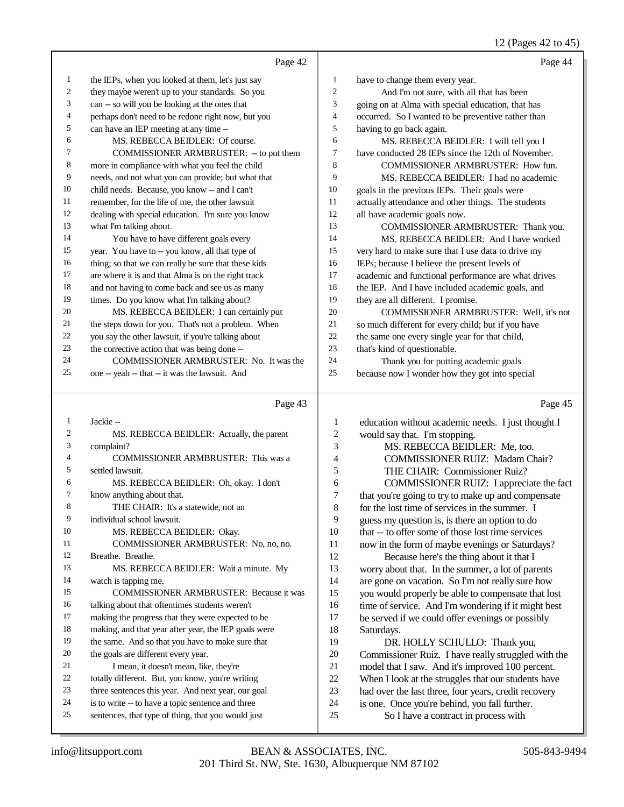12 (Pages 42 to 45)

|                          |                                                      |                  | 12 (Fages 42 to 43)                                 |
|--------------------------|------------------------------------------------------|------------------|-----------------------------------------------------|
|                          | Page 42                                              |                  | Page 44                                             |
| $\mathbf{1}$             | the IEPs, when you looked at them, let's just say    | $\mathbf{1}$     | have to change them every year.                     |
| $\sqrt{2}$               | they maybe weren't up to your standards. So you      | $\overline{c}$   | And I'm not sure, with all that has been            |
| 3                        | can -- so will you be looking at the ones that       | 3                | going on at Alma with special education, that has   |
| $\overline{\mathcal{A}}$ | perhaps don't need to be redone right now, but you   | 4                | occurred. So I wanted to be preventive rather than  |
| 5                        | can have an IEP meeting at any time --               | 5                | having to go back again.                            |
| 6                        | MS. REBECCA BEIDLER: Of course.                      | 6                | MS. REBECCA BEIDLER: I will tell you I              |
| $\tau$                   | COMMISSIONER ARMBRUSTER: - to put them               | $\overline{7}$   | have conducted 28 IEPs since the 12th of November.  |
| $\,$ 8 $\,$              | more in compliance with what you feel the child      | $\,8\,$          | COMMISSIONER ARMBRUSTER: How fun.                   |
| 9                        | needs, and not what you can provide; but what that   | 9                | MS. REBECCA BEIDLER: I had no academic              |
| 10                       | child needs. Because, you know -- and I can't        | 10               | goals in the previous IEPs. Their goals were        |
| 11                       | remember, for the life of me, the other lawsuit      | 11               | actually attendance and other things. The students  |
| 12                       | dealing with special education. I'm sure you know    | 12               | all have academic goals now.                        |
| 13                       | what I'm talking about.                              | 13               | COMMISSIONER ARMBRUSTER: Thank you.                 |
| 14                       | You have to have different goals every               | 14               | MS. REBECCA BEIDLER: And I have worked              |
| 15                       | year. You have to -- you know, all that type of      | 15               | very hard to make sure that I use data to drive my  |
| 16                       | thing; so that we can really be sure that these kids | 16               | IEPs; because I believe the present levels of       |
| 17                       | are where it is and that Alma is on the right track  | 17               | academic and functional performance are what drives |
| 18                       | and not having to come back and see us as many       | 18               | the IEP. And I have included academic goals, and    |
| 19                       | times. Do you know what I'm talking about?           | 19               | they are all different. I promise.                  |
| 20                       | MS. REBECCA BEIDLER: I can certainly put             | 20               | COMMISSIONER ARMBRUSTER: Well, it's not             |
| 21                       | the steps down for you. That's not a problem. When   | 21               | so much different for every child; but if you have  |
| 22                       | you say the other lawsuit, if you're talking about   | 22               | the same one every single year for that child,      |
| 23                       | the corrective action that was being done --         | 23               | that's kind of questionable.                        |
| 24                       | COMMISSIONER ARMBRUSTER: No. It was the              | 24               | Thank you for putting academic goals                |
| 25                       | one -- yeah -- that -- it was the lawsuit. And       | 25               | because now I wonder how they got into special      |
|                          |                                                      |                  |                                                     |
|                          | Page 43                                              |                  | Page 45                                             |
| $\mathbf{1}$             | Jackie-                                              | $\mathbf{1}$     | education without academic needs. I just thought I  |
| $\boldsymbol{2}$         | MS. REBECCA BEIDLER: Actually, the parent            | $\overline{c}$   | would say that. I'm stopping.                       |
| 3                        | complaint?                                           | 3                | MS. REBECCA BEIDLER: Me, too.                       |
| $\overline{4}$           | COMMISSIONER ARMBRUSTER: This was a                  | $\overline{4}$   | <b>COMMISSIONER RUIZ: Madam Chair?</b>              |
| 5                        | settled lawsuit.                                     | 5                | THE CHAIR: Commissioner Ruiz?                       |
| 6                        | MS. REBECCA BEIDLER: Oh, okay. I don't               | 6                | COMMISSIONER RUIZ: I appreciate the fact            |
| $\tau$                   | know anything about that.                            | $\boldsymbol{7}$ | that you're going to try to make up and compensate  |
| $\,$ 8 $\,$              | THE CHAIR: It's a statewide, not an                  | 8                | for the lost time of services in the summer. I      |
| 9                        | individual school lawsuit.                           | 9                | guess my question is, is there an option to do      |
| 10                       | MS. REBECCA BEIDLER: Okay.                           | $10\,$           | that -- to offer some of those lost time services   |
| 11                       | COMMISSIONER ARMBRUSTER: No, no, no.                 | 11               | now in the form of maybe evenings or Saturdays?     |

 Breathe. Breathe. MS. REBECCA BEIDLER: Wait a minute. My watch is tapping me. COMMISSIONER ARMBRUSTER: Because it was talking about that oftentimes students weren't making the progress that they were expected to be making, and that year after year, the IEP goals were the same. And so that you have to make sure that the goals are different every year. 21 I mean, it doesn't mean, like, they're 22 totally different. But, you know, you're writing<br>23 three sentences this year. And next year, our or

- three sentences this year. And next year, our goal
- is to write -- to have a topic sentence and three
- sentences, that type of thing, that you would just

12 Because here's the thing about it that I<br>13 worry about that In the summer, a lot of parworry about that. In the summer, a lot of parents are gone on vacation. So I'm not really sure how you would properly be able to compensate that lost 16 time of service. And I'm wondering if it might best 17 be served if we could offer evenings or possibly be served if we could offer evenings or possibly

18 Saturdays.<br>19 DR. DR. HOLLY SCHULLO: Thank you, 20 Commissioner Ruiz. I have really struggled with the model that I saw. And it's improved 100 percent. 21 model that I saw. And it's improved 100 percent.<br>22 When I look at the struggles that our students have 22 When I look at the struggles that our students have<br>23 had over the last three, four vears, credit recovery had over the last three, four years, credit recovery is one. Once you're behind, you fall further. So I have a contract in process with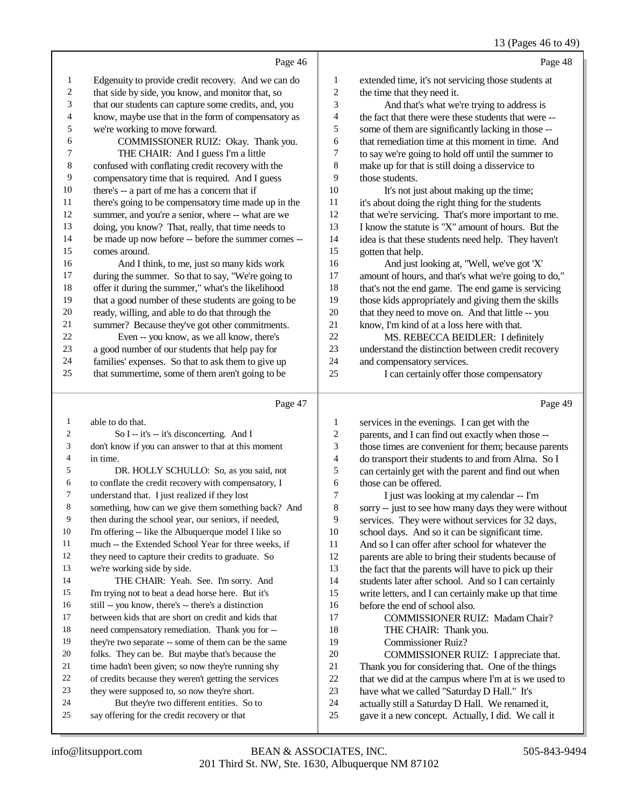## 13 (Pages 46 to 49)

|                          | Page 46                                                                                          |                                | Page 48                                                                                                   |
|--------------------------|--------------------------------------------------------------------------------------------------|--------------------------------|-----------------------------------------------------------------------------------------------------------|
| $\mathbf{1}$             | Edgenuity to provide credit recovery. And we can do                                              | 1                              | extended time, it's not servicing those students at                                                       |
| $\boldsymbol{2}$         | that side by side, you know, and monitor that, so                                                | $\overline{c}$                 | the time that they need it.                                                                               |
| 3                        | that our students can capture some credits, and, you                                             | 3                              | And that's what we're trying to address is                                                                |
| $\overline{\mathcal{L}}$ | know, maybe use that in the form of compensatory as                                              | $\overline{\mathcal{L}}$       | the fact that there were these students that were --                                                      |
| 5                        | we're working to move forward.                                                                   | 5                              | some of them are significantly lacking in those --                                                        |
| 6                        | COMMISSIONER RUIZ: Okay. Thank you.                                                              | 6                              | that remediation time at this moment in time. And                                                         |
| 7                        | THE CHAIR: And I guess I'm a little                                                              | $\boldsymbol{7}$               | to say we're going to hold off until the summer to                                                        |
| $\,8\,$                  | confused with conflating credit recovery with the                                                | 8                              | make up for that is still doing a disservice to                                                           |
| $\overline{9}$           | compensatory time that is required. And I guess                                                  | 9                              | those students.                                                                                           |
| 10                       | there's -- a part of me has a concern that if                                                    | 10                             | It's not just about making up the time;                                                                   |
| 11                       | there's going to be compensatory time made up in the                                             | 11                             | it's about doing the right thing for the students                                                         |
| 12                       | summer, and you're a senior, where -- what are we                                                | 12                             | that we're servicing. That's more important to me.                                                        |
| 13                       | doing, you know? That, really, that time needs to                                                | 13                             | I know the statute is "X" amount of hours. But the                                                        |
| 14                       | be made up now before -- before the summer comes --                                              | 14                             | idea is that these students need help. They haven't                                                       |
| 15                       | comes around.                                                                                    | 15                             | gotten that help.                                                                                         |
| 16                       | And I think, to me, just so many kids work                                                       | 16                             | And just looking at, "Well, we've got 'X'                                                                 |
| 17                       | during the summer. So that to say, "We're going to                                               | 17                             | amount of hours, and that's what we're going to do,"                                                      |
| 18                       | offer it during the summer," what's the likelihood                                               | 18                             | that's not the end game. The end game is servicing                                                        |
| 19                       | that a good number of these students are going to be                                             | 19                             | those kids appropriately and giving them the skills                                                       |
| $20\,$                   | ready, willing, and able to do that through the                                                  | $20\,$                         | that they need to move on. And that little -- you                                                         |
| 21                       | summer? Because they've got other commitments.                                                   | 21                             | know, I'm kind of at a loss here with that.                                                               |
| $22\,$                   | Even -- you know, as we all know, there's                                                        | 22                             | MS. REBECCA BEIDLER: I definitely                                                                         |
| $23\,$                   | a good number of our students that help pay for                                                  | 23                             | understand the distinction between credit recovery                                                        |
| 24                       | families' expenses. So that to ask them to give up                                               | 24                             | and compensatory services.                                                                                |
| 25                       | that summertime, some of them aren't going to be                                                 | 25                             | I can certainly offer those compensatory                                                                  |
|                          | Page 47                                                                                          |                                | Page 49                                                                                                   |
|                          |                                                                                                  |                                |                                                                                                           |
| $\mathbf{1}$             | able to do that.                                                                                 |                                |                                                                                                           |
| 2                        |                                                                                                  | $\mathbf{1}$<br>$\overline{c}$ | services in the evenings. I can get with the                                                              |
| 3                        | So I -- it's -- it's disconcerting. And I<br>don't know if you can answer to that at this moment | 3                              | parents, and I can find out exactly when those --                                                         |
| 4                        | in time.                                                                                         | $\overline{\mathcal{L}}$       | those times are convenient for them; because parents                                                      |
| 5                        | DR. HOLLY SCHULLO: So, as you said, not                                                          | 5                              | do transport their students to and from Alma. So I<br>can certainly get with the parent and find out when |
| 6                        | to conflate the credit recovery with compensatory, I                                             | 6                              | those can be offered.                                                                                     |
| 7                        | understand that. I just realized if they lost                                                    | 7                              | I just was looking at my calendar -- I'm                                                                  |
| 8                        | something, how can we give them something back? And                                              | 8                              | sorry -- just to see how many days they were without                                                      |
| 9                        | then during the school year, our seniors, if needed,                                             | 9                              | services. They were without services for 32 days,                                                         |
| 10                       | I'm offering -- like the Albuquerque model I like so                                             | 10                             | school days. And so it can be significant time.                                                           |
| 11                       | much -- the Extended School Year for three weeks, if                                             | 11                             | And so I can offer after school for whatever the                                                          |
| 12                       | they need to capture their credits to graduate. So                                               | 12                             | parents are able to bring their students because of                                                       |
| 13                       | we're working side by side.                                                                      | 13                             | the fact that the parents will have to pick up their                                                      |
| 14                       | THE CHAIR: Yeah. See. I'm sorry. And                                                             | 14                             | students later after school. And so I can certainly                                                       |
| 15                       | I'm trying not to beat a dead horse here. But it's                                               | 15                             | write letters, and I can certainly make up that time                                                      |
| 16                       | still -- you know, there's -- there's a distinction                                              | 16                             | before the end of school also.                                                                            |
| 17                       | between kids that are short on credit and kids that                                              | 17                             | COMMISSIONER RUIZ: Madam Chair?                                                                           |
| 18                       | need compensatory remediation. Thank you for --                                                  | 18                             | THE CHAIR: Thank you.                                                                                     |
| 19                       | they're two separate -- some of them can be the same                                             | 19                             | Commissioner Ruiz?                                                                                        |
| 20                       | folks. They can be. But maybe that's because the                                                 | 20                             | COMMISSIONER RUIZ: I appreciate that.                                                                     |
| 21                       | time hadn't been given; so now they're running shy                                               | 21                             | Thank you for considering that. One of the things                                                         |
| 22                       | of credits because they weren't getting the services                                             | $22\,$                         | that we did at the campus where I'm at is we used to                                                      |
| 23                       | they were supposed to, so now they're short.                                                     | 23                             | have what we called "Saturday D Hall." It's                                                               |
| 24<br>25                 | But they're two different entities. So to<br>say offering for the credit recovery or that        | 24<br>$25\,$                   | actually still a Saturday D Hall. We renamed it,<br>gave it a new concept. Actually, I did. We call it    |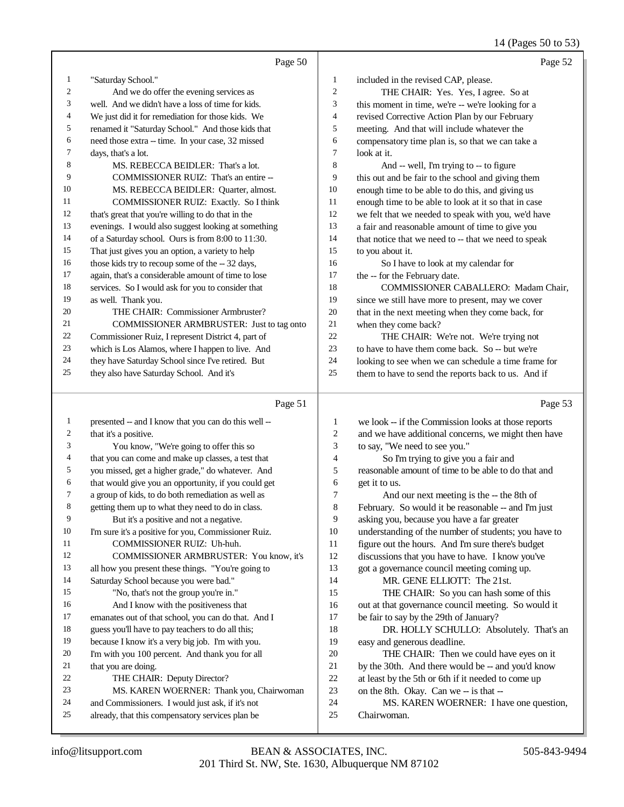## 14 (Pages 50 to 53)

|              | Page 50                                                                                              |                | Page 52                                                |
|--------------|------------------------------------------------------------------------------------------------------|----------------|--------------------------------------------------------|
| $\mathbf{1}$ | "Saturday School."                                                                                   | 1              | included in the revised CAP, please.                   |
| 2            | And we do offer the evening services as                                                              | $\overline{c}$ | THE CHAIR: Yes. Yes, I agree. So at                    |
| 3            | well. And we didn't have a loss of time for kids.                                                    | 3              | this moment in time, we're -- we're looking for a      |
| 4            | We just did it for remediation for those kids. We                                                    | 4              | revised Corrective Action Plan by our February         |
| 5            | renamed it "Saturday School." And those kids that                                                    | 5              | meeting. And that will include whatever the            |
| 6            | need those extra -- time. In your case, 32 missed                                                    | 6              | compensatory time plan is, so that we can take a       |
| 7            | days, that's a lot.                                                                                  | 7              | look at it.                                            |
| 8            | MS. REBECCA BEIDLER: That's a lot.                                                                   | 8              | And -- well, I'm trying to -- to figure                |
| 9            | COMMISSIONER RUIZ: That's an entire --                                                               | 9              | this out and be fair to the school and giving them     |
| 10           | MS. REBECCA BEIDLER: Quarter, almost.                                                                | 10             | enough time to be able to do this, and giving us       |
| 11           | COMMISSIONER RUIZ: Exactly. So I think                                                               | 11             | enough time to be able to look at it so that in case   |
| 12           | that's great that you're willing to do that in the                                                   | 12             | we felt that we needed to speak with you, we'd have    |
| 13           | evenings. I would also suggest looking at something                                                  | 13             | a fair and reasonable amount of time to give you       |
| 14           | of a Saturday school. Ours is from 8:00 to 11:30.                                                    | 14             | that notice that we need to -- that we need to speak   |
| 15           | That just gives you an option, a variety to help                                                     | 15             | to you about it.                                       |
| 16           | those kids try to recoup some of the -- 32 days,                                                     | 16             | So I have to look at my calendar for                   |
| 17           | again, that's a considerable amount of time to lose                                                  | 17             | the -- for the February date.                          |
| 18           | services. So I would ask for you to consider that                                                    | 18             | COMMISSIONER CABALLERO: Madam Chair,                   |
| 19           | as well. Thank you.                                                                                  | 19             | since we still have more to present, may we cover      |
| 20           | THE CHAIR: Commissioner Armbruster?                                                                  | $20\,$         | that in the next meeting when they come back, for      |
| 21           | COMMISSIONER ARMBRUSTER: Just to tag onto                                                            | 21             | when they come back?                                   |
| 22           | Commissioner Ruiz, I represent District 4, part of                                                   | 22             | THE CHAIR: We're not. We're trying not                 |
| 23           | which is Los Alamos, where I happen to live. And                                                     | 23             | to have to have them come back. So -- but we're        |
| 24           | they have Saturday School since I've retired. But                                                    | 24             | looking to see when we can schedule a time frame for   |
| 25           | they also have Saturday School. And it's                                                             | 25             | them to have to send the reports back to us. And if    |
|              |                                                                                                      |                |                                                        |
|              | Page 51                                                                                              |                | Page 53                                                |
| $\mathbf{1}$ | presented -- and I know that you can do this well --                                                 | 1              | we look -- if the Commission looks at those reports    |
| 2            | that it's a positive.                                                                                | $\overline{c}$ | and we have additional concerns, we might then have    |
| 3            | You know, "We're going to offer this so                                                              | 3              | to say, "We need to see you."                          |
| 4            | that you can come and make up classes, a test that                                                   | 4              | So I'm trying to give you a fair and                   |
| 5            | you missed, get a higher grade," do whatever. And                                                    | 5              | reasonable amount of time to be able to do that and    |
| 6            | that would give you an opportunity, if you could get                                                 | 6              | get it to us.                                          |
| 7            | a group of kids, to do both remediation as well as                                                   | 7              | And our next meeting is the -- the 8th of              |
| 8            | getting them up to what they need to do in class.                                                    | 8              | February. So would it be reasonable -- and I'm just    |
| 9            | But it's a positive and not a negative.                                                              | 9              | asking you, because you have a far greater             |
| $10\,$       | I'm sure it's a positive for you, Commissioner Ruiz.                                                 | 10             | understanding of the number of students; you have to   |
| 11           | COMMISSIONER RUIZ: Uh-huh.                                                                           | 11             | figure out the hours. And I'm sure there's budget      |
| 12           | COMMISSIONER ARMBRUSTER: You know, it's                                                              | 12             | discussions that you have to have. I know you've       |
| 13           | all how you present these things. "You're going to                                                   | 13             | got a governance council meeting coming up.            |
| 14           | Saturday School because you were bad."                                                               | 14             | MR. GENE ELLIOTT: The 21st.                            |
| 15           | "No, that's not the group you're in."                                                                | 15             | THE CHAIR: So you can hash some of this                |
| 16           | And I know with the positiveness that                                                                | 16             | out at that governance council meeting. So would it    |
| 17           | emanates out of that school, you can do that. And I                                                  | 17             | be fair to say by the 29th of January?                 |
| 18           | guess you'll have to pay teachers to do all this;                                                    | 18             | DR. HOLLY SCHULLO: Absolutely. That's an               |
| 19           | because I know it's a very big job. I'm with you.                                                    | 19             | easy and generous deadline.                            |
| 20           | I'm with you 100 percent. And thank you for all                                                      | 20             | THE CHAIR: Then we could have eyes on it               |
| 21           | that you are doing.                                                                                  | 21             | by the 30th. And there would be -- and you'd know      |
| 22           | THE CHAIR: Deputy Director?                                                                          | 22             | at least by the 5th or 6th if it needed to come up     |
| 23           | MS. KAREN WOERNER: Thank you, Chairwoman                                                             | 23             | on the 8th. Okay. Can we -- is that --                 |
| 24<br>25     | and Commissioners. I would just ask, if it's not<br>already, that this compensatory services plan be | 24<br>$25\,$   | MS. KAREN WOERNER: I have one question,<br>Chairwoman. |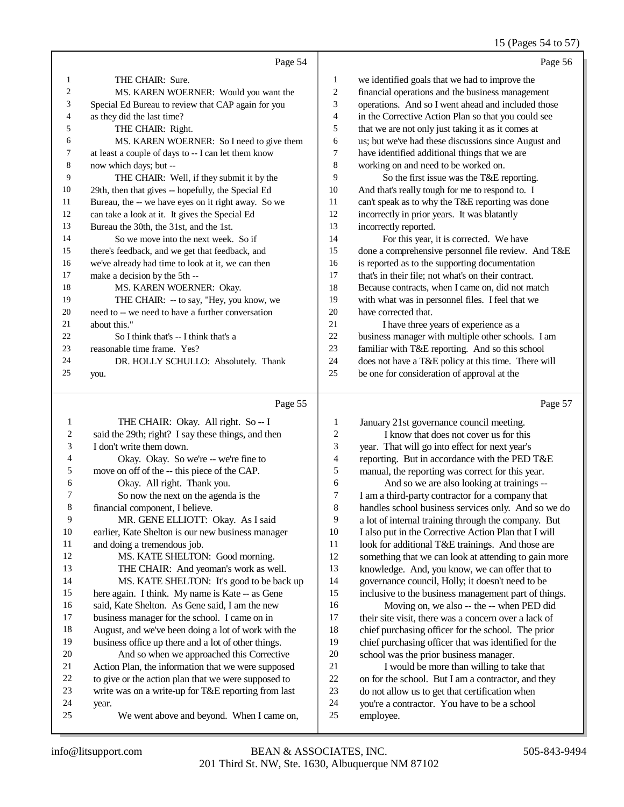## 15 (Pages 54 to 57)

| Paσ<br>۰ρ<br>. . |  |
|------------------|--|
|                  |  |

|                | Page 54                                             |    |
|----------------|-----------------------------------------------------|----|
| $\mathbf{1}$   | THE CHAIR: Sure.                                    | 1  |
| $\overline{2}$ | MS. KAREN WOERNER: Would you want the               | 2  |
| 3              | Special Ed Bureau to review that CAP again for you  | 3  |
| $\overline{4}$ | as they did the last time?                          | 4  |
| 5              | THE CHAIR: Right.                                   | 5  |
| 6              | MS. KAREN WOERNER: So I need to give them           | 6  |
| 7              | at least a couple of days to -- I can let them know | 7  |
| 8              | now which days; but --                              | 8  |
| 9              | THE CHAIR: Well, if they submit it by the           | 9  |
| 10             | 29th, then that gives -- hopefully, the Special Ed  | 10 |
| 11             | Bureau, the -- we have eyes on it right away. So we | 11 |
| 12             | can take a look at it. It gives the Special Ed      | 12 |
| 13             | Bureau the 30th, the 31st, and the 1st.             | 13 |
| 14             | So we move into the next week. So if                | 14 |
| 15             | there's feedback, and we get that feedback, and     | 15 |
| 16             | we've already had time to look at it, we can then   | 16 |
| 17             | make a decision by the 5th --                       | 17 |
| 18             | MS. KAREN WOERNER: Okay.                            | 18 |
| 19             | THE CHAIR: -- to say, "Hey, you know, we            | 19 |
| 20             | need to -- we need to have a further conversation   | 20 |
| 21             | about this."                                        | 21 |
| 22             | So I think that's -- I think that's a               | 22 |
| 23             | reasonable time frame. Yes?                         | 23 |
| 24             | DR. HOLLY SCHULLO: Absolutely. Thank                | 24 |
| 25             | you.                                                | 25 |
|                |                                                     |    |

#### Page 55

|                | $\log \frac{1}{2}$                                  |                |
|----------------|-----------------------------------------------------|----------------|
| $\mathbf{1}$   | THE CHAIR: Okay. All right. So -- I                 | 1              |
| 2              | said the 29th; right? I say these things, and then  | 2              |
| 3              | I don't write them down.                            | 3              |
| $\overline{4}$ | Okay. Okay. So we're -- we're fine to               | $\overline{4}$ |
| 5              | move on off of the -- this piece of the CAP.        | 5              |
| 6              | Okay. All right. Thank you.                         | 6              |
| 7              | So now the next on the agenda is the                | 7              |
| 8              | financial component, I believe.                     | 8              |
| 9              | MR. GENE ELLIOTT: Okay. As I said                   | 9              |
| 10             | earlier, Kate Shelton is our new business manager   | 10             |
| 11             | and doing a tremendous job.                         | 11             |
| 12             | MS. KATE SHELTON: Good morning.                     | 12             |
| 13             | THE CHAIR: And yeoman's work as well.               | 13             |
| 14             | MS. KATE SHELTON: It's good to be back up           | 14             |
| 15             | here again. I think. My name is Kate -- as Gene     | 15             |
| 16             | said, Kate Shelton. As Gene said, I am the new      | 16             |
| 17             | business manager for the school. I came on in       | 17             |
| 18             | August, and we've been doing a lot of work with the | 18             |
| 19             | business office up there and a lot of other things. | 19             |
| 20             | And so when we approached this Corrective           | 20             |
| 21             | Action Plan, the information that we were supposed  | 21             |
| 22             | to give or the action plan that we were supposed to | 22             |
| 23             | write was on a write-up for T&E reporting from last | 23             |
| 24             | year.                                               | 24             |
| 25             | We went above and beyond. When I came on,           | 25             |

| 1              | we identified goals that we had to improve the       |
|----------------|------------------------------------------------------|
| $\overline{c}$ | financial operations and the business management     |
| 3              | operations. And so I went ahead and included those   |
| $\overline{4}$ | in the Corrective Action Plan so that you could see  |
| 5              | that we are not only just taking it as it comes at   |
| 6              | us; but we've had these discussions since August and |
| 7              | have identified additional things that we are        |
| 8              | working on and need to be worked on.                 |
| 9              | So the first issue was the T&E reporting.            |
| 10             | And that's really tough for me to respond to. I      |
| 11             | can't speak as to why the T&E reporting was done     |
| 12             | incorrectly in prior years. It was blatantly         |
| 13             | incorrectly reported.                                |
| 14             | For this year, it is corrected. We have              |
| 15             | done a comprehensive personnel file review. And T&E  |
| 16             | is reported as to the supporting documentation       |
| 17             | that's in their file; not what's on their contract.  |
| 18             | Because contracts, when I came on, did not match     |
| 19             | with what was in personnel files. I feel that we     |
| 20             | have corrected that.                                 |
| 21             | I have three years of experience as a                |
| 22             | business manager with multiple other schools. I am   |
| 23             | familiar with T&E reporting. And so this school      |
| 24             | does not have a T&E policy at this time. There will  |
|                |                                                      |

be one for consideration of approval at the

Page 57

| 1              | January 21st governance council meeting.             |
|----------------|------------------------------------------------------|
| 2              | I know that does not cover us for this               |
| 3              | year. That will go into effect for next year's       |
| $\overline{4}$ | reporting. But in accordance with the PED T&E        |
| 5              | manual, the reporting was correct for this year.     |
| 6              | And so we are also looking at trainings --           |
| 7              | I am a third-party contractor for a company that     |
| 8              | handles school business services only. And so we do  |
| 9              | a lot of internal training through the company. But  |
| 10             | I also put in the Corrective Action Plan that I will |
| 11             | look for additional T&E trainings. And those are     |
| 12             | something that we can look at attending to gain more |
| 13             | knowledge. And, you know, we can offer that to       |
| 14             | governance council, Holly; it doesn't need to be     |
| 15             | inclusive to the business management part of things. |
| 16             | Moving on, we also -- the -- when PED did            |
| 17             | their site visit, there was a concern over a lack of |
| 18             | chief purchasing officer for the school. The prior   |
| 19             | chief purchasing officer that was identified for the |
| 20             | school was the prior business manager.               |
| 21             | I would be more than willing to take that            |
| 22             | on for the school. But I am a contractor, and they   |
| 23             | do not allow us to get that certification when       |
| 24             | you're a contractor. You have to be a school         |
| 25             | employee.                                            |
|                |                                                      |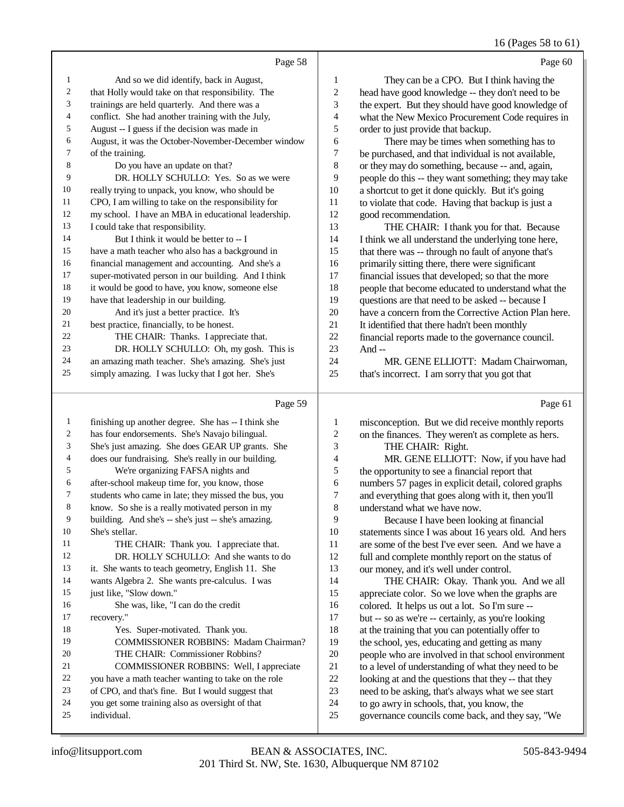#### 16 (Pages 58 to 61)

|                | Page 58                                                                                                                                                                                                                                                                                                |                | Page 60                                              |
|----------------|--------------------------------------------------------------------------------------------------------------------------------------------------------------------------------------------------------------------------------------------------------------------------------------------------------|----------------|------------------------------------------------------|
| 1              | And so we did identify, back in August,                                                                                                                                                                                                                                                                | 1              | They can be a CPO. But I think having the            |
| $\sqrt{2}$     | that Holly would take on that responsibility. The                                                                                                                                                                                                                                                      | $\overline{c}$ | head have good knowledge -- they don't need to be    |
| 3              | trainings are held quarterly. And there was a                                                                                                                                                                                                                                                          | 3              | the expert. But they should have good knowledge of   |
| $\overline{4}$ | conflict. She had another training with the July,                                                                                                                                                                                                                                                      | 4              | what the New Mexico Procurement Code requires in     |
| 5              | August -- I guess if the decision was made in                                                                                                                                                                                                                                                          | 5              | order to just provide that backup.                   |
| 6              | August, it was the October-November-December window                                                                                                                                                                                                                                                    | 6              | There may be times when something has to             |
| 7              | of the training.                                                                                                                                                                                                                                                                                       | 7              | be purchased, and that individual is not available,  |
| 8              | Do you have an update on that?                                                                                                                                                                                                                                                                         | 8              | or they may do something, because -- and, again,     |
| 9              | DR. HOLLY SCHULLO: Yes. So as we were                                                                                                                                                                                                                                                                  | 9              | people do this -- they want something; they may take |
| 10             | really trying to unpack, you know, who should be                                                                                                                                                                                                                                                       | 10             | a shortcut to get it done quickly. But it's going    |
| 11             | CPO, I am willing to take on the responsibility for                                                                                                                                                                                                                                                    | 11             | to violate that code. Having that backup is just a   |
| 12             | my school. I have an MBA in educational leadership.                                                                                                                                                                                                                                                    | 12             | good recommendation.                                 |
| 13             | I could take that responsibility.                                                                                                                                                                                                                                                                      | 13             | THE CHAIR: I thank you for that. Because             |
| 14             | But I think it would be better to -- I                                                                                                                                                                                                                                                                 | 14             | I think we all understand the underlying tone here,  |
| 15             | have a math teacher who also has a background in                                                                                                                                                                                                                                                       | 15             | that there was -- through no fault of anyone that's  |
| 16             | financial management and accounting. And she's a                                                                                                                                                                                                                                                       | 16             | primarily sitting there, there were significant      |
| 17             | super-motivated person in our building. And I think                                                                                                                                                                                                                                                    | 17             | financial issues that developed; so that the more    |
| 18             | it would be good to have, you know, someone else                                                                                                                                                                                                                                                       | 18             | people that become educated to understand what the   |
| 19             | have that leadership in our building.                                                                                                                                                                                                                                                                  | 19             | questions are that need to be asked -- because I     |
| 20             | And it's just a better practice. It's                                                                                                                                                                                                                                                                  | 20             | have a concern from the Corrective Action Plan here. |
| 21             | best practice, financially, to be honest.                                                                                                                                                                                                                                                              | 21             | It identified that there hadn't been monthly         |
| 22             | THE CHAIR: Thanks. I appreciate that.                                                                                                                                                                                                                                                                  | 22             | financial reports made to the governance council.    |
| 23             | DR. HOLLY SCHULLO: Oh, my gosh. This is                                                                                                                                                                                                                                                                | 23             | And--                                                |
| 24             | an amazing math teacher. She's amazing. She's just                                                                                                                                                                                                                                                     | 24             | MR. GENE ELLIOTT: Madam Chairwoman,                  |
| 25             | simply amazing. I was lucky that I got her. She's                                                                                                                                                                                                                                                      | 25             | that's incorrect. I am sorry that you got that       |
|                | Page 59                                                                                                                                                                                                                                                                                                |                | Page 61                                              |
| 1              | finishing up another degree. She has -- I think she                                                                                                                                                                                                                                                    | 1              | misconception. But we did receive monthly reports    |
| 2              | has four endorsements. She's Navajo bilingual.                                                                                                                                                                                                                                                         | 2              | on the finances. They weren't as complete as hers.   |
|                | $\mathbf{L}$ is the set of $\mathbf{L}$ of $\mathbf{L}$ is $\mathbf{L}$ of $\mathbf{L}$ in $\mathbf{L}$ in $\mathbf{L}$ in $\mathbf{L}$ in $\mathbf{L}$ in $\mathbf{L}$ in $\mathbf{L}$ in $\mathbf{L}$ in $\mathbf{L}$ in $\mathbf{L}$ in $\mathbf{L}$ in $\mathbf{L}$ in $\mathbf{L}$ in $\mathbf{L$ | $\sim$         | $T^{\text{H}}$                                       |

 She's just amazing. She does GEAR UP grants. She does our fundraising. She's really in our building. We're organizing FAFSA nights and 6 after-school makeup time for, you know, those<br>7 students who came in late: they missed the bus students who came in late; they missed the bus, you know. So she is a really motivated person in my building. And she's -- she's just -- she's amazing. She's stellar. 11 THE CHAIR: Thank you. I appreciate that.<br>12 DR. HOLLY SCHULLO: And she wants to DR. HOLLY SCHULLO: And she wants to do it. She wants to teach geometry, English 11. She wants Algebra 2. She wants pre-calculus. I was 15 just like, "Slow down." She was, like, "I can do the credit recovery." Yes. Super-motivated. Thank you. COMMISSIONER ROBBINS: Madam Chairman? THE CHAIR: Commissioner Robbins? COMMISSIONER ROBBINS: Well, I appreciate 22 you have a math teacher wanting to take on the role<br>23 of CPO, and that's fine. But I would suggest that of CPO, and that's fine. But I would suggest that you get some training also as oversight of that individual. THE CHAIR: Right. 4 MR. GENE ELLIOTT: Now, if you have had<br>5 the opportunity to see a financial report that 5 the opportunity to see a financial report that<br>6 numbers 57 pages in explicit detail, colored numbers 57 pages in explicit detail, colored graphs 7 and everything that goes along with it, then you'll 3 understand what we have now. understand what we have now. 9 Because I have been looking at financial<br>10 statements since I was about 16 years old. And 10 statements since I was about 16 years old. And hers<br>11 are some of the best I've ever seen. And we have a 11 are some of the best I've ever seen. And we have a<br>12 full and complete monthly report on the status of full and complete monthly report on the status of our money, and it's well under control. THE CHAIR: Okay. Thank you. And we all appreciate color. So we love when the graphs are 16 colored. It helps us out a lot. So I'm sure --<br>17 but -- so as we're -- certainly, as you're looki but -- so as we're -- certainly, as you're looking 18 at the training that you can potentially offer to<br>19 be school, yes, educating and getting as many the school, yes, educating and getting as many 20 people who are involved in that school environment<br>21 to a level of understanding of what they need to be 21 to a level of understanding of what they need to be<br>22 looking at and the questions that they -- that they 22 looking at and the questions that they -- that they<br>23 need to be asking, that's always what we see start need to be asking, that's always what we see start to go awry in schools, that, you know, the governance councils come back, and they say, "We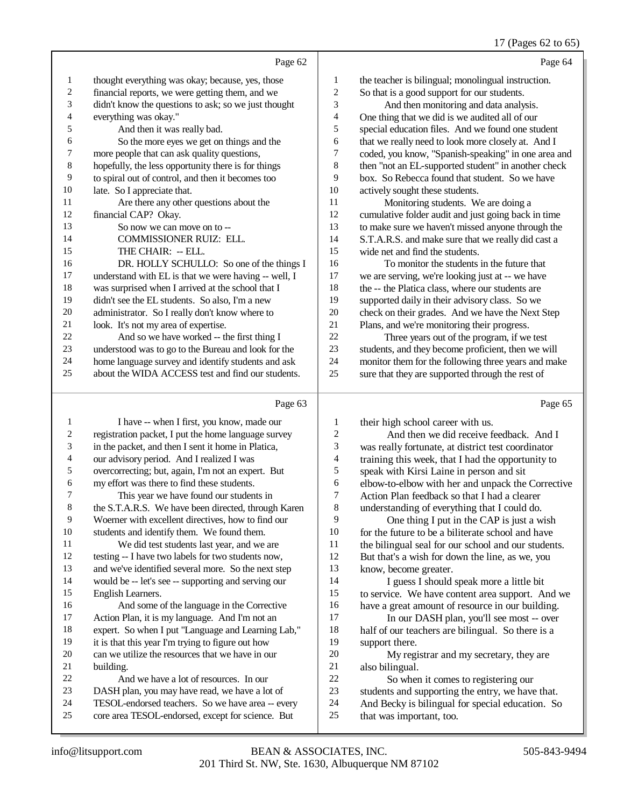## 17 (Pages 62 to 65)

|              | Page 62                                              |    | Page 64                                             |
|--------------|------------------------------------------------------|----|-----------------------------------------------------|
| $\mathbf{1}$ | thought everything was okay; because, yes, those     | 1  | the teacher is bilingual; monolingual instruction.  |
| 2            | financial reports, we were getting them, and we      | 2  | So that is a good support for our students.         |
| 3            | didn't know the questions to ask; so we just thought | 3  | And then monitoring and data analysis.              |
| 4            | everything was okay."                                | 4  | One thing that we did is we audited all of our      |
| 5            | And then it was really bad.                          | 5  | special education files. And we found one student   |
| 6            | So the more eyes we get on things and the            | 6  | that we really need to look more closely at. And I  |
| 7            | more people that can ask quality questions,          | 7  | coded, you know, "Spanish-speaking" in one area and |
| 8            | hopefully, the less opportunity there is for things  | 8  | then "not an EL-supported student" in another check |
| 9            | to spiral out of control, and then it becomes too    | 9  | box. So Rebecca found that student. So we have      |
| 10           | late. So I appreciate that.                          | 10 | actively sought these students.                     |
| 11           | Are there any other questions about the              | 11 | Monitoring students. We are doing a                 |
| 12           | financial CAP? Okay.                                 | 12 | cumulative folder audit and just going back in time |
| 13           | So now we can move on to --                          | 13 | to make sure we haven't missed anyone through the   |
| 14           | <b>COMMISSIONER RUIZ: ELL.</b>                       | 14 | S.T.A.R.S. and make sure that we really did cast a  |
| 15           | THE CHAIR: -- ELL.                                   | 15 | wide net and find the students.                     |
| 16           | DR. HOLLY SCHULLO: So one of the things I            | 16 | To monitor the students in the future that          |
| 17           | understand with EL is that we were having -- well, I | 17 | we are serving, we're looking just at -- we have    |
| 18           | was surprised when I arrived at the school that I    | 18 | the -- the Platica class, where our students are    |
| 19           | didn't see the EL students. So also, I'm a new       | 19 | supported daily in their advisory class. So we      |
| 20           | administrator. So I really don't know where to       | 20 | check on their grades. And we have the Next Step    |
| 21           | look. It's not my area of expertise.                 | 21 | Plans, and we're monitoring their progress.         |
| 22           | And so we have worked -- the first thing I           | 22 | Three years out of the program, if we test          |
| 23           | understood was to go to the Bureau and look for the  | 23 | students, and they become proficient, then we will  |
| 24           | home language survey and identify students and ask   | 24 | monitor them for the following three years and make |
| 25           | about the WIDA ACCESS test and find our students.    | 25 | sure that they are supported through the rest of    |
|              |                                                      |    |                                                     |

## Page 63

| 1  | I have -- when I first, you know, made our          | 1              | their high school career with us.                   |
|----|-----------------------------------------------------|----------------|-----------------------------------------------------|
| 2  | registration packet, I put the home language survey | $\overline{c}$ | And then we did receive feedback. And I             |
| 3  | in the packet, and then I sent it home in Platica,  | 3              | was really fortunate, at district test coordinator  |
| 4  | our advisory period. And I realized I was           | 4              | training this week, that I had the opportunity to   |
| 5  | overcorrecting; but, again, I'm not an expert. But  | 5              | speak with Kirsi Laine in person and sit            |
| 6  | my effort was there to find these students.         | 6              | elbow-to-elbow with her and unpack the Corrective   |
| 7  | This year we have found our students in             | 7              | Action Plan feedback so that I had a clearer        |
| 8  | the S.T.A.R.S. We have been directed, through Karen | 8              | understanding of everything that I could do.        |
| 9  | Woerner with excellent directives, how to find our  | 9              | One thing I put in the CAP is just a wish           |
| 10 | students and identify them. We found them.          | 10             | for the future to be a biliterate school and have   |
| 11 | We did test students last year, and we are          | 11             | the bilingual seal for our school and our students. |
| 12 | testing -- I have two labels for two students now,  | 12             | But that's a wish for down the line, as we, you     |
| 13 | and we've identified several more. So the next step | 13             | know, become greater.                               |
| 14 | would be -- let's see -- supporting and serving our | 14             | I guess I should speak more a little bit            |
| 15 | English Learners.                                   | 15             | to service. We have content area support. And we    |
| 16 | And some of the language in the Corrective          | 16             | have a great amount of resource in our building.    |
| 17 | Action Plan, it is my language. And I'm not an      | 17             | In our DASH plan, you'll see most -- over           |
| 18 | expert. So when I put "Language and Learning Lab,"  | 18             | half of our teachers are bilingual. So there is a   |
| 19 | it is that this year I'm trying to figure out how   | 19             | support there.                                      |
| 20 | can we utilize the resources that we have in our    | 20             | My registrar and my secretary, they are             |
| 21 | building.                                           | 21             | also bilingual.                                     |
| 22 | And we have a lot of resources. In our              | 22             | So when it comes to registering our                 |
| 23 | DASH plan, you may have read, we have a lot of      | 23             | students and supporting the entry, we have that.    |
| 24 | TESOL-endorsed teachers. So we have area -- every   | 24             | And Becky is bilingual for special education. So    |
| 25 | core area TESOL-endorsed, except for science. But   | 25             | that was important, too.                            |
|    |                                                     |                |                                                     |

Page 65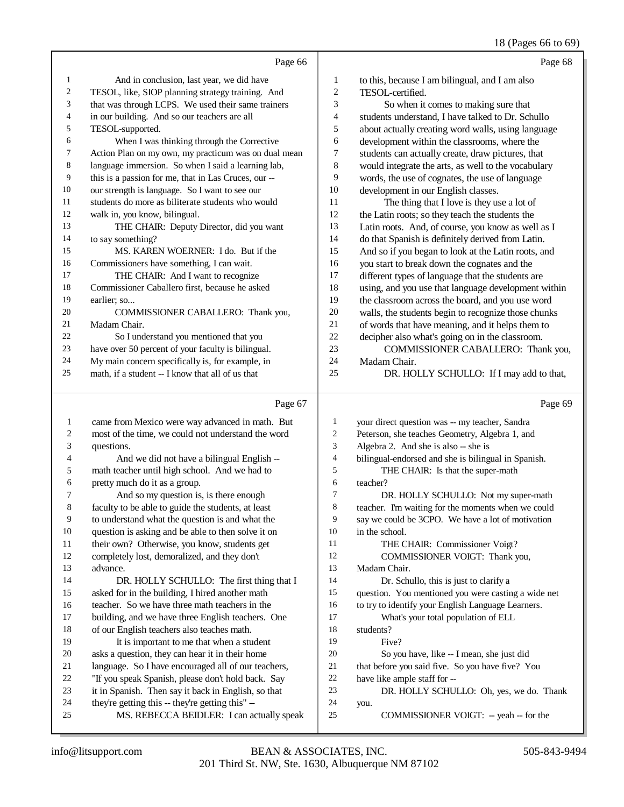## 18 (Pages 66 to 69)

|                | Page 66                                              |                | Page 68                                             |
|----------------|------------------------------------------------------|----------------|-----------------------------------------------------|
| 1              | And in conclusion, last year, we did have            | $\mathbf{1}$   | to this, because I am bilingual, and I am also      |
| 2              | TESOL, like, SIOP planning strategy training. And    | $\overline{c}$ | TESOL-certified.                                    |
| 3              | that was through LCPS. We used their same trainers   | 3              | So when it comes to making sure that                |
| $\overline{4}$ | in our building. And so our teachers are all         | 4              | students understand, I have talked to Dr. Schullo   |
| 5              | TESOL-supported.                                     | 5              | about actually creating word walls, using language  |
| 6              | When I was thinking through the Corrective           | 6              | development within the classrooms, where the        |
| $\tau$         | Action Plan on my own, my practicum was on dual mean | 7              | students can actually create, draw pictures, that   |
| 8              | language immersion. So when I said a learning lab,   | 8              | would integrate the arts, as well to the vocabulary |
| 9              | this is a passion for me, that in Las Cruces, our -- | 9              | words, the use of cognates, the use of language     |
| 10             | our strength is language. So I want to see our       | 10             | development in our English classes.                 |
| 11             | students do more as biliterate students who would    | 11             | The thing that I love is they use a lot of          |
| 12             | walk in, you know, bilingual.                        | 12             | the Latin roots; so they teach the students the     |
| 13             | THE CHAIR: Deputy Director, did you want             | 13             | Latin roots. And, of course, you know as well as I  |
| 14             | to say something?                                    | 14             | do that Spanish is definitely derived from Latin.   |
| 15             | MS. KAREN WOERNER: I do. But if the                  | 15             | And so if you began to look at the Latin roots, and |
| 16             | Commissioners have something, I can wait.            | 16             | you start to break down the cognates and the        |
| 17             | THE CHAIR: And I want to recognize                   | 17             | different types of language that the students are   |
| 18             | Commissioner Caballero first, because he asked       | 18             | using, and you use that language development within |
| 19             | earlier; so                                          | 19             | the classroom across the board, and you use word    |
| 20             | COMMISSIONER CABALLERO: Thank you,                   | 20             | walls, the students begin to recognize those chunks |
| 21             | Madam Chair.                                         | 21             | of words that have meaning, and it helps them to    |
| 22             | So I understand you mentioned that you               | 22             | decipher also what's going on in the classroom.     |
| 23             | have over 50 percent of your faculty is bilingual.   | 23             | COMMISSIONER CABALLERO: Thank you,                  |
| 24             | My main concern specifically is, for example, in     | 24             | Madam Chair.                                        |
| 25             | math, if a student -- I know that all of us that     | 25             | DR. HOLLY SCHULLO: If I may add to that,            |
|                | Page 67                                              |                | Page 69                                             |

#### Page 67 |

| 1              | came from Mexico were way advanced in math. But     | 1      | your direct question was -- my teacher, Sandra      |
|----------------|-----------------------------------------------------|--------|-----------------------------------------------------|
| 2              | most of the time, we could not understand the word  | 2      | Peterson, she teaches Geometry, Algebra 1, and      |
| 3              | questions.                                          | 3      | Algebra 2. And she is also -- she is                |
| $\overline{4}$ | And we did not have a bilingual English --          | 4      | bilingual-endorsed and she is bilingual in Spanish. |
| 5              | math teacher until high school. And we had to       | 5      | THE CHAIR: Is that the super-math                   |
| 6              | pretty much do it as a group.                       | 6      | teacher?                                            |
| 7              | And so my question is, is there enough              | $\tau$ | DR. HOLLY SCHULLO: Not my super-math                |
| 8              | faculty to be able to guide the students, at least  | 8      | teacher. I'm waiting for the moments when we could  |
| 9              | to understand what the question is and what the     | 9      | say we could be 3CPO. We have a lot of motivation   |
| 10             | question is asking and be able to then solve it on  | 10     | in the school.                                      |
| 11             | their own? Otherwise, you know, students get        | 11     | THE CHAIR: Commissioner Voigt?                      |
| 12             | completely lost, demoralized, and they don't        | 12     | COMMISSIONER VOIGT: Thank you,                      |
| 13             | advance.                                            | 13     | Madam Chair.                                        |
| 14             | DR. HOLLY SCHULLO: The first thing that I           | 14     | Dr. Schullo, this is just to clarify a              |
| 15             | asked for in the building, I hired another math     | 15     | question. You mentioned you were casting a wide net |
| 16             | teacher. So we have three math teachers in the      | 16     | to try to identify your English Language Learners.  |
| 17             | building, and we have three English teachers. One   | 17     | What's your total population of ELL                 |
| 18             | of our English teachers also teaches math.          | 18     | students?                                           |
| 19             | It is important to me that when a student           | 19     | Five?                                               |
| 20             | asks a question, they can hear it in their home     | 20     | So you have, like -- I mean, she just did           |
| 21             | language. So I have encouraged all of our teachers, | 21     | that before you said five. So you have five? You    |
| 22             | "If you speak Spanish, please don't hold back. Say  | 22     | have like ample staff for --                        |
| 23             | it in Spanish. Then say it back in English, so that | 23     | DR. HOLLY SCHULLO: Oh, yes, we do. Thank            |
| 24             | they're getting this -- they're getting this" --    | 24     | you.                                                |
| 25             | MS. REBECCA BEIDLER: I can actually speak           | 25     | COMMISSIONER VOIGT: -- yeah -- for the              |
|                |                                                     |        |                                                     |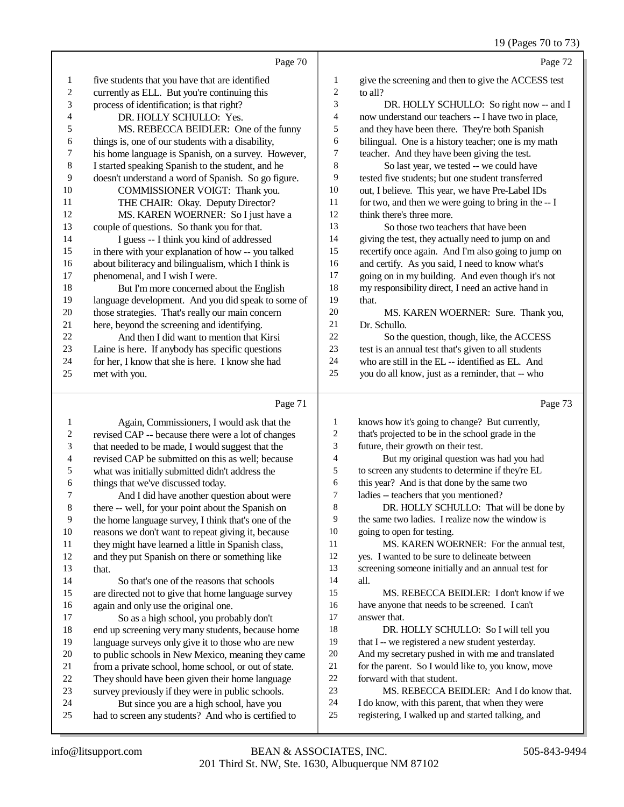|                |                                                      |                          | $17 \text{ (1 qgcs } 10 \text{ to } 1.$              |
|----------------|------------------------------------------------------|--------------------------|------------------------------------------------------|
|                | Page 70                                              |                          | Page 72                                              |
| 1              | five students that you have that are identified      | 1                        | give the screening and then to give the ACCESS test  |
| $\overline{c}$ | currently as ELL. But you're continuing this         | $\overline{c}$           | to all?                                              |
| 3              | process of identification; is that right?            | 3                        | DR. HOLLY SCHULLO: So right now -- and I             |
| 4              | DR. HOLLY SCHULLO: Yes.                              | 4                        | now understand our teachers -- I have two in place,  |
| 5              | MS. REBECCA BEIDLER: One of the funny                | 5                        | and they have been there. They're both Spanish       |
| 6              | things is, one of our students with a disability,    | 6                        | bilingual. One is a history teacher; one is my math  |
| 7              | his home language is Spanish, on a survey. However,  | 7                        | teacher. And they have been giving the test.         |
| 8              | I started speaking Spanish to the student, and he    | 8                        | So last year, we tested -- we could have             |
| 9              | doesn't understand a word of Spanish. So go figure.  | 9                        | tested five students; but one student transferred    |
| 10             | COMMISSIONER VOIGT: Thank you.                       | 10                       | out, I believe. This year, we have Pre-Label IDs     |
| 11             | THE CHAIR: Okay. Deputy Director?                    | 11                       | for two, and then we were going to bring in the -- I |
| 12             | MS. KAREN WOERNER: So I just have a                  | 12                       | think there's three more.                            |
| 13             | couple of questions. So thank you for that.          | 13                       | So those two teachers that have been                 |
| 14             | I guess -- I think you kind of addressed             | 14                       | giving the test, they actually need to jump on and   |
| 15             | in there with your explanation of how -- you talked  | 15                       | recertify once again. And I'm also going to jump on  |
| 16             | about biliteracy and bilingualism, which I think is  | 16                       | and certify. As you said, I need to know what's      |
| 17             | phenomenal, and I wish I were.                       | 17                       | going on in my building. And even though it's not    |
| 18             | But I'm more concerned about the English             | 18                       | my responsibility direct, I need an active hand in   |
| 19             | language development. And you did speak to some of   | 19                       | that.                                                |
| 20             | those strategies. That's really our main concern     | 20                       | MS. KAREN WOERNER: Sure. Thank you,                  |
| 21             | here, beyond the screening and identifying.          | 21                       | Dr. Schullo.                                         |
| 22             | And then I did want to mention that Kirsi            | 22                       | So the question, though, like, the ACCESS            |
| 23             | Laine is here. If anybody has specific questions     | 23                       | test is an annual test that's given to all students  |
| 24             | for her, I know that she is here. I know she had     | 24                       | who are still in the EL -- identified as EL. And     |
| 25             | met with you.                                        | 25                       | you do all know, just as a reminder, that -- who     |
|                | Page 71                                              |                          | Page 73                                              |
| 1              | Again, Commissioners, I would ask that the           | 1                        | knows how it's going to change? But currently,       |
| 2              | revised CAP -- because there were a lot of changes   | $\overline{c}$           | that's projected to be in the school grade in the    |
| 3              | that needed to be made, I would suggest that the     | 3                        | future, their growth on their test.                  |
| 4              | revised CAP be submitted on this as well; because    | $\overline{\mathcal{A}}$ | But my original question was had you had             |
| 5              | what was initially submitted didn't address the      | 5                        | to screen any students to determine if they're EL    |
| 6              | things that we've discussed today.                   | 6                        | this year? And is that done by the same two          |
| 7              | And I did have another question about were           | $\overline{7}$           | ladies -- teachers that you mentioned?               |
| 8              | there -- well, for your point about the Spanish on   | 8                        | DR. HOLLY SCHULLO: That will be done by              |
| 9              | the home language survey, I think that's one of the  | 9                        | the same two ladies. I realize now the window is     |
| 10             | reasons we don't want to repeat giving it, because   | 10                       | going to open for testing.                           |
| 11             | they might have learned a little in Spanish class,   | 11                       | MS. KAREN WOERNER: For the annual test,              |
| 12             | and they put Spanish on there or something like      | 12                       | yes. I wanted to be sure to delineate between        |
| 13             | that.                                                | 13                       | screening someone initially and an annual test for   |
| 14             | So that's one of the reasons that schools            | 14                       | all.                                                 |
| 15             | are directed not to give that home language survey   | 15                       | MS. REBECCA BEIDLER: I don't know if we              |
| 16             | again and only use the original one.                 | 16                       | have anyone that needs to be screened. I can't       |
| 17             | So as a high school, you probably don't              | 17                       | answer that.                                         |
| 18             | end up screening very many students, because home    | 18                       | DR. HOLLY SCHULLO: So I will tell you                |
| 19             | language surveys only give it to those who are new   | 19                       | that I -- we registered a new student yesterday.     |
| 20             | to public schools in New Mexico, meaning they came   | $20\,$                   | And my secretary pushed in with me and translated    |
| 21             | from a private school, home school, or out of state. | $21\,$                   | for the parent. So I would like to, you know, move   |
| 22             | They should have been given their home language      | $22\,$                   | forward with that student.                           |
| 23             | survey previously if they were in public schools.    | 23                       | MS. REBECCA BEIDLER: And I do know that.             |
| 24             | But since you are a high school, have you            | 24                       | I do know, with this parent, that when they were     |

- MS. REBECCA BEIDLER: And I do know that.
- 24 I do know, with this parent, that when they were<br>25 registering, I walked up and started talking, and
	- registering, I walked up and started talking, and

24 But since you are a high school, have you<br>25 had to screen any students? And who is certified

had to screen any students? And who is certified to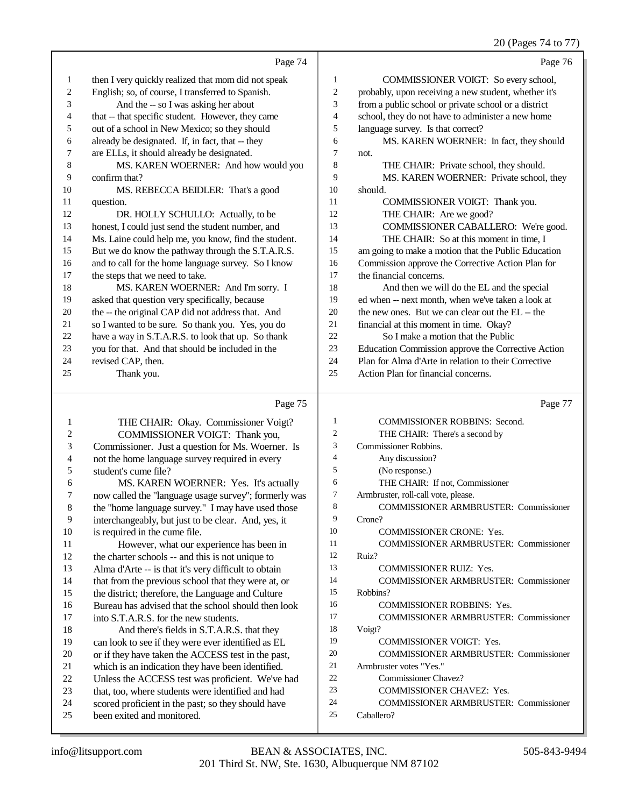20 (Pages 74 to 77)

|                  |                                                      |                | $20 \text{ (1 qgcs } 7 + 10 \text{ )}$               |
|------------------|------------------------------------------------------|----------------|------------------------------------------------------|
|                  | Page 74                                              |                | Page 76                                              |
| 1                | then I very quickly realized that mom did not speak  | 1              | COMMISSIONER VOIGT: So every school,                 |
| $\overline{c}$   | English; so, of course, I transferred to Spanish.    | $\overline{c}$ | probably, upon receiving a new student, whether it's |
| 3                | And the -- so I was asking her about                 | 3              | from a public school or private school or a district |
| 4                | that -- that specific student. However, they came    | $\overline{4}$ | school, they do not have to administer a new home    |
| 5                | out of a school in New Mexico; so they should        | 5              | language survey. Is that correct?                    |
| 6                | already be designated. If, in fact, that -- they     | 6              | MS. KAREN WOERNER: In fact, they should              |
| 7                | are ELLs, it should already be designated.           | $\tau$         | not.                                                 |
| 8                | MS. KAREN WOERNER: And how would you                 | 8              | THE CHAIR: Private school, they should.              |
| 9                | confirm that?                                        | 9              | MS. KAREN WOERNER: Private school, they              |
| 10               | MS. REBECCA BEIDLER: That's a good                   | 10             | should.                                              |
| 11               | question.                                            | 11             | COMMISSIONER VOIGT: Thank you.                       |
| 12               | DR. HOLLY SCHULLO: Actually, to be                   | 12             | THE CHAIR: Are we good?                              |
| 13               | honest, I could just send the student number, and    | 13             | COMMISSIONER CABALLERO: We're good.                  |
| 14               | Ms. Laine could help me, you know, find the student. | 14             | THE CHAIR: So at this moment in time, I              |
| 15               | But we do know the pathway through the S.T.A.R.S.    | 15             | am going to make a motion that the Public Education  |
| 16               | and to call for the home language survey. So I know  | 16             | Commission approve the Corrective Action Plan for    |
| 17               | the steps that we need to take.                      | 17             | the financial concerns.                              |
| 18               | MS. KAREN WOERNER: And I'm sorry. I                  | 18             | And then we will do the EL and the special           |
| 19               | asked that question very specifically, because       | 19             | ed when -- next month, when we've taken a look at    |
| 20               | the -- the original CAP did not address that. And    | 20             | the new ones. But we can clear out the EL -- the     |
| 21               | so I wanted to be sure. So thank you. Yes, you do    | 21             | financial at this moment in time. Okay?              |
| 22               | have a way in S.T.A.R.S. to look that up. So thank   | 22             | So I make a motion that the Public                   |
| 23               | you for that. And that should be included in the     | 23             | Education Commission approve the Corrective Action   |
| 24               | revised CAP, then.                                   | 24             | Plan for Alma d'Arte in relation to their Corrective |
| 25               | Thank you.                                           | 25             | Action Plan for financial concerns.                  |
|                  | Page 75                                              |                | Page 77                                              |
| 1                | THE CHAIR: Okay. Commissioner Voigt?                 | $\mathbf{1}$   | COMMISSIONER ROBBINS: Second.                        |
| $\boldsymbol{2}$ | COMMISSIONER VOIGT: Thank you,                       | $\overline{2}$ | THE CHAIR: There's a second by                       |
| 3                | Commissioner. Just a question for Ms. Woerner. Is    | 3              | Commissioner Robbins.                                |
| 4                | not the home language survey required in every       | $\overline{4}$ | Any discussion?                                      |
| 5                | student's cume file?                                 | 5              | (No response.)                                       |
| 6                | MS. KAREN WOERNER: Yes. It's actually                | 6              | THE CHAIR: If not, Commissioner                      |
| 7                | now called the "language usage survey"; formerly was | $\tau$         | Armbruster, roll-call vote, please.                  |
| 8                | the "home language survey." I may have used those    | 8              | <b>COMMISSIONER ARMBRUSTER: Commissioner</b>         |
| 9                | interchangeably, but just to be clear. And, yes, it  | 9              | Crone?                                               |
| 10               | is required in the cume file.                        | 10             | COMMISSIONER CRONE: Yes.                             |
| 11               | However, what our experience has been in             | 11             | <b>COMMISSIONER ARMBRUSTER: Commissioner</b>         |
| 12               | the charter schools -- and this is not unique to     | 12             | Ruiz?                                                |
| 13               | Alma d'Arte -- is that it's very difficult to obtain | 13             | COMMISSIONER RUIZ: Yes.                              |
| 14               | that from the previous school that they were at, or  | 14             | <b>COMMISSIONER ARMBRUSTER: Commissioner</b>         |
| 15               | the district; therefore, the Language and Culture    | 15             | Robbins?                                             |
| 16               | Bureau has advised that the school should then look  | 16             | COMMISSIONER ROBBINS: Yes.                           |
| 17               | into S.T.A.R.S. for the new students.                | 17             | <b>COMMISSIONER ARMBRUSTER: Commissioner</b>         |
| 18               | And there's fields in S.T.A.R.S. that they           | 18             | Voigt?                                               |
| 19               | can look to see if they were ever identified as EL   | 19             | COMMISSIONER VOIGT: Yes.                             |
| 20               | or if they have taken the ACCESS test in the past,   | 20             | <b>COMMISSIONER ARMBRUSTER: Commissioner</b>         |
| 21               | which is an indication they have been identified.    | 21             | Armbruster votes "Yes."                              |
| $22\,$           | Unless the ACCESS test was proficient. We've had     | 22             | Commissioner Chavez?                                 |
| 23               | that, too, where students were identified and had    | 23             | COMMISSIONER CHAVEZ: Yes.                            |
| 24               | scored proficient in the past; so they should have   | 24             | <b>COMMISSIONER ARMBRUSTER: Commissioner</b>         |
| 25               | been exited and monitored.                           | 25             | Caballero?                                           |
|                  |                                                      |                |                                                      |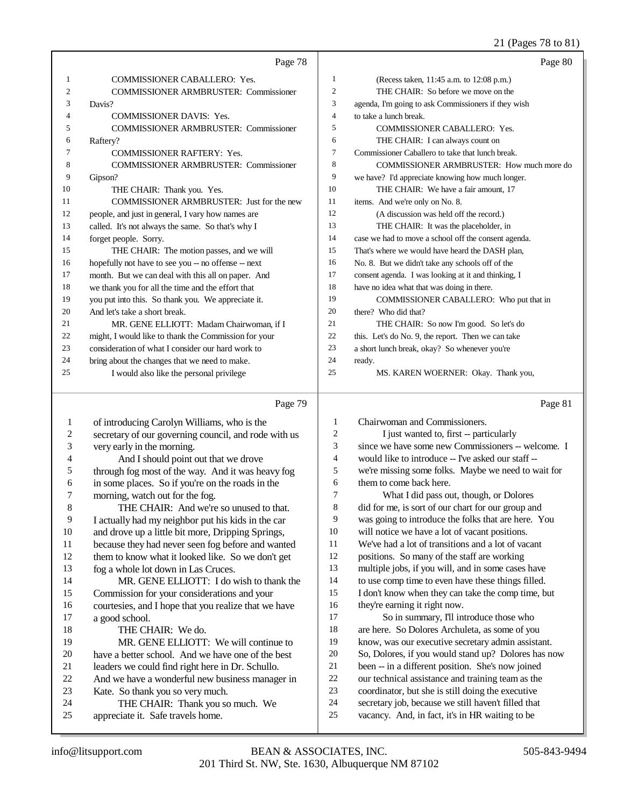#### 21 (Pages 78 to 81)

|                | Page 78                                              |                | Page 80                                              |
|----------------|------------------------------------------------------|----------------|------------------------------------------------------|
| 1              | COMMISSIONER CABALLERO: Yes.                         | 1              | (Recess taken, 11:45 a.m. to 12:08 p.m.)             |
| $\mathfrak{2}$ | <b>COMMISSIONER ARMBRUSTER: Commissioner</b>         | $\overline{c}$ | THE CHAIR: So before we move on the                  |
| 3              | Davis?                                               | 3              | agenda, I'm going to ask Commissioners if they wish  |
| 4              | <b>COMMISSIONER DAVIS: Yes.</b>                      | $\overline{4}$ | to take a lunch break.                               |
| 5              | COMMISSIONER ARMBRUSTER: Commissioner                | 5              | COMMISSIONER CABALLERO: Yes.                         |
| 6              | Raftery?                                             | 6              | THE CHAIR: I can always count on                     |
| 7              | <b>COMMISSIONER RAFTERY: Yes.</b>                    | $\tau$         | Commissioner Caballero to take that lunch break.     |
| 8              | <b>COMMISSIONER ARMBRUSTER: Commissioner</b>         | 8              | COMMISSIONER ARMBRUSTER: How much more do            |
| 9              | Gipson?                                              | 9              | we have? I'd appreciate knowing how much longer.     |
| 10             | THE CHAIR: Thank you. Yes.                           | 10             | THE CHAIR: We have a fair amount, 17                 |
| 11             | COMMISSIONER ARMBRUSTER: Just for the new            | 11             | items. And we're only on No. 8.                      |
| 12             | people, and just in general, I vary how names are    | 12             | (A discussion was held off the record.)              |
| 13             | called. It's not always the same. So that's why I    | 13             | THE CHAIR: It was the placeholder, in                |
| 14             | forget people. Sorry.                                | 14             | case we had to move a school off the consent agenda. |
| 15             | THE CHAIR: The motion passes, and we will            | 15             | That's where we would have heard the DASH plan,      |
| 16             | hopefully not have to see you -- no offense -- next  | 16             | No. 8. But we didn't take any schools off of the     |
| 17             | month. But we can deal with this all on paper. And   | 17             | consent agenda. I was looking at it and thinking, I  |
| 18             | we thank you for all the time and the effort that    | 18             | have no idea what that was doing in there.           |
| 19             | you put into this. So thank you. We appreciate it.   | 19             | COMMISSIONER CABALLERO: Who put that in              |
| 20             | And let's take a short break.                        | 20             | there? Who did that?                                 |
| 21             | MR. GENE ELLIOTT: Madam Chairwoman, if I             | 21             | THE CHAIR: So now I'm good. So let's do              |
| 22             | might, I would like to thank the Commission for your | 22             | this. Let's do No. 9, the report. Then we can take   |
| 23             | consideration of what I consider our hard work to    | 23             | a short lunch break, okay? So whenever you're        |
| 24             | bring about the changes that we need to make.        | 24             | ready.                                               |
| 25             | I would also like the personal privilege             | 25             | MS. KAREN WOERNER: Okay. Thank you,                  |
|                | Page 79                                              |                | Page 81                                              |
| 1              | of introducing Carolyn Williams, who is the          | $\mathbf{1}$   | Chairwoman and Commissioners.                        |
| $\overline{c}$ | secretary of our governing council, and rode with us | $\overline{2}$ | I just wanted to, first -- particularly              |
| 3              | very early in the morning.                           | 3              | since we have some new Commissioners -- welcome. I   |
| 4              | And I should point out that we drove                 | $\overline{4}$ | would like to introduce -- I've asked our staff --   |
| 5              | through fog most of the way. And it was heavy fog    | 5              | we're missing some folks. Maybe we need to wait for  |
| 6              | in some places. So if you're on the roads in the     | 6              | them to come back here.                              |
| 7              | morning, watch out for the fog.                      | $\overline{7}$ | What I did pass out, though, or Dolores              |
| 8              | THE CHAIR: And we're so unused to that.              | $\,$ 8 $\,$    | did for me, is sort of our chart for our group and   |
| Q              | I actually had my neighbor put his kids in the car   | $\mathbf Q$    | was going to introduce the folks that are here You   |

<sup>9</sup> I actually had my neighbor put his kids in the car<br>10 and drove up a little bit more. Dripping Springs. 10 and drove up a little bit more, Dripping Springs,<br>11 because they had never seen fog before and want because they had never seen fog before and wanted them to know what it looked like. So we don't get fog a whole lot down in Las Cruces. MR. GENE ELLIOTT: I do wish to thank the Commission for your considerations and your 16 courtesies, and I hope that you realize that we have 17 a good school. a good school. 18 THE CHAIR: We do.<br>19 MR. GENE ELLIOTT MR. GENE ELLIOTT: We will continue to 20 have a better school. And we have one of the best<br>21 leaders we could find right here in Dr. Schullo. 21 leaders we could find right here in Dr. Schullo.<br>22 And we have a wonderful new business manage 22 And we have a wonderful new business manager in<br>
23 Kate. So thank you so very much. 23 Kate. So thank you so very much.<br>24 THE CHAIR: Thank you so 24 THE CHAIR: Thank you so much. We<br>25 appreciate it. Safe travels home. appreciate it. Safe travels home. was going to introduce the folks that are here. You will notice we have a lot of vacant positions. We've had a lot of transitions and a lot of vacant positions. So many of the staff are working multiple jobs, if you will, and in some cases have to use comp time to even have these things filled. I don't know when they can take the comp time, but they're earning it right now. 17 So in summary, I'll introduce those who are here. So Dolores Archuleta, as some of you know, was our executive secretary admin assistant. So, Dolores, if you would stand up? Dolores has now been -- in a different position. She's now joined our technical assistance and training team as the coordinator, but she is still doing the executive secretary job, because we still haven't filled that vacancy. And, in fact, it's in HR waiting to be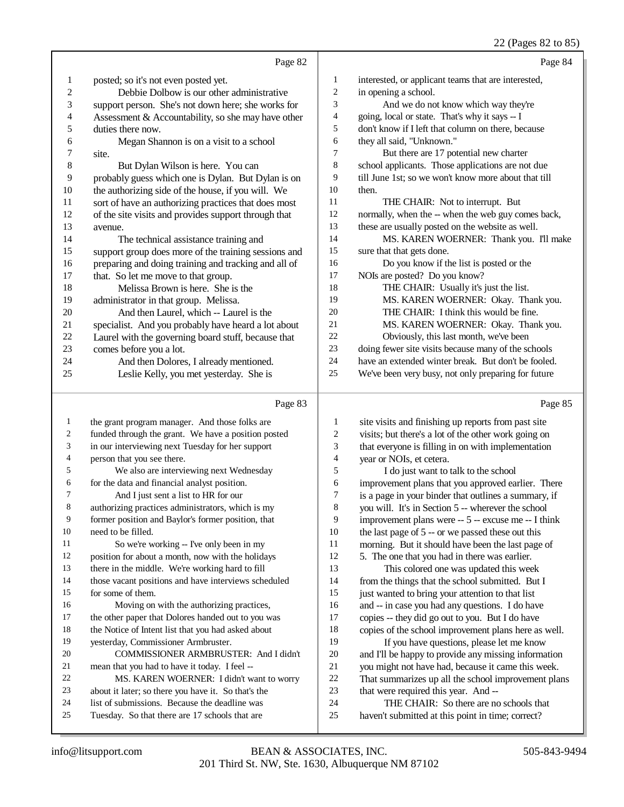#### 22 (Pages 82 to 85)

|                | Page 82                                              |                | Page 84                                              |
|----------------|------------------------------------------------------|----------------|------------------------------------------------------|
| 1              | posted; so it's not even posted yet.                 | 1              | interested, or applicant teams that are interested,  |
| $\mathfrak{2}$ | Debbie Dolbow is our other administrative            | $\overline{2}$ | in opening a school.                                 |
| 3              | support person. She's not down here; she works for   | 3              | And we do not know which way they're                 |
| 4              | Assessment & Accountability, so she may have other   | 4              | going, local or state. That's why it says -- I       |
| 5              | duties there now.                                    | 5              | don't know if I left that column on there, because   |
| 6              | Megan Shannon is on a visit to a school              | 6              | they all said, "Unknown."                            |
| 7              | site.                                                | $\tau$         | But there are 17 potential new charter               |
| 8              | But Dylan Wilson is here. You can                    | 8              | school applicants. Those applications are not due    |
| 9              | probably guess which one is Dylan. But Dylan is on   | 9              | till June 1st; so we won't know more about that till |
| 10             | the authorizing side of the house, if you will. We   | 10             | then.                                                |
| 11             | sort of have an authorizing practices that does most | 11             | THE CHAIR: Not to interrupt. But                     |
| 12             | of the site visits and provides support through that | 12             | normally, when the -- when the web guy comes back,   |
| 13             | avenue.                                              | 13             | these are usually posted on the website as well.     |
| 14             | The technical assistance training and                | 14             | MS. KAREN WOERNER: Thank you. I'll make              |
| 15             | support group does more of the training sessions and | 15             | sure that that gets done.                            |
| 16             | preparing and doing training and tracking and all of | 16             | Do you know if the list is posted or the             |
| 17             | that. So let me move to that group.                  | 17             | NOIs are posted? Do you know?                        |
| 18             | Melissa Brown is here. She is the                    | 18             | THE CHAIR: Usually it's just the list.               |
| 19             | administrator in that group. Melissa.                | 19             | MS. KAREN WOERNER: Okay. Thank you.                  |
| 20             | And then Laurel, which -- Laurel is the              | 20             | THE CHAIR: I think this would be fine.               |
| 21             | specialist. And you probably have heard a lot about  | 21             | MS. KAREN WOERNER: Okay. Thank you.                  |
| 22             | Laurel with the governing board stuff, because that  | 22             | Obviously, this last month, we've been               |
| 23             | comes before you a lot.                              | 23             | doing fewer site visits because many of the schools  |
| 24             | And then Dolores, I already mentioned.               | 24             | have an extended winter break. But don't be fooled.  |
| 25             | Leslie Kelly, you met yesterday. She is              | 25             | We've been very busy, not only preparing for future  |
|                | Page 83                                              |                | Page 85                                              |
| 1              | the grant program manager. And those folks are       | 1              | site visits and finishing up reports from past site  |
| 2              | funded through the grant. We have a position posted  | $\overline{c}$ | visits; but there's a lot of the other work going on |

| 3              | in our interviewing next Tuesday for her support     | 3  | that everyone is filling in on with implementation   |
|----------------|------------------------------------------------------|----|------------------------------------------------------|
| $\overline{4}$ | person that you see there.                           | 4  | year or NOIs, et cetera.                             |
| 5              | We also are interviewing next Wednesday              | 5  | I do just want to talk to the school                 |
| 6              | for the data and financial analyst position.         | 6  | improvement plans that you approved earlier. There   |
| 7              | And I just sent a list to HR for our                 | 7  | is a page in your binder that outlines a summary, if |
| 8              | authorizing practices administrators, which is my    | 8  | you will. It's in Section 5 -- wherever the school   |
| 9              | former position and Baylor's former position, that   | 9  | improvement plans were -- 5 -- excuse me -- I think  |
| 10             | need to be filled.                                   | 10 | the last page of $5$ -- or we passed these out this  |
| 11             | So we're working -- I've only been in my             | 11 | morning. But it should have been the last page of    |
| 12             | position for about a month, now with the holidays    | 12 | 5. The one that you had in there was earlier.        |
| 13             | there in the middle. We're working hard to fill      | 13 | This colored one was updated this week               |
| 14             | those vacant positions and have interviews scheduled | 14 | from the things that the school submitted. But I     |
| 15             | for some of them.                                    | 15 | just wanted to bring your attention to that list     |
| 16             | Moving on with the authorizing practices,            | 16 | and -- in case you had any questions. I do have      |
| 17             | the other paper that Dolores handed out to you was   | 17 | copies -- they did go out to you. But I do have      |
| 18             | the Notice of Intent list that you had asked about   | 18 | copies of the school improvement plans here as well. |
| 19             | yesterday, Commissioner Armbruster.                  | 19 | If you have questions, please let me know            |
| 20             | COMMISSIONER ARMBRUSTER: And I didn't                | 20 | and I'll be happy to provide any missing information |
| 21             | mean that you had to have it today. I feel --        | 21 | you might not have had, because it came this week.   |
| 22             | MS. KAREN WOERNER: I didn't want to worry            | 22 | That summarizes up all the school improvement plans  |
| 23             | about it later; so there you have it. So that's the  | 23 | that were required this year. And --                 |
| 24             | list of submissions. Because the deadline was        | 24 | THE CHAIR: So there are no schools that              |
| 25             | Tuesday. So that there are 17 schools that are       | 25 | haven't submitted at this point in time; correct?    |

Tuesday. So that there are 17 schools that are

## 201 Third St. NW, Ste. 1630, Albuquerque NM 87102 info@litsupport.com BEAN & ASSOCIATES, INC. 505-843-9494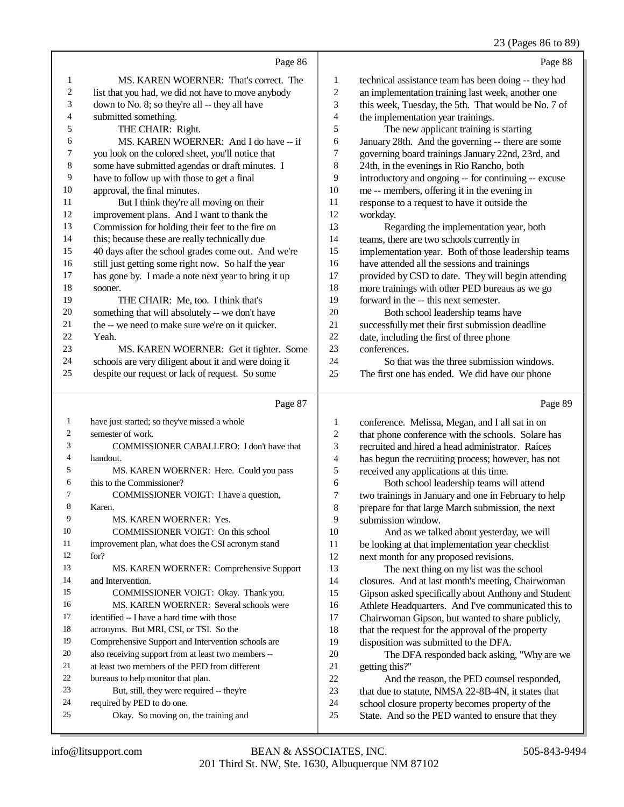## 23 (Pages 86 to 89)

|                  | Page 86                                                                               |                  | Page 88                                                                                             |
|------------------|---------------------------------------------------------------------------------------|------------------|-----------------------------------------------------------------------------------------------------|
|                  |                                                                                       |                  |                                                                                                     |
| 1                | MS. KAREN WOERNER: That's correct. The                                                | 1                | technical assistance team has been doing -- they had                                                |
| $\boldsymbol{2}$ | list that you had, we did not have to move anybody                                    | $\boldsymbol{2}$ | an implementation training last week, another one                                                   |
| 3                | down to No. 8; so they're all -- they all have                                        | 3                | this week, Tuesday, the 5th. That would be No. 7 of                                                 |
| 4                | submitted something.                                                                  | 4                | the implementation year trainings.                                                                  |
| 5                | THE CHAIR: Right.                                                                     | 5                | The new applicant training is starting                                                              |
| 6                | MS. KAREN WOERNER: And I do have -- if                                                | 6                | January 28th. And the governing -- there are some                                                   |
| 7                | you look on the colored sheet, you'll notice that                                     | 7                | governing board trainings January 22nd, 23rd, and                                                   |
| $\,$ 8 $\,$      | some have submitted agendas or draft minutes. I                                       | $\,$ 8 $\,$      | 24th, in the evenings in Rio Rancho, both                                                           |
| 9<br>10          | have to follow up with those to get a final                                           | 9<br>10          | introductory and ongoing -- for continuing -- excuse                                                |
| 11               | approval, the final minutes.                                                          | 11               | me -- members, offering it in the evening in                                                        |
| 12               | But I think they're all moving on their<br>improvement plans. And I want to thank the | 12               | response to a request to have it outside the                                                        |
| 13               | Commission for holding their feet to the fire on                                      | 13               | workday.                                                                                            |
| 14               | this; because these are really technically due                                        | 14               | Regarding the implementation year, both<br>teams, there are two schools currently in                |
| 15               | 40 days after the school grades come out. And we're                                   | 15               | implementation year. Both of those leadership teams                                                 |
| 16               | still just getting some right now. So half the year                                   | 16               | have attended all the sessions and trainings                                                        |
| 17               | has gone by. I made a note next year to bring it up                                   | 17               | provided by CSD to date. They will begin attending                                                  |
| 18               | sooner.                                                                               | 18               | more trainings with other PED bureaus as we go                                                      |
| 19               | THE CHAIR: Me, too. I think that's                                                    | 19               | forward in the -- this next semester.                                                               |
| 20               | something that will absolutely -- we don't have                                       | 20               | Both school leadership teams have                                                                   |
| 21               | the -- we need to make sure we're on it quicker.                                      | 21               | successfully met their first submission deadline                                                    |
| 22               | Yeah.                                                                                 | 22               | date, including the first of three phone                                                            |
| 23               | MS. KAREN WOERNER: Get it tighter. Some                                               | 23               | conferences.                                                                                        |
| 24               | schools are very diligent about it and were doing it                                  | 24               | So that was the three submission windows.                                                           |
| 25               | despite our request or lack of request. So some                                       | 25               | The first one has ended. We did have our phone                                                      |
|                  |                                                                                       |                  |                                                                                                     |
|                  |                                                                                       |                  |                                                                                                     |
|                  | Page 87                                                                               |                  | Page 89                                                                                             |
| $\mathbf{1}$     | have just started; so they've missed a whole                                          | 1                | conference. Melissa, Megan, and I all sat in on                                                     |
| 2                | semester of work.                                                                     | $\overline{c}$   | that phone conference with the schools. Solare has                                                  |
| 3                | COMMISSIONER CABALLERO: I don't have that                                             | 3                | recruited and hired a head administrator. Raíces                                                    |
| 4                | handout.                                                                              | $\overline{4}$   | has begun the recruiting process; however, has not                                                  |
| 5                | MS. KAREN WOERNER: Here. Could you pass                                               | 5                | received any applications at this time.                                                             |
| 6                | this to the Commissioner?                                                             | 6                | Both school leadership teams will attend                                                            |
| 7                | COMMISSIONER VOIGT: I have a question,                                                | 7                | two trainings in January and one in February to help                                                |
| 8                | Karen.                                                                                | 8                | prepare for that large March submission, the next                                                   |
| 9                | MS. KAREN WOERNER: Yes.                                                               | 9                | submission window.                                                                                  |
| 10               | COMMISSIONER VOIGT: On this school                                                    | 10               | And as we talked about yesterday, we will                                                           |
| 11               | improvement plan, what does the CSI acronym stand                                     | 11               | be looking at that implementation year checklist                                                    |
| 12               | for?                                                                                  | 12               | next month for any proposed revisions.                                                              |
| 13               | MS. KAREN WOERNER: Comprehensive Support                                              | 13               | The next thing on my list was the school                                                            |
| 14               | and Intervention.                                                                     | 14               | closures. And at last month's meeting, Chairwoman                                                   |
| 15               | COMMISSIONER VOIGT: Okay. Thank you.                                                  | 15               | Gipson asked specifically about Anthony and Student                                                 |
| 16               | MS. KAREN WOERNER: Several schools were                                               | 16               | Athlete Headquarters. And I've communicated this to                                                 |
| 17               | identified -- I have a hard time with those                                           | 17               | Chairwoman Gipson, but wanted to share publicly,                                                    |
| 18               | acronyms. But MRI, CSI, or TSI. So the                                                | 18               | that the request for the approval of the property                                                   |
| 19               | Comprehensive Support and Intervention schools are                                    | 19               | disposition was submitted to the DFA.                                                               |
| 20<br>21         | also receiving support from at least two members --                                   | $20\,$           | The DFA responded back asking, "Why are we                                                          |
| 22               | at least two members of the PED from different                                        | 21               | getting this?"                                                                                      |
| 23               | bureaus to help monitor that plan.                                                    | 22<br>23         | And the reason, the PED counsel responded,                                                          |
| 24               | But, still, they were required -- they're<br>required by PED to do one.               | 24               | that due to statute, NMSA 22-8B-4N, it states that                                                  |
| 25               | Okay. So moving on, the training and                                                  | 25               | school closure property becomes property of the<br>State. And so the PED wanted to ensure that they |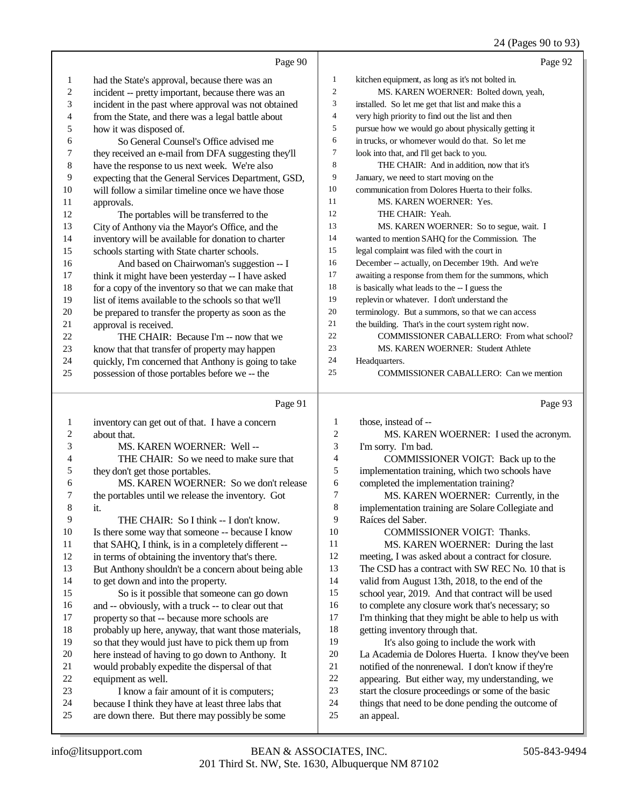## 24 (Pages 90 to 93)

|                  | Page 90                                                                                              |                  | Page 92                                                          |
|------------------|------------------------------------------------------------------------------------------------------|------------------|------------------------------------------------------------------|
| $\mathbf{1}$     | had the State's approval, because there was an                                                       | $\mathbf{1}$     | kitchen equipment, as long as it's not bolted in.                |
| 2                | incident -- pretty important, because there was an                                                   | $\boldsymbol{2}$ | MS. KAREN WOERNER: Bolted down, yeah,                            |
| 3                | incident in the past where approval was not obtained                                                 | 3                | installed. So let me get that list and make this a               |
| 4                | from the State, and there was a legal battle about                                                   | $\overline{4}$   | very high priority to find out the list and then                 |
| 5                | how it was disposed of.                                                                              | 5                | pursue how we would go about physically getting it               |
| 6                | So General Counsel's Office advised me                                                               | 6                | in trucks, or whomever would do that. So let me                  |
| 7                | they received an e-mail from DFA suggesting they'll                                                  | 7                | look into that, and I'll get back to you.                        |
| 8                | have the response to us next week. We're also                                                        | 8                | THE CHAIR: And in addition, now that it's                        |
| 9                | expecting that the General Services Department, GSD,                                                 | 9                | January, we need to start moving on the                          |
| 10               | will follow a similar timeline once we have those                                                    | 10               | communication from Dolores Huerta to their folks.                |
| 11               | approvals.                                                                                           | 11               | MS. KAREN WOERNER: Yes.                                          |
| 12               | The portables will be transferred to the                                                             | 12               | THE CHAIR: Yeah.                                                 |
| 13               | City of Anthony via the Mayor's Office, and the                                                      | 13               | MS. KAREN WOERNER: So to segue, wait. I                          |
| 14               | inventory will be available for donation to charter                                                  | 14               | wanted to mention SAHQ for the Commission. The                   |
| 15               | schools starting with State charter schools.                                                         | 15               | legal complaint was filed with the court in                      |
| 16               | And based on Chairwoman's suggestion -- I                                                            | 16               | December -- actually, on December 19th. And we're                |
| 17               | think it might have been yesterday -- I have asked                                                   | 17               | awaiting a response from them for the summons, which             |
| 18               | for a copy of the inventory so that we can make that                                                 | 18               | is basically what leads to the -- I guess the                    |
| 19               | list of items available to the schools so that we'll                                                 | 19               | replevin or whatever. I don't understand the                     |
| 20               | be prepared to transfer the property as soon as the                                                  | 20               | terminology. But a summons, so that we can access                |
| $21\,$           | approval is received.                                                                                | 21               | the building. That's in the court system right now.              |
| 22               | THE CHAIR: Because I'm -- now that we                                                                | 22               | COMMISSIONER CABALLERO: From what school?                        |
| 23               | know that that transfer of property may happen                                                       | 23               | MS. KAREN WOERNER: Student Athlete                               |
| 24               | quickly, I'm concerned that Anthony is going to take                                                 | 24               | Headquarters.                                                    |
| 25               | possession of those portables before we -- the                                                       | 25               | COMMISSIONER CABALLERO: Can we mention                           |
|                  |                                                                                                      |                  |                                                                  |
|                  |                                                                                                      |                  |                                                                  |
|                  | Page 91                                                                                              |                  | Page 93                                                          |
| $\mathbf{1}$     | inventory can get out of that. I have a concern                                                      | 1                | those, instead of --                                             |
| $\boldsymbol{2}$ | about that.                                                                                          | $\overline{c}$   | MS. KAREN WOERNER: I used the acronym.                           |
| 3                | MS. KAREN WOERNER: Well --                                                                           | 3                | I'm sorry. I'm bad.                                              |
| 4                | THE CHAIR: So we need to make sure that                                                              | 4                | COMMISSIONER VOIGT: Back up to the                               |
| 5                | they don't get those portables.                                                                      | 5                | implementation training, which two schools have                  |
| 6                | MS. KAREN WOERNER: So we don't release                                                               | 6                | completed the implementation training?                           |
| 7                | the portables until we release the inventory. Got                                                    | 7                | MS. KAREN WOERNER: Currently, in the                             |
|                  | it.                                                                                                  | 8                | implementation training are Solare Collegiate and                |
| 9                | THE CHAIR: So I think -- I don't know.                                                               | 9                | Raíces del Saber.                                                |
| 10               | Is there some way that someone -- because I know                                                     | 10               | COMMISSIONER VOIGT: Thanks.                                      |
| 11               | that SAHQ, I think, is in a completely different --                                                  | 11               | MS. KAREN WOERNER: During the last                               |
| 12               | in terms of obtaining the inventory that's there.                                                    | 12               | meeting, I was asked about a contract for closure.               |
| 13               | But Anthony shouldn't be a concern about being able                                                  | 13               | The CSD has a contract with SW REC No. 10 that is                |
| 14               | to get down and into the property.                                                                   | 14               | valid from August 13th, 2018, to the end of the                  |
| 15               | So is it possible that someone can go down                                                           | 15               | school year, 2019. And that contract will be used                |
| 16               | and -- obviously, with a truck -- to clear out that                                                  | 16               | to complete any closure work that's necessary; so                |
| 17               | property so that -- because more schools are                                                         | 17               | I'm thinking that they might be able to help us with             |
| 18               | probably up here, anyway, that want those materials,                                                 | 18               | getting inventory through that.                                  |
| 19               | so that they would just have to pick them up from                                                    | 19               | It's also going to include the work with                         |
| $20\,$           | here instead of having to go down to Anthony. It                                                     | 20               | La Academia de Dolores Huerta. I know they've been               |
| 21               | would probably expedite the dispersal of that                                                        | $21\,$           | notified of the nonrenewal. I don't know if they're              |
| $22\,$           | equipment as well.                                                                                   | $22\,$           | appearing. But either way, my understanding, we                  |
| 23               | I know a fair amount of it is computers;                                                             | 23               | start the closure proceedings or some of the basic               |
| 24<br>25         | because I think they have at least three labs that<br>are down there. But there may possibly be some | $24\,$<br>$25\,$ | things that need to be done pending the outcome of<br>an appeal. |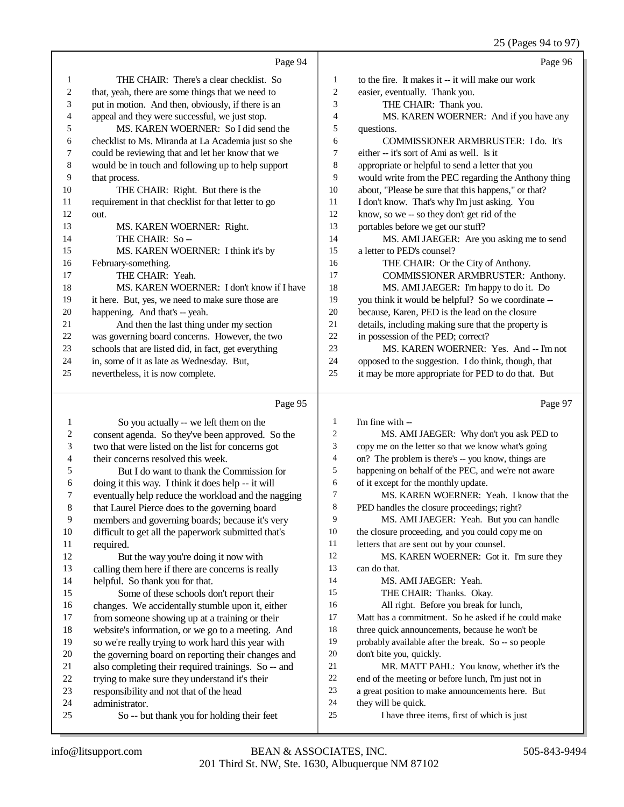### 25 (Pages 94 to 97)

|    |                                                      |    | $22 \times 10^{14}$                                  |
|----|------------------------------------------------------|----|------------------------------------------------------|
|    | Page 94                                              |    | Page 96                                              |
| 1  | THE CHAIR: There's a clear checklist. So             | 1  | to the fire. It makes it -- it will make our work    |
| 2  | that, yeah, there are some things that we need to    | 2  | easier, eventually. Thank you.                       |
| 3  | put in motion. And then, obviously, if there is an   | 3  | THE CHAIR: Thank you.                                |
| 4  | appeal and they were successful, we just stop.       | 4  | MS. KAREN WOERNER: And if you have any               |
| 5  | MS. KAREN WOERNER: So I did send the                 | 5  | questions.                                           |
| 6  | checklist to Ms. Miranda at La Academia just so she  | 6  | COMMISSIONER ARMBRUSTER: I do. It's                  |
| 7  | could be reviewing that and let her know that we     | 7  | either -- it's sort of Ami as well. Is it            |
| 8  | would be in touch and following up to help support   | 8  | appropriate or helpful to send a letter that you     |
| 9  | that process.                                        | 9  | would write from the PEC regarding the Anthony thing |
| 10 | THE CHAIR: Right. But there is the                   | 10 | about, "Please be sure that this happens," or that?  |
| 11 | requirement in that checklist for that letter to go  | 11 | I don't know. That's why I'm just asking. You        |
| 12 | out.                                                 | 12 | know, so we -- so they don't get rid of the          |
| 13 | MS. KAREN WOERNER: Right.                            | 13 | portables before we get our stuff?                   |
| 14 | THE CHAIR: So-                                       | 14 | MS. AMI JAEGER: Are you asking me to send            |
| 15 | MS. KAREN WOERNER: I think it's by                   | 15 | a letter to PED's counsel?                           |
| 16 | February-something.                                  | 16 | THE CHAIR: Or the City of Anthony.                   |
| 17 | THE CHAIR: Yeah.                                     | 17 | COMMISSIONER ARMBRUSTER: Anthony.                    |
| 18 | MS. KAREN WOERNER: I don't know if I have            | 18 | MS. AMI JAEGER: I'm happy to do it. Do               |
| 19 | it here. But, yes, we need to make sure those are    | 19 | you think it would be helpful? So we coordinate --   |
| 20 | happening. And that's -- yeah.                       | 20 | because, Karen, PED is the lead on the closure       |
| 21 | And then the last thing under my section             | 21 | details, including making sure that the property is  |
| 22 | was governing board concerns. However, the two       | 22 | in possession of the PED; correct?                   |
| 23 | schools that are listed did, in fact, get everything | 23 | MS. KAREN WOERNER: Yes. And -- I'm not               |
| 24 | in, some of it as late as Wednesday. But,            | 24 | opposed to the suggestion. I do think, though, that  |
| 25 | nevertheless, it is now complete.                    | 25 | it may be more appropriate for PED to do that. But   |
|    | Page 95                                              |    | Page 97                                              |

#### Page 95

|                | So you actually -- we left them on the              | 1  | I'm fine with --                                    |
|----------------|-----------------------------------------------------|----|-----------------------------------------------------|
| 2              | consent agenda. So they've been approved. So the    | 2  | MS. AMI JAEGER: Why don't you ask PED to            |
| 3              | two that were listed on the list for concerns got   | 3  | copy me on the letter so that we know what's going  |
| $\overline{4}$ | their concerns resolved this week.                  | 4  | on? The problem is there's -- you know, things are  |
| 5              | But I do want to thank the Commission for           | 5  | happening on behalf of the PEC, and we're not aware |
| 6              | doing it this way. I think it does help -- it will  | 6  | of it except for the monthly update.                |
| 7              | eventually help reduce the workload and the nagging | 7  | MS. KAREN WOERNER: Yeah. I know that the            |
| 8              | that Laurel Pierce does to the governing board      | 8  | PED handles the closure proceedings; right?         |
| 9              | members and governing boards; because it's very     | 9  | MS. AMI JAEGER: Yeah. But you can handle            |
| 10             | difficult to get all the paperwork submitted that's | 10 | the closure proceeding, and you could copy me on    |
| 11             | required.                                           | 11 | letters that are sent out by your counsel.          |
| 12             | But the way you're doing it now with                | 12 | MS. KAREN WOERNER: Got it. I'm sure they            |
| 13             | calling them here if there are concerns is really   | 13 | can do that.                                        |
| 14             | helpful. So thank you for that.                     | 14 | MS. AMI JAEGER: Yeah.                               |
| 15             | Some of these schools don't report their            | 15 | THE CHAIR: Thanks. Okay.                            |
| 16             | changes. We accidentally stumble upon it, either    | 16 | All right. Before you break for lunch,              |
| 17             | from someone showing up at a training or their      | 17 | Matt has a commitment. So he asked if he could make |
| 18             | website's information, or we go to a meeting. And   | 18 | three quick announcements, because he won't be      |
| 19             | so we're really trying to work hard this year with  | 19 | probably available after the break. So -- so people |
| 20             | the governing board on reporting their changes and  | 20 | don't bite you, quickly.                            |
| 21             | also completing their required trainings. So -- and | 21 | MR. MATT PAHL: You know, whether it's the           |
| 22             | trying to make sure they understand it's their      | 22 | end of the meeting or before lunch, I'm just not in |
| 23             | responsibility and not that of the head             | 23 | a great position to make announcements here. But    |
| 24             | administrator.                                      | 24 | they will be quick.                                 |
| 25             | So -- but thank you for holding their feet          | 25 | I have three items, first of which is just          |
|                |                                                     |    |                                                     |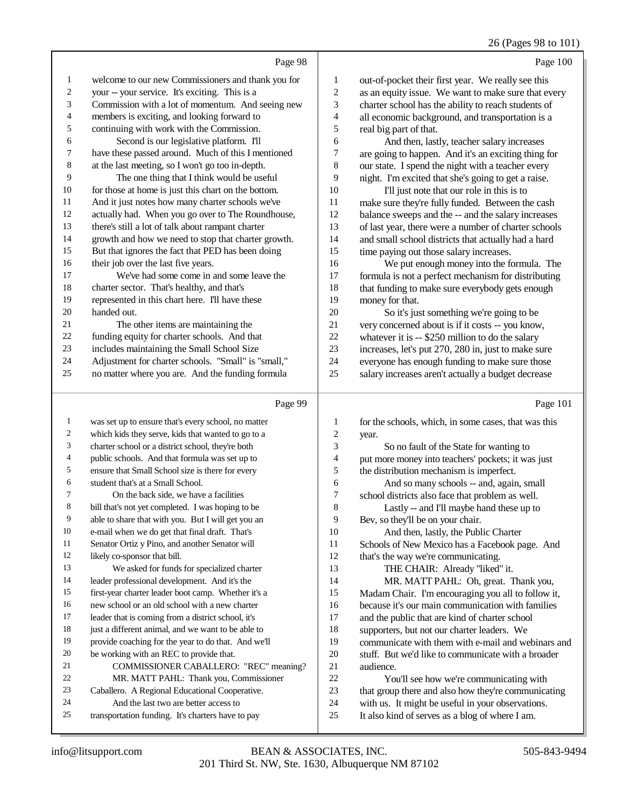#### 26 (Pages 98 to 101)

|                | Page 100                                                                                                                           |
|----------------|------------------------------------------------------------------------------------------------------------------------------------|
| 1              | out-of-pocket their first year. We really see this                                                                                 |
| 2              | as an equity issue. We want to make sure that every                                                                                |
| 3              | charter school has the ability to reach students of                                                                                |
| $\overline{4}$ | all economic background, and transportation is a                                                                                   |
| 5              | real big part of that.                                                                                                             |
| 6              | And then, lastly, teacher salary increases                                                                                         |
|                | $\mathbf{r}$ , and $\mathbf{r}$ are the set of $\mathbf{r}$ . The set of $\mathbf{r}$ and $\mathbf{r}$ are the set of $\mathbf{r}$ |

 are going to happen. And it's an exciting thing for our state. I spend the night with a teacher every night. I'm excited that she's going to get a raise.

 I'll just note that our role in this is to make sure they're fully funded. Between the cash balance sweeps and the -- and the salary increases of last year, there were a number of charter schools and small school districts that actually had a hard time paying out those salary increases.

 We put enough money into the formula. The formula is not a perfect mechanism for distributing 18 that funding to make sure everybody gets enough money for that.

 So it's just something we're going to be very concerned about is if it costs -- you know, 22 whatever it is -- \$250 million to do the salary<br>23 increases. let's put 270, 280 in, just to make s increases, let's put 270, 280 in, just to make sure everyone has enough funding to make sure those

salary increases aren't actually a budget decrease

|              | Page 99                                             |                | Page 101                                             |
|--------------|-----------------------------------------------------|----------------|------------------------------------------------------|
| $\mathbf{1}$ | was set up to ensure that's every school, no matter | 1              | for the schools, which, in some cases, that was this |
| 2            | which kids they serve, kids that wanted to go to a  | $\overline{c}$ | year.                                                |
| 3            | charter school or a district school, they're both   | 3              | So no fault of the State for wanting to              |
| 4            | public schools. And that formula was set up to      | 4              | put more money into teachers' pockets; it was just   |
| 5            | ensure that Small School size is there for every    | 5              | the distribution mechanism is imperfect.             |
| 6            | student that's at a Small School.                   | 6              | And so many schools -- and, again, small             |
| 7            | On the back side, we have a facilities              | 7              | school districts also face that problem as well.     |
| 8            | bill that's not yet completed. I was hoping to be   | 8              | Lastly -- and I'll maybe hand these up to            |
| 9            | able to share that with you. But I will get you an  | 9              | Bev, so they'll be on your chair.                    |
| 10           | e-mail when we do get that final draft. That's      | 10             | And then, lastly, the Public Charter                 |
| 11           | Senator Ortiz y Pino, and another Senator will      | 11             | Schools of New Mexico has a Facebook page. And       |
| 12           | likely co-sponsor that bill.                        | 12             | that's the way we're communicating.                  |
| 13           | We asked for funds for specialized charter          | 13             | THE CHAIR: Already "liked" it.                       |
| 14           | leader professional development. And it's the       | 14             | MR. MATT PAHL: Oh, great. Thank you,                 |
| 15           | first-year charter leader boot camp. Whether it's a | 15             | Madam Chair. I'm encouraging you all to follow it,   |
| 16           | new school or an old school with a new charter      | 16             | because it's our main communication with families    |
| 17           | leader that is coming from a district school, it's  | 17             | and the public that are kind of charter school       |
| 18           | just a different animal, and we want to be able to  | 18             | supporters, but not our charter leaders. We          |
| 19           | provide coaching for the year to do that. And we'll | 19             | communicate with them with e-mail and webinars and   |
| 20           | be working with an REC to provide that.             | 20             | stuff. But we'd like to communicate with a broader   |
| 21           | COMMISSIONER CABALLERO: "REC" meaning?              | 21             | audience.                                            |
| 22           | MR. MATT PAHL: Thank you, Commissioner              | 22             | You'll see how we're communicating with              |
| 23           | Caballero. A Regional Educational Cooperative.      | 23             | that group there and also how they're communicating  |
| 24           | And the last two are better access to               | 24             | with us. It might be useful in your observations.    |
| 25           | transportation funding. It's charters have to pay   | 25             | It also kind of serves as a blog of where I am.      |
|              |                                                     |                |                                                      |

Page 98

welcome to our new Commissioners and thank you for

Commission with a lot of momentum. And seeing new

your -- your service. It's exciting. This is a

 members is exciting, and looking forward to continuing with work with the Commission. Second is our legislative platform. I'll have these passed around. Much of this I mentioned at the last meeting, so I won't go too in-depth. The one thing that I think would be useful 10 for those at home is just this chart on the bottom. And it just notes how many charter schools we've actually had. When you go over to The Roundhouse, there's still a lot of talk about rampant charter growth and how we need to stop that charter growth. But that ignores the fact that PED has been doing

16 their job over the last five years.

handed out.

 charter sector. That's healthy, and that's represented in this chart here. I'll have these

 The other items are maintaining the funding equity for charter schools. And that includes maintaining the Small School Size Adjustment for charter schools. "Small" is "small," no matter where you are. And the funding formula

We've had some come in and some leave the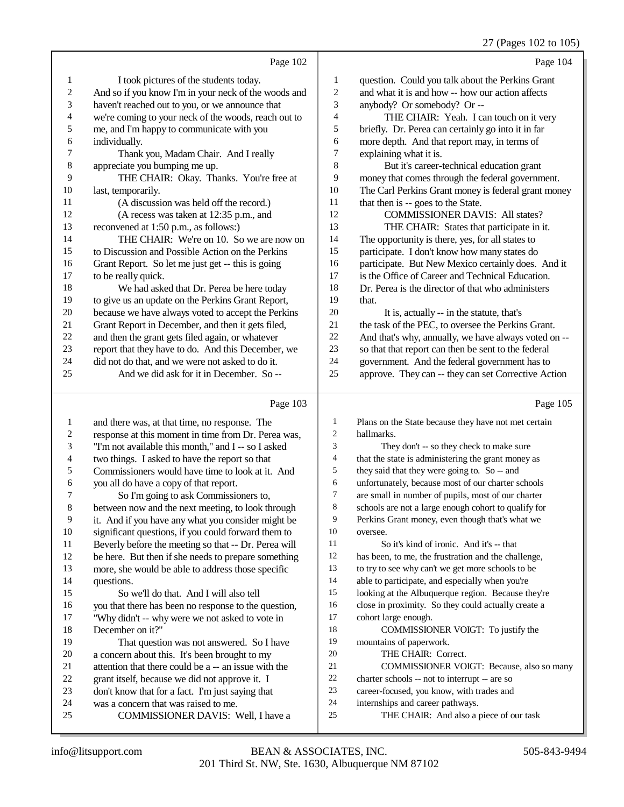27 (Pages 102 to 105)

Page 102 I took pictures of the students today. And so if you know I'm in your neck of the woods and haven't reached out to you, or we announce that we're coming to your neck of the woods, reach out to me, and I'm happy to communicate with you individually. Thank you, Madam Chair. And I really appreciate you bumping me up. THE CHAIR: Okay. Thanks. You're free at last, temporarily. (A discussion was held off the record.) (A recess was taken at 12:35 p.m., and reconvened at 1:50 p.m., as follows:) THE CHAIR: We're on 10. So we are now on to Discussion and Possible Action on the Perkins Grant Report. So let me just get -- this is going to be really quick. We had asked that Dr. Perea be here today to give us an update on the Perkins Grant Report, because we have always voted to accept the Perkins Grant Report in December, and then it gets filed, 22 and then the grant gets filed again, or whatever<br>23 report that they have to do. And this December report that they have to do. And this December, we did not do that, and we were not asked to do it. And we did ask for it in December. So -- Page 103 Page 104 question. Could you talk about the Perkins Grant and what it is and how -- how our action affects anybody? Or somebody? Or -- THE CHAIR: Yeah. I can touch on it very briefly. Dr. Perea can certainly go into it in far more depth. And that report may, in terms of explaining what it is. But it's career-technical education grant money that comes through the federal government. The Carl Perkins Grant money is federal grant money 11 that then is -- goes to the State. COMMISSIONER DAVIS: All states? THE CHAIR: States that participate in it. The opportunity is there, yes, for all states to participate. I don't know how many states do participate. But New Mexico certainly does. And it is the Office of Career and Technical Education. Dr. Perea is the director of that who administers that. It is, actually -- in the statute, that's 21 the task of the PEC, to oversee the Perkins Grant. And that's why, annually, we have always voted on -- so that that report can then be sent to the federal government. And the federal government has to approve. They can -- they can set Corrective Action Page 105

 and there was, at that time, no response. The 2 response at this moment in time from Dr. Perea was,<br>  $\frac{3}{2}$  T'm not available this month." and I-s o I asked "I'm not available this month," and I -- so I asked 4 two things. I asked to have the report so that<br>5 Commissioners would have time to look at it. 5 Commissioners would have time to look at it. And<br>6 vou all do have a copy of that report. 6 you all do have a copy of that report.<br>7 So I'm going to ask Commission 7 So I'm going to ask Commissioners to,<br>8 between now and the next meeting, to look the between now and the next meeting, to look through 9 it. And if you have any what you consider might be<br>10 significant questions, if you could forward them to 10 significant questions, if you could forward them to<br>11 Beverly before the meeting so that -- Dr. Perea wil 11 Beverly before the meeting so that -- Dr. Perea will<br>12 be here. But then if she needs to prepare something be here. But then if she needs to prepare something more, she would be able to address those specific questions. So we'll do that. And I will also tell 16 you that there has been no response to the question,<br>17 "Why didn't -- why were we not asked to yote in 17 "Why didn't -- why were we not asked to vote in 18 December on it?" 18 December on it?"<br>19 That questi That question was not answered. So I have 20 a concern about this. It's been brought to my<br>21 attention that there could be a  $-$  an issue with 21 attention that there could be  $a - a$  issue with the <br>22  $a - a$  issue we did not approve it. I 22 grant itself, because we did not approve it. I<br>23 don't know that for a fact. I'm just saving that 23 don't know that for a fact. I'm just saying that<br>24 was a concern that was raised to me. 24 was a concern that was raised to me.<br>25 COMMISSIONER DAVIS: V COMMISSIONER DAVIS: Well, I have a Plans on the State because they have not met certain hallmarks. They don't -- so they check to make sure 4 that the state is administering the grant money as<br>5 they said that they were going to. So -- and they said that they were going to. So -- and unfortunately, because most of our charter schools 7 are small in number of pupils, most of our charter<br>8 schools are not a large enough cohort to qualify for schools are not a large enough cohort to qualify for Perkins Grant money, even though that's what we oversee. 11 So it's kind of ironic. And it's -- that<br>12 has been to me the frustration and the cha has been, to me, the frustration and the challenge, to try to see why can't we get more schools to be able to participate, and especially when you're looking at the Albuquerque region. Because they're close in proximity. So they could actually create a 17 cohort large enough.<br>18 COMMISSIO COMMISSIONER VOIGT: To justify the mountains of paperwork. THE CHAIR: Correct. 21 COMMISSIONER VOIGT: Because, also so many<br>22 charter schools -- not to interrunt -- are so 22 charter schools  $\frac{1}{2}$  career-focused you know with trades and career-focused, you know, with trades and 24 internships and career pathways.<br>25 THE CHAIR: And also a r THE CHAIR: And also a piece of our task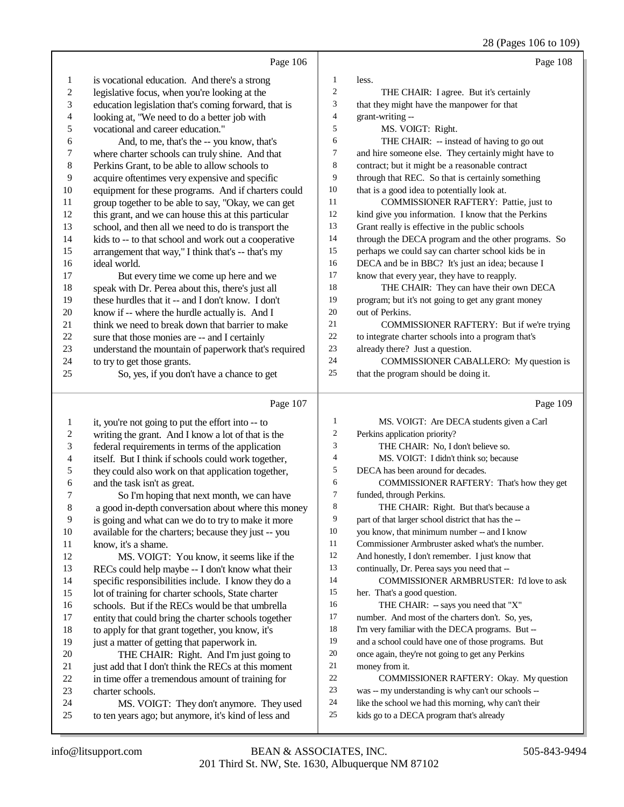28 (Pages 106 to 109)

|                                         | Page 106                                                                                         |                         | Page 108                                                                                         |
|-----------------------------------------|--------------------------------------------------------------------------------------------------|-------------------------|--------------------------------------------------------------------------------------------------|
| 1                                       | is vocational education. And there's a strong                                                    | 1                       | less.                                                                                            |
| $\boldsymbol{2}$                        | legislative focus, when you're looking at the                                                    | $\overline{c}$          | THE CHAIR: I agree. But it's certainly                                                           |
| 3                                       | education legislation that's coming forward, that is                                             | 3                       | that they might have the manpower for that                                                       |
| $\overline{\mathcal{L}}$                | looking at, "We need to do a better job with                                                     | $\overline{\mathbf{4}}$ | grant-writing --                                                                                 |
| 5                                       | vocational and career education."                                                                | 5                       | MS. VOIGT: Right.                                                                                |
| 6                                       | And, to me, that's the -- you know, that's                                                       | 6                       | THE CHAIR: -- instead of having to go out                                                        |
| 7                                       | where charter schools can truly shine. And that                                                  | 7                       | and hire someone else. They certainly might have to                                              |
| 8                                       | Perkins Grant, to be able to allow schools to                                                    | $\,8\,$                 | contract; but it might be a reasonable contract                                                  |
| 9                                       | acquire oftentimes very expensive and specific                                                   | 9                       | through that REC. So that is certainly something                                                 |
| 10                                      | equipment for these programs. And if charters could                                              | $10\,$                  | that is a good idea to potentially look at.                                                      |
| 11                                      | group together to be able to say, "Okay, we can get                                              | 11                      | COMMISSIONER RAFTERY: Pattie, just to                                                            |
| 12                                      | this grant, and we can house this at this particular                                             | 12                      | kind give you information. I know that the Perkins                                               |
| 13                                      | school, and then all we need to do is transport the                                              | 13                      | Grant really is effective in the public schools                                                  |
| 14                                      | kids to -- to that school and work out a cooperative                                             | 14                      | through the DECA program and the other programs. So                                              |
| 15                                      | arrangement that way," I think that's -- that's my                                               | 15                      | perhaps we could say can charter school kids be in                                               |
| 16                                      | ideal world.                                                                                     | 16                      | DECA and be in BBC? It's just an idea; because I                                                 |
| 17                                      | But every time we come up here and we                                                            | 17                      | know that every year, they have to reapply.                                                      |
| 18                                      | speak with Dr. Perea about this, there's just all                                                | 18                      | THE CHAIR: They can have their own DECA                                                          |
| 19                                      | these hurdles that it -- and I don't know. I don't                                               | 19                      | program; but it's not going to get any grant money                                               |
| $20\,$                                  | know if -- where the hurdle actually is. And I                                                   | 20                      | out of Perkins.                                                                                  |
| $21\,$                                  | think we need to break down that barrier to make                                                 | 21                      | COMMISSIONER RAFTERY: But if we're trying                                                        |
| $22\,$                                  | sure that those monies are -- and I certainly                                                    | $22\,$                  | to integrate charter schools into a program that's                                               |
| $23\,$                                  | understand the mountain of paperwork that's required                                             | 23                      | already there? Just a question.                                                                  |
| 24                                      | to try to get those grants.                                                                      | 24                      | COMMISSIONER CABALLERO: My question is                                                           |
| 25                                      | So, yes, if you don't have a chance to get                                                       | 25                      | that the program should be doing it.                                                             |
|                                         |                                                                                                  |                         |                                                                                                  |
|                                         | Page 107                                                                                         |                         | Page 109                                                                                         |
|                                         |                                                                                                  | $\mathbf{1}$            |                                                                                                  |
| $\mathbf{1}$<br>$\overline{\mathbf{c}}$ | it, you're not going to put the effort into -- to                                                | 2                       | MS. VOIGT: Are DECA students given a Carl<br>Perkins application priority?                       |
| 3                                       | writing the grant. And I know a lot of that is the                                               | 3                       | THE CHAIR: No, I don't believe so.                                                               |
| $\overline{\mathcal{L}}$                | federal requirements in terms of the application                                                 | 4                       | MS. VOIGT: I didn't think so; because                                                            |
| 5                                       | itself. But I think if schools could work together,                                              | 5                       | DECA has been around for decades.                                                                |
| 6                                       | they could also work on that application together,<br>and the task isn't as great.               | 6                       | COMMISSIONER RAFTERY: That's how they get                                                        |
| 7                                       | So I'm hoping that next month, we can have                                                       | 7                       | funded, through Perkins.                                                                         |
| 8                                       | a good in-depth conversation about where this money                                              | $\,$ 8 $\,$             | THE CHAIR: Right. But that's because a                                                           |
| 9                                       | is going and what can we do to try to make it more                                               | 9                       | part of that larger school district that has the --                                              |
| 10                                      | available for the charters; because they just -- you                                             | 10                      | you know, that minimum number -- and I know                                                      |
| 11                                      | know, it's a shame.                                                                              | 11                      | Commissioner Armbruster asked what's the number.                                                 |
| 12                                      | MS. VOIGT: You know, it seems like if the                                                        | 12                      | And honestly, I don't remember. I just know that                                                 |
| 13                                      | RECs could help maybe -- I don't know what their                                                 | 13                      | continually, Dr. Perea says you need that --                                                     |
| 14                                      | specific responsibilities include. I know they do a                                              | 14                      | COMMISSIONER ARMBRUSTER: I'd love to ask                                                         |
| 15                                      | lot of training for charter schools, State charter                                               | 15                      | her. That's a good question.                                                                     |
| 16                                      | schools. But if the RECs would be that umbrella                                                  | 16                      | THE CHAIR: -- says you need that "X"                                                             |
| 17                                      | entity that could bring the charter schools together                                             | 17                      | number. And most of the charters don't. So, yes,                                                 |
| 18                                      | to apply for that grant together, you know, it's                                                 | 18                      | I'm very familiar with the DECA programs. But --                                                 |
| 19                                      | just a matter of getting that paperwork in.                                                      | 19                      | and a school could have one of those programs. But                                               |
| $20\,$                                  | THE CHAIR: Right. And I'm just going to                                                          | $20\,$                  | once again, they're not going to get any Perkins                                                 |
| 21                                      | just add that I don't think the RECs at this moment                                              | 21                      | money from it.                                                                                   |
| $22\,$                                  | in time offer a tremendous amount of training for                                                | $22\,$                  | COMMISSIONER RAFTERY: Okay. My question                                                          |
| 23                                      | charter schools.                                                                                 | $23\,$                  | was -- my understanding is why can't our schools --                                              |
| 24<br>$25\,$                            | MS. VOIGT: They don't anymore. They used<br>to ten years ago; but anymore, it's kind of less and | 24<br>25                | like the school we had this morning, why can't their<br>kids go to a DECA program that's already |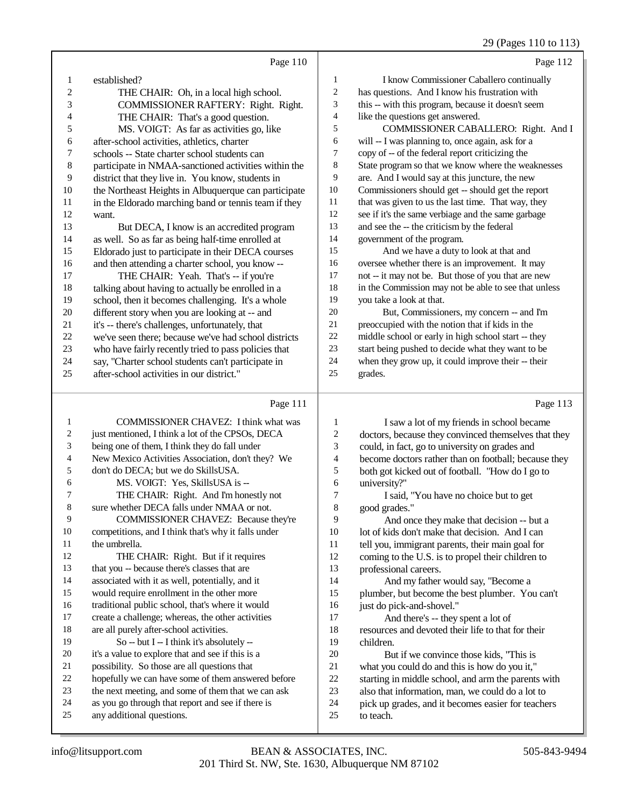## 29 (Pages 110 to 113)

|                | Page 110                                             |        | Page 112                                             |
|----------------|------------------------------------------------------|--------|------------------------------------------------------|
| 1              | established?                                         | 1      | I know Commissioner Caballero continually            |
| $\overline{c}$ | THE CHAIR: Oh, in a local high school.               | 2      | has questions. And I know his frustration with       |
| 3              | COMMISSIONER RAFTERY: Right. Right.                  | 3      | this -- with this program, because it doesn't seem   |
| 4              | THE CHAIR: That's a good question.                   | 4      | like the questions get answered.                     |
| 5              | MS. VOIGT: As far as activities go, like             | 5      | COMMISSIONER CABALLERO: Right. And I                 |
| 6              | after-school activities, athletics, charter          | 6      | will -- I was planning to, once again, ask for a     |
| 7              | schools -- State charter school students can         | $\tau$ | copy of -- of the federal report criticizing the     |
| 8              | participate in NMAA-sanctioned activities within the | 8      | State program so that we know where the weaknesses   |
| 9              | district that they live in. You know, students in    | 9      | are. And I would say at this juncture, the new       |
| 10             | the Northeast Heights in Albuquerque can participate | 10     | Commissioners should get -- should get the report    |
| 11             | in the Eldorado marching band or tennis team if they | 11     | that was given to us the last time. That way, they   |
| 12             | want.                                                | 12     | see if it's the same verbiage and the same garbage   |
| 13             | But DECA, I know is an accredited program            | 13     | and see the -- the criticism by the federal          |
| 14             | as well. So as far as being half-time enrolled at    | 14     | government of the program.                           |
| 15             | Eldorado just to participate in their DECA courses   | 15     | And we have a duty to look at that and               |
| 16             | and then attending a charter school, you know --     | 16     | oversee whether there is an improvement. It may      |
| 17             | THE CHAIR: Yeah. That's -- if you're                 | 17     | not -- it may not be. But those of you that are new  |
| 18             | talking about having to actually be enrolled in a    | 18     | in the Commission may not be able to see that unless |
| 19             | school, then it becomes challenging. It's a whole    | 19     | you take a look at that.                             |
| 20             | different story when you are looking at -- and       | 20     | But, Commissioners, my concern -- and I'm            |
| 21             | it's -- there's challenges, unfortunately, that      | 21     | preoccupied with the notion that if kids in the      |
| 22             | we've seen there; because we've had school districts | 22     | middle school or early in high school start -- they  |
| 23             | who have fairly recently tried to pass policies that | 23     | start being pushed to decide what they want to be    |
| 24             | say, "Charter school students can't participate in   | 24     | when they grow up, it could improve their -- their   |
| 25             | after-school activities in our district."            | 25     | grades.                                              |
|                | Page 111                                             |        | Page 113                                             |

## Page 111 |

| 1  | <b>COMMISSIONER CHAVEZ:</b> I think what was        | 1  | I saw a lot of my friends in school became           |
|----|-----------------------------------------------------|----|------------------------------------------------------|
| 2  | just mentioned, I think a lot of the CPSOs, DECA    | 2  | doctors, because they convinced themselves that they |
| 3  | being one of them, I think they do fall under       | 3  | could, in fact, go to university on grades and       |
| 4  | New Mexico Activities Association, don't they? We   | 4  | become doctors rather than on football; because they |
| 5  | don't do DECA; but we do SkillsUSA.                 | 5  | both got kicked out of football. "How do I go to     |
| 6  | MS. VOIGT: Yes, SkillsUSA is --                     | 6  | university?"                                         |
| 7  | THE CHAIR: Right. And I'm honestly not              | 7  | I said, "You have no choice but to get               |
| 8  | sure whether DECA falls under NMAA or not.          | 8  | good grades."                                        |
| 9  | <b>COMMISSIONER CHAVEZ: Because they're</b>         | 9  | And once they make that decision -- but a            |
| 10 | competitions, and I think that's why it falls under | 10 | lot of kids don't make that decision. And I can      |
| 11 | the umbrella.                                       | 11 | tell you, immigrant parents, their main goal for     |
| 12 | THE CHAIR: Right. But if it requires                | 12 | coming to the U.S. is to propel their children to    |
| 13 | that you -- because there's classes that are        | 13 | professional careers.                                |
| 14 | associated with it as well, potentially, and it     | 14 | And my father would say, "Become a                   |
| 15 | would require enrollment in the other more          | 15 | plumber, but become the best plumber. You can't      |
| 16 | traditional public school, that's where it would    | 16 | just do pick-and-shovel."                            |
| 17 | create a challenge; whereas, the other activities   | 17 | And there's -- they spent a lot of                   |
| 18 | are all purely after-school activities.             | 18 | resources and devoted their life to that for their   |
| 19 | So -- but I -- I think it's absolutely --           | 19 | children.                                            |
| 20 | it's a value to explore that and see if this is a   | 20 | But if we convince those kids, "This is              |
| 21 | possibility. So those are all questions that        | 21 | what you could do and this is how do you it,"        |
| 22 | hopefully we can have some of them answered before  | 22 | starting in middle school, and arm the parents with  |
| 23 | the next meeting, and some of them that we can ask  | 23 | also that information, man, we could do a lot to     |
| 24 | as you go through that report and see if there is   | 24 | pick up grades, and it becomes easier for teachers   |
| 25 | any additional questions.                           | 25 | to teach.                                            |
|    |                                                     |    |                                                      |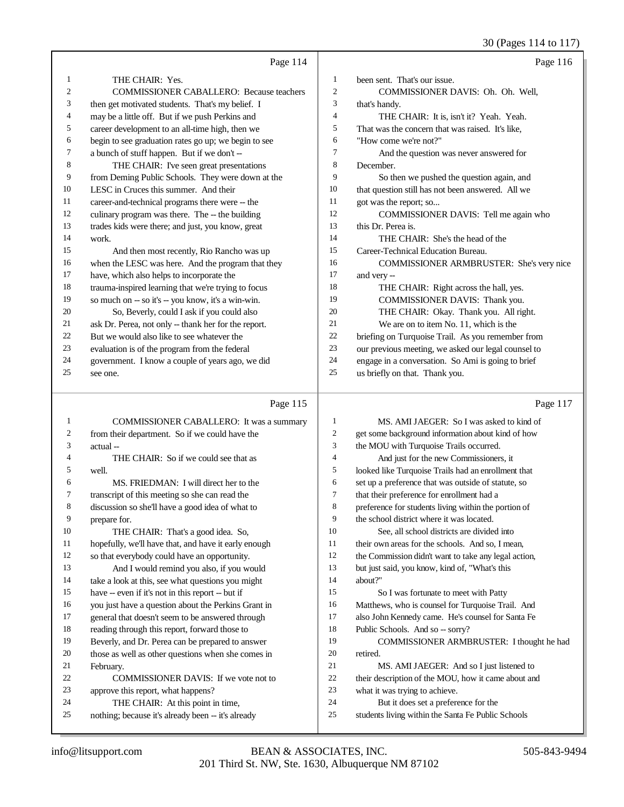30 (Pages 114 to 117)

|    |                                                      |                | $50(1450)$ 11 $10(11)$                               |
|----|------------------------------------------------------|----------------|------------------------------------------------------|
|    | Page 114                                             |                | Page 116                                             |
| 1  | THE CHAIR: Yes.                                      | $\mathbf{1}$   | been sent. That's our issue.                         |
| 2  | <b>COMMISSIONER CABALLERO: Because teachers</b>      | 2              | COMMISSIONER DAVIS: Oh. Oh. Well,                    |
| 3  | then get motivated students. That's my belief. I     | 3              | that's handy.                                        |
| 4  | may be a little off. But if we push Perkins and      | 4              | THE CHAIR: It is, isn't it? Yeah. Yeah.              |
| 5  | career development to an all-time high, then we      | 5              | That was the concern that was raised. It's like,     |
| 6  | begin to see graduation rates go up; we begin to see | 6              | "How come we're not?"                                |
| 7  | a bunch of stuff happen. But if we don't --          | 7              | And the question was never answered for              |
| 8  | THE CHAIR: I've seen great presentations             | 8              | December.                                            |
| 9  | from Deming Public Schools. They were down at the    | 9              | So then we pushed the question again, and            |
| 10 | LESC in Cruces this summer. And their                | 10             | that question still has not been answered. All we    |
| 11 | career-and-technical programs there were -- the      | 11             | got was the report; so                               |
| 12 | culinary program was there. The -- the building      | 12             | COMMISSIONER DAVIS: Tell me again who                |
| 13 | trades kids were there; and just, you know, great    | 13             | this Dr. Perea is.                                   |
| 14 | work.                                                | 14             | THE CHAIR: She's the head of the                     |
| 15 | And then most recently, Rio Rancho was up            | 15             | Career-Technical Education Bureau.                   |
| 16 | when the LESC was here. And the program that they    | 16             | COMMISSIONER ARMBRUSTER: She's very nice             |
| 17 | have, which also helps to incorporate the            | 17             | and very --                                          |
| 18 | trauma-inspired learning that we're trying to focus  | 18             | THE CHAIR: Right across the hall, yes.               |
| 19 | so much on -- so it's -- you know, it's a win-win.   | 19             | COMMISSIONER DAVIS: Thank you.                       |
| 20 | So, Beverly, could I ask if you could also           | 20             | THE CHAIR: Okay. Thank you. All right.               |
| 21 | ask Dr. Perea, not only -- thank her for the report. | 21             | We are on to item No. 11, which is the               |
| 22 | But we would also like to see whatever the           | $22\,$         | briefing on Turquoise Trail. As you remember from    |
| 23 | evaluation is of the program from the federal        | 23             | our previous meeting, we asked our legal counsel to  |
| 24 | government. I know a couple of years ago, we did     | 24             | engage in a conversation. So Ami is going to brief   |
| 25 | see one.                                             | 25             | us briefly on that. Thank you.                       |
|    |                                                      |                |                                                      |
|    | Page 115                                             |                | Page 117                                             |
| 1  | COMMISSIONER CABALLERO: It was a summary             | 1              | MS. AMI JAEGER: So I was asked to kind of            |
| 2  | from their department. So if we could have the       | $\mathbf{2}$   | get some background information about kind of how    |
| 3  | actual-                                              | 3              | the MOU with Turquoise Trails occurred.              |
| 4  | THE CHAIR: So if we could see that as                | $\overline{4}$ | And just for the new Commissioners, it               |
| 5  | well.                                                | 5              | looked like Turquoise Trails had an enrollment that  |
| 6  | MS. FRIEDMAN: I will direct her to the               | 6              | set up a preference that was outside of statute, so  |
| 7  | transcript of this meeting so she can read the       | $\overline{7}$ | that their preference for enrollment had a           |
|    | discussion so she'll have a good idea of what to     | $\mathbf 8$    | preference for students living within the portion of |

discussion so she'll have a good idea of what to prepare for. 10 THE CHAIR: That's a good idea. So, hopefully, we'll have that, and have it early enough so that everybody could have an opportunity. And I would remind you also, if you would take a look at this, see what questions you might have -- even if it's not in this report -- but if you just have a question about the Perkins Grant in general that doesn't seem to be answered through reading through this report, forward those to Beverly, and Dr. Perea can be prepared to answer those as well as other questions when she comes in February. COMMISSIONER DAVIS: If we vote not to approve this report, what happens? THE CHAIR: At this point in time, nothing; because it's already been -- it's already preference for students living within the portion of the school district where it was located. See, all school districts are divided into 11 their own areas for the schools. And so, I mean, the Commission didn't want to take any legal action, but just said, you know, kind of, "What's this about?" So I was fortunate to meet with Patty Matthews, who is counsel for Turquoise Trail. And also John Kennedy came. He's counsel for Santa Fe 18 Public Schools. And so -- sorry? COMMISSIONER ARMBRUSTER: I thought he had retired. MS. AMI JAEGER: And so I just listened to their description of the MOU, how it came about and what it was trying to achieve. But it does set a preference for the students living within the Santa Fe Public Schools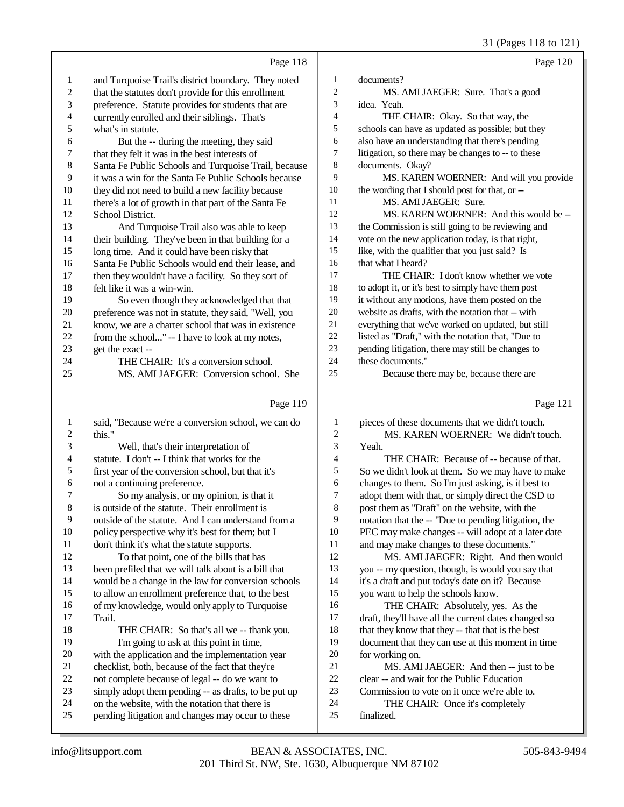|                  |                                                                                                        |                  | 31 (Pages 118 to 121)                                                                |
|------------------|--------------------------------------------------------------------------------------------------------|------------------|--------------------------------------------------------------------------------------|
|                  | Page 118                                                                                               |                  | Page 120                                                                             |
| 1                | and Turquoise Trail's district boundary. They noted                                                    | 1                | documents?                                                                           |
| $\boldsymbol{2}$ | that the statutes don't provide for this enrollment                                                    | $\overline{c}$   | MS. AMI JAEGER: Sure. That's a good                                                  |
| 3                | preference. Statute provides for students that are                                                     | 3                | idea. Yeah.                                                                          |
| 4                | currently enrolled and their siblings. That's                                                          | 4                | THE CHAIR: Okay. So that way, the                                                    |
| 5                | what's in statute.                                                                                     | 5                | schools can have as updated as possible; but they                                    |
| 6                | But the -- during the meeting, they said                                                               | 6                | also have an understanding that there's pending                                      |
| $\overline{7}$   | that they felt it was in the best interests of                                                         | 7                | litigation, so there may be changes to -- to these                                   |
| $\,$ 8 $\,$      | Santa Fe Public Schools and Turquoise Trail, because                                                   | $\,8\,$          | documents. Okay?                                                                     |
| 9                | it was a win for the Santa Fe Public Schools because                                                   | 9                | MS. KAREN WOERNER: And will you provide                                              |
| 10               | they did not need to build a new facility because                                                      | 10               | the wording that I should post for that, or --                                       |
| 11               | there's a lot of growth in that part of the Santa Fe                                                   | 11               | MS. AMI JAEGER: Sure.                                                                |
| 12               | School District.                                                                                       | 12               | MS. KAREN WOERNER: And this would be --                                              |
| 13               | And Turquoise Trail also was able to keep                                                              | 13               | the Commission is still going to be reviewing and                                    |
| 14               | their building. They've been in that building for a                                                    | 14               | vote on the new application today, is that right,                                    |
| 15               | long time. And it could have been risky that                                                           | 15               | like, with the qualifier that you just said? Is                                      |
| 16               | Santa Fe Public Schools would end their lease, and                                                     | 16               | that what I heard?                                                                   |
| 17               | then they wouldn't have a facility. So they sort of                                                    | 17               | THE CHAIR: I don't know whether we vote                                              |
| 18               | felt like it was a win-win.                                                                            | 18               | to adopt it, or it's best to simply have them post                                   |
| 19               | So even though they acknowledged that that                                                             | 19               | it without any motions, have them posted on the                                      |
| $20\,$           | preference was not in statute, they said, "Well, you                                                   | 20               | website as drafts, with the notation that -- with                                    |
| 21               | know, we are a charter school that was in existence                                                    | 21               | everything that we've worked on updated, but still                                   |
| 22               | from the school" -- I have to look at my notes,                                                        | 22               | listed as "Draft," with the notation that, "Due to                                   |
| 23               | get the exact --                                                                                       | 23               | pending litigation, there may still be changes to                                    |
| 24               | THE CHAIR: It's a conversion school.                                                                   | 24               | these documents."                                                                    |
| 25               | MS. AMI JAEGER: Conversion school. She                                                                 | 25               | Because there may be, because there are                                              |
|                  | Page 119                                                                                               |                  | Page 121                                                                             |
| 1                | said, "Because we're a conversion school, we can do                                                    | $\mathbf{1}$     | pieces of these documents that we didn't touch.                                      |
| 2                | this."                                                                                                 | $\boldsymbol{2}$ | MS. KAREN WOERNER: We didn't touch.                                                  |
| 3                | Well, that's their interpretation of                                                                   | 3                | Yeah.                                                                                |
| 4                | statute. I don't -- I think that works for the                                                         | 4                | THE CHAIR: Because of -- because of that.                                            |
| 5                | first year of the conversion school, but that it's                                                     | $\mathfrak s$    | So we didn't look at them. So we may have to make                                    |
| 6                | not a continuing preference.                                                                           | 6                | changes to them. So I'm just asking, is it best to                                   |
| 7                | So my analysis, or my opinion, is that it                                                              | $\overline{7}$   | adopt them with that, or simply direct the CSD to                                    |
| 8                | is outside of the statute. Their enrollment is                                                         | 8                | post them as "Draft" on the website, with the                                        |
| 9                | outside of the statute. And I can understand from a                                                    | 9                | notation that the -- "Due to pending litigation, the                                 |
| 10               | policy perspective why it's best for them; but I                                                       | 10               | PEC may make changes -- will adopt at a later date                                   |
| 11               | don't think it's what the statute supports.                                                            | 11               | and may make changes to these documents."                                            |
| 12               | To that point, one of the bills that has                                                               | 12               | MS. AMI JAEGER: Right. And then would                                                |
| 13               | been prefiled that we will talk about is a bill that                                                   | 13               | you -- my question, though, is would you say that                                    |
| 14               | would be a change in the law for conversion schools                                                    | 14               | it's a draft and put today's date on it? Because                                     |
| 15               | to allow an enrollment preference that, to the best                                                    | 15               | you want to help the schools know.                                                   |
| 16               | of my knowledge, would only apply to Turquoise                                                         | 16               | THE CHAIR: Absolutely, yes. As the                                                   |
| 17               | Trail.                                                                                                 | 17               | draft, they'll have all the current dates changed so                                 |
| 18               | THE CHAIR: So that's all we -- thank you.                                                              | 18               | that they know that they -- that that is the best                                    |
| 19               | I'm going to ask at this point in time,                                                                | 19<br>$20\,$     | document that they can use at this moment in time                                    |
| 20<br>21         | with the application and the implementation year                                                       | 21               | for working on.                                                                      |
| 22               | checklist, both, because of the fact that they're                                                      | $22\,$           | MS. AMI JAEGER: And then -- just to be<br>clear -- and wait for the Public Education |
| 23               | not complete because of legal -- do we want to<br>simply adopt them pending -- as drafts, to be put up | 23               | Commission to vote on it once we're able to.                                         |
| 24               | on the website, with the notation that there is                                                        | 24               |                                                                                      |
|                  |                                                                                                        |                  |                                                                                      |
| 25               | pending litigation and changes may occur to these                                                      | $25\,$           | THE CHAIR: Once it's completely<br>finalized.                                        |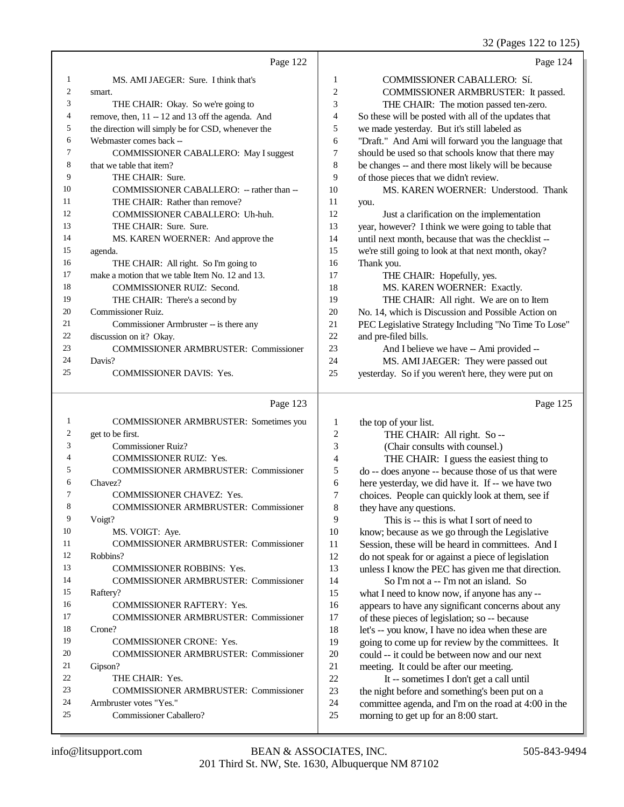| Page 122<br>MS. AMI JAEGER: Sure. I think that's<br>1<br>1<br>2<br>$\overline{c}$<br>smart.<br>3<br>3<br>THE CHAIR: Okay. So we're going to<br>4<br>remove, then, 11 -- 12 and 13 off the agenda. And<br>4<br>5<br>5<br>the direction will simply be for CSD, whenever the<br>6<br>6<br>Webmaster comes back --<br>7<br>7<br>COMMISSIONER CABALLERO: May I suggest<br>8<br>8<br>that we table that item?<br>9<br>9<br>THE CHAIR: Sure.<br>10<br>COMMISSIONER CABALLERO: - rather than --<br>10<br>THE CHAIR: Rather than remove?<br>11<br>11<br>you.<br>12<br>12<br>COMMISSIONER CABALLERO: Uh-huh.<br>13<br>13<br>THE CHAIR: Sure. Sure.<br>14<br>14<br>MS. KAREN WOERNER: And approve the | Page 124<br>COMMISSIONER CABALLERO: Sí.<br>COMMISSIONER ARMBRUSTER: It passed.<br>THE CHAIR: The motion passed ten-zero.<br>So these will be posted with all of the updates that<br>we made yesterday. But it's still labeled as<br>"Draft." And Ami will forward you the language that<br>should be used so that schools know that there may<br>be changes -- and there most likely will be because<br>of those pieces that we didn't review.<br>MS. KAREN WOERNER: Understood. Thank |
|---------------------------------------------------------------------------------------------------------------------------------------------------------------------------------------------------------------------------------------------------------------------------------------------------------------------------------------------------------------------------------------------------------------------------------------------------------------------------------------------------------------------------------------------------------------------------------------------------------------------------------------------------------------------------------------------|----------------------------------------------------------------------------------------------------------------------------------------------------------------------------------------------------------------------------------------------------------------------------------------------------------------------------------------------------------------------------------------------------------------------------------------------------------------------------------------|
|                                                                                                                                                                                                                                                                                                                                                                                                                                                                                                                                                                                                                                                                                             |                                                                                                                                                                                                                                                                                                                                                                                                                                                                                        |
|                                                                                                                                                                                                                                                                                                                                                                                                                                                                                                                                                                                                                                                                                             |                                                                                                                                                                                                                                                                                                                                                                                                                                                                                        |
|                                                                                                                                                                                                                                                                                                                                                                                                                                                                                                                                                                                                                                                                                             |                                                                                                                                                                                                                                                                                                                                                                                                                                                                                        |
|                                                                                                                                                                                                                                                                                                                                                                                                                                                                                                                                                                                                                                                                                             |                                                                                                                                                                                                                                                                                                                                                                                                                                                                                        |
|                                                                                                                                                                                                                                                                                                                                                                                                                                                                                                                                                                                                                                                                                             |                                                                                                                                                                                                                                                                                                                                                                                                                                                                                        |
|                                                                                                                                                                                                                                                                                                                                                                                                                                                                                                                                                                                                                                                                                             |                                                                                                                                                                                                                                                                                                                                                                                                                                                                                        |
|                                                                                                                                                                                                                                                                                                                                                                                                                                                                                                                                                                                                                                                                                             |                                                                                                                                                                                                                                                                                                                                                                                                                                                                                        |
|                                                                                                                                                                                                                                                                                                                                                                                                                                                                                                                                                                                                                                                                                             |                                                                                                                                                                                                                                                                                                                                                                                                                                                                                        |
|                                                                                                                                                                                                                                                                                                                                                                                                                                                                                                                                                                                                                                                                                             |                                                                                                                                                                                                                                                                                                                                                                                                                                                                                        |
|                                                                                                                                                                                                                                                                                                                                                                                                                                                                                                                                                                                                                                                                                             |                                                                                                                                                                                                                                                                                                                                                                                                                                                                                        |
|                                                                                                                                                                                                                                                                                                                                                                                                                                                                                                                                                                                                                                                                                             |                                                                                                                                                                                                                                                                                                                                                                                                                                                                                        |
|                                                                                                                                                                                                                                                                                                                                                                                                                                                                                                                                                                                                                                                                                             |                                                                                                                                                                                                                                                                                                                                                                                                                                                                                        |
|                                                                                                                                                                                                                                                                                                                                                                                                                                                                                                                                                                                                                                                                                             | Just a clarification on the implementation                                                                                                                                                                                                                                                                                                                                                                                                                                             |
|                                                                                                                                                                                                                                                                                                                                                                                                                                                                                                                                                                                                                                                                                             | year, however? I think we were going to table that                                                                                                                                                                                                                                                                                                                                                                                                                                     |
|                                                                                                                                                                                                                                                                                                                                                                                                                                                                                                                                                                                                                                                                                             | until next month, because that was the checklist --                                                                                                                                                                                                                                                                                                                                                                                                                                    |
| 15<br>15<br>agenda.                                                                                                                                                                                                                                                                                                                                                                                                                                                                                                                                                                                                                                                                         | we're still going to look at that next month, okay?                                                                                                                                                                                                                                                                                                                                                                                                                                    |
| 16<br>Thank you.<br>16<br>THE CHAIR: All right. So I'm going to                                                                                                                                                                                                                                                                                                                                                                                                                                                                                                                                                                                                                             |                                                                                                                                                                                                                                                                                                                                                                                                                                                                                        |
| 17<br>make a motion that we table Item No. 12 and 13.<br>17                                                                                                                                                                                                                                                                                                                                                                                                                                                                                                                                                                                                                                 | THE CHAIR: Hopefully, yes.                                                                                                                                                                                                                                                                                                                                                                                                                                                             |
| 18<br>COMMISSIONER RUIZ: Second.<br>18                                                                                                                                                                                                                                                                                                                                                                                                                                                                                                                                                                                                                                                      | MS. KAREN WOERNER: Exactly.                                                                                                                                                                                                                                                                                                                                                                                                                                                            |
| 19<br>19<br>THE CHAIR: There's a second by                                                                                                                                                                                                                                                                                                                                                                                                                                                                                                                                                                                                                                                  | THE CHAIR: All right. We are on to Item                                                                                                                                                                                                                                                                                                                                                                                                                                                |
| 20<br>Commissioner Ruiz.<br>20                                                                                                                                                                                                                                                                                                                                                                                                                                                                                                                                                                                                                                                              | No. 14, which is Discussion and Possible Action on                                                                                                                                                                                                                                                                                                                                                                                                                                     |
| 21<br>21<br>Commissioner Armbruster -- is there any                                                                                                                                                                                                                                                                                                                                                                                                                                                                                                                                                                                                                                         | PEC Legislative Strategy Including "No Time To Lose"                                                                                                                                                                                                                                                                                                                                                                                                                                   |
| 22<br>22<br>discussion on it? Okay.<br>and pre-filed bills.                                                                                                                                                                                                                                                                                                                                                                                                                                                                                                                                                                                                                                 |                                                                                                                                                                                                                                                                                                                                                                                                                                                                                        |
| 23<br>23<br><b>COMMISSIONER ARMBRUSTER: Commissioner</b>                                                                                                                                                                                                                                                                                                                                                                                                                                                                                                                                                                                                                                    | And I believe we have -- Ami provided --                                                                                                                                                                                                                                                                                                                                                                                                                                               |
| 24<br>Davis?<br>24                                                                                                                                                                                                                                                                                                                                                                                                                                                                                                                                                                                                                                                                          | MS. AMI JAEGER: They were passed out                                                                                                                                                                                                                                                                                                                                                                                                                                                   |
| 25<br>COMMISSIONER DAVIS: Yes.<br>25                                                                                                                                                                                                                                                                                                                                                                                                                                                                                                                                                                                                                                                        | yesterday. So if you weren't here, they were put on                                                                                                                                                                                                                                                                                                                                                                                                                                    |
| Page 123                                                                                                                                                                                                                                                                                                                                                                                                                                                                                                                                                                                                                                                                                    | Page 125                                                                                                                                                                                                                                                                                                                                                                                                                                                                               |
| COMMISSIONER ARMBRUSTER: Sometimes you<br>1<br>1<br>the top of your list.                                                                                                                                                                                                                                                                                                                                                                                                                                                                                                                                                                                                                   |                                                                                                                                                                                                                                                                                                                                                                                                                                                                                        |
| 2<br>get to be first.<br>2                                                                                                                                                                                                                                                                                                                                                                                                                                                                                                                                                                                                                                                                  | THE CHAIR: All right. So --                                                                                                                                                                                                                                                                                                                                                                                                                                                            |
| Commissioner Ruiz?<br>3<br>3                                                                                                                                                                                                                                                                                                                                                                                                                                                                                                                                                                                                                                                                | (Chair consults with counsel.)                                                                                                                                                                                                                                                                                                                                                                                                                                                         |
| 4<br><b>COMMISSIONER RUIZ: Yes.</b><br>4                                                                                                                                                                                                                                                                                                                                                                                                                                                                                                                                                                                                                                                    | THE CHAIR: I guess the easiest thing to                                                                                                                                                                                                                                                                                                                                                                                                                                                |
| 5<br><b>COMMISSIONER ARMBRUSTER: Commissioner</b><br>5                                                                                                                                                                                                                                                                                                                                                                                                                                                                                                                                                                                                                                      | do -- does anyone -- because those of us that were                                                                                                                                                                                                                                                                                                                                                                                                                                     |
| 6<br>Chavez?<br>6                                                                                                                                                                                                                                                                                                                                                                                                                                                                                                                                                                                                                                                                           | here yesterday, we did have it. If -- we have two                                                                                                                                                                                                                                                                                                                                                                                                                                      |
| 7<br>COMMISSIONER CHAVEZ: Yes.                                                                                                                                                                                                                                                                                                                                                                                                                                                                                                                                                                                                                                                              | choices. People can quickly look at them, see if                                                                                                                                                                                                                                                                                                                                                                                                                                       |
| 8<br>8<br><b>COMMISSIONER ARMBRUSTER: Commissioner</b><br>they have any questions.                                                                                                                                                                                                                                                                                                                                                                                                                                                                                                                                                                                                          |                                                                                                                                                                                                                                                                                                                                                                                                                                                                                        |
| 9<br>9<br>Voigt?                                                                                                                                                                                                                                                                                                                                                                                                                                                                                                                                                                                                                                                                            | This is -- this is what I sort of need to                                                                                                                                                                                                                                                                                                                                                                                                                                              |
| 10<br>10<br>MS. VOIGT: Aye.                                                                                                                                                                                                                                                                                                                                                                                                                                                                                                                                                                                                                                                                 | know; because as we go through the Legislative                                                                                                                                                                                                                                                                                                                                                                                                                                         |
| 11<br>11<br><b>COMMISSIONER ARMBRUSTER: Commissioner</b>                                                                                                                                                                                                                                                                                                                                                                                                                                                                                                                                                                                                                                    | Session, these will be heard in committees. And I                                                                                                                                                                                                                                                                                                                                                                                                                                      |
| 12<br>12<br>Robbins?                                                                                                                                                                                                                                                                                                                                                                                                                                                                                                                                                                                                                                                                        | do not speak for or against a piece of legislation                                                                                                                                                                                                                                                                                                                                                                                                                                     |
| 13<br>13<br>COMMISSIONER ROBBINS: Yes.<br>14                                                                                                                                                                                                                                                                                                                                                                                                                                                                                                                                                                                                                                                | unless I know the PEC has given me that direction.                                                                                                                                                                                                                                                                                                                                                                                                                                     |
| 14                                                                                                                                                                                                                                                                                                                                                                                                                                                                                                                                                                                                                                                                                          | So I'm not a -- I'm not an island. So                                                                                                                                                                                                                                                                                                                                                                                                                                                  |
| <b>COMMISSIONER ARMBRUSTER: Commissioner</b>                                                                                                                                                                                                                                                                                                                                                                                                                                                                                                                                                                                                                                                |                                                                                                                                                                                                                                                                                                                                                                                                                                                                                        |
| 15<br>15<br>what I need to know now, if anyone has any --<br>Raftery?                                                                                                                                                                                                                                                                                                                                                                                                                                                                                                                                                                                                                       |                                                                                                                                                                                                                                                                                                                                                                                                                                                                                        |
| 16<br>COMMISSIONER RAFTERY: Yes.<br>16                                                                                                                                                                                                                                                                                                                                                                                                                                                                                                                                                                                                                                                      | appears to have any significant concerns about any                                                                                                                                                                                                                                                                                                                                                                                                                                     |
| 17<br>17<br><b>COMMISSIONER ARMBRUSTER: Commissioner</b>                                                                                                                                                                                                                                                                                                                                                                                                                                                                                                                                                                                                                                    | of these pieces of legislation; so -- because                                                                                                                                                                                                                                                                                                                                                                                                                                          |
| 18<br>18<br>Crone?                                                                                                                                                                                                                                                                                                                                                                                                                                                                                                                                                                                                                                                                          | let's -- you know, I have no idea when these are                                                                                                                                                                                                                                                                                                                                                                                                                                       |
| 19<br>19<br>COMMISSIONER CRONE: Yes.                                                                                                                                                                                                                                                                                                                                                                                                                                                                                                                                                                                                                                                        | going to come up for review by the committees. It                                                                                                                                                                                                                                                                                                                                                                                                                                      |
| 20<br>20<br><b>COMMISSIONER ARMBRUSTER: Commissioner</b>                                                                                                                                                                                                                                                                                                                                                                                                                                                                                                                                                                                                                                    | could -- it could be between now and our next                                                                                                                                                                                                                                                                                                                                                                                                                                          |
| 21<br>21<br>Gipson?                                                                                                                                                                                                                                                                                                                                                                                                                                                                                                                                                                                                                                                                         | meeting. It could be after our meeting.                                                                                                                                                                                                                                                                                                                                                                                                                                                |
| $22\,$<br>22<br>THE CHAIR: Yes.<br>23<br>23<br><b>COMMISSIONER ARMBRUSTER: Commissioner</b>                                                                                                                                                                                                                                                                                                                                                                                                                                                                                                                                                                                                 | It -- sometimes I don't get a call until<br>the night before and something's been put on a                                                                                                                                                                                                                                                                                                                                                                                             |

Commissioner Caballero?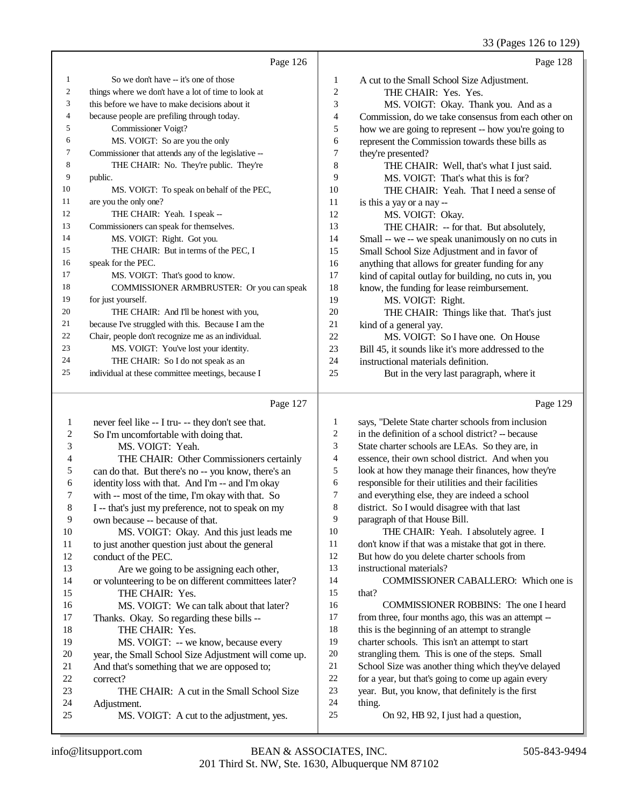|    | Page 126                                            |                | Page 128                                             |
|----|-----------------------------------------------------|----------------|------------------------------------------------------|
| 1  | So we don't have -- it's one of those               | $\mathbf{1}$   | A cut to the Small School Size Adjustment.           |
| 2  | things where we don't have a lot of time to look at | $\overline{2}$ | THE CHAIR: Yes. Yes.                                 |
| 3  | this before we have to make decisions about it      | 3              | MS. VOIGT: Okay. Thank you. And as a                 |
| 4  | because people are prefiling through today.         | 4              | Commission, do we take consensus from each other on  |
| 5  | Commissioner Voigt?                                 | 5              | how we are going to represent -- how you're going to |
| 6  | MS. VOIGT: So are you the only                      | 6              | represent the Commission towards these bills as      |
| 7  | Commissioner that attends any of the legislative -- | 7              | they're presented?                                   |
| 8  | THE CHAIR: No. They're public. They're              | 8              | THE CHAIR: Well, that's what I just said.            |
| 9  | public.                                             | 9              | MS. VOIGT: That's what this is for?                  |
| 10 | MS. VOIGT: To speak on behalf of the PEC,           | 10             | THE CHAIR: Yeah. That I need a sense of              |
| 11 | are you the only one?                               | 11             | is this a yay or a nay --                            |
| 12 | THE CHAIR: Yeah. I speak --                         | 12             | MS. VOIGT: Okay.                                     |
| 13 | Commissioners can speak for themselves.             | 13             | THE CHAIR: -- for that. But absolutely,              |
| 14 | MS. VOIGT: Right. Got you.                          | 14             | Small -- we -- we speak unanimously on no cuts in    |
| 15 | THE CHAIR: But in terms of the PEC, I               | 15             | Small School Size Adjustment and in favor of         |
| 16 | speak for the PEC.                                  | 16             | anything that allows for greater funding for any     |
| 17 | MS. VOIGT: That's good to know.                     | 17             | kind of capital outlay for building, no cuts in, you |
| 18 | <b>COMMISSIONER ARMBRUSTER:</b> Or you can speak    | 18             | know, the funding for lease reimbursement.           |
| 19 | for just yourself.                                  | 19             | MS. VOIGT: Right.                                    |
| 20 | THE CHAIR: And I'll be honest with you,             | 20             | THE CHAIR: Things like that. That's just             |
| 21 | because I've struggled with this. Because I am the  | 21             | kind of a general yay.                               |
| 22 | Chair, people don't recognize me as an individual.  | 22             | MS. VOIGT: So I have one. On House                   |
| 23 | MS. VOIGT: You've lost your identity.               | 23             | Bill 45, it sounds like it's more addressed to the   |
| 24 | THE CHAIR: So I do not speak as an                  | 24             | instructional materials definition.                  |
| 25 | individual at these committee meetings, because I   | 25             | But in the very last paragraph, where it             |
|    |                                                     |                |                                                      |

#### Page 127

|                | Page 127                                             |                | Page 129                                             |
|----------------|------------------------------------------------------|----------------|------------------------------------------------------|
| 1              | never feel like -- I tru- -- they don't see that.    | 1              | says, "Delete State charter schools from inclusion   |
| $\overline{2}$ | So I'm uncomfortable with doing that.                | 2              | in the definition of a school district? -- because   |
| 3              | MS. VOIGT: Yeah.                                     | 3              | State charter schools are LEAs. So they are, in      |
| 4              | THE CHAIR: Other Commissioners certainly             | $\overline{4}$ | essence, their own school district. And when you     |
| 5              | can do that. But there's no -- you know, there's an  | 5              | look at how they manage their finances, how they're  |
| 6              | identity loss with that. And I'm -- and I'm okay     | 6              | responsible for their utilities and their facilities |
| 7              | with -- most of the time, I'm okay with that. So     | 7              | and everything else, they are indeed a school        |
| 8              | I -- that's just my preference, not to speak on my   | 8              | district. So I would disagree with that last         |
| 9              | own because -- because of that.                      | 9              | paragraph of that House Bill.                        |
| 10             | MS. VOIGT: Okay. And this just leads me              | 10             | THE CHAIR: Yeah. I absolutely agree. I               |
| 11             | to just another question just about the general      | 11             | don't know if that was a mistake that got in there.  |
| 12             | conduct of the PEC.                                  | 12             | But how do you delete charter schools from           |
| 13             | Are we going to be assigning each other,             | 13             | instructional materials?                             |
| 14             | or volunteering to be on different committees later? | 14             | <b>COMMISSIONER CABALLERO:</b> Which one is          |
| 15             | THE CHAIR: Yes.                                      | 15             | that?                                                |
| 16             | MS. VOIGT: We can talk about that later?             | 16             | COMMISSIONER ROBBINS: The one I heard                |
| 17             | Thanks. Okay. So regarding these bills --            | 17             | from three, four months ago, this was an attempt --  |
| 18             | THE CHAIR: Yes.                                      | 18             | this is the beginning of an attempt to strangle      |
| 19             | MS. VOIGT: -- we know, because every                 | 19             | charter schools. This isn't an attempt to start      |
| 20             | year, the Small School Size Adjustment will come up. | 20             | strangling them. This is one of the steps. Small     |
| 21             | And that's something that we are opposed to;         | 21             | School Size was another thing which they've delayed  |
| 22             | correct?                                             | 22             | for a year, but that's going to come up again every  |
| 23             | THE CHAIR: A cut in the Small School Size            | 23             | year. But, you know, that definitely is the first    |
| 24             | Adjustment.                                          | 24             | thing.                                               |
| 25             | MS. VOIGT: A cut to the adjustment, yes.             | 25             | On 92, HB 92, I just had a question,                 |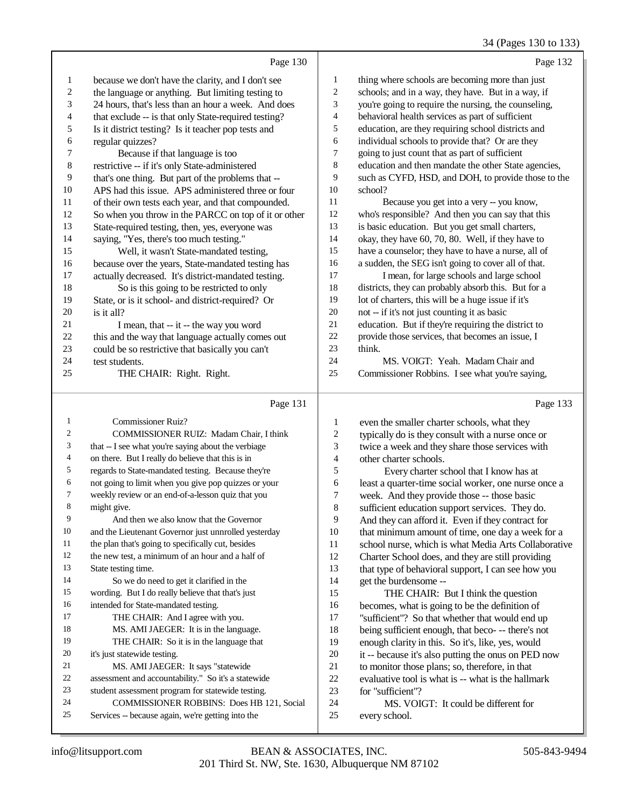## 34 (Pages 130 to 133)

|                  | Page 130                                                                                       |                             | Page 132                                                                                                |
|------------------|------------------------------------------------------------------------------------------------|-----------------------------|---------------------------------------------------------------------------------------------------------|
| 1                | because we don't have the clarity, and I don't see                                             | 1                           | thing where schools are becoming more than just                                                         |
| $\boldsymbol{2}$ | the language or anything. But limiting testing to                                              | $\sqrt{2}$                  | schools; and in a way, they have. But in a way, if                                                      |
| 3                | 24 hours, that's less than an hour a week. And does                                            | $\ensuremath{\mathfrak{Z}}$ | you're going to require the nursing, the counseling,                                                    |
| $\overline{4}$   | that exclude -- is that only State-required testing?                                           | 4                           | behavioral health services as part of sufficient                                                        |
| 5                | Is it district testing? Is it teacher pop tests and                                            | 5                           | education, are they requiring school districts and                                                      |
| 6                | regular quizzes?                                                                               | 6                           | individual schools to provide that? Or are they                                                         |
| 7                | Because if that language is too                                                                | 7                           | going to just count that as part of sufficient                                                          |
| $\,$ 8 $\,$      | restrictive -- if it's only State-administered                                                 | 8                           | education and then mandate the other State agencies,                                                    |
| 9                | that's one thing. But part of the problems that --                                             | 9                           | such as CYFD, HSD, and DOH, to provide those to the                                                     |
| $10\,$           | APS had this issue. APS administered three or four                                             | 10                          | school?                                                                                                 |
| 11               | of their own tests each year, and that compounded.                                             | 11                          | Because you get into a very -- you know,                                                                |
| 12               | So when you throw in the PARCC on top of it or other                                           | 12                          | who's responsible? And then you can say that this                                                       |
| 13               | State-required testing, then, yes, everyone was                                                | 13                          | is basic education. But you get small charters,                                                         |
| 14               | saying, "Yes, there's too much testing."                                                       | 14                          | okay, they have 60, 70, 80. Well, if they have to                                                       |
| 15               | Well, it wasn't State-mandated testing,                                                        | 15                          | have a counselor; they have to have a nurse, all of                                                     |
| 16               | because over the years, State-mandated testing has                                             | 16                          | a sudden, the SEG isn't going to cover all of that.                                                     |
| 17               | actually decreased. It's district-mandated testing.                                            | 17                          | I mean, for large schools and large school                                                              |
| 18               | So is this going to be restricted to only                                                      | 18                          | districts, they can probably absorb this. But for a                                                     |
| 19               | State, or is it school- and district-required? Or                                              | 19<br>$20\,$                | lot of charters, this will be a huge issue if it's                                                      |
| 20<br>21         | is it all?                                                                                     | 21                          | not -- if it's not just counting it as basic<br>education. But if they're requiring the district to     |
| $22\,$           | I mean, that -- it -- the way you word<br>this and the way that language actually comes out    | 22                          | provide those services, that becomes an issue, I                                                        |
| 23               | could be so restrictive that basically you can't                                               | 23                          | think.                                                                                                  |
| 24               | test students.                                                                                 | 24                          | MS. VOIGT: Yeah. Madam Chair and                                                                        |
| 25               | THE CHAIR: Right. Right.                                                                       | 25                          | Commissioner Robbins. I see what you're saying,                                                         |
|                  |                                                                                                |                             |                                                                                                         |
|                  |                                                                                                |                             |                                                                                                         |
|                  | Page 131                                                                                       |                             | Page 133                                                                                                |
| 1                | Commissioner Ruiz?                                                                             | 1                           | even the smaller charter schools, what they                                                             |
| 2                | COMMISSIONER RUIZ: Madam Chair, I think                                                        | $\boldsymbol{2}$            | typically do is they consult with a nurse once or                                                       |
| 3                | that -- I see what you're saying about the verbiage                                            | 3                           | twice a week and they share those services with                                                         |
| 4                | on there. But I really do believe that this is in                                              | $\overline{\mathbf{4}}$     | other charter schools.                                                                                  |
| 5                | regards to State-mandated testing. Because they're                                             | 5                           | Every charter school that I know has at                                                                 |
| 6                | not going to limit when you give pop quizzes or your                                           | 6                           | least a quarter-time social worker, one nurse once a                                                    |
| 7                | weekly review or an end-of-a-lesson quiz that you                                              | $\boldsymbol{7}$            | week. And they provide those -- those basic                                                             |
| 8                | might give.                                                                                    | $\,8\,$                     | sufficient education support services. They do.                                                         |
| 9                | And then we also know that the Governor                                                        | 9                           | And they can afford it. Even if they contract for                                                       |
| $10\,$           | and the Lieutenant Governor just unnrolled yesterday                                           | 10                          | that minimum amount of time, one day a week for a                                                       |
| 11               | the plan that's going to specifically cut, besides                                             | 11                          | school nurse, which is what Media Arts Collaborative                                                    |
| 12               | the new test, a minimum of an hour and a half of                                               | 12                          | Charter School does, and they are still providing                                                       |
| 13<br>14         | State testing time.                                                                            | 13                          | that type of behavioral support, I can see how you                                                      |
| 15               | So we do need to get it clarified in the                                                       | 14                          | get the burdensome --                                                                                   |
| 16               | wording. But I do really believe that that's just                                              | 15<br>16                    | THE CHAIR: But I think the question                                                                     |
| 17               | intended for State-mandated testing.<br>THE CHAIR: And I agree with you.                       | 17                          | becomes, what is going to be the definition of                                                          |
| 18               | MS. AMI JAEGER: It is in the language.                                                         | 18                          | "sufficient"? So that whether that would end up                                                         |
| 19               | THE CHAIR: So it is in the language that                                                       | 19                          | being sufficient enough, that beco- -- there's not<br>enough clarity in this. So it's, like, yes, would |
| 20               | it's just statewide testing.                                                                   | $20\,$                      | it -- because it's also putting the onus on PED now                                                     |
| 21               | MS. AMI JAEGER: It says "statewide                                                             | 21                          | to monitor those plans; so, therefore, in that                                                          |
| 22               | assessment and accountability." So it's a statewide                                            | $22\,$                      | evaluative tool is what is -- what is the hallmark                                                      |
| 23               | student assessment program for statewide testing.                                              | 23                          | for "sufficient"?                                                                                       |
| 24<br>25         | COMMISSIONER ROBBINS: Does HB 121, Social<br>Services -- because again, we're getting into the | 24<br>25                    | MS. VOIGT: It could be different for<br>every school.                                                   |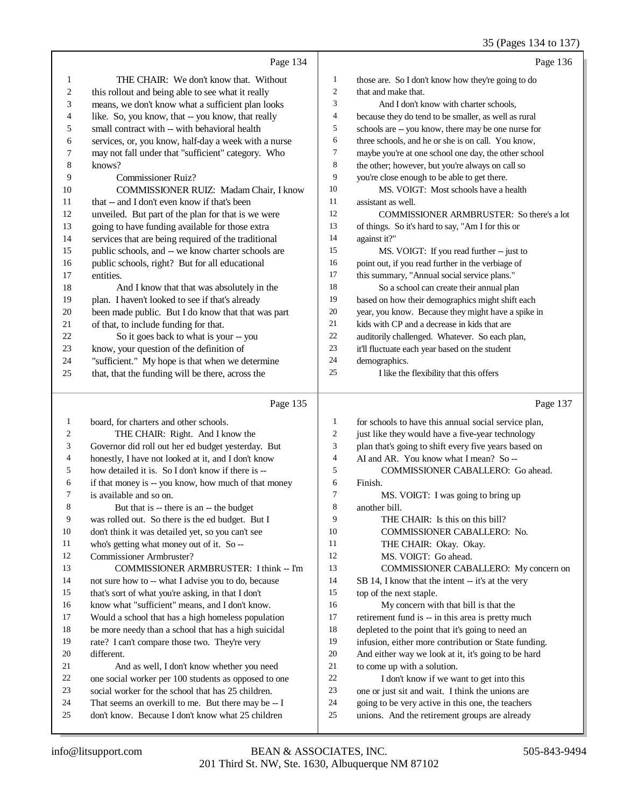|                         |                                                                                                           |                   | 33 (Pages 134 to 137)                                                                              |
|-------------------------|-----------------------------------------------------------------------------------------------------------|-------------------|----------------------------------------------------------------------------------------------------|
|                         | Page 134                                                                                                  |                   | Page 136                                                                                           |
| $\mathbf{1}$            | THE CHAIR: We don't know that. Without                                                                    | $\mathbf{1}$      | those are. So I don't know how they're going to do                                                 |
| $\overline{\mathbf{c}}$ | this rollout and being able to see what it really                                                         | $\boldsymbol{2}$  | that and make that.                                                                                |
| 3                       | means, we don't know what a sufficient plan looks                                                         | 3                 | And I don't know with charter schools,                                                             |
| 4                       | like. So, you know, that -- you know, that really                                                         | 4                 | because they do tend to be smaller, as well as rural                                               |
| 5                       | small contract with -- with behavioral health                                                             | 5                 | schools are -- you know, there may be one nurse for                                                |
| 6                       | services, or, you know, half-day a week with a nurse                                                      | 6                 | three schools, and he or she is on call. You know,                                                 |
| 7                       | may not fall under that "sufficient" category. Who                                                        | 7                 | maybe you're at one school one day, the other school                                               |
| 8                       | knows?                                                                                                    | 8                 | the other; however, but you're always on call so                                                   |
| 9                       | <b>Commissioner Ruiz?</b>                                                                                 | $\overline{9}$    | you're close enough to be able to get there.                                                       |
| 10                      | COMMISSIONER RUIZ: Madam Chair, I know                                                                    | 10                | MS. VOIGT: Most schools have a health                                                              |
| 11                      | that -- and I don't even know if that's been                                                              | 11                | assistant as well.                                                                                 |
| 12                      | unveiled. But part of the plan for that is we were                                                        | 12                | COMMISSIONER ARMBRUSTER: So there's a lot                                                          |
| 13                      | going to have funding available for those extra                                                           | 13                | of things. So it's hard to say, "Am I for this or                                                  |
| 14                      | services that are being required of the traditional                                                       | 14                | against it?"                                                                                       |
| 15                      | public schools, and -- we know charter schools are                                                        | 15                | MS. VOIGT: If you read further -- just to                                                          |
| 16                      | public schools, right? But for all educational                                                            | 16                | point out, if you read further in the verbiage of                                                  |
| 17                      | entities.                                                                                                 | 17                | this summary, "Annual social service plans."                                                       |
| 18                      | And I know that that was absolutely in the                                                                | 18                | So a school can create their annual plan                                                           |
| 19                      | plan. I haven't looked to see if that's already                                                           | 19                | based on how their demographics might shift each                                                   |
| 20                      | been made public. But I do know that that was part                                                        | 20                | year, you know. Because they might have a spike in                                                 |
| 21                      | of that, to include funding for that.                                                                     | 21                | kids with CP and a decrease in kids that are                                                       |
| 22                      | So it goes back to what is your -- you                                                                    | $22\,$            | auditorily challenged. Whatever. So each plan,                                                     |
| 23                      | know, your question of the definition of                                                                  | 23                | it'll fluctuate each year based on the student                                                     |
| 24                      | "sufficient." My hope is that when we determine                                                           | 24                | demographics.                                                                                      |
| 25                      | that, that the funding will be there, across the                                                          | 25                | I like the flexibility that this offers                                                            |
|                         |                                                                                                           |                   |                                                                                                    |
|                         | Page 135                                                                                                  |                   | Page 137                                                                                           |
|                         |                                                                                                           |                   |                                                                                                    |
| $\mathbf{1}$<br>2       | board, for charters and other schools.                                                                    | $\mathbf{1}$<br>2 | for schools to have this annual social service plan,                                               |
| 3                       | THE CHAIR: Right. And I know the                                                                          | 3                 | just like they would have a five-year technology                                                   |
| 4                       | Governor did roll out her ed budget yesterday. But<br>honestly, I have not looked at it, and I don't know | 4                 | plan that's going to shift every five years based on<br>AI and AR. You know what I mean? So --     |
| 5                       | how detailed it is. So I don't know if there is --                                                        | 5                 | COMMISSIONER CABALLERO: Go ahead.                                                                  |
| 6                       | if that money is -- you know, how much of that money                                                      | 6                 | Finish.                                                                                            |
| 7                       | is available and so on.                                                                                   | 7                 | MS. VOIGT: I was going to bring up                                                                 |
| 8                       | But that is -- there is an -- the budget                                                                  | 8                 | another bill.                                                                                      |
| 9                       | was rolled out. So there is the ed budget. But I                                                          | 9                 | THE CHAIR: Is this on this bill?                                                                   |
| 10                      | don't think it was detailed yet, so you can't see                                                         | 10                | COMMISSIONER CABALLERO: No.                                                                        |
| 11                      | who's getting what money out of it. So --                                                                 | 11                | THE CHAIR: Okay. Okay.                                                                             |
| 12                      | Commissioner Armbruster?                                                                                  | 12                | MS. VOIGT: Go ahead.                                                                               |
| 13                      | COMMISSIONER ARMBRUSTER: I think -- I'm                                                                   | 13                | COMMISSIONER CABALLERO: My concern on                                                              |
| 14                      | not sure how to -- what I advise you to do, because                                                       | 14                | SB 14, I know that the intent -- it's at the very                                                  |
| 15                      | that's sort of what you're asking, in that I don't                                                        | 15                | top of the next staple.                                                                            |
| 16                      | know what "sufficient" means, and I don't know.                                                           | 16                | My concern with that bill is that the                                                              |
| 17                      | Would a school that has a high homeless population                                                        | 17                | retirement fund is -- in this area is pretty much                                                  |
| 18                      | be more needy than a school that has a high suicidal                                                      | 18                | depleted to the point that it's going to need an                                                   |
| 19                      | rate? I can't compare those two. They're very                                                             | 19                | infusion, either more contribution or State funding.                                               |
| 20                      | different.                                                                                                | 20                | And either way we look at it, it's going to be hard                                                |
| 21                      | And as well, I don't know whether you need                                                                | 21                | to come up with a solution.                                                                        |
| 22                      | one social worker per 100 students as opposed to one                                                      | $22\,$            | I don't know if we want to get into this                                                           |
| 23                      | social worker for the school that has 25 children.                                                        | $23\,$            | one or just sit and wait. I think the unions are                                                   |
| 24<br>25                | That seems an overkill to me. But there may be -- I<br>don't know. Because I don't know what 25 children  | 24<br>$25\,$      | going to be very active in this one, the teachers<br>unions. And the retirement groups are already |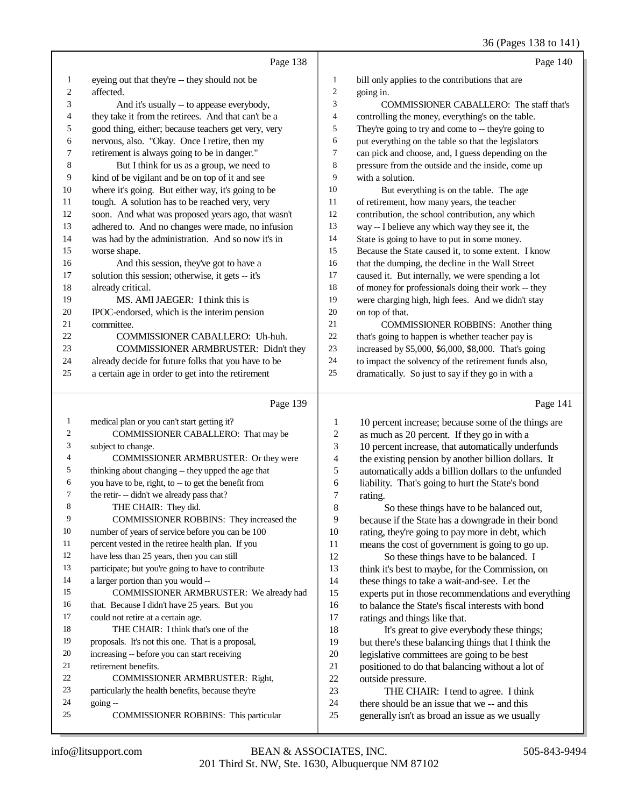|                |                                                                                                    |                          | $50(1450)$ 150 to 1 11                                                                          |
|----------------|----------------------------------------------------------------------------------------------------|--------------------------|-------------------------------------------------------------------------------------------------|
|                | Page 138                                                                                           |                          | Page 140                                                                                        |
| 1              | eyeing out that they're -- they should not be                                                      | 1                        | bill only applies to the contributions that are                                                 |
| 2              | affected.                                                                                          | $\overline{c}$           | going in.                                                                                       |
| 3              | And it's usually -- to appease everybody,                                                          | 3                        | COMMISSIONER CABALLERO: The staff that's                                                        |
| 4              | they take it from the retirees. And that can't be a                                                | 4                        | controlling the money, everything's on the table.                                               |
| 5              | good thing, either; because teachers get very, very                                                | 5                        | They're going to try and come to -- they're going to                                            |
| 6              | nervous, also. "Okay. Once I retire, then my                                                       | 6                        | put everything on the table so that the legislators                                             |
| 7              | retirement is always going to be in danger."                                                       | 7                        | can pick and choose, and, I guess depending on the                                              |
| 8              | But I think for us as a group, we need to                                                          | 8                        | pressure from the outside and the inside, come up                                               |
| 9              | kind of be vigilant and be on top of it and see                                                    | 9                        | with a solution.                                                                                |
| 10             | where it's going. But either way, it's going to be                                                 | 10                       | But everything is on the table. The age                                                         |
| 11             | tough. A solution has to be reached very, very                                                     | 11                       | of retirement, how many years, the teacher                                                      |
| 12             | soon. And what was proposed years ago, that wasn't                                                 | 12                       | contribution, the school contribution, any which                                                |
| 13             | adhered to. And no changes were made, no infusion                                                  | 13                       | way -- I believe any which way they see it, the                                                 |
| 14             | was had by the administration. And so now it's in                                                  | 14                       | State is going to have to put in some money.                                                    |
| 15             | worse shape.                                                                                       | 15                       | Because the State caused it, to some extent. I know                                             |
| 16             | And this session, they've got to have a                                                            | 16                       | that the dumping, the decline in the Wall Street                                                |
| 17             | solution this session; otherwise, it gets -- it's                                                  | 17                       | caused it. But internally, we were spending a lot                                               |
| 18             | already critical.                                                                                  | 18                       | of money for professionals doing their work -- they                                             |
| 19             | MS. AMI JAEGER: I think this is                                                                    | 19                       | were charging high, high fees. And we didn't stay                                               |
| 20             | IPOC-endorsed, which is the interim pension                                                        | $20\,$                   | on top of that.                                                                                 |
| 21             | committee.                                                                                         | 21                       | <b>COMMISSIONER ROBBINS:</b> Another thing                                                      |
| 22             | COMMISSIONER CABALLERO: Uh-huh.                                                                    | 22                       | that's going to happen is whether teacher pay is                                                |
| 23             | COMMISSIONER ARMBRUSTER: Didn't they                                                               | $23\,$                   | increased by \$5,000, \$6,000, \$8,000. That's going                                            |
| 24             | already decide for future folks that you have to be                                                | 24                       | to impact the solvency of the retirement funds also,                                            |
| 25             | a certain age in order to get into the retirement                                                  | 25                       | dramatically. So just to say if they go in with a                                               |
|                |                                                                                                    |                          |                                                                                                 |
|                |                                                                                                    |                          |                                                                                                 |
|                | Page 139                                                                                           |                          | Page 141                                                                                        |
| 1              |                                                                                                    | 1                        |                                                                                                 |
| $\overline{c}$ | medical plan or you can't start getting it?                                                        | $\boldsymbol{2}$         | 10 percent increase; because some of the things are                                             |
| 3              | COMMISSIONER CABALLERO: That may be                                                                | 3                        | as much as 20 percent. If they go in with a                                                     |
| 4              | subject to change.<br>COMMISSIONER ARMBRUSTER: Or they were                                        | $\overline{\mathcal{L}}$ | 10 percent increase, that automatically underfunds                                              |
| 5              |                                                                                                    | 5                        | the existing pension by another billion dollars. It                                             |
| 6              | thinking about changing -- they upped the age that                                                 | 6                        | automatically adds a billion dollars to the unfunded                                            |
| 7              | you have to be, right, to -- to get the benefit from<br>the retir- -- didn't we already pass that? | 7                        | liability. That's going to hurt the State's bond                                                |
| 8              |                                                                                                    |                          | rating.                                                                                         |
| 9              | THE CHAIR: They did.                                                                               | $\,$ 8 $\,$<br>9         | So these things have to be balanced out,                                                        |
| $10\,$         | COMMISSIONER ROBBINS: They increased the<br>number of years of service before you can be 100       | 10                       | because if the State has a downgrade in their bond                                              |
| 11             |                                                                                                    | 11                       | rating, they're going to pay more in debt, which                                                |
| 12             | percent vested in the retiree health plan. If you                                                  | 12                       | means the cost of government is going to go up.                                                 |
| 13             | have less than 25 years, then you can still                                                        |                          | So these things have to be balanced. I                                                          |
| 14             | participate; but you're going to have to contribute                                                | 13                       | think it's best to maybe, for the Commission, on                                                |
| 15             | a larger portion than you would --                                                                 | 14                       | these things to take a wait-and-see. Let the                                                    |
| 16             | COMMISSIONER ARMBRUSTER: We already had                                                            | 15                       | experts put in those recommendations and everything                                             |
| 17             | that. Because I didn't have 25 years. But you                                                      | 16                       | to balance the State's fiscal interests with bond                                               |
| 18             | could not retire at a certain age.                                                                 | 17                       | ratings and things like that.                                                                   |
| 19             | THE CHAIR: I think that's one of the                                                               | 18                       | It's great to give everybody these things;                                                      |
| 20             | proposals. It's not this one. That is a proposal,                                                  | 19                       | but there's these balancing things that I think the                                             |
| 21             | increasing -- before you can start receiving<br>retirement benefits.                               | 20<br>21                 | legislative committees are going to be best                                                     |
| 22             |                                                                                                    |                          | positioned to do that balancing without a lot of                                                |
| 23             | COMMISSIONER ARMBRUSTER: Right,                                                                    | 22                       | outside pressure.                                                                               |
| 24             | particularly the health benefits, because they're                                                  | 23                       | THE CHAIR: I tend to agree. I think                                                             |
| 25             | going --<br>COMMISSIONER ROBBINS: This particular                                                  | 24<br>25                 | there should be an issue that we -- and this<br>generally isn't as broad an issue as we usually |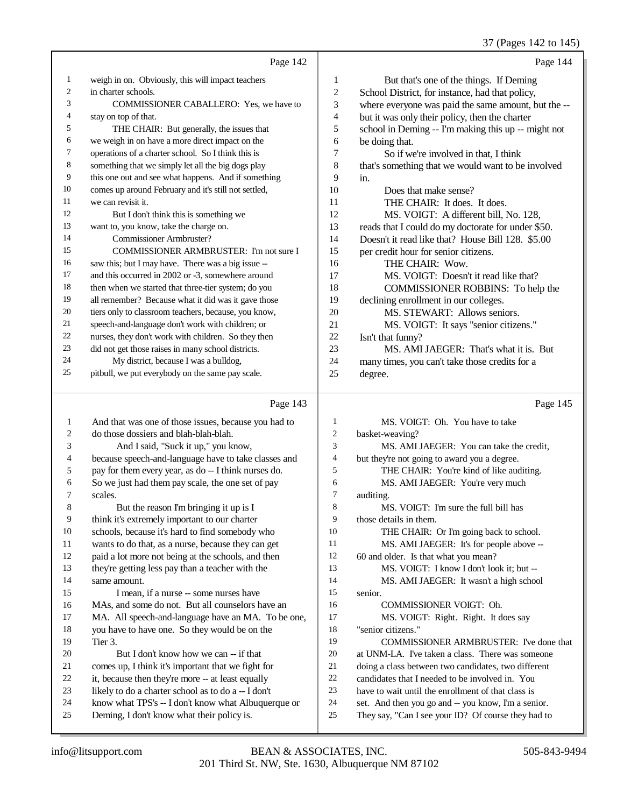37 (Pages 142 to 145)

|        | Page 142                                             |                | Page 144                                            |
|--------|------------------------------------------------------|----------------|-----------------------------------------------------|
| 1      | weigh in on. Obviously, this will impact teachers    | 1              | But that's one of the things. If Deming             |
| 2      | in charter schools.                                  | $\mathfrak{2}$ | School District, for instance, had that policy,     |
| 3      | COMMISSIONER CABALLERO: Yes, we have to              | 3              | where everyone was paid the same amount, but the -- |
| 4      | stay on top of that.                                 | 4              | but it was only their policy, then the charter      |
| 5      | THE CHAIR: But generally, the issues that            | 5              | school in Deming -- I'm making this up -- might not |
| 6      | we weigh in on have a more direct impact on the      | 6              | be doing that.                                      |
| $\tau$ | operations of a charter school. So I think this is   | 7              | So if we're involved in that, I think               |
| 8      | something that we simply let all the big dogs play   | 8              | that's something that we would want to be involved  |
| 9      | this one out and see what happens. And if something  | 9              | in.                                                 |
| 10     | comes up around February and it's still not settled, | 10             | Does that make sense?                               |
| 11     | we can revisit it.                                   | 11             | THE CHAIR: It does. It does.                        |
| 12     | But I don't think this is something we               | 12             | MS. VOIGT: A different bill, No. 128,               |
| 13     | want to, you know, take the charge on.               | 13             | reads that I could do my doctorate for under \$50.  |
| 14     | Commissioner Armbruster?                             | 14             | Doesn't it read like that? House Bill 128. \$5.00   |
| 15     | COMMISSIONER ARMBRUSTER: I'm not sure I              | 15             | per credit hour for senior citizens.                |
| 16     | saw this; but I may have. There was a big issue --   | 16             | THE CHAIR: Wow.                                     |
| 17     | and this occurred in 2002 or -3, somewhere around    | 17             | MS. VOIGT: Doesn't it read like that?               |
| 18     | then when we started that three-tier system; do you  | 18             | COMMISSIONER ROBBINS: To help the                   |
| 19     | all remember? Because what it did was it gave those  | 19             | declining enrollment in our colleges.               |
| 20     | tiers only to classroom teachers, because, you know, | 20             | MS. STEWART: Allows seniors.                        |
| 21     | speech-and-language don't work with children; or     | 21             | MS. VOIGT: It says "senior citizens."               |
| 22     | nurses, they don't work with children. So they then  | 22             | Isn't that funny?                                   |
| 23     | did not get those raises in many school districts.   | 23             | MS. AMI JAEGER: That's what it is. But              |
| 24     | My district, because I was a bulldog,                | 24             | many times, you can't take those credits for a      |
| 25     | pitbull, we put everybody on the same pay scale.     | 25             | degree.                                             |
|        |                                                      |                |                                                     |

Page 143 And that was one of those issues, because you had to do those dossiers and blah-blah-blah. And I said, "Suck it up," you know, because speech-and-language have to take classes and pay for them every year, as do -- I think nurses do. So we just had them pay scale, the one set of pay scales. 8 But the reason I'm bringing it up is I think it's extremely important to our charter schools, because it's hard to find somebody who wants to do that, as a nurse, because they can get paid a lot more not being at the schools, and then they're getting less pay than a teacher with the same amount. 15 I mean, if a nurse -- some nurses have MAs, and some do not. But all counselors have an MA. All speech-and-language have an MA. To be one, you have to have one. So they would be on the Tier 3. But I don't know how we can -- if that comes up, I think it's important that we fight for 22 it, because then they're more -- at least equally likely to do a charter school as to do a -- I don't know what TPS's -- I don't know what Albuquerque or Deming, I don't know what their policy is. Page 145 MS. VOIGT: Oh. You have to take basket-weaving? MS. AMI JAEGER: You can take the credit, 4 but they're not going to award you a degree.<br>5 THE CHAIR: You're kind of like and THE CHAIR: You're kind of like auditing. 6 MS. AMI JAEGER: You're very much<br>7 auditing. 7 auditing.<br>8 M MS. VOIGT: I'm sure the full bill has those details in them. 10 THE CHAIR: Or I'm going back to school. MS. AMI JAEGER: It's for people above -- 60 and older. Is that what you mean? 13 MS. VOIGT: I know I don't look it; but --<br>14 MS. AMI JAEGER: It wasn't a high school MS. AMI JAEGER: It wasn't a high school senior. COMMISSIONER VOIGT: Oh. MS. VOIGT: Right. Right. It does say "senior citizens." COMMISSIONER ARMBRUSTER: I've done that at UNM-LA. I've taken a class. There was someone 21 doing a class between two candidates, two different<br>22 candidates that I needed to be involved in You 22 candidates that I needed to be involved in. You<br>23 have to wait until the enrollment of that class is have to wait until the enrollment of that class is set. And then you go and -- you know, I'm a senior. They say, "Can I see your ID? Of course they had to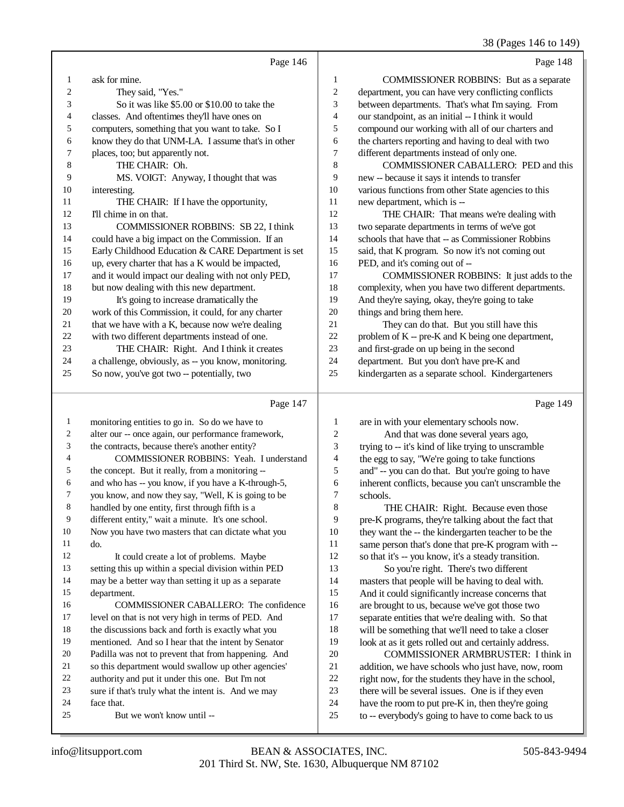|              |                                                                                                         |                         | 38 (Pages 146 to 149)                                                                                     |
|--------------|---------------------------------------------------------------------------------------------------------|-------------------------|-----------------------------------------------------------------------------------------------------------|
|              | Page 146                                                                                                |                         | Page 148                                                                                                  |
| 1            | ask for mine.                                                                                           | 1                       | COMMISSIONER ROBBINS: But as a separate                                                                   |
| 2            | They said, "Yes."                                                                                       | $\boldsymbol{2}$        | department, you can have very conflicting conflicts                                                       |
| 3            | So it was like \$5.00 or \$10.00 to take the                                                            | 3                       | between departments. That's what I'm saying. From                                                         |
| 4            | classes. And oftentimes they'll have ones on                                                            | 4                       | our standpoint, as an initial -- I think it would                                                         |
| 5            | computers, something that you want to take. So I                                                        | 5                       | compound our working with all of our charters and                                                         |
| 6            | know they do that UNM-LA. I assume that's in other                                                      | 6                       | the charters reporting and having to deal with two                                                        |
| 7            | places, too; but apparently not.                                                                        | 7                       | different departments instead of only one.                                                                |
| 8            | THE CHAIR: Oh.                                                                                          | 8                       | COMMISSIONER CABALLERO: PED and this                                                                      |
| 9            | MS. VOIGT: Anyway, I thought that was                                                                   | 9                       | new -- because it says it intends to transfer                                                             |
| 10           | interesting.                                                                                            | 10                      | various functions from other State agencies to this                                                       |
| 11           | THE CHAIR: If I have the opportunity,                                                                   | 11                      | new department, which is --                                                                               |
| 12           | I'll chime in on that.                                                                                  | 12                      | THE CHAIR: That means we're dealing with                                                                  |
| 13           | COMMISSIONER ROBBINS: SB 22, I think                                                                    | 13                      | two separate departments in terms of we've got                                                            |
| 14           | could have a big impact on the Commission. If an                                                        | 14                      | schools that have that -- as Commissioner Robbins                                                         |
| 15           | Early Childhood Education & CARE Department is set                                                      | 15                      | said, that K program. So now it's not coming out                                                          |
| 16           | up, every charter that has a K would be impacted,                                                       | 16                      | PED, and it's coming out of --                                                                            |
| 17           | and it would impact our dealing with not only PED,                                                      | 17                      | COMMISSIONER ROBBINS: It just adds to the                                                                 |
| 18           | but now dealing with this new department.                                                               | 18                      | complexity, when you have two different departments.                                                      |
| 19           | It's going to increase dramatically the                                                                 | 19                      | And they're saying, okay, they're going to take                                                           |
| 20           | work of this Commission, it could, for any charter                                                      | 20                      | things and bring them here.                                                                               |
| 21           | that we have with a K, because now we're dealing                                                        | 21                      | They can do that. But you still have this                                                                 |
| 22           | with two different departments instead of one.                                                          | 22                      | problem of K -- pre-K and K being one department,                                                         |
| 23           | THE CHAIR: Right. And I think it creates                                                                | 23                      | and first-grade on up being in the second                                                                 |
| 24           | a challenge, obviously, as -- you know, monitoring.                                                     | 24                      | department. But you don't have pre-K and                                                                  |
| 25           | So now, you've got two -- potentially, two                                                              | 25                      | kindergarten as a separate school. Kindergarteners                                                        |
|              | Page 147                                                                                                |                         | Page 149                                                                                                  |
| $\mathbf{1}$ | monitoring entities to go in. So do we have to                                                          | $\mathbf{1}$            | are in with your elementary schools now.                                                                  |
| 2            | alter our -- once again, our performance framework,                                                     | $\overline{\mathbf{c}}$ | And that was done several years ago,                                                                      |
| 3            | the contracts, because there's another entity?                                                          | 3                       | trying to -- it's kind of like trying to unscramble                                                       |
| 4            | COMMISSIONER ROBBINS: Yeah. I understand                                                                | 4                       | the egg to say, "We're going to take functions                                                            |
| 5            | the concept. But it really, from a monitoring --                                                        | 5                       | and" -- you can do that. But you're going to have                                                         |
| 6            | and who has -- you know, if you have a K-through-5,                                                     | 6                       | inherent conflicts, because you can't unscramble the                                                      |
|              | you know, and now they say, "Well, K is going to be                                                     | 7                       | schools.                                                                                                  |
| 8            | handled by one entity, first through fifth is a                                                         | $\,8\,$                 | THE CHAIR: Right. Because even those                                                                      |
| 9            | different entity," wait a minute. It's one school.                                                      | 9                       | pre-K programs, they're talking about the fact that                                                       |
| 10           | Now you have two masters that can dictate what you                                                      | 10                      | they want the -- the kindergarten teacher to be the                                                       |
| 11           | do.                                                                                                     | 11                      | same person that's done that pre-K program with --                                                        |
| 12           | It could create a lot of problems. Maybe                                                                | 12                      | so that it's -- you know, it's a steady transition.                                                       |
| 13           | setting this up within a special division within PED                                                    | 13                      | So you're right. There's two different                                                                    |
| 14           | may be a better way than setting it up as a separate                                                    | 14                      | masters that people will be having to deal with.                                                          |
| 15           | department.                                                                                             | 15                      | And it could significantly increase concerns that                                                         |
| 16           | COMMISSIONER CABALLERO: The confidence                                                                  | 16                      | are brought to us, because we've got those two                                                            |
| 17<br>18     | level on that is not very high in terms of PED. And                                                     | 17                      | separate entities that we're dealing with. So that                                                        |
|              | the discussions back and forth is exactly what you                                                      | 18                      | will be something that we'll need to take a closer                                                        |
| 19<br>20     | mentioned. And so I hear that the intent by Senator                                                     | 19                      | look at as it gets rolled out and certainly address.                                                      |
| 21           | Padilla was not to prevent that from happening. And                                                     | 20<br>21                | COMMISSIONER ARMBRUSTER: I think in                                                                       |
| 22           | so this department would swallow up other agencies'<br>authority and put it under this one. But I'm not | $22\,$                  | addition, we have schools who just have, now, room                                                        |
| 23           | sure if that's truly what the intent is. And we may                                                     | 23                      | right now, for the students they have in the school,<br>there will be several issues. One is if they even |
| 24           | face that.                                                                                              | 24                      | have the room to put pre-K in, then they're going                                                         |
| 25           | But we won't know until --                                                                              | $25\,$                  | to -- everybody's going to have to come back to us                                                        |
|              |                                                                                                         |                         |                                                                                                           |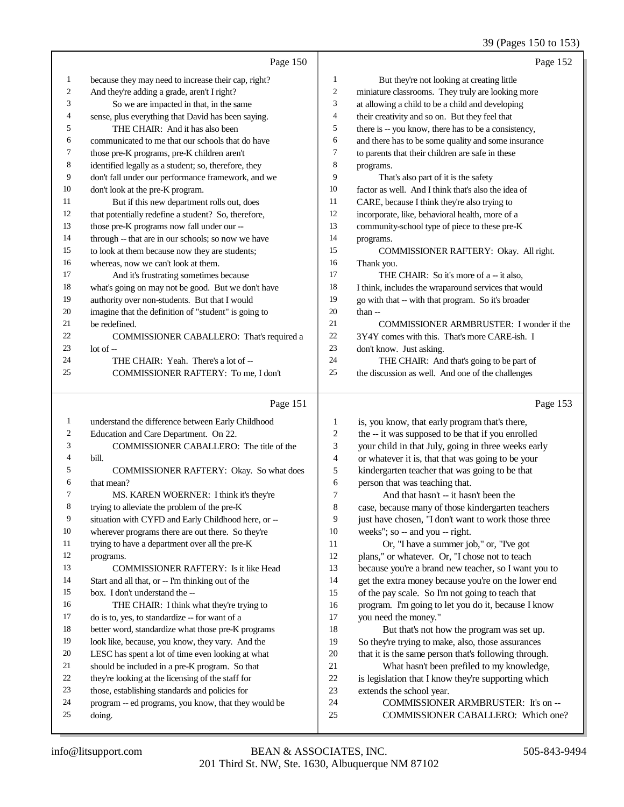## 39 (Pages 150 to 153)

|              |                                                      |                | 39 (Pages 150 to 153)                                |
|--------------|------------------------------------------------------|----------------|------------------------------------------------------|
|              | Page 150                                             |                | Page 152                                             |
| $\mathbf{1}$ | because they may need to increase their cap, right?  | $\mathbf{1}$   | But they're not looking at creating little           |
| 2            | And they're adding a grade, aren't I right?          | $\overline{c}$ | miniature classrooms. They truly are looking more    |
| 3            | So we are impacted in that, in the same              | 3              | at allowing a child to be a child and developing     |
| 4            | sense, plus everything that David has been saying.   | $\overline{4}$ | their creativity and so on. But they feel that       |
| 5            | THE CHAIR: And it has also been                      | 5              | there is -- you know, there has to be a consistency, |
| 6            | communicated to me that our schools that do have     | 6              | and there has to be some quality and some insurance  |
| 7            | those pre-K programs, pre-K children aren't          | $\tau$         | to parents that their children are safe in these     |
| 8            | identified legally as a student; so, therefore, they | 8              | programs.                                            |
| 9            | don't fall under our performance framework, and we   | 9              | That's also part of it is the safety                 |
| 10           | don't look at the pre-K program.                     | 10             | factor as well. And I think that's also the idea of  |
| 11           | But if this new department rolls out, does           | 11             | CARE, because I think they're also trying to         |
| 12           | that potentially redefine a student? So, therefore,  | 12             | incorporate, like, behavioral health, more of a      |
| 13           | those pre-K programs now fall under our --           | 13             | community-school type of piece to these pre-K        |
| 14           | through -- that are in our schools; so now we have   | 14             | programs.                                            |
| 15           | to look at them because now they are students;       | 15             | COMMISSIONER RAFTERY: Okay. All right.               |
| 16           | whereas, now we can't look at them.                  | 16             | Thank you.                                           |
| 17           | And it's frustrating sometimes because               | 17             | THE CHAIR: So it's more of a -- it also,             |
| 18           | what's going on may not be good. But we don't have   | 18             | I think, includes the wraparound services that would |
| 19           | authority over non-students. But that I would        | 19             | go with that -- with that program. So it's broader   |
| 20           | imagine that the definition of "student" is going to | 20             | than --                                              |
| 21           | be redefined.                                        | 21             | COMMISSIONER ARMBRUSTER: I wonder if the             |
| 22           | COMMISSIONER CABALLERO: That's required a            | 22             | 3Y4Y comes with this. That's more CARE-ish. I        |
| 23           | lot of --                                            | 23             | don't know. Just asking.                             |
| 24           | THE CHAIR: Yeah. There's a lot of --                 | 24             | THE CHAIR: And that's going to be part of            |
| 25           | COMMISSIONER RAFTERY: To me, I don't                 | 25             | the discussion as well. And one of the challenges    |
|              | Page 151                                             |                | Page 153                                             |
| $\mathbf{1}$ | understand the difference between Early Childhood    | 1              | is, you know, that early program that's there,       |
| 2            | Education and Care Department. On 22.                | $\sqrt{2}$     | the -- it was supposed to be that if you enrolled    |
| 3            | COMMISSIONER CABALLERO: The title of the             | 3              | your child in that July, going in three weeks early  |
| 4            | bill.                                                | $\overline{4}$ | or whatever it is, that that was going to be your    |
| 5            | COMMISSIONER RAFTERY: Okay. So what does             | 5              | kindergarten teacher that was going to be that       |
| 6            | that mean?                                           | 6              | person that was teaching that.                       |
| 7            | MS. KAREN WOERNER: I think it's they're              | $\overline{7}$ | And that hasn't -- it hasn't been the                |
| 8            | trying to alleviate the problem of the pre-K         | $\,8\,$        | case, because many of those kindergarten teachers    |
| 9            | situation with CYFD and Early Childhood here, or --  | 9              | just have chosen, "I don't want to work those three  |
| $10\,$       | wherever programs there are out there. So they're    | 10             | weeks"; so -- and you -- right.                      |
| 11           | trying to have a department over all the pre-K       | 11             | Or, "I have a summer job," or, "I've got             |
| 12           | programs.                                            | 12             | plans," or whatever. Or, "I chose not to teach       |
| 13           | COMMISSIONER RAFTERY: Is it like Head                | 13             | because you're a brand new teacher, so I want you to |
| 14           | Start and all that, or -- I'm thinking out of the    | 14             | get the extra money because you're on the lower end  |
| 15           | box. I don't understand the --                       | 15             | of the pay scale. So I'm not going to teach that     |
| 16           | THE CHAIR: I think what they're trying to            | 16             | program. I'm going to let you do it, because I know  |
| 17           | do is to, yes, to standardize -- for want of a       | 17             | you need the money."                                 |
| 18           | better word, standardize what those pre-K programs   | 18             | But that's not how the program was set up.           |
| 19           | look like, because, you know, they vary. And the     | 19             | So they're trying to make, also, those assurances    |
| 20           | LESC has spent a lot of time even looking at what    | $20\,$         | that it is the same person that's following through. |
| 21           | should be included in a pre-K program. So that       | 21             | What hasn't been prefiled to my knowledge,           |
| 22           | they're looking at the licensing of the staff for    | $22\,$         | is legislation that I know they're supporting which  |

- is legislation that I know they're supporting which extends the school year.
	- COMMISSIONER ARMBRUSTER: It's on --
	- COMMISSIONER CABALLERO: Which one?

doing.

those, establishing standards and policies for

program -- ed programs, you know, that they would be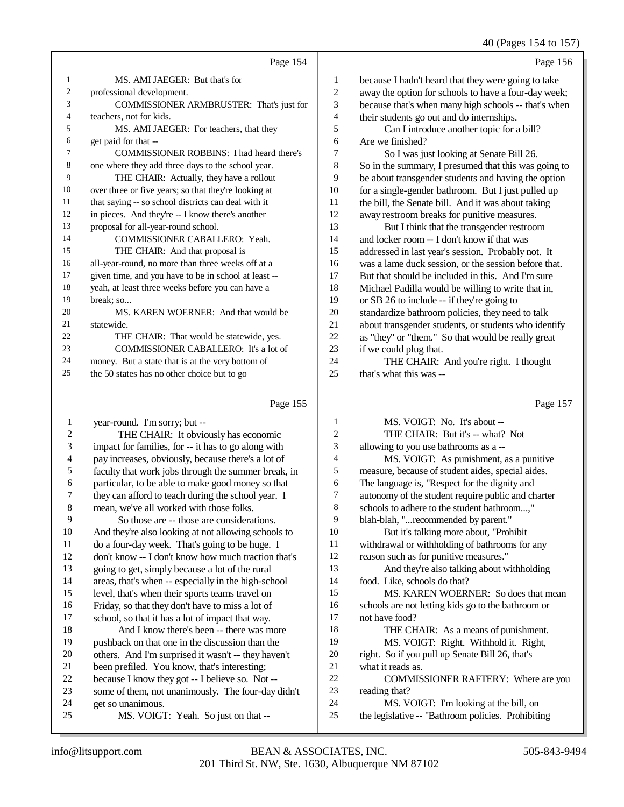40 (Pages 154 to 157)

|                |                                                      |                | $10 \text{ (1450)}$ 10 10 10 1                                 |
|----------------|------------------------------------------------------|----------------|----------------------------------------------------------------|
|                | Page 154                                             |                | Page 156                                                       |
| 1              | MS. AMI JAEGER: But that's for                       | 1              | because I hadn't heard that they were going to take            |
| 2              | professional development.                            | $\overline{c}$ | away the option for schools to have a four-day week;           |
| 3              | COMMISSIONER ARMBRUSTER: That's just for             | 3              | because that's when many high schools -- that's when           |
| 4              | teachers, not for kids.                              | 4              | their students go out and do internships.                      |
| 5              | MS. AMI JAEGER: For teachers, that they              | 5              | Can I introduce another topic for a bill?                      |
| 6              | get paid for that --                                 | $\sqrt{6}$     | Are we finished?                                               |
| 7              | COMMISSIONER ROBBINS: I had heard there's            | 7              | So I was just looking at Senate Bill 26.                       |
| 8              | one where they add three days to the school year.    | $\,$ 8 $\,$    | So in the summary, I presumed that this was going to           |
| 9              | THE CHAIR: Actually, they have a rollout             | 9              | be about transgender students and having the option            |
| 10             | over three or five years; so that they're looking at | 10             | for a single-gender bathroom. But I just pulled up             |
| 11             | that saying -- so school districts can deal with it  | 11             | the bill, the Senate bill. And it was about taking             |
| 12             | in pieces. And they're -- I know there's another     | 12             | away restroom breaks for punitive measures.                    |
| 13             | proposal for all-year-round school.                  | 13             | But I think that the transgender restroom                      |
| 14             | COMMISSIONER CABALLERO: Yeah.                        | 14             | and locker room -- I don't know if that was                    |
| 15             | THE CHAIR: And that proposal is                      | 15             | addressed in last year's session. Probably not. It             |
| 16             | all-year-round, no more than three weeks off at a    | 16             | was a lame duck session, or the session before that.           |
| 17             | given time, and you have to be in school at least -- | 17             | But that should be included in this. And I'm sure              |
| 18             | yeah, at least three weeks before you can have a     | 18             | Michael Padilla would be willing to write that in,             |
| 19             | break; so                                            | 19             | or SB 26 to include -- if they're going to                     |
| 20             | MS. KAREN WOERNER: And that would be                 | 20             | standardize bathroom policies, they need to talk               |
| 21             | statewide.                                           | 21             | about transgender students, or students who identify           |
| 22             | THE CHAIR: That would be statewide, yes.             | 22             | as "they" or "them." So that would be really great             |
| 23             | COMMISSIONER CABALLERO: It's a lot of                | 23             | if we could plug that.                                         |
| 24             | money. But a state that is at the very bottom of     | 24             | THE CHAIR: And you're right. I thought                         |
| 25             | the 50 states has no other choice but to go          | 25             | that's what this was --                                        |
|                | Page 155                                             |                | Page 157                                                       |
| 1              | year-round. I'm sorry; but --                        | $\mathbf{1}$   | MS. VOIGT: No. It's about --                                   |
| $\overline{c}$ | THE CHAIR: It obviously has economic                 | $\overline{c}$ | THE CHAIR: But it's -- what? Not                               |
| 3              | impact for families, for -- it has to go along with  | 3              | allowing to you use bathrooms as a --                          |
| $\overline{4}$ | pay increases, obviously, because there's a lot of   | $\overline{4}$ | MS. VOIGT: As punishment, as a punitive                        |
| 5              | faculty that work jobs through the summer break, in  | 5              | measure, because of student aides, special aides.              |
| 6              | particular, to be able to make good money so that    | 6              | The language is, "Respect for the dignity and                  |
| $\sqrt{ }$     | they can afford to teach during the school year. I   | 7              | autonomy of the student require public and charter             |
| 8              | mean, we've all worked with those folks.             | $\,$ 8 $\,$    | schools to adhere to the student bathroom,"                    |
| $\Omega$       | Contractor and these are considerations              | $\Omega$       | let also beliefs. It is an approximate that they are more that |

| $\perp$    | year-round. I'm sorry; but --                       | л. | $M.S. VULTI$ : $NO. IIS ADOUI$ --                  |
|------------|-----------------------------------------------------|----|----------------------------------------------------|
| $\sqrt{2}$ | THE CHAIR: It obviously has economic                | 2  | THE CHAIR: But it's -- what? Not                   |
| 3          | impact for families, for -- it has to go along with | 3  | allowing to you use bathrooms as a --              |
| 4          | pay increases, obviously, because there's a lot of  | 4  | MS. VOIGT: As punishment, as a punitive            |
| 5          | faculty that work jobs through the summer break, in | 5  | measure, because of student aides, special aides.  |
| 6          | particular, to be able to make good money so that   | 6  | The language is, "Respect for the dignity and      |
| 7          | they can afford to teach during the school year. I  | 7  | autonomy of the student require public and charter |
| $\,8\,$    | mean, we've all worked with those folks.            | 8  | schools to adhere to the student bathroom,"        |
| 9          | So those are -- those are considerations.           | 9  | blah-blah, "recommended by parent."                |
| $10\,$     | And they're also looking at not allowing schools to | 10 | But it's talking more about, "Prohibit             |
| 11         | do a four-day week. That's going to be huge. I      | 11 | withdrawal or withholding of bathrooms for any     |
| 12         | don't know -- I don't know how much traction that's | 12 | reason such as for punitive measures."             |
| 13         | going to get, simply because a lot of the rural     | 13 | And they're also talking about withholding         |
| 14         | areas, that's when -- especially in the high-school | 14 | food. Like, schools do that?                       |
| 15         | level, that's when their sports teams travel on     | 15 | MS. KAREN WOERNER: So does that mean               |
| 16         | Friday, so that they don't have to miss a lot of    | 16 | schools are not letting kids go to the bathroom or |
| 17         | school, so that it has a lot of impact that way.    | 17 | not have food?                                     |
| 18         | And I know there's been -- there was more           | 18 | THE CHAIR: As a means of punishment.               |
| 19         | pushback on that one in the discussion than the     | 19 | MS. VOIGT: Right. Withhold it. Right,              |
| $20\,$     | others. And I'm surprised it wasn't -- they haven't | 20 | right. So if you pull up Senate Bill 26, that's    |
| 21         | been prefiled. You know, that's interesting;        | 21 | what it reads as.                                  |
| 22         | because I know they got -- I believe so. Not --     | 22 | COMMISSIONER RAFTERY: Where are you                |
| 23         | some of them, not unanimously. The four-day didn't  | 23 | reading that?                                      |
| 24         | get so unanimous.                                   | 24 | MS. VOIGT: I'm looking at the bill, on             |
| 25         | MS. VOIGT: Yeah. So just on that --                 | 25 | the legislative -- "Bathroom policies. Prohibiting |
|            |                                                     |    |                                                    |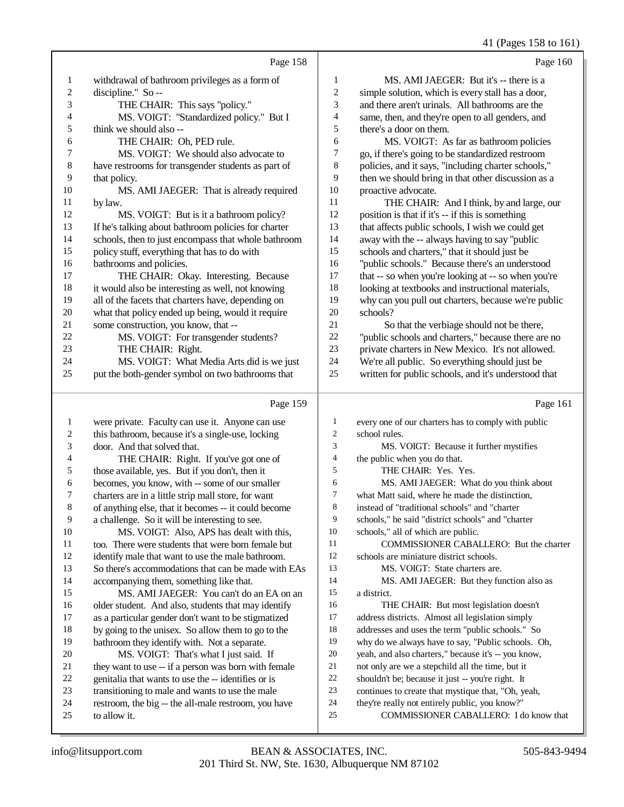|                |                                                      |                         | 41 (Pages 158 to 161)                                |
|----------------|------------------------------------------------------|-------------------------|------------------------------------------------------|
|                | Page 158                                             |                         | Page 160                                             |
| 1              | withdrawal of bathroom privileges as a form of       | 1                       | MS. AMI JAEGER: But it's -- there is a               |
| $\overline{c}$ | discipline." So --                                   | $\overline{c}$          | simple solution, which is every stall has a door,    |
| 3              | THE CHAIR: This says "policy."                       | 3                       | and there aren't urinals. All bathrooms are the      |
| 4              | MS. VOIGT: "Standardized policy." But I              | 4                       | same, then, and they're open to all genders, and     |
| 5              | think we should also --                              | 5                       | there's a door on them.                              |
| 6              | THE CHAIR: Oh, PED rule.                             | 6                       | MS. VOIGT: As far as bathroom policies               |
| 7              | MS. VOIGT: We should also advocate to                | 7                       | go, if there's going to be standardized restroom     |
| 8              | have restrooms for transgender students as part of   | 8                       | policies, and it says, "including charter schools,"  |
| 9              | that policy.                                         | 9                       | then we should bring in that other discussion as a   |
| 10             | MS. AMI JAEGER: That is already required             | 10                      | proactive advocate.                                  |
| 11             | by law.                                              | 11                      | THE CHAIR: And I think, by and large, our            |
| 12             | MS. VOIGT: But is it a bathroom policy?              | 12                      | position is that if it's -- if this is something     |
| 13             | If he's talking about bathroom policies for charter  | 13                      | that affects public schools, I wish we could get     |
| 14             | schools, then to just encompass that whole bathroom  | 14                      | away with the -- always having to say "public        |
| 15             | policy stuff, everything that has to do with         | 15                      | schools and charters," that it should just be        |
| 16             | bathrooms and policies.                              | 16                      | "public schools." Because there's an understood      |
| 17             | THE CHAIR: Okay. Interesting. Because                | 17                      | that -- so when you're looking at -- so when you're  |
| 18             | it would also be interesting as well, not knowing    | 18                      | looking at textbooks and instructional materials,    |
| 19             | all of the facets that charters have, depending on   | 19                      | why can you pull out charters, because we're public  |
| $20\,$         | what that policy ended up being, would it require    | 20                      | schools?                                             |
| 21             | some construction, you know, that --                 | 21                      | So that the verbiage should not be there,            |
| 22             | MS. VOIGT: For transgender students?                 | 22                      | "public schools and charters," because there are no  |
| 23             | THE CHAIR: Right.                                    | 23                      | private charters in New Mexico. It's not allowed.    |
| 24             | MS. VOIGT: What Media Arts did is we just            | 24                      | We're all public. So everything should just be       |
| 25             | put the both-gender symbol on two bathrooms that     | 25                      | written for public schools, and it's understood that |
|                |                                                      |                         |                                                      |
|                | Page 159                                             |                         | Page 161                                             |
| 1              | were private. Faculty can use it. Anyone can use     | 1                       | every one of our charters has to comply with public  |
| 2              | this bathroom, because it's a single-use, locking    | $\overline{c}$          | school rules.                                        |
| 3              | door. And that solved that.                          | $\mathfrak{Z}$          | MS. VOIGT: Because it further mystifies              |
| 4              | THE CHAIR: Right. If you've got one of               | $\overline{\mathbf{4}}$ | the public when you do that.                         |
| 5              | those available, yes. But if you don't, then it      | 5                       | THE CHAIR: Yes. Yes.                                 |
| 6              | becomes, you know, with -- some of our smaller       | 6                       | MS. AMI JAEGER: What do you think about              |
| Τ              | charters are in a little strip mall store, for want  | $\overline{7}$          | what Matt said, where he made the distinction,       |
| 8              | of anything else, that it becomes -- it could become | 8                       | instead of "traditional schools" and "charter        |
| 9              | a challenge. So it will be interesting to see.       | 9                       | schools," he said "district schools" and "charter    |
| 10             | MS. VOIGT: Also, APS has dealt with this,            | 10                      | schools," all of which are public.                   |
| 11             | too. There were students that were born female but   | 11                      | COMMISSIONER CABALLERO: But the charter              |
| 12             | identify male that want to use the male bathroom.    | 12                      | schools are miniature district schools.              |
| 13             | So there's accommodations that can be made with EAs  | 13                      | MS. VOIGT: State charters are.                       |
| 14             | accompanying them, something like that.              | 14                      | MS. AMI JAEGER: But they function also as            |
| 15             | MS. AMI JAEGER: You can't do an EA on an             | 15                      | a district.                                          |
| 16             | older student. And also, students that may identify  | 16                      | THE CHAIR: But most legislation doesn't              |
| 17             | as a particular gender don't want to be stigmatized  | 17                      | address districts. Almost all legislation simply     |
| 18             | by going to the unisex. So allow them to go to the   | 18                      | addresses and uses the term "public schools." So     |
| 19             | bathroom they identify with. Not a separate.         | 19                      | why do we always have to say, "Public schools. Oh,   |
| $20\,$         | MS. VOIGT: That's what I just said. If               | 20                      | yeah, and also charters," because it's -- you know,  |

- MS. VOIGT: That's what I just said. If they want to use -- if a person was born with female genitalia that wants to use the -- identifies or is 21 not only are we a stepchild all the time, but it<br>  $22$  shouldn't be: because it just -- you're right. It 22 shouldn't be; because it just -- you're right. It<br>23 continues to create that mystique that. "Oh, ve
- transitioning to male and wants to use the male
- restroom, the big -- the all-male restroom, you have
- to allow it.
- 201 Third St. NW, Ste. 1630, Albuquerque NM 87102 info@litsupport.com BEAN & ASSOCIATES, INC. 505-843-9494

continues to create that mystique that, "Oh, yeah,

COMMISSIONER CABALLERO: I do know that

24 they're really not entirely public, you know?"<br>25 COMMISSIONER CABALLERO: I do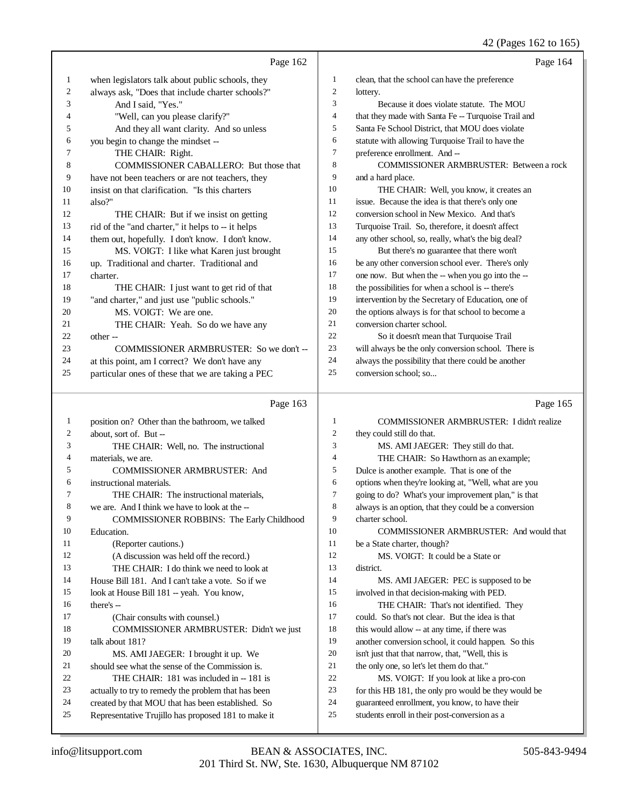|              | Page 162                                                                                                 |                  | Page 164                                                                                        |
|--------------|----------------------------------------------------------------------------------------------------------|------------------|-------------------------------------------------------------------------------------------------|
| 1            | when legislators talk about public schools, they                                                         | 1                | clean, that the school can have the preference                                                  |
| 2            | always ask, "Does that include charter schools?"                                                         | $\boldsymbol{2}$ | lottery.                                                                                        |
| 3            | And I said, "Yes."                                                                                       | 3                | Because it does violate statute. The MOU                                                        |
| 4            | "Well, can you please clarify?"                                                                          | 4                | that they made with Santa Fe -- Turquoise Trail and                                             |
| 5            | And they all want clarity. And so unless                                                                 | 5                | Santa Fe School District, that MOU does violate                                                 |
| 6            | you begin to change the mindset --                                                                       | 6                | statute with allowing Turquoise Trail to have the                                               |
| 7            | THE CHAIR: Right.                                                                                        | $\tau$           | preference enrollment. And --                                                                   |
| 8            | COMMISSIONER CABALLERO: But those that                                                                   | 8                | COMMISSIONER ARMBRUSTER: Between a rock                                                         |
| 9            | have not been teachers or are not teachers, they                                                         | 9                | and a hard place.                                                                               |
| 10           | insist on that clarification. "Is this charters                                                          | 10               | THE CHAIR: Well, you know, it creates an                                                        |
| 11           | also?"                                                                                                   | 11               | issue. Because the idea is that there's only one                                                |
| 12           | THE CHAIR: But if we insist on getting                                                                   | 12               | conversion school in New Mexico. And that's                                                     |
| 13           | rid of the "and charter," it helps to -- it helps                                                        | 13               | Turquoise Trail. So, therefore, it doesn't affect                                               |
| 14           | them out, hopefully. I don't know. I don't know.                                                         | 14               | any other school, so, really, what's the big deal?                                              |
| 15           | MS. VOIGT: I like what Karen just brought                                                                | 15               | But there's no guarantee that there won't                                                       |
| 16           | up. Traditional and charter. Traditional and                                                             | 16               | be any other conversion school ever. There's only                                               |
| 17           | charter.                                                                                                 | 17               | one now. But when the -- when you go into the --                                                |
| 18           | THE CHAIR: I just want to get rid of that                                                                | 18               | the possibilities for when a school is -- there's                                               |
| 19           | "and charter," and just use "public schools."                                                            | 19               | intervention by the Secretary of Education, one of                                              |
| 20           | MS. VOIGT: We are one.                                                                                   | 20               | the options always is for that school to become a                                               |
| 21           | THE CHAIR: Yeah. So do we have any                                                                       | 21               | conversion charter school.                                                                      |
| $22\,$       | other-                                                                                                   | 22               | So it doesn't mean that Turquoise Trail                                                         |
| 23           | COMMISSIONER ARMBRUSTER: So we don't --                                                                  | 23               | will always be the only conversion school. There is                                             |
| 24           | at this point, am I correct? We don't have any                                                           | 24               | always the possibility that there could be another                                              |
| 25           | particular ones of these that we are taking a PEC                                                        | 25               | conversion school; so                                                                           |
|              |                                                                                                          |                  |                                                                                                 |
|              | Page 163                                                                                                 |                  | Page 165                                                                                        |
| $\mathbf{1}$ | position on? Other than the bathroom, we talked                                                          | $\mathbf{1}$     | COMMISSIONER ARMBRUSTER: I didn't realize                                                       |
| 2            | about, sort of. But --                                                                                   | $\overline{c}$   | they could still do that.                                                                       |
| 3            | THE CHAIR: Well, no. The instructional                                                                   | 3                | MS. AMI JAEGER: They still do that.                                                             |
| 4            | materials, we are.                                                                                       | 4                | THE CHAIR: So Hawthorn as an example;                                                           |
| 5            | <b>COMMISSIONER ARMBRUSTER: And</b>                                                                      | 5                | Dulce is another example. That is one of the                                                    |
| 6            | instructional materials.                                                                                 | 6                | options when they're looking at, "Well, what are you                                            |
| 7            | THE CHAIR: The instructional materials,                                                                  | 7                | going to do? What's your improvement plan," is that                                             |
| 8            | we are. And I think we have to look at the --                                                            | 8                | always is an option, that they could be a conversion                                            |
| 9            | <b>COMMISSIONER ROBBINS: The Early Childhood</b>                                                         | 9                | charter school.                                                                                 |
| 10           | Education.                                                                                               | 10               | COMMISSIONER ARMBRUSTER: And would that                                                         |
| 11           | (Reporter cautions.)                                                                                     | 11               | be a State charter, though?                                                                     |
| 12           | (A discussion was held off the record.)                                                                  | 12               | MS. VOIGT: It could be a State or                                                               |
| 13           | THE CHAIR: I do think we need to look at                                                                 | 13               | district.                                                                                       |
| 14           | House Bill 181. And I can't take a vote. So if we                                                        | 14               | MS. AMI JAEGER: PEC is supposed to be                                                           |
| 15           | look at House Bill 181 -- yeah. You know,                                                                | 15               | involved in that decision-making with PED.                                                      |
| 16           | there's --                                                                                               | 16               | THE CHAIR: That's not identified. They                                                          |
| 17           | (Chair consults with counsel.)                                                                           | 17               | could. So that's not clear. But the idea is that                                                |
| 18           | COMMISSIONER ARMBRUSTER: Didn't we just                                                                  | 18               | this would allow -- at any time, if there was                                                   |
| 19           | talk about 181?                                                                                          | 19               | another conversion school, it could happen. So this                                             |
| 20           | MS. AMI JAEGER: I brought it up. We                                                                      | 20               | isn't just that that narrow, that, "Well, this is                                               |
| 21           | should see what the sense of the Commission is.                                                          | 21<br>22         | the only one, so let's let them do that."                                                       |
| 22           | THE CHAIR: 181 was included in -- 181 is                                                                 | 23               | MS. VOIGT: If you look at like a pro-con                                                        |
| 23<br>24     | actually to try to remedy the problem that has been                                                      | 24               | for this HB 181, the only pro would be they would be                                            |
| 25           | created by that MOU that has been established. So<br>Representative Trujillo has proposed 181 to make it | 25               | guaranteed enrollment, you know, to have their<br>students enroll in their post-conversion as a |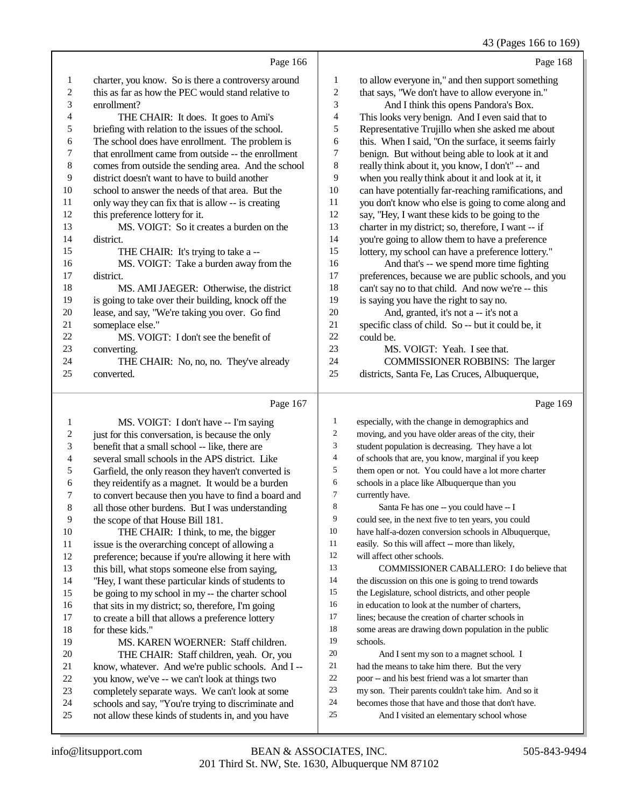### 43 (Pages 166 to 169)

|                | Page 166                                            |    | Page 168                                             |
|----------------|-----------------------------------------------------|----|------------------------------------------------------|
| 1              | charter, you know. So is there a controversy around | 1  | to allow everyone in," and then support something    |
| $\overline{c}$ | this as far as how the PEC would stand relative to  | 2  | that says, "We don't have to allow everyone in."     |
| 3              | enrollment?                                         | 3  | And I think this opens Pandora's Box.                |
| 4              | THE CHAIR: It does. It goes to Ami's                | 4  | This looks very benign. And I even said that to      |
| 5              | briefing with relation to the issues of the school. | 5  | Representative Trujillo when she asked me about      |
| 6              | The school does have enrollment. The problem is     | 6  | this. When I said, "On the surface, it seems fairly  |
| 7              | that enrollment came from outside -- the enrollment | 7  | benign. But without being able to look at it and     |
| $\,$ 8 $\,$    | comes from outside the sending area. And the school | 8  | really think about it, you know, I don't" -- and     |
| 9              | district doesn't want to have to build another      | 9  | when you really think about it and look at it, it    |
| 10             | school to answer the needs of that area. But the    | 10 | can have potentially far-reaching ramifications, and |
| 11             | only way they can fix that is allow -- is creating  | 11 | you don't know who else is going to come along and   |
| 12             | this preference lottery for it.                     | 12 | say, "Hey, I want these kids to be going to the      |
| 13             | MS. VOIGT: So it creates a burden on the            | 13 | charter in my district; so, therefore, I want -- if  |
| 14             | district.                                           | 14 | you're going to allow them to have a preference      |
| 15             | THE CHAIR: It's trying to take a --                 | 15 | lottery, my school can have a preference lottery."   |
| 16             | MS. VOIGT: Take a burden away from the              | 16 | And that's -- we spend more time fighting            |
| 17             | district.                                           | 17 | preferences, because we are public schools, and you  |
| 18             | MS. AMI JAEGER: Otherwise, the district             | 18 | can't say no to that child. And now we're -- this    |
| 19             | is going to take over their building, knock off the | 19 | is saying you have the right to say no.              |
| 20             | lease, and say, "We're taking you over. Go find     | 20 | And, granted, it's not a -- it's not a               |
| 21             | someplace else."                                    | 21 | specific class of child. So -- but it could be, it   |
| 22             | MS. VOIGT: I don't see the benefit of               | 22 | could be.                                            |
| 23             | converting.                                         | 23 | MS. VOIGT: Yeah. I see that.                         |
| 24             | THE CHAIR: No, no, no. They've already              | 24 | <b>COMMISSIONER ROBBINS:</b> The larger              |
| 25             | converted.                                          | 25 | districts, Santa Fe, Las Cruces, Albuquerque,        |
|                | Page 167                                            |    | Page 169                                             |
| 1              | MS. VOIGT: I don't have -- I'm saying               | 1  | especially, with the change in demographics and      |

 MS. VOIGT: I don't have -- I'm saying 2 just for this conversation, is because the only<br>3 benefit that a small school -- like, there are benefit that a small school -- like, there are several small schools in the APS district. Like 5 Garfield, the only reason they haven't converted is<br>6 they reidentify as a magnet. It would be a burden 6 they reidentify as a magnet. It would be a burden<br>
7 to convert because then you have to find a board a 7 to convert because then you have to find a board and<br>8 all those other burdens. But I was understanding all those other burdens. But I was understanding 9 the scope of that House Bill 181.<br>10 THE CHAIR: I think, to m THE CHAIR: I think, to me, the bigger issue is the overarching concept of allowing a preference; because if you're allowing it here with this bill, what stops someone else from saying, "Hey, I want these particular kinds of students to be going to my school in my -- the charter school 16 that sits in my district; so, therefore, I'm going<br>17 to create a bill that allows a preference lottery to create a bill that allows a preference lottery 18 for these kids."<br>19 MS KA MS. KAREN WOERNER: Staff children. 20 THE CHAIR: Staff children, yeah. Or, you<br>21 know, whatever. And we're public schools. And I 21 know, whatever. And we're public schools. And I --<br>22 vou know, we've -- we can't look at things two 22 you know, we've -- we can't look at things two<br>23 completely separate ways. We can't look at so completely separate ways. We can't look at some 24 schools and say, "You're trying to discriminate and<br>25 not allow these kinds of students in, and you have not allow these kinds of students in, and you have especially, with the change in demographics and moving, and you have older areas of the city, their student population is decreasing. They have a lot of schools that are, you know, marginal if you keep them open or not. You could have a lot more charter schools in a place like Albuquerque than you currently have. 8 Santa Fe has one -- you could have -- I could see, in the next five to ten years, you could have half-a-dozen conversion schools in Albuquerque, easily. So this will affect -- more than likely, will affect other schools. COMMISSIONER CABALLERO: I do believe that 14 the discussion on this one is going to trend towards the Legislature, school districts, and other people in education to look at the number of charters, lines; because the creation of charter schools in some areas are drawing down population in the public schools. And I sent my son to a magnet school. I had the means to take him there. But the very poor -- and his best friend was a lot smarter than my son. Their parents couldn't take him. And so it becomes those that have and those that don't have. And I visited an elementary school whose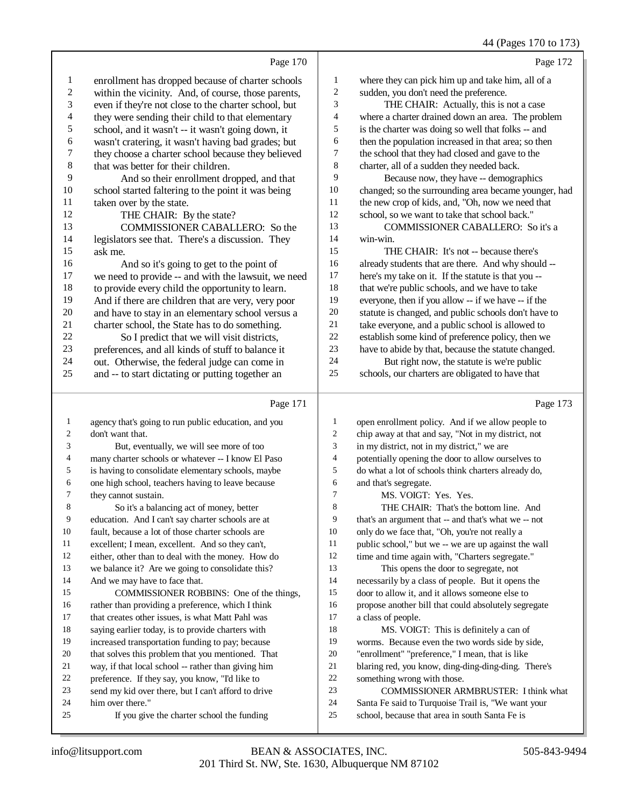### 44 (Pages 170 to 173)

|    | Page 170                                             |                | Page 172                                             |
|----|------------------------------------------------------|----------------|------------------------------------------------------|
| 1  | enrollment has dropped because of charter schools    | 1              | where they can pick him up and take him, all of a    |
| 2  | within the vicinity. And, of course, those parents,  | $\overline{c}$ | sudden, you don't need the preference.               |
| 3  | even if they're not close to the charter school, but | 3              | THE CHAIR: Actually, this is not a case              |
| 4  | they were sending their child to that elementary     | $\overline{4}$ | where a charter drained down an area. The problem    |
| 5  | school, and it wasn't -- it wasn't going down, it    | 5              | is the charter was doing so well that folks -- and   |
| 6  | wasn't cratering, it wasn't having bad grades; but   | 6              | then the population increased in that area; so then  |
| 7  | they choose a charter school because they believed   | 7              | the school that they had closed and gave to the      |
| 8  | that was better for their children.                  | 8              | charter, all of a sudden they needed back.           |
| 9  | And so their enrollment dropped, and that            | 9              | Because now, they have -- demographics               |
| 10 | school started faltering to the point it was being   | 10             | changed; so the surrounding area became younger, had |
| 11 | taken over by the state.                             | 11             | the new crop of kids, and, "Oh, now we need that     |
| 12 | THE CHAIR: By the state?                             | 12             | school, so we want to take that school back."        |
| 13 | COMMISSIONER CABALLERO: So the                       | 13             | COMMISSIONER CABALLERO: So it's a                    |
| 14 | legislators see that. There's a discussion. They     | 14             | win-win.                                             |
| 15 | ask me.                                              | 15             | THE CHAIR: It's not -- because there's               |
| 16 | And so it's going to get to the point of             | 16             | already students that are there. And why should --   |
| 17 | we need to provide -- and with the lawsuit, we need  | 17             | here's my take on it. If the statute is that you --  |
| 18 | to provide every child the opportunity to learn.     | 18             | that we're public schools, and we have to take       |
| 19 | And if there are children that are very, very poor   | 19             | everyone, then if you allow -- if we have -- if the  |
| 20 | and have to stay in an elementary school versus a    | 20             | statute is changed, and public schools don't have to |
| 21 | charter school, the State has to do something.       | 21             | take everyone, and a public school is allowed to     |
| 22 | So I predict that we will visit districts,           | 22             | establish some kind of preference policy, then we    |
| 23 | preferences, and all kinds of stuff to balance it    | 23             | have to abide by that, because the statute changed.  |
| 24 | out. Otherwise, the federal judge can come in        | 24             | But right now, the statute is we're public           |
| 25 | and -- to start dictating or putting together an     | 25             | schools, our charters are obligated to have that     |
|    |                                                      |                |                                                      |
|    | Page 171                                             |                | Page 173                                             |

| $\mathbf{1}$   | open enrollment policy. And if we allow people to    |
|----------------|------------------------------------------------------|
| $\overline{c}$ | chip away at that and say, "Not in my district, not  |
| 3              | in my district, not in my district," we are          |
| $\overline{4}$ | potentially opening the door to allow ourselves to   |
| 5              | do what a lot of schools think charters already do,  |
| 6              | and that's segregate.                                |
| 7              | MS. VOIGT: Yes. Yes.                                 |
| 8              | THE CHAIR: That's the bottom line. And               |
| 9              | that's an argument that -- and that's what we -- not |
| 10             | only do we face that, "Oh, you're not really a       |
| 11             | public school," but we -- we are up against the wall |
| 12             | time and time again with, "Charters segregate."      |
| 13             | This opens the door to segregate, not                |
| 14             | necessarily by a class of people. But it opens the   |
| 15             | door to allow it, and it allows someone else to      |
| 16             | propose another bill that could absolutely segregate |
| 17             | a class of people.                                   |
| 18             | MS. VOIGT: This is definitely a can of               |
| 19             | worms. Because even the two words side by side,      |
| 20             | "enrollment" "preference," I mean, that is like      |
| 21             | blaring red, you know, ding-ding-ding-ding. There's  |
| 22             | something wrong with those.                          |
| 23             | <b>COMMISSIONER ARMBRUSTER: I think what</b>         |
| 24             | Santa Fe said to Turquoise Trail is, "We want your   |
| 25             | school, because that area in south Santa Fe is       |
|                |                                                      |

24 him over there."<br>  $\frac{25}{15}$  If you give

agency that's going to run public education, and you

 But, eventually, we will see more of too 4 many charter schools or whatever -- I know El Paso<br>5 is having to consolidate elementary schools, maybe is having to consolidate elementary schools, maybe

6 one high school, teachers having to leave because<br>
7 they cannot sustain.

 education. And I can't say charter schools are at fault, because a lot of those charter schools are 11 excellent; I mean, excellent. And so they can't,<br>12 either, other than to deal with the money. How

we balance it? Are we going to consolidate this?

16 rather than providing a preference, which I think<br>17 that creates other issues, is what Matt Pahl was that creates other issues, is what Matt Pahl was

18 saying earlier today, is to provide charters with<br>19 increased transportation funding to pay: because increased transportation funding to pay; because that solves this problem that you mentioned. That 21 way, if that local school -- rather than giving him<br>22 preference. If they say, you know. "I'd like to 22 preference. If they say, you know, "I'd like to<br>23 send my kid over there, but I can't afford to dr

So it's a balancing act of money, better

either, other than to deal with the money. How do

COMMISSIONER ROBBINS: One of the things,

send my kid over there, but I can't afford to drive

If you give the charter school the funding

don't want that.

7 they cannot sustain.<br>8 So it's a balar

14 And we may have to face that.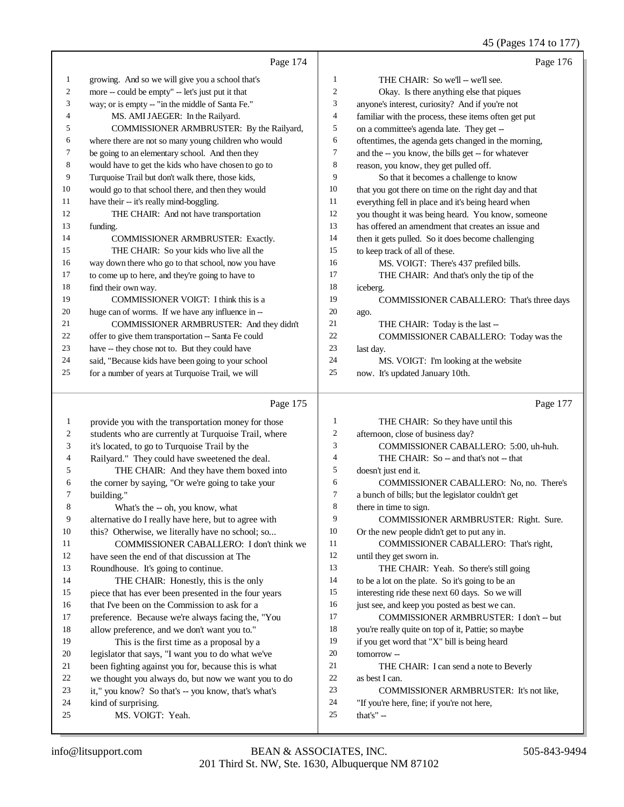45 (Pages 174 to 177)

|    | Page 174                                             |    | Page 176                                             |
|----|------------------------------------------------------|----|------------------------------------------------------|
| 1  | growing. And so we will give you a school that's     | 1  | THE CHAIR: So we'll -- we'll see.                    |
| 2  | more -- could be empty" -- let's just put it that    | 2  | Okay. Is there anything else that piques             |
| 3  | way; or is empty -- "in the middle of Santa Fe."     | 3  | anyone's interest, curiosity? And if you're not      |
| 4  | MS. AMI JAEGER: In the Railyard.                     | 4  | familiar with the process, these items often get put |
| 5  | COMMISSIONER ARMBRUSTER: By the Railyard,            | 5  | on a committee's agenda late. They get --            |
| 6  | where there are not so many young children who would | 6  | oftentimes, the agenda gets changed in the morning,  |
| 7  | be going to an elementary school. And then they      | 7  | and the -- you know, the bills get -- for whatever   |
| 8  | would have to get the kids who have chosen to go to  | 8  | reason, you know, they get pulled off.               |
| 9  | Turquoise Trail but don't walk there, those kids,    | 9  | So that it becomes a challenge to know               |
| 10 | would go to that school there, and then they would   | 10 | that you got there on time on the right day and that |
| 11 | have their -- it's really mind-boggling.             | 11 | everything fell in place and it's being heard when   |
| 12 | THE CHAIR: And not have transportation               | 12 | you thought it was being heard. You know, someone    |
| 13 | funding.                                             | 13 | has offered an amendment that creates an issue and   |
| 14 | <b>COMMISSIONER ARMBRUSTER: Exactly.</b>             | 14 | then it gets pulled. So it does become challenging   |
| 15 | THE CHAIR: So your kids who live all the             | 15 | to keep track of all of these.                       |
| 16 | way down there who go to that school, now you have   | 16 | MS. VOIGT: There's 437 prefiled bills.               |
| 17 | to come up to here, and they're going to have to     | 17 | THE CHAIR: And that's only the tip of the            |
| 18 | find their own way.                                  | 18 | iceberg.                                             |
| 19 | COMMISSIONER VOIGT: I think this is a                | 19 | COMMISSIONER CABALLERO: That's three days            |
| 20 | huge can of worms. If we have any influence in --    | 20 | ago.                                                 |
| 21 | COMMISSIONER ARMBRUSTER: And they didn't             | 21 | THE CHAIR: Today is the last --                      |
| 22 | offer to give them transportation -- Santa Fe could  | 22 | COMMISSIONER CABALLERO: Today was the                |
| 23 | have -- they chose not to. But they could have       | 23 | last day.                                            |
| 24 | said, "Because kids have been going to your school   | 24 | MS. VOIGT: I'm looking at the website                |
| 25 | for a number of years at Turquoise Trail, we will    | 25 | now. It's updated January 10th.                      |
|    | Page 175                                             |    | Page 177                                             |

 provide you with the transportation money for those students who are currently at Turquoise Trail, where it's located, to go to Turquoise Trail by the Railyard." They could have sweetened the deal. THE CHAIR: And they have them boxed into 6 the corner by saying, "Or we're going to take your building." building." What's the -- oh, you know, what alternative do I really have here, but to agree with 10 this? Otherwise, we literally have no school; so... 11 COMMISSIONER CABALLERO: I don't think we<br>12 have seen the end of that discussion at The have seen the end of that discussion at The Roundhouse. It's going to continue. 14 THE CHAIR: Honestly, this is the only piece that has ever been presented in the four years that I've been on the Commission to ask for a preference. Because we're always facing the, "You allow preference, and we don't want you to." This is the first time as a proposal by a legislator that says, "I want you to do what we've 21 been fighting against you for, because this is what<br>22 we thought you always do, but now we want you to 22 we thought you always do, but now we want you to do<br>
23 it." you know? So that's -- you know, that's what's it," you know? So that's -- you know, that's what's kind of surprising. MS. VOIGT: Yeah. THE CHAIR: So they have until this afternoon, close of business day? COMMISSIONER CABALLERO: 5:00, uh-huh. 4 THE CHAIR: So -- and that's not -- that doesn't just end it. COMMISSIONER CABALLERO: No, no. There's a bunch of bills; but the legislator couldn't get there in time to sign. COMMISSIONER ARMBRUSTER: Right. Sure. Or the new people didn't get to put any in. COMMISSIONER CABALLERO: That's right, until they get sworn in. THE CHAIR: Yeah. So there's still going to be a lot on the plate. So it's going to be an interesting ride these next 60 days. So we will 16 just see, and keep you posted as best we can. COMMISSIONER ARMBRUSTER: I don't -- but you're really quite on top of it, Pattie; so maybe if you get word that "X" bill is being heard tomorrow -- THE CHAIR: I can send a note to Beverly as best I can. COMMISSIONER ARMBRUSTER: It's not like, "If you're here, fine; if you're not here, that's" --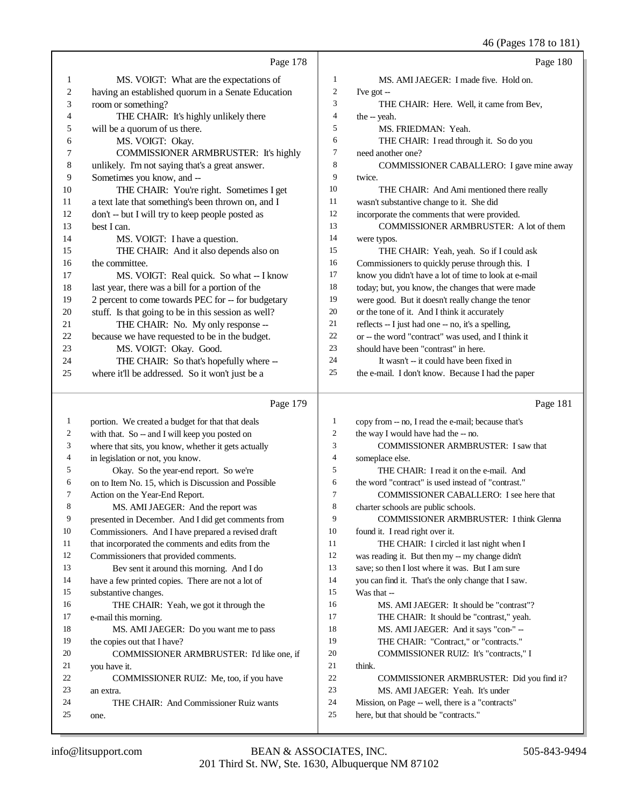46 (Pages 178 to 181)

|                |                                                     |                  | 46 (Pages 178 to 181)                                |
|----------------|-----------------------------------------------------|------------------|------------------------------------------------------|
|                | Page 178                                            |                  | Page 180                                             |
| 1              | MS. VOIGT: What are the expectations of             | 1                | MS. AMI JAEGER: I made five. Hold on.                |
| $\overline{c}$ | having an established quorum in a Senate Education  | 2                | I've got $-$                                         |
| 3              | room or something?                                  | 3                | THE CHAIR: Here. Well, it came from Bev,             |
| 4              | THE CHAIR: It's highly unlikely there               | $\overline{4}$   | the -- yeah.                                         |
| 5              | will be a quorum of us there.                       | 5                | MS. FRIEDMAN: Yeah.                                  |
| 6              | MS. VOIGT: Okay.                                    | 6                | THE CHAIR: I read through it. So do you              |
| 7              | COMMISSIONER ARMBRUSTER: It's highly                | 7                | need another one?                                    |
| 8              | unlikely. I'm not saying that's a great answer.     | 8                | COMMISSIONER CABALLERO: I gave mine away             |
| 9              | Sometimes you know, and --                          | 9                | twice.                                               |
| 10             | THE CHAIR: You're right. Sometimes I get            | 10               | THE CHAIR: And Ami mentioned there really            |
| 11             | a text late that something's been thrown on, and I  | 11               | wasn't substantive change to it. She did             |
| 12             | don't -- but I will try to keep people posted as    | 12               | incorporate the comments that were provided.         |
| 13             | best I can.                                         | 13               | COMMISSIONER ARMBRUSTER: A lot of them               |
| 14             | MS. VOIGT: I have a question.                       | 14               | were typos.                                          |
| 15             | THE CHAIR: And it also depends also on              | 15               | THE CHAIR: Yeah, yeah. So if I could ask             |
| 16             | the committee.                                      | 16               | Commissioners to quickly peruse through this. I      |
| 17             | MS. VOIGT: Real quick. So what -- I know            | 17               | know you didn't have a lot of time to look at e-mail |
| 18             | last year, there was a bill for a portion of the    | 18               | today; but, you know, the changes that were made     |
| 19             | 2 percent to come towards PEC for -- for budgetary  | 19               | were good. But it doesn't really change the tenor    |
| 20             | stuff. Is that going to be in this session as well? | 20               | or the tone of it. And I think it accurately         |
| 21             | THE CHAIR: No. My only response --                  | 21               | reflects -- I just had one -- no, it's a spelling,   |
| 22             | because we have requested to be in the budget.      | 22               | or -- the word "contract" was used, and I think it   |
| 23             | MS. VOIGT: Okay. Good.                              | 23               | should have been "contrast" in here.                 |
| 24             | THE CHAIR: So that's hopefully where --             | 24               | It wasn't -- it could have been fixed in             |
| 25             | where it'll be addressed. So it won't just be a     | 25               | the e-mail. I don't know. Because I had the paper    |
|                | Page 179                                            |                  | Page 181                                             |
| $\mathbf{1}$   | portion. We created a budget for that that deals    | $\mathbf{1}$     | copy from -- no, I read the e-mail; because that's   |
| $\overline{c}$ | with that. So -- and I will keep you posted on      | $\boldsymbol{2}$ | the way I would have had the -- no.                  |
| 3              | where that sits, you know, whether it gets actually | 3                | COMMISSIONER ARMBRUSTER: I saw that                  |
| 4              | in legislation or not, you know.                    | $\overline{4}$   | someplace else.                                      |
| 5              | Okay. So the year-end report. So we're              | 5                | THE CHAIR: I read it on the e-mail. And              |
| 6              | on to Item No. 15, which is Discussion and Possible | 6                | the word "contract" is used instead of "contrast."   |
| 7              | Action on the Year-End Report.                      | 7                | COMMISSIONER CABALLERO: I see here that              |
| 8              | MS. AMI JAEGER: And the report was                  | 8                | charter schools are public schools.                  |
| 9              | presented in December. And I did get comments from  | 9                | COMMISSIONER ARMBRUSTER: I think Glenna              |
| 10             | Commissioners. And I have prepared a revised draft  | 10               | found it. I read right over it.                      |
| 11             | that incorporated the comments and edits from the   | 11               | THE CHAIR: I circled it last night when I            |
| 12             | Commissioners that provided comments.               | 12               | was reading it. But then my -- my change didn't      |
| 13             | Bev sent it around this morning. And I do           | 13               | save; so then I lost where it was. But I am sure     |
| 14             | have a few printed copies. There are not a lot of   | 14               | you can find it. That's the only change that I saw.  |
| 15             | substantive changes.                                | 15               | Was that --                                          |
| 16             | THE CHAIR: Yeah, we got it through the              | 16               | MS. AMI JAEGER: It should be "contrast"?             |
| 17             | e-mail this morning.                                | 17               | THE CHAIR: It should be "contrast," yeah.            |

you have it.

an extra.

one.

MS. AMI JAEGER: Do you want me to pass

COMMISSIONER ARMBRUSTER: I'd like one, if

COMMISSIONER RUIZ: Me, too, if you have

THE CHAIR: And Commissioner Ruiz wants

19 the copies out that I have?

think.

 MS. AMI JAEGER: And it says "con-" -- THE CHAIR: "Contract," or "contracts." COMMISSIONER RUIZ: It's "contracts," I

 MS. AMI JAEGER: Yeah. It's under Mission, on Page -- well, there is a "contracts"

here, but that should be "contracts."

COMMISSIONER ARMBRUSTER: Did you find it?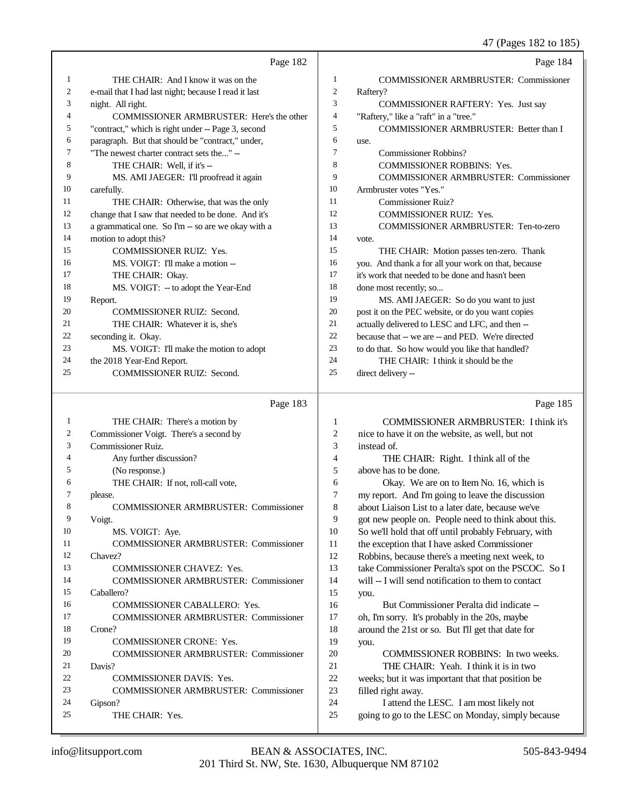### 47 (Pages 182 to 185)

|    | Page 182                                             |                | Page 184                                            |
|----|------------------------------------------------------|----------------|-----------------------------------------------------|
| 1  | THE CHAIR: And I know it was on the                  | 1              | <b>COMMISSIONER ARMBRUSTER: Commissioner</b>        |
| 2  | e-mail that I had last night; because I read it last | 2              | Raftery?                                            |
| 3  | night. All right.                                    | 3              | COMMISSIONER RAFTERY: Yes. Just say                 |
| 4  | COMMISSIONER ARMBRUSTER: Here's the other            | $\overline{4}$ | "Raftery," like a "raft" in a "tree."               |
| 5  | "contract," which is right under -- Page 3, second   | 5              | COMMISSIONER ARMBRUSTER: Better than I              |
| 6  | paragraph. But that should be "contract," under,     | 6              | use.                                                |
| 7  | "The newest charter contract sets the" --            | 7              | <b>Commissioner Robbins?</b>                        |
| 8  | THE CHAIR: Well, if it's --                          | 8              | <b>COMMISSIONER ROBBINS: Yes.</b>                   |
| 9  | MS. AMI JAEGER: I'll proofread it again              | 9              | <b>COMMISSIONER ARMBRUSTER: Commissioner</b>        |
| 10 | carefully.                                           | 10             | Armbruster votes "Yes."                             |
| 11 | THE CHAIR: Otherwise, that was the only              | 11             | Commissioner Ruiz?                                  |
| 12 | change that I saw that needed to be done. And it's   | 12             | <b>COMMISSIONER RUIZ: Yes.</b>                      |
| 13 | a grammatical one. So I'm -- so are we okay with a   | 13             | <b>COMMISSIONER ARMBRUSTER: Ten-to-zero</b>         |
| 14 | motion to adopt this?                                | 14             | vote.                                               |
| 15 | <b>COMMISSIONER RUIZ: Yes.</b>                       | 15             | THE CHAIR: Motion passes ten-zero. Thank            |
| 16 | MS. VOIGT: I'll make a motion --                     | 16             | you. And thank a for all your work on that, because |
| 17 | THE CHAIR: Okay.                                     | 17             | it's work that needed to be done and hasn't been    |
| 18 | MS. VOIGT: -- to adopt the Year-End                  | 18             | done most recently; so                              |
| 19 | Report.                                              | 19             | MS. AMI JAEGER: So do you want to just              |
| 20 | <b>COMMISSIONER RUIZ: Second.</b>                    | 20             | post it on the PEC website, or do you want copies   |
| 21 | THE CHAIR: Whatever it is, she's                     | 21             | actually delivered to LESC and LFC, and then --     |
| 22 | seconding it. Okay.                                  | 22             | because that -- we are -- and PED. We're directed   |
| 23 | MS. VOIGT: I'll make the motion to adopt             | 23             | to do that. So how would you like that handled?     |
| 24 | the 2018 Year-End Report.                            | 24             | THE CHAIR: I think it should be the                 |
| 25 | <b>COMMISSIONER RUIZ: Second.</b>                    | 25             | direct delivery --                                  |
|    |                                                      |                |                                                     |

### Page 183

 THE CHAIR: There's a motion by Commissioner Voigt. There's a second by Commissioner Ruiz. Any further discussion? (No response.) THE CHAIR: If not, roll-call vote, please. COMMISSIONER ARMBRUSTER: Commissioner Voigt. 10 MS. VOIGT: Aye. COMMISSIONER ARMBRUSTER: Commissioner Chavez? COMMISSIONER CHAVEZ: Yes. COMMISSIONER ARMBRUSTER: Commissioner Caballero? COMMISSIONER CABALLERO: Yes. COMMISSIONER ARMBRUSTER: Commissioner Crone? COMMISSIONER CRONE: Yes. COMMISSIONER ARMBRUSTER: Commissioner Davis? COMMISSIONER DAVIS: Yes. COMMISSIONER ARMBRUSTER: Commissioner Gipson? THE CHAIR: Yes. Page 185 COMMISSIONER ARMBRUSTER: I think it's nice to have it on the website, as well, but not instead of. THE CHAIR: Right. I think all of the above has to be done. Okay. We are on to Item No. 16, which is my report. And I'm going to leave the discussion about Liaison List to a later date, because we've got new people on. People need to think about this. So we'll hold that off until probably February, with the exception that I have asked Commissioner Robbins, because there's a meeting next week, to take Commissioner Peralta's spot on the PSCOC. So I will -- I will send notification to them to contact you. But Commissioner Peralta did indicate -- oh, I'm sorry. It's probably in the 20s, maybe around the 21st or so. But I'll get that date for you. COMMISSIONER ROBBINS: In two weeks. THE CHAIR: Yeah. I think it is in two weeks; but it was important that that position be filled right away. I attend the LESC. I am most likely not going to go to the LESC on Monday, simply because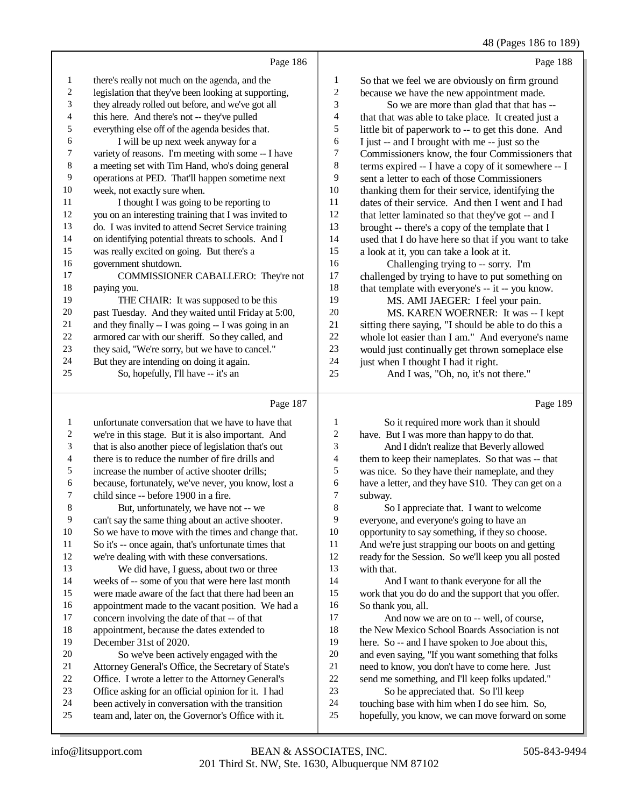|    | Page 186                                             |    | Page 188                                             |
|----|------------------------------------------------------|----|------------------------------------------------------|
| 1  | there's really not much on the agenda, and the       | 1  | So that we feel we are obviously on firm ground      |
| 2  | legislation that they've been looking at supporting, | 2  | because we have the new appointment made.            |
| 3  | they already rolled out before, and we've got all    | 3  | So we are more than glad that that has --            |
| 4  | this here. And there's not -- they've pulled         | 4  | that that was able to take place. It created just a  |
| 5  | everything else off of the agenda besides that.      | 5  | little bit of paperwork to -- to get this done. And  |
| 6  | I will be up next week anyway for a                  | 6  | I just -- and I brought with me -- just so the       |
| 7  | variety of reasons. I'm meeting with some -- I have  | 7  | Commissioners know, the four Commissioners that      |
| 8  | a meeting set with Tim Hand, who's doing general     | 8  | terms expired -- I have a copy of it somewhere -- I  |
| 9  | operations at PED. That'll happen sometime next      | 9  | sent a letter to each of those Commissioners         |
| 10 | week, not exactly sure when.                         | 10 | thanking them for their service, identifying the     |
| 11 | I thought I was going to be reporting to             | 11 | dates of their service. And then I went and I had    |
| 12 | you on an interesting training that I was invited to | 12 | that letter laminated so that they've got -- and I   |
| 13 | do. I was invited to attend Secret Service training  | 13 | brought -- there's a copy of the template that I     |
| 14 | on identifying potential threats to schools. And I   | 14 | used that I do have here so that if you want to take |
| 15 | was really excited on going. But there's a           | 15 | a look at it, you can take a look at it.             |
| 16 | government shutdown.                                 | 16 | Challenging trying to -- sorry. I'm                  |
| 17 | COMMISSIONER CABALLERO: They're not                  | 17 | challenged by trying to have to put something on     |
| 18 | paying you.                                          | 18 | that template with everyone's -- it -- you know.     |
| 19 | THE CHAIR: It was supposed to be this                | 19 | MS. AMI JAEGER: I feel your pain.                    |
| 20 | past Tuesday. And they waited until Friday at 5:00,  | 20 | MS. KAREN WOERNER: It was -- I kept                  |
| 21 | and they finally -- I was going -- I was going in an | 21 | sitting there saying, "I should be able to do this a |
| 22 | armored car with our sheriff. So they called, and    | 22 | whole lot easier than I am." And everyone's name     |
| 23 | they said, "We're sorry, but we have to cancel."     | 23 | would just continually get thrown someplace else     |
| 24 | But they are intending on doing it again.            | 24 | just when I thought I had it right.                  |
| 25 | So, hopefully, I'll have -- it's an                  | 25 | And I was, "Oh, no, it's not there."                 |
|    |                                                      |    |                                                      |

## Page 187 |

|    | Page 187                                             |                | Page 189                                             |
|----|------------------------------------------------------|----------------|------------------------------------------------------|
| 1  | unfortunate conversation that we have to have that   | 1              | So it required more work than it should              |
| 2  | we're in this stage. But it is also important. And   | $\overline{c}$ | have. But I was more than happy to do that.          |
| 3  | that is also another piece of legislation that's out | 3              | And I didn't realize that Beverly allowed            |
| 4  | there is to reduce the number of fire drills and     | 4              | them to keep their nameplates. So that was -- that   |
| 5  | increase the number of active shooter drills;        | 5              | was nice. So they have their nameplate, and they     |
| 6  | because, fortunately, we've never, you know, lost a  | 6              | have a letter, and they have \$10. They can get on a |
| 7  | child since -- before 1900 in a fire.                | 7              | subway.                                              |
| 8  | But, unfortunately, we have not -- we                | 8              | So I appreciate that. I want to welcome              |
| 9  | can't say the same thing about an active shooter.    | 9              | everyone, and everyone's going to have an            |
| 10 | So we have to move with the times and change that.   | 10             | opportunity to say something, if they so choose.     |
| 11 | So it's -- once again, that's unfortunate times that | 11             | And we're just strapping our boots on and getting    |
| 12 | we're dealing with with these conversations.         | 12             | ready for the Session. So we'll keep you all posted  |
| 13 | We did have, I guess, about two or three             | 13             | with that.                                           |
| 14 | weeks of -- some of you that were here last month    | 14             | And I want to thank everyone for all the             |
| 15 | were made aware of the fact that there had been an   | 15             | work that you do do and the support that you offer.  |
| 16 | appointment made to the vacant position. We had a    | 16             | So thank you, all.                                   |
| 17 | concern involving the date of that -- of that        | 17             | And now we are on to -- well, of course,             |
| 18 | appointment, because the dates extended to           | 18             | the New Mexico School Boards Association is not      |
| 19 | December 31st of 2020.                               | 19             | here. So -- and I have spoken to Joe about this,     |
| 20 | So we've been actively engaged with the              | 20             | and even saying, "If you want something that folks   |
| 21 | Attorney General's Office, the Secretary of State's  | 21             | need to know, you don't have to come here. Just      |
| 22 | Office. I wrote a letter to the Attorney General's   | 22             | send me something, and I'll keep folks updated."     |
| 23 | Office asking for an official opinion for it. I had  | 23             | So he appreciated that. So I'll keep                 |
| 24 | been actively in conversation with the transition    | 24             | touching base with him when I do see him. So,        |
| 25 | team and, later on, the Governor's Office with it.   | 25             | hopefully, you know, we can move forward on some     |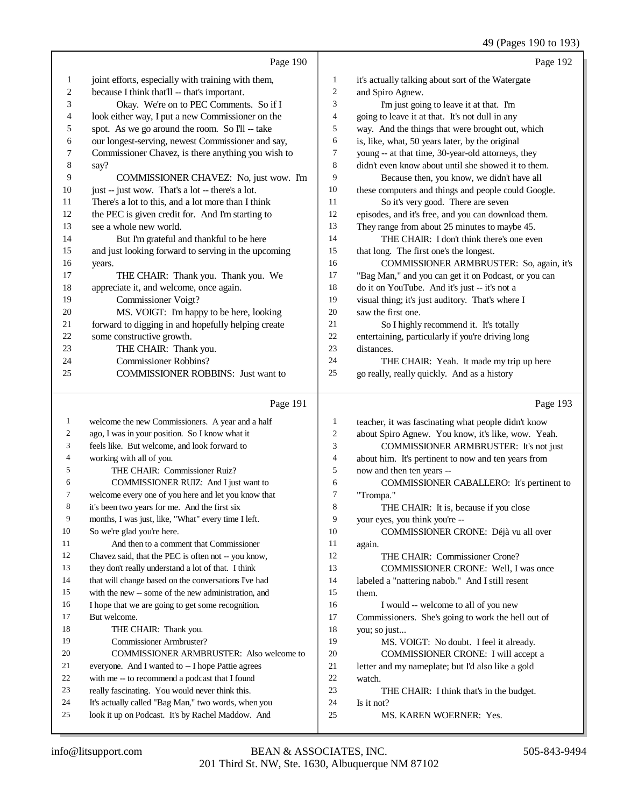|    | Page 190                                             |                | Page 192                                             |
|----|------------------------------------------------------|----------------|------------------------------------------------------|
| 1  | joint efforts, especially with training with them,   | 1              | it's actually talking about sort of the Watergate    |
| 2  | because I think that'll -- that's important.         | $\overline{2}$ | and Spiro Agnew.                                     |
| 3  | Okay. We're on to PEC Comments. So if I              | 3              | I'm just going to leave it at that. I'm              |
| 4  | look either way, I put a new Commissioner on the     | $\overline{4}$ | going to leave it at that. It's not dull in any      |
| 5  | spot. As we go around the room. So I'll -- take      | 5              | way. And the things that were brought out, which     |
| 6  | our longest-serving, newest Commissioner and say,    | 6              | is, like, what, 50 years later, by the original      |
| 7  | Commissioner Chavez, is there anything you wish to   | 7              | young -- at that time, 30-year-old attorneys, they   |
| 8  | say?                                                 | 8              | didn't even know about until she showed it to them.  |
| 9  | COMMISSIONER CHAVEZ: No, just wow. I'm               | 9              | Because then, you know, we didn't have all           |
| 10 | just -- just wow. That's a lot -- there's a lot.     | 10             | these computers and things and people could Google.  |
| 11 | There's a lot to this, and a lot more than I think   | 11             | So it's very good. There are seven                   |
| 12 | the PEC is given credit for. And I'm starting to     | 12             | episodes, and it's free, and you can download them.  |
| 13 | see a whole new world.                               | 13             | They range from about 25 minutes to maybe 45.        |
| 14 | But I'm grateful and thankful to be here             | 14             | THE CHAIR: I don't think there's one even            |
| 15 | and just looking forward to serving in the upcoming  | 15             | that long. The first one's the longest.              |
| 16 | years.                                               | 16             | COMMISSIONER ARMBRUSTER: So, again, it's             |
| 17 | THE CHAIR: Thank you. Thank you. We                  | 17             | "Bag Man," and you can get it on Podcast, or you can |
| 18 | appreciate it, and welcome, once again.              | 18             | do it on YouTube. And it's just -- it's not a        |
| 19 | Commissioner Voigt?                                  | 19             | visual thing; it's just auditory. That's where I     |
| 20 | MS. VOIGT: I'm happy to be here, looking             | 20             | saw the first one.                                   |
| 21 | forward to digging in and hopefully helping create   | 21             | So I highly recommend it. It's totally               |
| 22 | some constructive growth.                            | 22             | entertaining, particularly if you're driving long    |
| 23 | THE CHAIR: Thank you.                                | 23             | distances.                                           |
| 24 | <b>Commissioner Robbins?</b>                         | 24             | THE CHAIR: Yeah. It made my trip up here             |
| 25 | <b>COMMISSIONER ROBBINS:</b> Just want to            | 25             | go really, really quickly. And as a history          |
|    | Page 191                                             |                | Page 193                                             |
| 1  | welcome the new Commissioners. A year and a half     | 1              | teacher, it was fascinating what people didn't know  |
| 2  | ago, I was in your position. So I know what it       | 2              | about Spiro Agnew. You know, it's like, wow. Yeah.   |
| 3  | feels like. But welcome, and look forward to         | 3              | COMMISSIONER ARMBRUSTER: It's not just               |
| 4  | working with all of you.                             | $\overline{4}$ | about him. It's pertinent to now and ten years from  |
| 5  | THE CHAIR: Commissioner Ruiz?                        | 5              | now and then ten years --                            |
| 6  | COMMISSIONER RUIZ: And I just want to                | 6              | COMMISSIONER CABALLERO: It's pertinent to            |
| 7  | welcome every one of you here and let you know that  | $\overline{7}$ | "Trompa."                                            |
| 8  | it's been two years for me. And the first six        | 8              | THE CHAIR: It is, because if you close               |
| 9  | months, I was just, like, "What" every time I left.  | 9              | your eyes, you think you're --                       |
| 10 | So we're glad you're here.                           | 10             | COMMISSIONER CRONE: Déjà vu all over                 |
| 11 | And then to a comment that Commissioner              | 11             | again.                                               |
| 12 | Chavez said, that the PEC is often not -- you know,  | 12             | THE CHAIR: Commissioner Crone?                       |
| 13 | they don't really understand a lot of that. I think  | 13             | COMMISSIONER CRONE: Well, I was once                 |
| 14 | that will change based on the conversations I've had | 14             | labeled a "nattering nabob." And I still resent      |
| 15 | with the new -- some of the new administration, and  | 15             | them.                                                |
| 16 | I hope that we are going to get some recognition.    | 16             | I would -- welcome to all of you new                 |
| 17 | But welcome.                                         | 17             | Commissioners. She's going to work the hell out of   |
| 18 | THE CHAIR: Thank you.                                | 18             | you; so just                                         |
| 19 | Commissioner Armbruster?                             | 19             | MS. VOIGT: No doubt. I feel it already.              |

- Commissioner Armbruster?
- COMMISSIONER ARMBRUSTER: Also welcome to everyone. And I wanted to -- I hope Pattie agrees
- with me -- to recommend a podcast that I found
- really fascinating. You would never think this.
- It's actually called "Bag Man," two words, when you
- look it up on Podcast. It's by Rachel Maddow. And
- watch.<br>23 THE CHAIR: I think that's in the budget.

 COMMISSIONER CRONE: I will accept a 21 letter and my nameplate; but I'd also like a gold<br>22 watch.

24 Is it not?<br>25 M MS. KAREN WOERNER: Yes.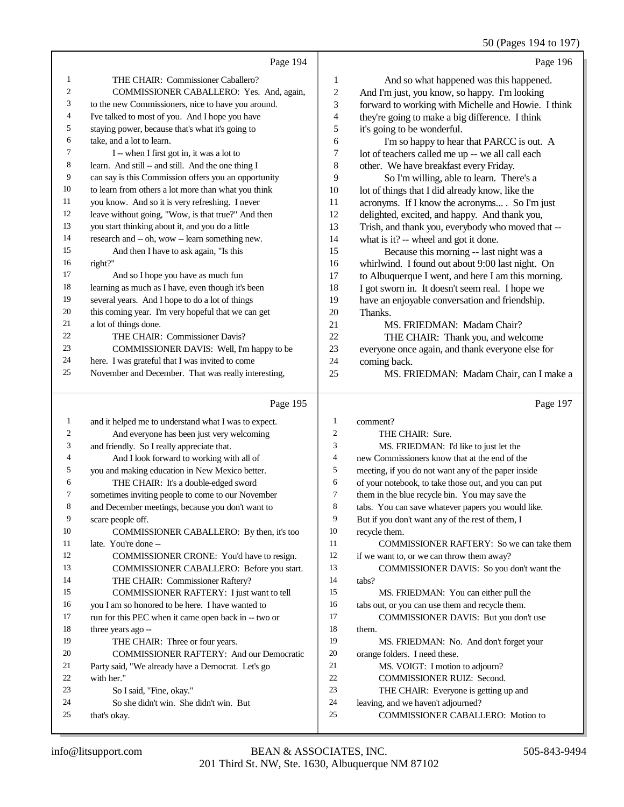50 (Pages 194 to 197)

|                |                                                                                              |                  | $50(1450)$ 12 1 to 127,                                                 |
|----------------|----------------------------------------------------------------------------------------------|------------------|-------------------------------------------------------------------------|
|                | Page 194                                                                                     |                  | Page 196                                                                |
| 1              | THE CHAIR: Commissioner Caballero?                                                           | 1                | And so what happened was this happened.                                 |
| $\mathfrak{2}$ | COMMISSIONER CABALLERO: Yes. And, again,                                                     | $\boldsymbol{2}$ | And I'm just, you know, so happy. I'm looking                           |
| 3              | to the new Commissioners, nice to have you around.                                           | 3                | forward to working with Michelle and Howie. I think                     |
| 4              | I've talked to most of you. And I hope you have                                              | 4                | they're going to make a big difference. I think                         |
| 5              | staying power, because that's what it's going to                                             | 5                | it's going to be wonderful.                                             |
| 6              | take, and a lot to learn.                                                                    | 6                | I'm so happy to hear that PARCC is out. A                               |
| 7              | I -- when I first got in, it was a lot to                                                    | 7                | lot of teachers called me up -- we all call each                        |
| 8              | learn. And still -- and still. And the one thing I                                           | 8                | other. We have breakfast every Friday.                                  |
| 9              | can say is this Commission offers you an opportunity                                         | 9                | So I'm willing, able to learn. There's a                                |
| 10             | to learn from others a lot more than what you think                                          | 10               | lot of things that I did already know, like the                         |
| 11             | you know. And so it is very refreshing. I never                                              | 11               | acronyms. If I know the acronyms . So I'm just                          |
| 12             | leave without going, "Wow, is that true?" And then                                           | 12               | delighted, excited, and happy. And thank you,                           |
| 13             | you start thinking about it, and you do a little                                             | 13               | Trish, and thank you, everybody who moved that --                       |
| 14             | research and -- oh, wow -- learn something new.                                              | 14               | what is it? -- wheel and got it done.                                   |
| 15             | And then I have to ask again, "Is this                                                       | 15               | Because this morning -- last night was a                                |
| 16             | right?"                                                                                      | 16               | whirlwind. I found out about 9:00 last night. On                        |
| 17             | And so I hope you have as much fun                                                           | 17               | to Albuquerque I went, and here I am this morning.                      |
| 18             | learning as much as I have, even though it's been                                            | 18               | I got sworn in. It doesn't seem real. I hope we                         |
| 19             | several years. And I hope to do a lot of things                                              | 19               | have an enjoyable conversation and friendship.                          |
| 20             | this coming year. I'm very hopeful that we can get                                           | 20               | Thanks.                                                                 |
| 21<br>22       | a lot of things done.                                                                        | 21               | MS. FRIEDMAN: Madam Chair?                                              |
| 23             | THE CHAIR: Commissioner Davis?                                                               | 22               | THE CHAIR: Thank you, and welcome                                       |
| 24             | COMMISSIONER DAVIS: Well, I'm happy to be<br>here. I was grateful that I was invited to come | 23<br>24         | everyone once again, and thank everyone else for                        |
| 25             | November and December. That was really interesting,                                          | 25               | coming back.                                                            |
|                |                                                                                              |                  | MS. FRIEDMAN: Madam Chair, can I make a                                 |
|                | Page 195                                                                                     |                  | Page 197                                                                |
| $\mathbf{1}$   | and it helped me to understand what I was to expect.                                         | 1                | comment?                                                                |
| $\overline{c}$ | And everyone has been just very welcoming                                                    | 2                | THE CHAIR: Sure.                                                        |
| 3              | and friendly. So I really appreciate that.                                                   | 3                | MS. FRIEDMAN: I'd like to just let the                                  |
| 4              | And I look forward to working with all of                                                    | 4                | new Commissioners know that at the end of the                           |
| 5              | you and making education in New Mexico better.                                               | 5                | meeting, if you do not want any of the paper inside                     |
| 6              | THE CHAIR: It's a double-edged sword                                                         | 6                | of your notebook, to take those out, and you can put                    |
| 7              | sometimes inviting people to come to our November                                            | $\tau$           | them in the blue recycle bin. You may save the                          |
| 8              | and December meetings, because you don't want to                                             | 8                | tabs. You can save whatever papers you would like.                      |
| 9              | scare people off.                                                                            | 9                | But if you don't want any of the rest of them, I                        |
| 10             | COMMISSIONER CABALLERO: By then, it's too                                                    | 10               | recycle them.                                                           |
| 11             | late. You're done --                                                                         | 11               | COMMISSIONER RAFTERY: So we can take them                               |
| 12             | COMMISSIONER CRONE: You'd have to resign.                                                    | 12               | if we want to, or we can throw them away?                               |
| 13             | COMMISSIONER CABALLERO: Before you start.                                                    | 13               | COMMISSIONER DAVIS: So you don't want the                               |
| 14             | THE CHAIR: Commissioner Raftery?                                                             | 14               | tabs?                                                                   |
| 15             | COMMISSIONER RAFTERY: I just want to tell                                                    | 15               | MS. FRIEDMAN: You can either pull the                                   |
| 16             | you I am so honored to be here. I have wanted to                                             | 16               | tabs out, or you can use them and recycle them.                         |
| 17             | run for this PEC when it came open back in -- two or                                         | 17               | COMMISSIONER DAVIS: But you don't use                                   |
| 18             | three years ago --                                                                           | 18               | them.                                                                   |
| 19             | THE CHAIR: Three or four years.                                                              | 19               | MS. FRIEDMAN: No. And don't forget your                                 |
| 20             | <b>COMMISSIONER RAFTERY: And our Democratic</b>                                              | $20\,$<br>21     | orange folders. I need these.                                           |
| 21<br>22       | Party said, "We already have a Democrat. Let's go                                            | $22\,$           | MS. VOIGT: I motion to adjourn?                                         |
| 23             | with her."<br>So I said, "Fine, okay."                                                       | 23               | COMMISSIONER RUIZ: Second.<br>THE CHAIR: Everyone is getting up and     |
|                |                                                                                              |                  |                                                                         |
|                |                                                                                              |                  |                                                                         |
| 24<br>25       | So she didn't win. She didn't win. But<br>that's okay.                                       | 24<br>25         | leaving, and we haven't adjourned?<br>COMMISSIONER CABALLERO: Motion to |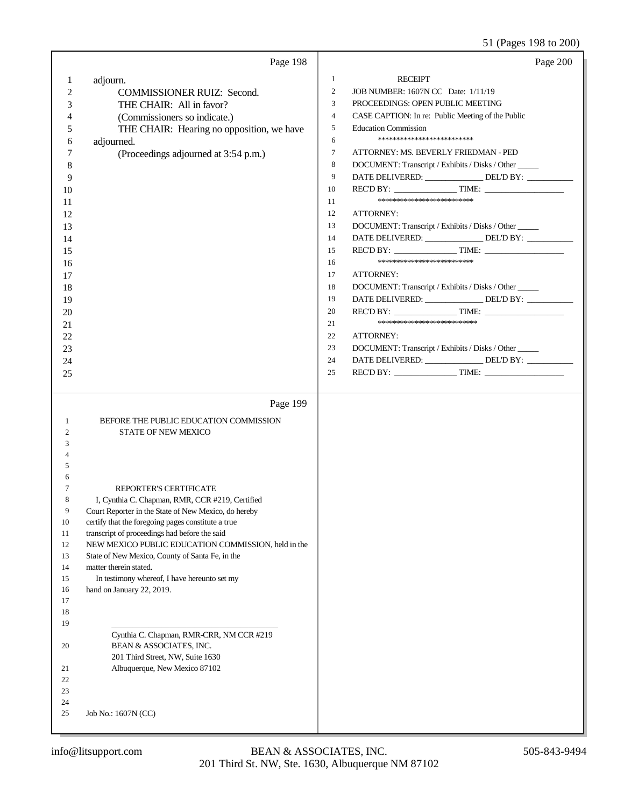# 51 (Pages 198 to 200)

|                   | Page 198                                                                                               | Page 200                                                            |
|-------------------|--------------------------------------------------------------------------------------------------------|---------------------------------------------------------------------|
| 1                 | adjourn.                                                                                               | <b>RECEIPT</b><br>1                                                 |
| 2                 | <b>COMMISSIONER RUIZ: Second.</b>                                                                      | JOB NUMBER: 1607N CC Date: 1/11/19<br>$\overline{c}$                |
| 3                 | THE CHAIR: All in favor?                                                                               | 3<br>PROCEEDINGS: OPEN PUBLIC MEETING                               |
| 4                 | (Commissioners so indicate.)                                                                           | $\overline{4}$<br>CASE CAPTION: In re: Public Meeting of the Public |
| 5                 | THE CHAIR: Hearing no opposition, we have                                                              | 5<br><b>Education Commission</b>                                    |
| 6                 | adjourned.                                                                                             | *************************<br>6                                      |
| 7                 | (Proceedings adjourned at 3:54 p.m.)                                                                   | $\tau$<br>ATTORNEY: MS. BEVERLY FRIEDMAN - PED                      |
| 8                 |                                                                                                        | 8<br>DOCUMENT: Transcript / Exhibits / Disks / Other                |
| 9                 |                                                                                                        | 9<br>DATE DELIVERED: _______________ DEL'D BY: _________            |
| 10                |                                                                                                        | 10                                                                  |
| 11                |                                                                                                        | **************************<br>11                                    |
| 12                |                                                                                                        | 12<br>ATTORNEY:                                                     |
| 13                |                                                                                                        | DOCUMENT: Transcript / Exhibits / Disks / Other<br>13               |
| 14                |                                                                                                        | DATE DELIVERED: _______________DEL'D BY: __________<br>14           |
| 15                |                                                                                                        | 15                                                                  |
| 16                |                                                                                                        | *************************<br>16                                     |
| 17                |                                                                                                        | ATTORNEY:<br>17                                                     |
| 18                |                                                                                                        | DOCUMENT: Transcript / Exhibits / Disks / Other<br>18               |
| 19                |                                                                                                        | DATE DELIVERED: _______________DEL'D BY: __________<br>19           |
| 20                |                                                                                                        | REC'D BY: TIME:<br>20                                               |
| 21                |                                                                                                        | ***************************<br>21                                   |
| 22                |                                                                                                        | ATTORNEY:<br>22                                                     |
| 23                |                                                                                                        | 23<br>DOCUMENT: Transcript / Exhibits / Disks / Other               |
| 24                |                                                                                                        | DATE DELIVERED: _______________DEL'D BY: __________<br>24           |
| 25                |                                                                                                        | 25                                                                  |
|                   |                                                                                                        |                                                                     |
|                   |                                                                                                        |                                                                     |
|                   | Page 199                                                                                               |                                                                     |
|                   |                                                                                                        |                                                                     |
| $\mathbf{1}$<br>2 | BEFORE THE PUBLIC EDUCATION COMMISSION                                                                 |                                                                     |
| 3                 | <b>STATE OF NEW MEXICO</b>                                                                             |                                                                     |
| 4                 |                                                                                                        |                                                                     |
| 5                 |                                                                                                        |                                                                     |
| 6                 |                                                                                                        |                                                                     |
| 7                 | REPORTER'S CERTIFICATE                                                                                 |                                                                     |
| 8                 | I, Cynthia C. Chapman, RMR, CCR #219, Certified                                                        |                                                                     |
| 9                 | Court Reporter in the State of New Mexico, do hereby                                                   |                                                                     |
| 10                | certify that the foregoing pages constitute a true                                                     |                                                                     |
| 11<br>12          | transcript of proceedings had before the said                                                          |                                                                     |
| 13                | NEW MEXICO PUBLIC EDUCATION COMMISSION, held in the<br>State of New Mexico, County of Santa Fe, in the |                                                                     |
| 14                | matter therein stated.                                                                                 |                                                                     |
| 15                | In testimony whereof, I have hereunto set my                                                           |                                                                     |
| 16                | hand on January 22, 2019.                                                                              |                                                                     |
| 17                |                                                                                                        |                                                                     |
| 18                |                                                                                                        |                                                                     |
| 19                |                                                                                                        |                                                                     |
|                   | Cynthia C. Chapman, RMR-CRR, NM CCR #219                                                               |                                                                     |
| 20                | BEAN & ASSOCIATES, INC.                                                                                |                                                                     |
| 21                | 201 Third Street, NW, Suite 1630<br>Albuquerque, New Mexico 87102                                      |                                                                     |
| 22                |                                                                                                        |                                                                     |
| 23                |                                                                                                        |                                                                     |
| 24                |                                                                                                        |                                                                     |
| 25                | Job No.: 1607N (CC)                                                                                    |                                                                     |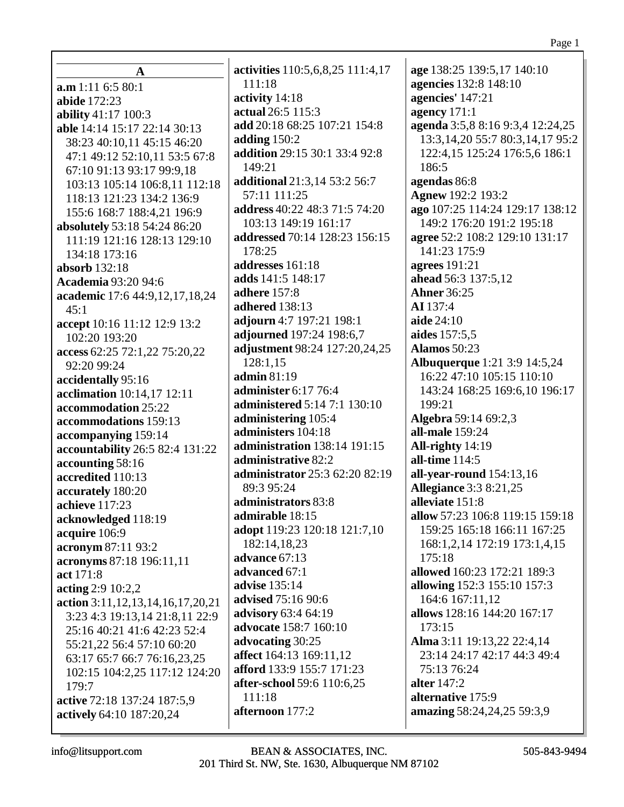| 111:18<br>a.m 1:11 6:5 80:1<br>activity 14:18<br>abide 172:23<br>actual 26:5 115:3<br>ability 41:17 100:3<br>add 20:18 68:25 107:21 154:8<br>able 14:14 15:17 22:14 30:13<br>adding $150:2$<br>38:23 40:10,11 45:15 46:20<br>addition 29:15 30:1 33:4 92:8<br>47:1 49:12 52:10,11 53:5 67:8<br>149:21<br>67:10 91:13 93:17 99:9,18<br>additional 21:3,14 53:2 56:7<br>103:13 105:14 106:8,11 112:18<br>57:11 111:25<br>118:13 121:23 134:2 136:9<br>address 40:22 48:3 71:5 74:20<br>155:6 168:7 188:4,21 196:9<br>103:13 149:19 161:17<br>absolutely 53:18 54:24 86:20<br>addressed 70:14 128:23 156:15<br>111:19 121:16 128:13 129:10<br>178:25<br>134:18 173:16<br>addresses 161:18<br>absorb 132:18<br>adds 141:5 148:17<br><b>Academia 93:20 94:6</b><br><b>adhere</b> 157:8<br>academic 17:6 44:9,12,17,18,24<br>adhered 138:13<br>45:1<br>adjourn 4:7 197:21 198:1<br>accept 10:16 11:12 12:9 13:2<br>adjourned 197:24 198:6,7<br>102:20 193:20<br>adjustment 98:24 127:20,24,25<br>access 62:25 72:1,22 75:20,22<br>128:1,15<br>92:20 99:24<br>admin 81:19<br>accidentally 95:16<br>administer 6:17 76:4<br>acclimation 10:14,17 12:11<br><b>administered 5:14 7:1 130:10</b><br>accommodation 25:22<br>administering 105:4<br>accommodations 159:13<br>administers 104:18<br>accompanying 159:14<br>administration 138:14 191:15<br>accountability 26:5 82:4 131:22<br>administrative 82:2<br>accounting 58:16<br>administrator 25:3 62:20 82:19<br>accredited 110:13<br>89:3 95:24<br>accurately 180:20<br>administrators 83:8<br>achieve 117:23<br>admirable 18:15<br>acknowledged 118:19<br>adopt 119:23 120:18 121:7,10<br>acquire 106:9<br>182:14,18,23<br>acronym 87:11 93:2<br>advance 67:13<br>acronyms 87:18 196:11,11<br>advanced 67:1<br>act 171:8<br><b>advise</b> 135:14<br>acting $2:9\ 10:2,2$<br><b>advised</b> 75:16 90:6<br>action 3:11, 12, 13, 14, 16, 17, 20, 21<br><b>advisory</b> 63:4 64:19<br>3:23 4:3 19:13,14 21:8,11 22:9<br>advocate 158:7 160:10<br>25:16 40:21 41:6 42:23 52:4<br>advocating 30:25<br>55:21,22 56:4 57:10 60:20<br>affect 164:13 169:11,12<br>63:17 65:7 66:7 76:16,23,25<br>afford 133:9 155:7 171:23<br>102:15 104:2,25 117:12 124:20<br>after-school 59:6 110:6,25<br>179:7<br>111:18 |                             | activities 110:5,6,8,25 111:4,17 |
|--------------------------------------------------------------------------------------------------------------------------------------------------------------------------------------------------------------------------------------------------------------------------------------------------------------------------------------------------------------------------------------------------------------------------------------------------------------------------------------------------------------------------------------------------------------------------------------------------------------------------------------------------------------------------------------------------------------------------------------------------------------------------------------------------------------------------------------------------------------------------------------------------------------------------------------------------------------------------------------------------------------------------------------------------------------------------------------------------------------------------------------------------------------------------------------------------------------------------------------------------------------------------------------------------------------------------------------------------------------------------------------------------------------------------------------------------------------------------------------------------------------------------------------------------------------------------------------------------------------------------------------------------------------------------------------------------------------------------------------------------------------------------------------------------------------------------------------------------------------------------------------------------------------------------------------------------------------------------------------------------------------------------------------------------------------------------------------------------------------------------------------------------------------------------------------------------------------------------------------------------|-----------------------------|----------------------------------|
|                                                                                                                                                                                                                                                                                                                                                                                                                                                                                                                                                                                                                                                                                                                                                                                                                                                                                                                                                                                                                                                                                                                                                                                                                                                                                                                                                                                                                                                                                                                                                                                                                                                                                                                                                                                                                                                                                                                                                                                                                                                                                                                                                                                                                                                  | A                           |                                  |
|                                                                                                                                                                                                                                                                                                                                                                                                                                                                                                                                                                                                                                                                                                                                                                                                                                                                                                                                                                                                                                                                                                                                                                                                                                                                                                                                                                                                                                                                                                                                                                                                                                                                                                                                                                                                                                                                                                                                                                                                                                                                                                                                                                                                                                                  |                             |                                  |
|                                                                                                                                                                                                                                                                                                                                                                                                                                                                                                                                                                                                                                                                                                                                                                                                                                                                                                                                                                                                                                                                                                                                                                                                                                                                                                                                                                                                                                                                                                                                                                                                                                                                                                                                                                                                                                                                                                                                                                                                                                                                                                                                                                                                                                                  |                             |                                  |
|                                                                                                                                                                                                                                                                                                                                                                                                                                                                                                                                                                                                                                                                                                                                                                                                                                                                                                                                                                                                                                                                                                                                                                                                                                                                                                                                                                                                                                                                                                                                                                                                                                                                                                                                                                                                                                                                                                                                                                                                                                                                                                                                                                                                                                                  |                             |                                  |
|                                                                                                                                                                                                                                                                                                                                                                                                                                                                                                                                                                                                                                                                                                                                                                                                                                                                                                                                                                                                                                                                                                                                                                                                                                                                                                                                                                                                                                                                                                                                                                                                                                                                                                                                                                                                                                                                                                                                                                                                                                                                                                                                                                                                                                                  |                             |                                  |
|                                                                                                                                                                                                                                                                                                                                                                                                                                                                                                                                                                                                                                                                                                                                                                                                                                                                                                                                                                                                                                                                                                                                                                                                                                                                                                                                                                                                                                                                                                                                                                                                                                                                                                                                                                                                                                                                                                                                                                                                                                                                                                                                                                                                                                                  |                             |                                  |
|                                                                                                                                                                                                                                                                                                                                                                                                                                                                                                                                                                                                                                                                                                                                                                                                                                                                                                                                                                                                                                                                                                                                                                                                                                                                                                                                                                                                                                                                                                                                                                                                                                                                                                                                                                                                                                                                                                                                                                                                                                                                                                                                                                                                                                                  |                             |                                  |
|                                                                                                                                                                                                                                                                                                                                                                                                                                                                                                                                                                                                                                                                                                                                                                                                                                                                                                                                                                                                                                                                                                                                                                                                                                                                                                                                                                                                                                                                                                                                                                                                                                                                                                                                                                                                                                                                                                                                                                                                                                                                                                                                                                                                                                                  |                             |                                  |
|                                                                                                                                                                                                                                                                                                                                                                                                                                                                                                                                                                                                                                                                                                                                                                                                                                                                                                                                                                                                                                                                                                                                                                                                                                                                                                                                                                                                                                                                                                                                                                                                                                                                                                                                                                                                                                                                                                                                                                                                                                                                                                                                                                                                                                                  |                             |                                  |
|                                                                                                                                                                                                                                                                                                                                                                                                                                                                                                                                                                                                                                                                                                                                                                                                                                                                                                                                                                                                                                                                                                                                                                                                                                                                                                                                                                                                                                                                                                                                                                                                                                                                                                                                                                                                                                                                                                                                                                                                                                                                                                                                                                                                                                                  |                             |                                  |
|                                                                                                                                                                                                                                                                                                                                                                                                                                                                                                                                                                                                                                                                                                                                                                                                                                                                                                                                                                                                                                                                                                                                                                                                                                                                                                                                                                                                                                                                                                                                                                                                                                                                                                                                                                                                                                                                                                                                                                                                                                                                                                                                                                                                                                                  |                             |                                  |
|                                                                                                                                                                                                                                                                                                                                                                                                                                                                                                                                                                                                                                                                                                                                                                                                                                                                                                                                                                                                                                                                                                                                                                                                                                                                                                                                                                                                                                                                                                                                                                                                                                                                                                                                                                                                                                                                                                                                                                                                                                                                                                                                                                                                                                                  |                             |                                  |
|                                                                                                                                                                                                                                                                                                                                                                                                                                                                                                                                                                                                                                                                                                                                                                                                                                                                                                                                                                                                                                                                                                                                                                                                                                                                                                                                                                                                                                                                                                                                                                                                                                                                                                                                                                                                                                                                                                                                                                                                                                                                                                                                                                                                                                                  |                             |                                  |
|                                                                                                                                                                                                                                                                                                                                                                                                                                                                                                                                                                                                                                                                                                                                                                                                                                                                                                                                                                                                                                                                                                                                                                                                                                                                                                                                                                                                                                                                                                                                                                                                                                                                                                                                                                                                                                                                                                                                                                                                                                                                                                                                                                                                                                                  |                             |                                  |
|                                                                                                                                                                                                                                                                                                                                                                                                                                                                                                                                                                                                                                                                                                                                                                                                                                                                                                                                                                                                                                                                                                                                                                                                                                                                                                                                                                                                                                                                                                                                                                                                                                                                                                                                                                                                                                                                                                                                                                                                                                                                                                                                                                                                                                                  |                             |                                  |
|                                                                                                                                                                                                                                                                                                                                                                                                                                                                                                                                                                                                                                                                                                                                                                                                                                                                                                                                                                                                                                                                                                                                                                                                                                                                                                                                                                                                                                                                                                                                                                                                                                                                                                                                                                                                                                                                                                                                                                                                                                                                                                                                                                                                                                                  |                             |                                  |
|                                                                                                                                                                                                                                                                                                                                                                                                                                                                                                                                                                                                                                                                                                                                                                                                                                                                                                                                                                                                                                                                                                                                                                                                                                                                                                                                                                                                                                                                                                                                                                                                                                                                                                                                                                                                                                                                                                                                                                                                                                                                                                                                                                                                                                                  |                             |                                  |
|                                                                                                                                                                                                                                                                                                                                                                                                                                                                                                                                                                                                                                                                                                                                                                                                                                                                                                                                                                                                                                                                                                                                                                                                                                                                                                                                                                                                                                                                                                                                                                                                                                                                                                                                                                                                                                                                                                                                                                                                                                                                                                                                                                                                                                                  |                             |                                  |
|                                                                                                                                                                                                                                                                                                                                                                                                                                                                                                                                                                                                                                                                                                                                                                                                                                                                                                                                                                                                                                                                                                                                                                                                                                                                                                                                                                                                                                                                                                                                                                                                                                                                                                                                                                                                                                                                                                                                                                                                                                                                                                                                                                                                                                                  |                             |                                  |
|                                                                                                                                                                                                                                                                                                                                                                                                                                                                                                                                                                                                                                                                                                                                                                                                                                                                                                                                                                                                                                                                                                                                                                                                                                                                                                                                                                                                                                                                                                                                                                                                                                                                                                                                                                                                                                                                                                                                                                                                                                                                                                                                                                                                                                                  |                             |                                  |
|                                                                                                                                                                                                                                                                                                                                                                                                                                                                                                                                                                                                                                                                                                                                                                                                                                                                                                                                                                                                                                                                                                                                                                                                                                                                                                                                                                                                                                                                                                                                                                                                                                                                                                                                                                                                                                                                                                                                                                                                                                                                                                                                                                                                                                                  |                             |                                  |
|                                                                                                                                                                                                                                                                                                                                                                                                                                                                                                                                                                                                                                                                                                                                                                                                                                                                                                                                                                                                                                                                                                                                                                                                                                                                                                                                                                                                                                                                                                                                                                                                                                                                                                                                                                                                                                                                                                                                                                                                                                                                                                                                                                                                                                                  |                             |                                  |
|                                                                                                                                                                                                                                                                                                                                                                                                                                                                                                                                                                                                                                                                                                                                                                                                                                                                                                                                                                                                                                                                                                                                                                                                                                                                                                                                                                                                                                                                                                                                                                                                                                                                                                                                                                                                                                                                                                                                                                                                                                                                                                                                                                                                                                                  |                             |                                  |
|                                                                                                                                                                                                                                                                                                                                                                                                                                                                                                                                                                                                                                                                                                                                                                                                                                                                                                                                                                                                                                                                                                                                                                                                                                                                                                                                                                                                                                                                                                                                                                                                                                                                                                                                                                                                                                                                                                                                                                                                                                                                                                                                                                                                                                                  |                             |                                  |
|                                                                                                                                                                                                                                                                                                                                                                                                                                                                                                                                                                                                                                                                                                                                                                                                                                                                                                                                                                                                                                                                                                                                                                                                                                                                                                                                                                                                                                                                                                                                                                                                                                                                                                                                                                                                                                                                                                                                                                                                                                                                                                                                                                                                                                                  |                             |                                  |
|                                                                                                                                                                                                                                                                                                                                                                                                                                                                                                                                                                                                                                                                                                                                                                                                                                                                                                                                                                                                                                                                                                                                                                                                                                                                                                                                                                                                                                                                                                                                                                                                                                                                                                                                                                                                                                                                                                                                                                                                                                                                                                                                                                                                                                                  |                             |                                  |
|                                                                                                                                                                                                                                                                                                                                                                                                                                                                                                                                                                                                                                                                                                                                                                                                                                                                                                                                                                                                                                                                                                                                                                                                                                                                                                                                                                                                                                                                                                                                                                                                                                                                                                                                                                                                                                                                                                                                                                                                                                                                                                                                                                                                                                                  |                             |                                  |
|                                                                                                                                                                                                                                                                                                                                                                                                                                                                                                                                                                                                                                                                                                                                                                                                                                                                                                                                                                                                                                                                                                                                                                                                                                                                                                                                                                                                                                                                                                                                                                                                                                                                                                                                                                                                                                                                                                                                                                                                                                                                                                                                                                                                                                                  |                             |                                  |
|                                                                                                                                                                                                                                                                                                                                                                                                                                                                                                                                                                                                                                                                                                                                                                                                                                                                                                                                                                                                                                                                                                                                                                                                                                                                                                                                                                                                                                                                                                                                                                                                                                                                                                                                                                                                                                                                                                                                                                                                                                                                                                                                                                                                                                                  |                             |                                  |
|                                                                                                                                                                                                                                                                                                                                                                                                                                                                                                                                                                                                                                                                                                                                                                                                                                                                                                                                                                                                                                                                                                                                                                                                                                                                                                                                                                                                                                                                                                                                                                                                                                                                                                                                                                                                                                                                                                                                                                                                                                                                                                                                                                                                                                                  |                             |                                  |
|                                                                                                                                                                                                                                                                                                                                                                                                                                                                                                                                                                                                                                                                                                                                                                                                                                                                                                                                                                                                                                                                                                                                                                                                                                                                                                                                                                                                                                                                                                                                                                                                                                                                                                                                                                                                                                                                                                                                                                                                                                                                                                                                                                                                                                                  |                             |                                  |
|                                                                                                                                                                                                                                                                                                                                                                                                                                                                                                                                                                                                                                                                                                                                                                                                                                                                                                                                                                                                                                                                                                                                                                                                                                                                                                                                                                                                                                                                                                                                                                                                                                                                                                                                                                                                                                                                                                                                                                                                                                                                                                                                                                                                                                                  |                             |                                  |
|                                                                                                                                                                                                                                                                                                                                                                                                                                                                                                                                                                                                                                                                                                                                                                                                                                                                                                                                                                                                                                                                                                                                                                                                                                                                                                                                                                                                                                                                                                                                                                                                                                                                                                                                                                                                                                                                                                                                                                                                                                                                                                                                                                                                                                                  |                             |                                  |
|                                                                                                                                                                                                                                                                                                                                                                                                                                                                                                                                                                                                                                                                                                                                                                                                                                                                                                                                                                                                                                                                                                                                                                                                                                                                                                                                                                                                                                                                                                                                                                                                                                                                                                                                                                                                                                                                                                                                                                                                                                                                                                                                                                                                                                                  |                             |                                  |
|                                                                                                                                                                                                                                                                                                                                                                                                                                                                                                                                                                                                                                                                                                                                                                                                                                                                                                                                                                                                                                                                                                                                                                                                                                                                                                                                                                                                                                                                                                                                                                                                                                                                                                                                                                                                                                                                                                                                                                                                                                                                                                                                                                                                                                                  |                             |                                  |
|                                                                                                                                                                                                                                                                                                                                                                                                                                                                                                                                                                                                                                                                                                                                                                                                                                                                                                                                                                                                                                                                                                                                                                                                                                                                                                                                                                                                                                                                                                                                                                                                                                                                                                                                                                                                                                                                                                                                                                                                                                                                                                                                                                                                                                                  |                             |                                  |
|                                                                                                                                                                                                                                                                                                                                                                                                                                                                                                                                                                                                                                                                                                                                                                                                                                                                                                                                                                                                                                                                                                                                                                                                                                                                                                                                                                                                                                                                                                                                                                                                                                                                                                                                                                                                                                                                                                                                                                                                                                                                                                                                                                                                                                                  |                             |                                  |
|                                                                                                                                                                                                                                                                                                                                                                                                                                                                                                                                                                                                                                                                                                                                                                                                                                                                                                                                                                                                                                                                                                                                                                                                                                                                                                                                                                                                                                                                                                                                                                                                                                                                                                                                                                                                                                                                                                                                                                                                                                                                                                                                                                                                                                                  |                             |                                  |
|                                                                                                                                                                                                                                                                                                                                                                                                                                                                                                                                                                                                                                                                                                                                                                                                                                                                                                                                                                                                                                                                                                                                                                                                                                                                                                                                                                                                                                                                                                                                                                                                                                                                                                                                                                                                                                                                                                                                                                                                                                                                                                                                                                                                                                                  |                             |                                  |
|                                                                                                                                                                                                                                                                                                                                                                                                                                                                                                                                                                                                                                                                                                                                                                                                                                                                                                                                                                                                                                                                                                                                                                                                                                                                                                                                                                                                                                                                                                                                                                                                                                                                                                                                                                                                                                                                                                                                                                                                                                                                                                                                                                                                                                                  |                             |                                  |
|                                                                                                                                                                                                                                                                                                                                                                                                                                                                                                                                                                                                                                                                                                                                                                                                                                                                                                                                                                                                                                                                                                                                                                                                                                                                                                                                                                                                                                                                                                                                                                                                                                                                                                                                                                                                                                                                                                                                                                                                                                                                                                                                                                                                                                                  |                             |                                  |
|                                                                                                                                                                                                                                                                                                                                                                                                                                                                                                                                                                                                                                                                                                                                                                                                                                                                                                                                                                                                                                                                                                                                                                                                                                                                                                                                                                                                                                                                                                                                                                                                                                                                                                                                                                                                                                                                                                                                                                                                                                                                                                                                                                                                                                                  |                             |                                  |
|                                                                                                                                                                                                                                                                                                                                                                                                                                                                                                                                                                                                                                                                                                                                                                                                                                                                                                                                                                                                                                                                                                                                                                                                                                                                                                                                                                                                                                                                                                                                                                                                                                                                                                                                                                                                                                                                                                                                                                                                                                                                                                                                                                                                                                                  |                             |                                  |
|                                                                                                                                                                                                                                                                                                                                                                                                                                                                                                                                                                                                                                                                                                                                                                                                                                                                                                                                                                                                                                                                                                                                                                                                                                                                                                                                                                                                                                                                                                                                                                                                                                                                                                                                                                                                                                                                                                                                                                                                                                                                                                                                                                                                                                                  |                             |                                  |
|                                                                                                                                                                                                                                                                                                                                                                                                                                                                                                                                                                                                                                                                                                                                                                                                                                                                                                                                                                                                                                                                                                                                                                                                                                                                                                                                                                                                                                                                                                                                                                                                                                                                                                                                                                                                                                                                                                                                                                                                                                                                                                                                                                                                                                                  | active 72:18 137:24 187:5,9 |                                  |
| afternoon 177:2<br>actively 64:10 187:20,24                                                                                                                                                                                                                                                                                                                                                                                                                                                                                                                                                                                                                                                                                                                                                                                                                                                                                                                                                                                                                                                                                                                                                                                                                                                                                                                                                                                                                                                                                                                                                                                                                                                                                                                                                                                                                                                                                                                                                                                                                                                                                                                                                                                                      |                             |                                  |

age 138:25 139:5,17 140:10 agencies 132:8 148:10 agencies' 147:21 agency  $171:1$ agenda 3:5,8 8:16 9:3,4 12:24,25 13:3, 14, 20 55:7 80:3, 14, 17 95:2 122:4,15 125:24 176:5,6 186:1 186:5 agendas 86:8 Agnew 192:2 193:2 ago 107:25 114:24 129:17 138:12 149:2 176:20 191:2 195:18 agree 52:2 108:2 129:10 131:17 141:23 175:9 **agrees** 191:21 ahead 56:3 137:5,12 **Ahner** 36:25 AI 137:4 aide 24:10 aides 157:5,5 **Alamos** 50:23 **Albuquerque** 1:21 3:9 14:5,24 16:22 47:10 105:15 110:10 143:24 168:25 169:6,10 196:17 199:21 **Algebra 59:14 69:2,3 all-male** 159:24 All-righty  $14:19$ all-time 114:5 all-year-round  $154:13,16$ **Allegiance** 3:3 8:21,25 alleviate 151:8 allow 57:23 106:8 119:15 159:18 159:25 165:18 166:11 167:25 168:1,2,14 172:19 173:1,4,15  $175:18$ allowed 160:23 172:21 189:3 **allowing** 152:3 155:10 157:3 164:6 167:11,12 allows 128:16 144:20 167:17 173:15 Alma 3:11 19:13,22 22:4,14 23:14 24:17 42:17 44:3 49:4 75:13 76:24 **alter** 147:2 alternative 175:9 amazing 58:24,24,25 59:3,9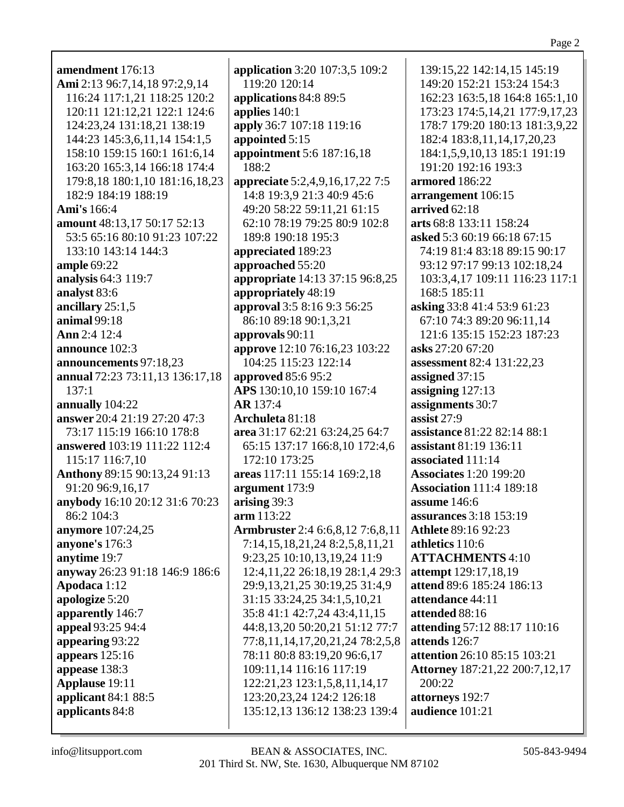amendment 176:13 Ami 2:13 96:7,14,18 97:2,9,14 116:24 117:1,21 118:25 120:2 120:11 121:12,21 122:1 124:6 124:23,24 131:18,21 138:19 144:23 145:3,6,11,14 154:1,5 158:10 159:15 160:1 161:6.14 163:20 165:3,14 166:18 174:4 179:8,18 180:1,10 181:16,18,23 182:9 184:19 188:19 **Ami's** 166:4 **amount** 48:13,17 50:17 52:13 53:5 65:16 80:10 91:23 107:22 133:10 143:14 144:3 **ample 69:22** analysis 64:3 119:7 analyst 83:6 ancillary  $25:1,5$ animal 99:18 Ann 2:4 12:4 announce 102:3 announcements 97:18,23 annual 72:23 73:11.13 136:17.18  $137:1$ annually 104:22 answer 20:4 21:19 27:20 47:3 73:17 115:19 166:10 178:8 answered 103:19 111:22 112:4 115:17 116:7,10 **Anthony** 89:15 90:13,24 91:13 91:20 96:9,16,17 anybody 16:10 20:12 31:6 70:23 86:2 104:3 **anymore** 107:24,25 anyone's 176:3 anytime 19:7 anyway 26:23 91:18 146:9 186:6 Apodaca 1:12 apologize 5:20 apparently 146:7 appeal 93:25 94:4 appearing 93:22 appears  $125:16$ appease 138:3 **Applause** 19:11 applicant  $84:1$   $88:5$ applicants 84:8

**application** 3:20 107:3,5 109:2 119:20 120:14 applications 84:8 89:5 applies  $140:1$ apply 36:7 107:18 119:16 appointed 5:15 appointment 5:6 187:16,18 188:2 appreciate 5:2,4,9,16,17,22 7:5 14:8 19:3,9 21:3 40:9 45:6 49:20 58:22 59:11.21 61:15 62:10 78:19 79:25 80:9 102:8 189:8 190:18 195:3 appreciated 189:23 approached 55:20 appropriate 14:13 37:15 96:8,25 appropriately 48:19 approval 3:5 8:16 9:3 56:25 86:10 89:18 90:1.3.21 approvals  $90:11$ **approve** 12:10 76:16,23 103:22 104:25 115:23 122:14 **approved** 85:6 95:2 APS 130:10,10 159:10 167:4 **AR** 137:4 Archuleta 81:18 area 31:17 62:21 63:24,25 64:7 65:15 137:17 166:8,10 172:4,6 172:10 173:25 areas 117:11 155:14 169:2,18 argument 173:9 arising  $39:3$  $arm 113:22$ Armbruster 2:4 6:6,8,12 7:6,8,11 7:14,15,18,21,24 8:2,5,8,11,21 9:23,25 10:10,13,19,24 11:9 12:4,11,22 26:18,19 28:1,4 29:3 29:9,13,21,25 30:19,25 31:4,9 31:15 33:24,25 34:1,5,10,21 35:8 41:1 42:7,24 43:4,11,15 44:8,13,20 50:20,21 51:12 77:7 77:8,11,14,17,20,21,24 78:2,5,8 78:11 80:8 83:19,20 96:6,17 109:11.14 116:16 117:19 122:21,23 123:1,5,8,11,14,17 123:20,23,24 124:2 126:18 135:12,13 136:12 138:23 139:4

139:15.22 142:14.15 145:19 149:20 152:21 153:24 154:3 162:23 163:5,18 164:8 165:1,10 173:23 174:5,14,21 177:9,17,23 178:7 179:20 180:13 181:3,9,22 182:4 183:8,11,14,17,20,23 184:1,5,9,10,13 185:1 191:19 191:20 192:16 193:3 armored 186:22 arrangement 106:15 arrived  $62:18$ arts 68:8 133:11 158:24 asked 5:3 60:19 66:18 67:15 74:19 81:4 83:18 89:15 90:17 93:12 97:17 99:13 102:18,24 103:3,4,17 109:11 116:23 117:1 168:5 185:11 asking 33:8 41:4 53:9 61:23 67:10 74:3 89:20 96:11.14 121:6 135:15 152:23 187:23 asks 27:20 67:20 **assessment** 82:4 131:22,23 assigned  $37:15$ assigning  $127:13$ assignments 30:7 assist  $27:9$ **assistance** 81:22 82:14 88:1 assistant 81:19 136:11 associated 111:14 **Associates** 1:20 199:20 **Association 111:4 189:18** assume  $146:6$ **assurances** 3:18 153:19 **Athlete 89:16 92:23** athletics 110:6 **ATTACHMENTS 4:10** attempt 129:17,18,19 attend 89:6 185:24 186:13 attendance 44:11 attended 88:16 attending 57:12 88:17 110:16 attends  $126:7$ attention 26:10 85:15 103:21 **Attorney** 187:21,22 200:7,12,17 200:22 attorneys 192:7 audience 101:21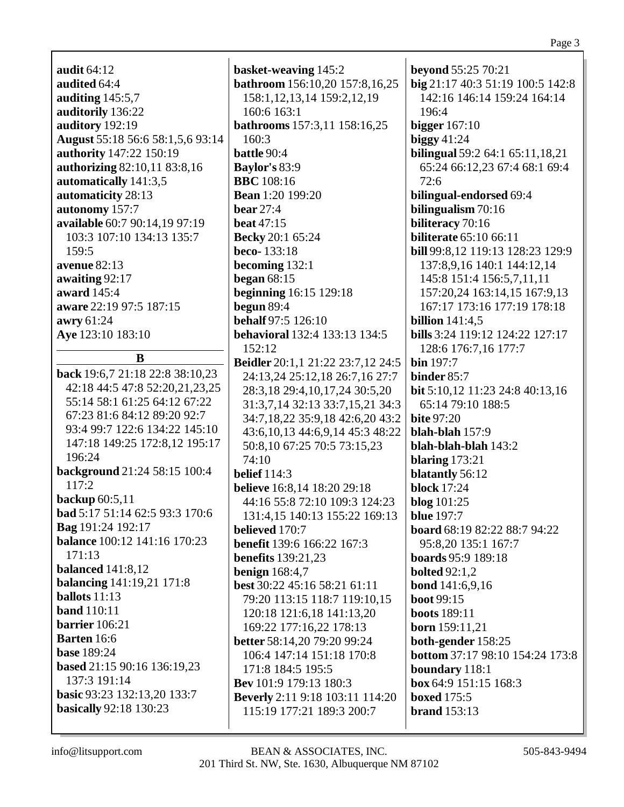| audit $64:12$                    |
|----------------------------------|
| audited 64:4                     |
| auditing $145:5,7$               |
| auditorily 136:22                |
| auditory 192:19                  |
| August 55:18 56:6 58:1,5,6 93:14 |
| authority 147:22 150:19          |
| authorizing 82:10,11 83:8,16     |
| automatically 141:3,5            |
| automaticity 28:13               |
| autonomy 157:7                   |
| available 60:7 90:14,19 97:19    |
| 103:3 107:10 134:13 135:7        |
| 159:5                            |
| avenue 82:13                     |
| awaiting 92:17                   |
| <b>award</b> 145:4               |
| aware 22:19 97:5 187:15          |
| awry 61:24                       |
| <b>Ave</b> 123:10 183:10         |
|                                  |

B

back 19:6,7 21:18 22:8 38:10,23 42:18 44:5 47:8 52:20,21,23,25 55:14 58:1 61:25 64:12 67:22 67:23 81:6 84:12 89:20 92:7 93:4 99:7 122:6 134:22 145:10 147:18 149:25 172:8,12 195:17 196:24 background 21:24 58:15 100:4  $117:2$ backup  $60:5,11$ bad 5:17 51:14 62:5 93:3 170:6 Bag 191:24 192:17 **balance** 100:12 141:16 170:23  $171:13$ **balanced** 141:8,12 **balancing** 141:19,21 171:8 **ballots**  $11:13$ **band** 110:11 barrier  $106:21$ **Barten** 16:6 **base** 189:24 based 21:15 90:16 136:19.23 137:3 191:14 basic 93:23 132:13,20 133:7 **basically** 92:18 130:23

basket-weaving 145:2 bathroom 156:10,20 157:8,16,25 158:1, 12, 13, 14 159:2, 12, 19 160:6 163:1 **bathrooms** 157:3,11 158:16,25 160:3 **battle**  $90:4$ **Baylor's 83:9 BBC** 108:16 **Bean** 1:20 199:20 bear  $27:4$ beat  $47:15$ **Becky** 20:1 65:24 beco-133:18 becoming  $132:1$ began  $68:15$ **beginning** 16:15 129:18 begun  $89:4$ **behalf** 97:5 126:10 **behavioral** 132:4 133:13 134:5  $152:12$ **Beidler** 20:1,1 21:22 23:7,12 24:5 24:13.24 25:12.18 26:7.16 27:7 28:3,18 29:4,10,17,24 30:5,20 31:3,7,14 32:13 33:7,15,21 34:3 34:7,18,22 35:9,18 42:6,20 43:2 43:6, 10, 13 44:6, 9, 14 45:3 48:22 50:8,10 67:25 70:5 73:15,23  $74:10$ **belief** 114:3 **believe** 16:8,14 18:20 29:18 44:16 55:8 72:10 109:3 124:23 131:4,15 140:13 155:22 169:13 **believed** 170:7 **benefit** 139:6 166:22 167:3 **benefits** 139:21,23 **benign** 168:4,7 best 30:22 45:16 58:21 61:11 79:20 113:15 118:7 119:10,15 120:18 121:6,18 141:13,20 169:22 177:16,22 178:13 better 58:14,20 79:20 99:24 106:4 147:14 151:18 170:8 171:8 184:5 195:5 **Bev** 101:9 179:13 180:3 **Beverly** 2:11 9:18 103:11 114:20 115:19 177:21 189:3 200:7

**beyond**  $55:25\,70:21$ big 21:17 40:3 51:19 100:5 142:8 142:16 146:14 159:24 164:14  $196:4$ bigger  $167:10$ biggy  $41:24$ **bilingual** 59:2 64:1 65:11,18,21 65:24 66:12,23 67:4 68:1 69:4  $72:6$ bilingual-endorsed 69:4 bilingualism  $70:16$ biliteracy 70:16 **biliterate** 65:10 66:11 bill 99:8,12 119:13 128:23 129:9 137:8,9,16 140:1 144:12,14 145:8 151:4 156:5,7,11,11 157:20.24 163:14.15 167:9.13 167:17 173:16 177:19 178:18 billion  $141:4.5$ bills 3:24 119:12 124:22 127:17 128:6 176:7,16 177:7  $\mathbf{bin} 197:7$ binder  $85:7$ **bit** 5:10,12 11:23 24:8 40:13,16 65:14 79:10 188:5 **bite 97:20** blah-blah  $157:9$ blah-blah-blah 143:2 blaring  $173:21$ blatantly 56:12 **block** 17:24 blog  $101:25$ **blue** 197:7 **board**  $68:1982:2288:794:22$ 95:8,20 135:1 167:7 **boards** 95:9 189:18 **bolted** 92:1,2 **bond** 141:6,9,16 **boot** 99:15 **boots** 189:11 **born** 159:11,21 both-gender 158:25 **bottom 37:17 98:10 154:24 173:8** boundary 118:1  $box 64:9 151:15 168:3$ hoxed  $175:5$ brand  $153:13$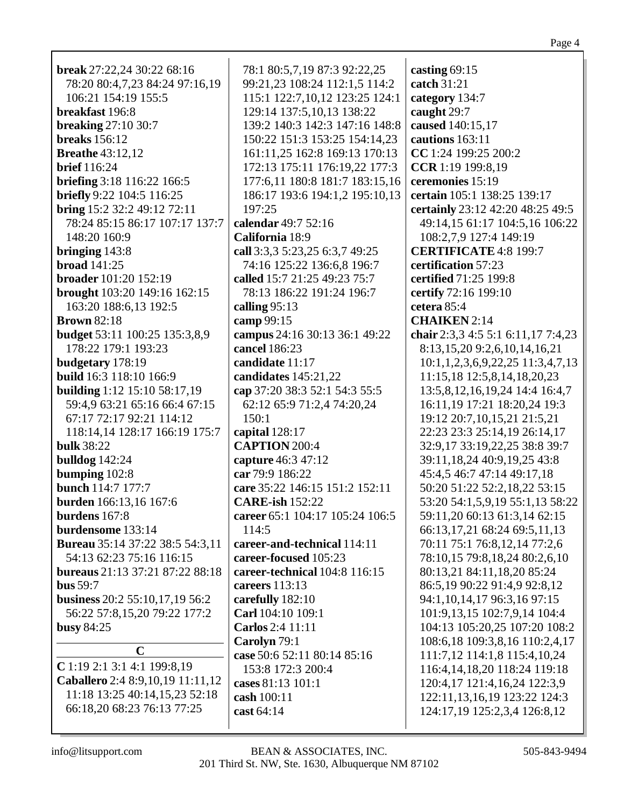# Page 4

| <b>break</b> 27:22,24 30:22 68:16      | 78:1 80:5,7,19 87:3 92:22,25    | casting 69:15                                  |
|----------------------------------------|---------------------------------|------------------------------------------------|
| 78:20 80:4,7,23 84:24 97:16,19         | 99:21,23 108:24 112:1,5 114:2   | catch 31:21                                    |
| 106:21 154:19 155:5                    | 115:1 122:7,10,12 123:25 124:1  | category 134:7                                 |
| breakfast 196:8                        | 129:14 137:5,10,13 138:22       | caught 29:7                                    |
| <b>breaking 27:10 30:7</b>             | 139:2 140:3 142:3 147:16 148:8  | caused 140:15,17                               |
| breaks $156:12$                        | 150:22 151:3 153:25 154:14,23   | cautions 163:11                                |
| <b>Breathe 43:12,12</b>                | 161:11,25 162:8 169:13 170:13   | CC 1:24 199:25 200:2                           |
| <b>brief</b> 116:24                    | 172:13 175:11 176:19,22 177:3   | CCR 1:19 199:8,19                              |
| briefing 3:18 116:22 166:5             | 177:6,11 180:8 181:7 183:15,16  | ceremonies 15:19                               |
| briefly 9:22 104:5 116:25              | 186:17 193:6 194:1,2 195:10,13  | certain 105:1 138:25 139:17                    |
| bring 15:2 32:2 49:12 72:11            | 197:25                          | certainly 23:12 42:20 48:25 49:5               |
| 78:24 85:15 86:17 107:17 137:7         | calendar 49:7 52:16             | 49:14,15 61:17 104:5,16 106:22                 |
| 148:20 160:9                           | California 18:9                 | 108:2,7,9 127:4 149:19                         |
| bringing $143:8$                       | call 3:3,3 5:23,25 6:3,7 49:25  | <b>CERTIFICATE 4:8 199:7</b>                   |
| <b>broad</b> 141:25                    | 74:16 125:22 136:6,8 196:7      | certification 57:23                            |
| broader 101:20 152:19                  | called 15:7 21:25 49:23 75:7    | certified 71:25 199:8                          |
| brought 103:20 149:16 162:15           | 78:13 186:22 191:24 196:7       | certify 72:16 199:10                           |
| 163:20 188:6,13 192:5                  | calling $95:13$                 | cetera 85:4                                    |
| <b>Brown 82:18</b>                     | camp 99:15                      | <b>CHAIKEN</b> 2:14                            |
| <b>budget</b> 53:11 100:25 135:3,8,9   | campus 24:16 30:13 36:1 49:22   | chair 2:3,3 4:5 5:1 6:11,17 7:4,23             |
| 178:22 179:1 193:23                    | cancel 186:23                   | 8:13,15,20 9:2,6,10,14,16,21                   |
| budgetary 178:19                       | candidate 11:17                 | $10:1, 1, 2, 3, 6, 9, 22, 25$ $11:3, 4, 7, 13$ |
| build 16:3 118:10 166:9                | candidates 145:21,22            | 11:15,18 12:5,8,14,18,20,23                    |
| <b>building</b> 1:12 15:10 58:17,19    | cap 37:20 38:3 52:1 54:3 55:5   | 13:5,8,12,16,19,24 14:4 16:4,7                 |
| 59:4,9 63:21 65:16 66:4 67:15          | 62:12 65:9 71:2,4 74:20,24      | 16:11,19 17:21 18:20,24 19:3                   |
| 67:17 72:17 92:21 114:12               | 150:1                           | 19:12 20:7,10,15,21 21:5,21                    |
| 118:14,14 128:17 166:19 175:7          | capital 128:17                  | 22:23 23:3 25:14,19 26:14,17                   |
| <b>bulk</b> 38:22                      | <b>CAPTION 200:4</b>            | 32:9,17 33:19,22,25 38:8 39:7                  |
| <b>bulldog</b> 142:24                  | capture 46:3 47:12              | 39:11,18,24 40:9,19,25 43:8                    |
| bumping 102:8                          | car 79:9 186:22                 | 45:4,5 46:7 47:14 49:17,18                     |
| bunch 114:7 177:7                      | care 35:22 146:15 151:2 152:11  | 50:20 51:22 52:2,18,22 53:15                   |
| <b>burden</b> 166:13,16 167:6          | <b>CARE-ish 152:22</b>          | 53:20 54:1,5,9,19 55:1,13 58:22                |
| burdens 167:8                          | career 65:1 104:17 105:24 106:5 | 59:11,20 60:13 61:3,14 62:15                   |
| burdensome 133:14                      | 114:5                           | 66:13,17,21 68:24 69:5,11,13                   |
| <b>Bureau</b> 35:14 37:22 38:5 54:3,11 | career-and-technical 114:11     | 70:11 75:1 76:8,12,14 77:2,6                   |
| 54:13 62:23 75:16 116:15               | career-focused 105:23           | 78:10,15 79:8,18,24 80:2,6,10                  |
| bureaus 21:13 37:21 87:22 88:18        | career-technical 104:8 116:15   | 80:13,21 84:11,18,20 85:24                     |
| bus $59:7$                             | careers 113:13                  | 86:5,19 90:22 91:4,9 92:8,12                   |
| business 20:2 55:10,17,19 56:2         | carefully 182:10                | 94:1, 10, 14, 17 96:3, 16 97:15                |
| 56:22 57:8,15,20 79:22 177:2           | Carl 104:10 109:1               | 101:9,13,15 102:7,9,14 104:4                   |
| <b>busy 84:25</b>                      | Carlos 2:4 11:11                | 104:13 105:20,25 107:20 108:2                  |
|                                        | Carolyn 79:1                    | 108:6,18 109:3,8,16 110:2,4,17                 |
| $\mathbf C$                            | case 50:6 52:11 80:14 85:16     | 111:7,12 114:1,8 115:4,10,24                   |
| C 1:19 2:1 3:1 4:1 199:8,19            |                                 |                                                |
| Caballero 2:4 8:9, 10, 19 11:11, 12    | 153:8 172:3 200:4               | 116:4, 14, 18, 20 118: 24 119: 18              |
| 11:18 13:25 40:14,15,23 52:18          | cases 81:13 101:1               | 120:4, 17 121:4, 16, 24 122:3, 9               |
| 66:18,20 68:23 76:13 77:25             | cash 100:11                     | 122:11,13,16,19 123:22 124:3                   |
|                                        | cast 64:14                      | 124:17,19 125:2,3,4 126:8,12                   |
|                                        |                                 |                                                |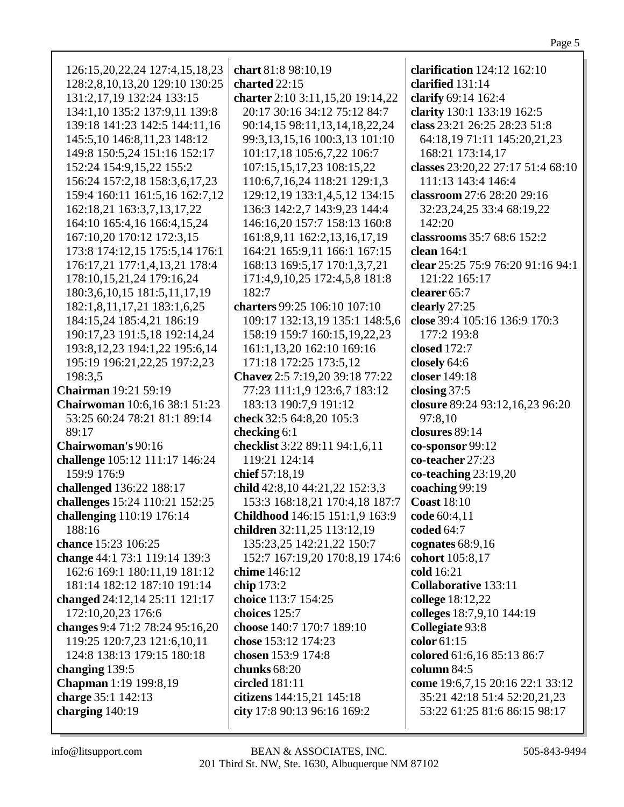| 126:15,20,22,24 127:4,15,18,23    | chart 81:8 98:10,19              | clarification 124:12 162:10       |
|-----------------------------------|----------------------------------|-----------------------------------|
| 128:2,8,10,13,20 129:10 130:25    | charted 22:15                    | clarified 131:14                  |
| 131:2,17,19 132:24 133:15         | charter 2:10 3:11,15,20 19:14,22 | clarify 69:14 162:4               |
| 134:1,10 135:2 137:9,11 139:8     | 20:17 30:16 34:12 75:12 84:7     | clarity 130:1 133:19 162:5        |
| 139:18 141:23 142:5 144:11,16     | 90:14,15 98:11,13,14,18,22,24    | class 23:21 26:25 28:23 51:8      |
|                                   |                                  |                                   |
| 145:5,10 146:8,11,23 148:12       | 99:3,13,15,16 100:3,13 101:10    | 64:18,19 71:11 145:20,21,23       |
| 149:8 150:5,24 151:16 152:17      | 101:17,18 105:6,7,22 106:7       | 168:21 173:14,17                  |
| 152:24 154:9,15,22 155:2          | 107:15,15,17,23 108:15,22        | classes 23:20,22 27:17 51:4 68:10 |
| 156:24 157:2,18 158:3,6,17,23     | 110:6,7,16,24 118:21 129:1,3     | 111:13 143:4 146:4                |
| 159:4 160:11 161:5,16 162:7,12    | 129:12,19 133:1,4,5,12 134:15    | classroom 27:6 28:20 29:16        |
| 162:18,21 163:3,7,13,17,22        | 136:3 142:2,7 143:9,23 144:4     | 32:23,24,25 33:4 68:19,22         |
| 164:10 165:4,16 166:4,15,24       | 146:16,20 157:7 158:13 160:8     | 142:20                            |
| 167:10,20 170:12 172:3,15         | 161:8,9,11 162:2,13,16,17,19     | classrooms 35:7 68:6 152:2        |
| 173:8 174:12,15 175:5,14 176:1    | 164:21 165:9,11 166:1 167:15     | clean 164:1                       |
| 176:17,21 177:1,4,13,21 178:4     | 168:13 169:5,17 170:1,3,7,21     | clear 25:25 75:9 76:20 91:16 94:1 |
| 178:10,15,21,24 179:16,24         | 171:4,9,10,25 172:4,5,8 181:8    | 121:22 165:17                     |
| 180:3,6,10,15 181:5,11,17,19      | 182:7                            | clearer 65:7                      |
| 182:1,8,11,17,21 183:1,6,25       | charters 99:25 106:10 107:10     | clearly 27:25                     |
|                                   |                                  | close 39:4 105:16 136:9 170:3     |
| 184:15,24 185:4,21 186:19         | 109:17 132:13,19 135:1 148:5,6   |                                   |
| 190:17,23 191:5,18 192:14,24      | 158:19 159:7 160:15,19,22,23     | 177:2 193:8                       |
| 193:8, 12, 23 194:1, 22 195:6, 14 | 161:1,13,20 162:10 169:16        | closed 172:7                      |
| 195:19 196:21,22,25 197:2,23      | 171:18 172:25 173:5,12           | closely 64:6                      |
| 198:3,5                           | Chavez 2:5 7:19,20 39:18 77:22   | closer 149:18                     |
| <b>Chairman</b> 19:21 59:19       | 77:23 111:1,9 123:6,7 183:12     | closing $37:5$                    |
| Chairwoman 10:6,16 38:1 51:23     | 183:13 190:7,9 191:12            | closure 89:24 93:12,16,23 96:20   |
| 53:25 60:24 78:21 81:1 89:14      | check 32:5 64:8,20 105:3         | 97:8,10                           |
| 89:17                             | checking 6:1                     | closures 89:14                    |
| Chairwoman's 90:16                | checklist 3:22 89:11 94:1,6,11   | co-sponsor 99:12                  |
| challenge 105:12 111:17 146:24    | 119:21 124:14                    | co-teacher 27:23                  |
| 159:9 176:9                       | chief 57:18,19                   | $co-teaching 23:19,20$            |
| challenged 136:22 188:17          | child 42:8,10 44:21,22 152:3,3   | coaching 99:19                    |
| challenges 15:24 110:21 152:25    | 153:3 168:18,21 170:4,18 187:7   | <b>Coast 18:10</b>                |
|                                   |                                  |                                   |
| challenging 110:19 176:14         | Childhood 146:15 151:1,9 163:9   | code 60:4,11                      |
| 188:16                            | children 32:11,25 113:12,19      | coded 64:7                        |
| chance 15:23 106:25               | 135:23,25 142:21,22 150:7        | cognates $68:9,16$                |
| change 44:1 73:1 119:14 139:3     | 152:7 167:19,20 170:8,19 174:6   | cohort 105:8,17                   |
| 162:6 169:1 180:11,19 181:12      | chime 146:12                     | cold 16:21                        |
| 181:14 182:12 187:10 191:14       | chip 173:2                       | <b>Collaborative 133:11</b>       |
| changed 24:12,14 25:11 121:17     | choice 113:7 154:25              | college 18:12,22                  |
| 172:10,20,23 176:6                | choices 125:7                    | colleges 18:7,9,10 144:19         |
| changes 9:4 71:2 78:24 95:16,20   | choose 140:7 170:7 189:10        | Collegiate 93:8                   |
| 119:25 120:7,23 121:6,10,11       | chose 153:12 174:23              | color $61:15$                     |
| 124:8 138:13 179:15 180:18        | chosen 153:9 174:8               | colored 61:6,16 85:13 86:7        |
| changing 139:5                    | chunks $68:20$                   | column 84:5                       |
| <b>Chapman</b> 1:19 199:8,19      | circled 181:11                   | come 19:6,7,15 20:16 22:1 33:12   |
| charge 35:1 142:13                | citizens 144:15,21 145:18        | 35:21 42:18 51:4 52:20,21,23      |
| charging $140:19$                 | city 17:8 90:13 96:16 169:2      | 53:22 61:25 81:6 86:15 98:17      |
|                                   |                                  |                                   |
|                                   |                                  |                                   |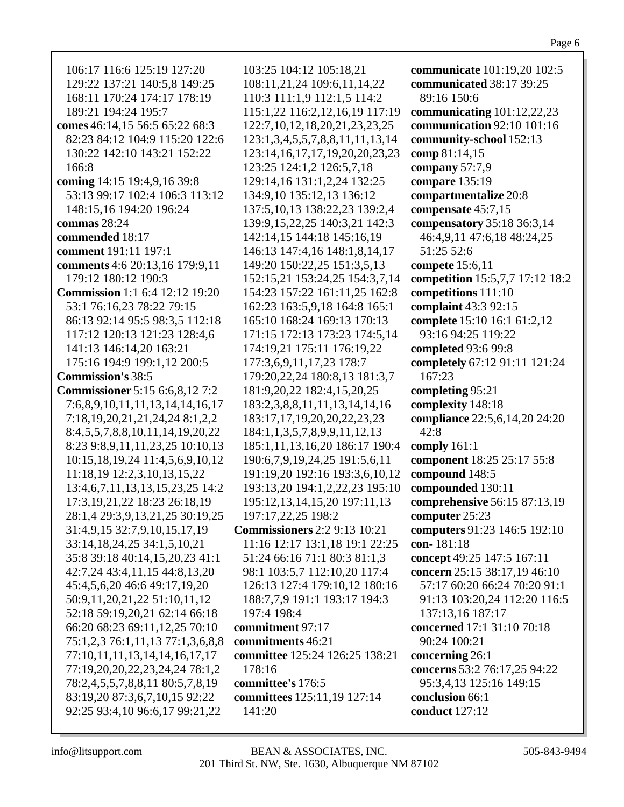| 106:17 116:6 125:19 127:20<br>129:22 137:21 140:5,8 149:25<br>168:11 170:24 174:17 178:19 | 103:25 104:12 105:18,21<br>108:11,21,24 109:6,11,14,22<br>110:3 111:1,9 112:1,5 114:2 | communicate 101:19,20 102:5<br>communicated 38:17 39:25<br>89:16 150:6 |
|-------------------------------------------------------------------------------------------|---------------------------------------------------------------------------------------|------------------------------------------------------------------------|
| 189:21 194:24 195:7                                                                       | 115:1,22 116:2,12,16,19 117:19                                                        | communicating $101:12,22,23$                                           |
| comes 46:14,15 56:5 65:22 68:3                                                            | 122:7, 10, 12, 18, 20, 21, 23, 23, 25                                                 | communication 92:10 101:16                                             |
| 82:23 84:12 104:9 115:20 122:6                                                            | 123:1,3,4,5,5,7,8,8,11,11,13,14                                                       | community-school 152:13                                                |
| 130:22 142:10 143:21 152:22                                                               | 123:14, 16, 17, 17, 19, 20, 20, 23, 23                                                | comp 81:14,15                                                          |
| 166:8                                                                                     | 123:25 124:1,2 126:5,7,18                                                             | company $57:7,9$                                                       |
| coming 14:15 19:4,9,16 39:8                                                               | 129:14,16 131:1,2,24 132:25                                                           | compare 135:19                                                         |
| 53:13 99:17 102:4 106:3 113:12                                                            | 134:9,10 135:12,13 136:12                                                             | compartmentalize 20:8                                                  |
| 148:15,16 194:20 196:24                                                                   | 137:5, 10, 13 138: 22, 23 139: 2, 4                                                   | compensate 45:7,15                                                     |
| commas 28:24                                                                              | 139:9, 15, 22, 25 140: 3, 21 142: 3                                                   | compensatory 35:18 36:3,14                                             |
| commended 18:17                                                                           | 142:14,15 144:18 145:16,19                                                            | 46:4,9,11 47:6,18 48:24,25                                             |
| comment 191:11 197:1                                                                      | 146:13 147:4,16 148:1,8,14,17                                                         | 51:25 52:6                                                             |
| comments 4:6 20:13,16 179:9,11                                                            | 149:20 150:22,25 151:3,5,13                                                           | compete 15:6,11                                                        |
| 179:12 180:12 190:3                                                                       | 152:15,21 153:24,25 154:3,7,14                                                        | competition 15:5,7,7 17:12 18:2                                        |
| <b>Commission</b> 1:1 6:4 12:12 19:20                                                     | 154:23 157:22 161:11,25 162:8                                                         | competitions 111:10                                                    |
| 53:1 76:16,23 78:22 79:15                                                                 | 162:23 163:5,9,18 164:8 165:1                                                         | complaint 43:3 92:15                                                   |
| 86:13 92:14 95:5 98:3,5 112:18                                                            | 165:10 168:24 169:13 170:13                                                           | complete 15:10 16:1 61:2,12                                            |
| 117:12 120:13 121:23 128:4,6                                                              | 171:15 172:13 173:23 174:5,14                                                         | 93:16 94:25 119:22                                                     |
| 141:13 146:14,20 163:21                                                                   | 174:19,21 175:11 176:19,22                                                            | completed 93:6 99:8                                                    |
| 175:16 194:9 199:1,12 200:5                                                               | 177:3,6,9,11,17,23 178:7                                                              | completely 67:12 91:11 121:24                                          |
| <b>Commission's 38:5</b>                                                                  | 179:20,22,24 180:8,13 181:3,7                                                         | 167:23                                                                 |
| <b>Commissioner</b> 5:15 6:6,8,12 7:2                                                     | 181:9,20,22 182:4,15,20,25                                                            |                                                                        |
|                                                                                           |                                                                                       | completing 95:21                                                       |
| 7:6,8,9,10,11,11,13,14,14,16,17                                                           | 183:2,3,8,8,11,11,13,14,14,16                                                         | complexity 148:18                                                      |
| 7:18, 19, 20, 21, 21, 24, 24 8:1, 2, 2                                                    | 183:17, 17, 19, 20, 20, 22, 23, 23                                                    | compliance 22:5,6,14,20 24:20                                          |
| 8:4,5,5,7,8,8,10,11,14,19,20,22                                                           | 184:1,1,3,5,7,8,9,9,11,12,13                                                          | 42:8                                                                   |
| 8:23 9:8, 9, 11, 11, 23, 25 10:10, 13                                                     | 185:1,11,13,16,20 186:17 190:4                                                        | comply $161:1$                                                         |
| 10:15, 18, 19, 24 11:4, 5, 6, 9, 10, 12                                                   | 190:6,7,9,19,24,25 191:5,6,11                                                         | component 18:25 25:17 55:8                                             |
| 11:18,19 12:2,3,10,13,15,22                                                               | 191:19,20 192:16 193:3,6,10,12                                                        | compound 148:5                                                         |
| 13:4,6,7,11,13,13,15,23,25 14:2                                                           | 193:13,20 194:1,2,22,23 195:10                                                        | compounded 130:11                                                      |
| 17:3, 19, 21, 22 18: 23 26: 18, 19                                                        | 195:12, 13, 14, 15, 20 197:11, 13                                                     | comprehensive 56:15 87:13,19                                           |
| 28:1,4 29:3,9,13,21,25 30:19,25                                                           | 197:17,22,25 198:2                                                                    | computer $25:23$                                                       |
| 31:4,9,15 32:7,9,10,15,17,19                                                              | <b>Commissioners</b> 2:2 9:13 10:21                                                   | computers 91:23 146:5 192:10                                           |
| 33:14,18,24,25 34:1,5,10,21                                                               | 11:16 12:17 13:1,18 19:1 22:25                                                        | con-181:18                                                             |
| 35:8 39:18 40:14,15,20,23 41:1                                                            | 51:24 66:16 71:1 80:3 81:1,3                                                          | concept 49:25 147:5 167:11                                             |
| 42:7,24 43:4,11,15 44:8,13,20                                                             | 98:1 103:5,7 112:10,20 117:4                                                          | concern 25:15 38:17,19 46:10                                           |
| 45:4,5,6,20 46:6 49:17,19,20                                                              | 126:13 127:4 179:10,12 180:16                                                         | 57:17 60:20 66:24 70:20 91:1                                           |
| 50:9,11,20,21,22 51:10,11,12                                                              | 188:7,7,9 191:1 193:17 194:3                                                          | 91:13 103:20,24 112:20 116:5                                           |
| 52:18 59:19,20,21 62:14 66:18                                                             | 197:4 198:4                                                                           | 137:13,16 187:17                                                       |
| 66:20 68:23 69:11,12,25 70:10                                                             | commitment 97:17                                                                      | concerned 17:1 31:10 70:18                                             |
| 75:1,2,3 76:1,11,13 77:1,3,6,8,8                                                          | commitments 46:21                                                                     | 90:24 100:21                                                           |
| 77:10,11,11,13,14,14,16,17,17                                                             | committee 125:24 126:25 138:21                                                        | concerning 26:1                                                        |
| 77:19,20,20,22,23,24,24 78:1,2                                                            | 178:16                                                                                | concerns 53:2 76:17,25 94:22                                           |
| 78:2,4,5,5,7,8,8,11 80:5,7,8,19                                                           | committee's 176:5                                                                     | 95:3,4,13 125:16 149:15                                                |
| 83:19,20 87:3,6,7,10,15 92:22                                                             | committees 125:11,19 127:14                                                           | conclusion 66:1                                                        |
| 92:25 93:4,10 96:6,17 99:21,22                                                            | 141:20                                                                                | conduct 127:12                                                         |
|                                                                                           |                                                                                       |                                                                        |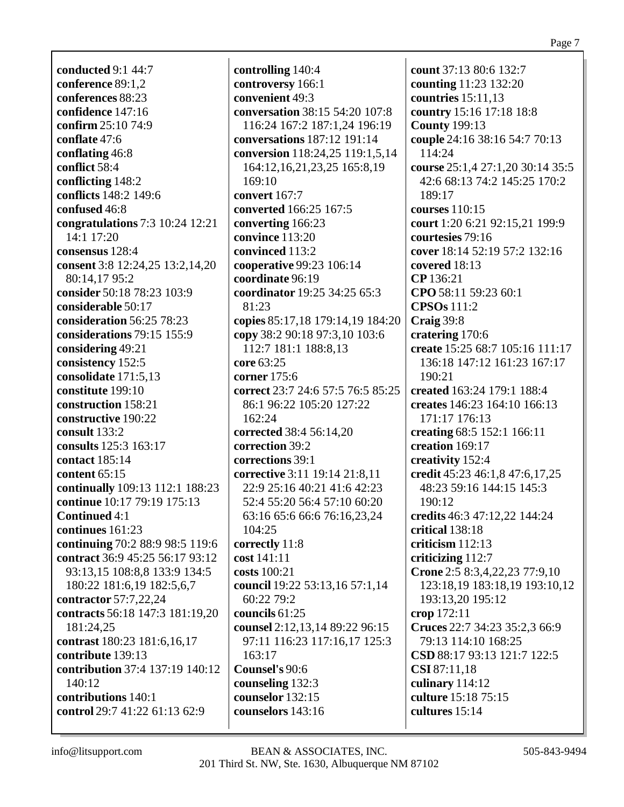**conducted** 9:1 44:7 **conference** 89:1,2 **conferences** 88:23 **confidence** 147:16 **confirm** 25:10 74:9 **conflate** 47:6 **conflating** 46:8 **conflict** 58:4 **conflicting** 148:2 **conflicts** 148:2 149:6 **confused** 46:8 **congratulations** 7:3 10:24 12:21 14:1 17:20 **consensus** 128:4 **consent** 3:8 12:24,25 13:2,14,20 80:14,17 95:2 **consider** 50:18 78:23 103:9 **considerable** 50:17 **consideration** 56:25 78:23 **considerations** 79:15 155:9 **considering** 49:21 **consistency** 152:5 **consolidate** 171:5,13 **constitute** 199:10 **construction** 158:21 **constructive** 190:22 **consult** 133:2 **consults** 125:3 163:17 **contact** 185:14 **content** 65:15 **continually** 109:13 112:1 188:23 **continue** 10:17 79:19 175:13 **Continued** 4:1 **continues** 161:23 **continuing** 70:2 88:9 98:5 119:6 **contract** 36:9 45:25 56:17 93:12 93:13,15 108:8,8 133:9 134:5 180:22 181:6,19 182:5,6,7 **contractor** 57:7,22,24 **contracts** 56:18 147:3 181:19,20 181:24,25 **contrast** 180:23 181:6,16,17 **contribute** 139:13 **contribution** 37:4 137:19 140:12 140:12 **contributions** 140:1 **control** 29:7 41:22 61:13 62:9

**controlling** 140:4 **controversy** 166:1 **convenient** 49:3 **conversation** 38:15 54:20 107:8 116:24 167:2 187:1,24 196:19 **conversations** 187:12 191:14 **conversion** 118:24,25 119:1,5,14 164:12,16,21,23,25 165:8,19 169:10 **convert** 167:7 **converted** 166:25 167:5 **converting** 166:23 **convince** 113:20 **convinced** 113:2 **cooperative** 99:23 106:14 **coordinate** 96:19 **coordinator** 19:25 34:25 65:3 81:23 **copies** 85:17,18 179:14,19 184:20 **copy** 38:2 90:18 97:3,10 103:6 112:7 181:1 188:8,13 **core** 63:25 **corner** 175:6 **correct** 23:7 24:6 57:5 76:5 85:25 86:1 96:22 105:20 127:22 162:24 **corrected** 38:4 56:14,20 **correction** 39:2 **corrections** 39:1 **corrective** 3:11 19:14 21:8,11 22:9 25:16 40:21 41:6 42:23 52:4 55:20 56:4 57:10 60:20 63:16 65:6 66:6 76:16,23,24 104:25 **correctly** 11:8 **cost** 141:11 **costs** 100:21 **council** 19:22 53:13,16 57:1,14 60:22 79:2 **councils** 61:25 **counsel** 2:12,13,14 89:22 96:15 97:11 116:23 117:16,17 125:3 163:17 **Counsel's** 90:6 **counseling** 132:3 **counselor** 132:15 **counselors** 143:16

**count** 37:13 80:6 132:7 **counting** 11:23 132:20 **countries** 15:11,13 **country** 15:16 17:18 18:8 **County** 199:13 **couple** 24:16 38:16 54:7 70:13 114:24 **course** 25:1,4 27:1,20 30:14 35:5 42:6 68:13 74:2 145:25 170:2 189:17 **courses** 110:15 **court** 1:20 6:21 92:15,21 199:9 **courtesies** 79:16 **cover** 18:14 52:19 57:2 132:16 **covered** 18:13 **CP** 136:21 **CPO** 58:11 59:23 60:1 **CPSOs** 111:2 **Craig** 39:8 **cratering** 170:6 **create** 15:25 68:7 105:16 111:17 136:18 147:12 161:23 167:17 190:21 **created** 163:24 179:1 188:4 **creates** 146:23 164:10 166:13 171:17 176:13 **creating** 68:5 152:1 166:11 **creation** 169:17 **creativity** 152:4 **credit** 45:23 46:1,8 47:6,17,25 48:23 59:16 144:15 145:3 190:12 **credits** 46:3 47:12,22 144:24 **critical** 138:18 **criticism** 112:13 **criticizing** 112:7 **Crone** 2:5 8:3,4,22,23 77:9,10 123:18,19 183:18,19 193:10,12 193:13,20 195:12 **crop** 172:11 **Cruces** 22:7 34:23 35:2,3 66:9 79:13 114:10 168:25 **CSD** 88:17 93:13 121:7 122:5 **CSI** 87:11,18 **culinary** 114:12 **culture** 15:18 75:15 **cultures** 15:14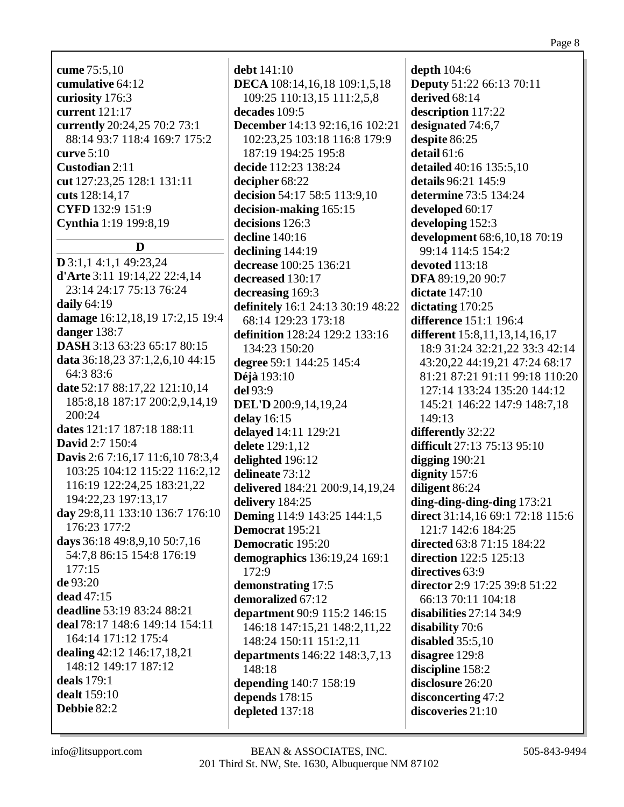cume 75:5,10 cumulative 64:12 curiosity 176:3 current 121:17 currently 20:24,25 70:2 73:1 88:14 93:7 118:4 169:7 175:2 curve  $5:10$ Custodian 2:11 cut 127:23,25 128:1 131:11 cuts 128:14,17 CYFD 132:9 151:9 **Cynthia** 1:19 199:8,19

## D

 $D$  3:1,1 4:1,1 49:23,24 **d'Arte** 3:11 19:14,22 22:4,14 23:14 24:17 75:13 76:24 daily  $64:19$ damage 16:12,18,19 17:2,15 19:4 danger  $138:7$ **DASH** 3:13 63:23 65:17 80:15 data 36:18,23 37:1,2,6,10 44:15 64:3 83:6 date 52:17 88:17,22 121:10,14 185:8,18 187:17 200:2,9,14,19 200:24 dates 121:17 187:18 188:11 **David** 2:7 150:4 Davis 2:6 7:16,17 11:6,10 78:3,4 103:25 104:12 115:22 116:2,12 116:19 122:24,25 183:21,22 194:22,23 197:13,17 day 29:8,11 133:10 136:7 176:10 176:23 177:2 days 36:18 49:8,9,10 50:7,16 54:7,8 86:15 154:8 176:19  $177:15$ de 93:20 dead 47:15 deadline 53:19 83:24 88:21 deal 78:17 148:6 149:14 154:11 164:14 171:12 175:4 dealing 42:12 146:17,18,21 148:12 149:17 187:12 deals  $179:1$ **dealt** 159:10 Debbie  $82:2$ 

debt  $141:10$ DECA 108:14,16,18 109:1,5,18 109:25 110:13,15 111:2,5,8 decades 109:5 **December** 14:13 92:16,16 102:21 102:23.25 103:18 116:8 179:9 187:19 194:25 195:8 decide 112:23 138:24 decipher 68:22 decision 54:17 58:5 113:9,10 decision-making 165:15 decisions 126:3 decline 140:16 declining  $144:19$ decrease 100:25 136:21 decreased 130:17 decreasing 169:3 definitely 16:1 24:13 30:19 48:22 68:14 129:23 173:18 definition 128:24 129:2 133:16 134:23 150:20 degree 59:1 144:25 145:4 **Déjà** 193:10  $del$  93:9 DEL'D 200:9,14,19,24 delay  $16:15$ delayed 14:11 129:21 delete 129:1.12 delighted 196:12 delineate 73:12 delivered 184:21 200:9,14,19,24 delivery 184:25 **Deming** 114:9 143:25 144:1,5 Democrat 195:21 **Democratic 195:20** demographics 136:19,24 169:1  $172:9$ demonstrating 17:5 demoralized 67:12 department 90:9 115:2 146:15 146:18 147:15,21 148:2,11,22 148:24 150:11 151:2,11 departments 146:22 148:3,7,13  $148:18$ depending 140:7 158:19 depends  $178:15$ depleted 137:18

depth  $104:6$ **Deputy** 51:22 66:13 70:11 derived 68:14 description 117:22 designated 74:6,7 despite 86:25 detail  $61:6$ detailed 40:16 135:5,10 details 96:21 145:9 determine 73:5 134:24 developed  $60:17$ developing 152:3 development 68:6,10,18 70:19 99:14 114:5 154:2 devoted 113:18 DFA 89:19,20 90:7 dictate  $147:10$ dictating  $170:25$ **difference** 151:1 196:4 **different** 15:8,11,13,14,16,17 18:9 31:24 32:21,22 33:3 42:14 43:20,22 44:19,21 47:24 68:17 81:21 87:21 91:11 99:18 110:20 127:14 133:24 135:20 144:12 145:21 146:22 147:9 148:7,18 149:13 differently 32:22 difficult 27:13 75:13 95:10 digging  $190:21$ dignity  $157:6$ diligent 86:24  $\dim$ *g*-ding-ding-ding 173:21 direct 31:14,16 69:1 72:18 115:6 121:7 142:6 184:25 directed 63:8 71:15 184:22 **direction** 122:5 125:13 directives 63:9 director 2:9 17:25 39:8 51:22 66:13 70:11 104:18 disabilities  $27:14$  34:9 disability 70:6 disabled  $35:5.10$ disagree 129:8 discipline 158:2 disclosure 26:20 disconcerting 47:2  $discoveries 21:10$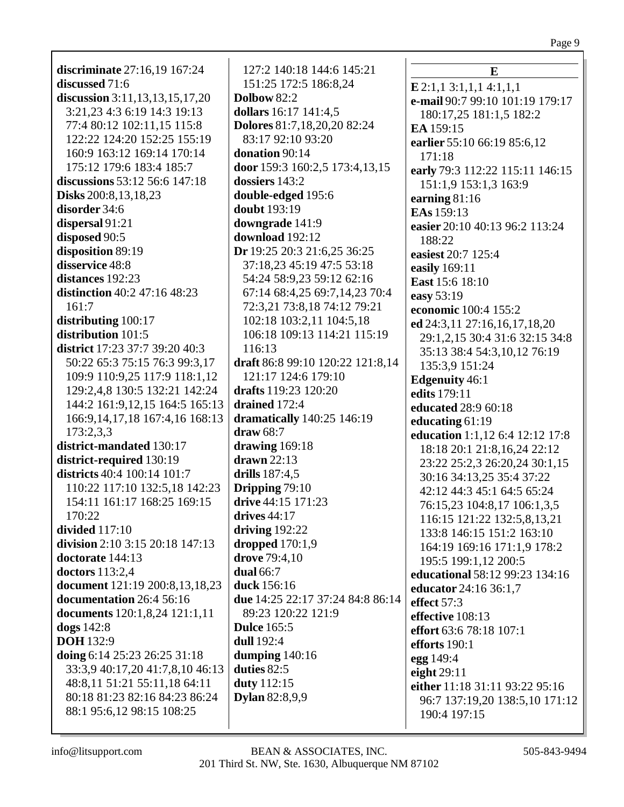**discriminate** 27:16,19 167:24 **discussed** 71:6 **discussion** 3:11,13,13,15,17,20 3:21,23 4:3 6:19 14:3 19:13 77:4 80:12 102:11,15 115:8 122:22 124:20 152:25 155:19 160:9 163:12 169:14 170:14 175:12 179:6 183:4 185:7 **discussions** 53:12 56:6 147:18 **Disks** 200:8,13,18,23 **disorder** 34:6 **dispersal** 91:21 **disposed** 90:5 **disposition** 89:19 **disservice** 48:8 **distances** 192:23 **distinction** 40:2 47:16 48:23 161:7 **distributing** 100:17 **distribution** 101:5 **district** 17:23 37:7 39:20 40:3 50:22 65:3 75:15 76:3 99:3,17 109:9 110:9,25 117:9 118:1,12 129:2,4,8 130:5 132:21 142:24 144:2 161:9,12,15 164:5 165:13 166:9,14,17,18 167:4,16 168:13 173:2,3,3 **district-mandated** 130:17 **district-required** 130:19 **districts** 40:4 100:14 101:7 110:22 117:10 132:5,18 142:23 154:11 161:17 168:25 169:15 170:22 **divided** 117:10 **division** 2:10 3:15 20:18 147:13 **doctorate** 144:13 **doctors** 113:2,4 **document** 121:19 200:8,13,18,23 **documentation** 26:4 56:16 **documents** 120:1,8,24 121:1,11 **dogs** 142:8 **DOH** 132:9 **doing** 6:14 25:23 26:25 31:18 33:3,9 40:17,20 41:7,8,10 46:13 48:8,11 51:21 55:11,18 64:11 80:18 81:23 82:16 84:23 86:24 88:1 95:6,12 98:15 108:25

127:2 140:18 144:6 145:21 151:25 172:5 186:8,24 **Dolbow** 82:2 **dollars** 16:17 141:4,5 **Dolores** 81:7,18,20,20 82:24 83:17 92:10 93:20 **donation** 90:14 **door** 159:3 160:2,5 173:4,13,15 **dossiers** 143:2 **double-edged** 195:6 **doubt** 193:19 **downgrade** 141:9 **download** 192:12 **Dr** 19:25 20:3 21:6,25 36:25 37:18,23 45:19 47:5 53:18 54:24 58:9,23 59:12 62:16 67:14 68:4,25 69:7,14,23 70:4 72:3,21 73:8,18 74:12 79:21 102:18 103:2,11 104:5,18 106:18 109:13 114:21 115:19 116:13 **draft** 86:8 99:10 120:22 121:8,14 121:17 124:6 179:10 **drafts** 119:23 120:20 **drained** 172:4 **dramatically** 140:25 146:19 **draw** 68:7 **drawing** 169:18 **drawn** 22:13 **drills** 187:4,5 **Dripping** 79:10 **drive** 44:15 171:23 **drives** 44:17 **driving** 192:22 **dropped** 170:1,9 **drove** 79:4,10 **dual** 66:7 **duck** 156:16 **due** 14:25 22:17 37:24 84:8 86:14 89:23 120:22 121:9 **Dulce** 165:5 **dull** 192:4 **dumping** 140:16 **duties** 82:5 **duty** 112:15 **Dylan** 82:8,9,9

**E E** 2:1,1 3:1,1,1 4:1,1,1 **e-mail** 90:7 99:10 101:19 179:17 180:17,25 181:1,5 182:2 **EA** 159:15 **earlier** 55:10 66:19 85:6,12 171:18 **early** 79:3 112:22 115:11 146:15 151:1,9 153:1,3 163:9 **earning** 81:16 **EAs** 159:13 **easier** 20:10 40:13 96:2 113:24 188:22 **easiest** 20:7 125:4 **easily** 169:11 **East** 15:6 18:10 **easy** 53:19 **economic** 100:4 155:2 **ed** 24:3,11 27:16,16,17,18,20 29:1,2,15 30:4 31:6 32:15 34:8 35:13 38:4 54:3,10,12 76:19 135:3,9 151:24 **Edgenuity** 46:1 **edits** 179:11 **educated** 28:9 60:18 **educating** 61:19 **education** 1:1,12 6:4 12:12 17:8 18:18 20:1 21:8,16,24 22:12 23:22 25:2,3 26:20,24 30:1,15 30:16 34:13,25 35:4 37:22 42:12 44:3 45:1 64:5 65:24 76:15,23 104:8,17 106:1,3,5 116:15 121:22 132:5,8,13,21 133:8 146:15 151:2 163:10 164:19 169:16 171:1,9 178:2 195:5 199:1,12 200:5 **educational** 58:12 99:23 134:16 **educator** 24:16 36:1,7 **effect** 57:3 **effective** 108:13 **effort** 63:6 78:18 107:1 **efforts** 190:1 **egg** 149:4 **eight** 29:11 **either** 11:18 31:11 93:22 95:16 96:7 137:19,20 138:5,10 171:12 190:4 197:15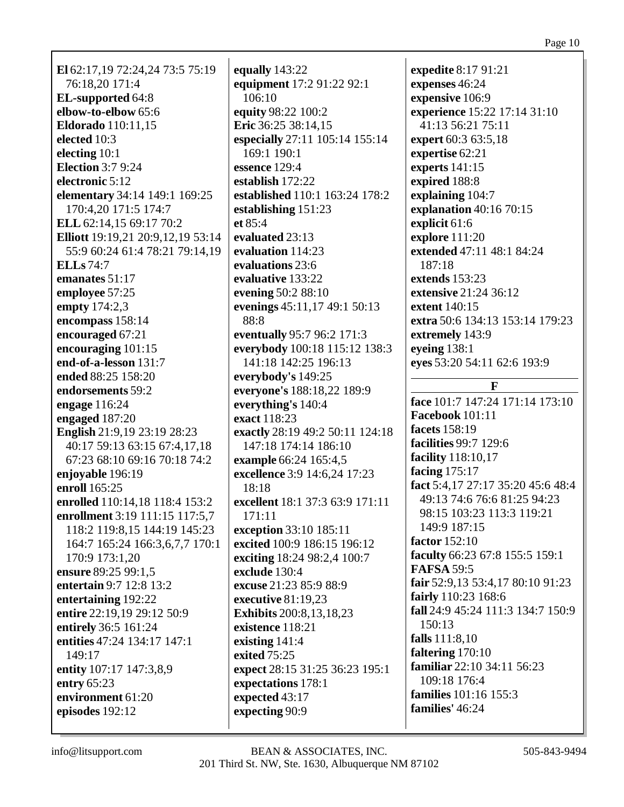**El** 62:17,19 72:24,24 73:5 75:19 76:18,20 171:4 **EL-supported** 64:8 **elbow-to-elbow** 65:6 **Eldorado** 110:11,15 **elected** 10:3 **electing** 10:1 **Election** 3:7 9:24 **electronic** 5:12 **elementary** 34:14 149:1 169:25 170:4,20 171:5 174:7 **ELL** 62:14,15 69:17 70:2 **Elliott** 19:19,21 20:9,12,19 53:14 55:9 60:24 61:4 78:21 79:14,19 **ELLs** 74:7 **emanates** 51:17 **employee** 57:25 **empty** 174:2,3 **encompass** 158:14 **encouraged** 67:21 **encouraging** 101:15 **end-of-a-lesson** 131:7 **ended** 88:25 158:20 **endorsements** 59:2 **engage** 116:24 **engaged** 187:20 **English** 21:9,19 23:19 28:23 40:17 59:13 63:15 67:4,17,18 67:23 68:10 69:16 70:18 74:2 **enjoyable** 196:19 **enroll** 165:25 **enrolled** 110:14,18 118:4 153:2 **enrollment** 3:19 111:15 117:5,7 118:2 119:8,15 144:19 145:23 164:7 165:24 166:3,6,7,7 170:1 170:9 173:1,20 **ensure** 89:25 99:1,5 **entertain** 9:7 12:8 13:2 **entertaining** 192:22 **entire** 22:19,19 29:12 50:9 **entirely** 36:5 161:24 **entities** 47:24 134:17 147:1 149:17 **entity** 107:17 147:3,8,9 **entry** 65:23 **environment** 61:20 **episodes** 192:12

**equally** 143:22 **equipment** 17:2 91:22 92:1 106:10 **equity** 98:22 100:2 **Eric** 36:25 38:14,15 **especially** 27:11 105:14 155:14 169:1 190:1 **essence** 129:4 **establish** 172:22 **established** 110:1 163:24 178:2 **establishing** 151:23 **et** 85:4 **evaluated** 23:13 **evaluation** 114:23 **evaluations** 23:6 **evaluative** 133:22 **evening** 50:2 88:10 **evenings** 45:11,17 49:1 50:13 88:8 **eventually** 95:7 96:2 171:3 **everybody** 100:18 115:12 138:3 141:18 142:25 196:13 **everybody's** 149:25 **everyone's** 188:18,22 189:9 **everything's** 140:4 **exact** 118:23 **exactly** 28:19 49:2 50:11 124:18 147:18 174:14 186:10 **example** 66:24 165:4,5 **excellence** 3:9 14:6,24 17:23 18:18 **excellent** 18:1 37:3 63:9 171:11 171:11 **exception** 33:10 185:11 **excited** 100:9 186:15 196:12 **exciting** 18:24 98:2,4 100:7 **exclude** 130:4 **excuse** 21:23 85:9 88:9 **executive** 81:19,23 **Exhibits** 200:8,13,18,23 **existence** 118:21 **existing** 141:4 **exited** 75:25 **expect** 28:15 31:25 36:23 195:1 **expectations** 178:1 **expected** 43:17 **expecting** 90:9

**expedite** 8:17 91:21 **expenses** 46:24 **expensive** 106:9 **experience** 15:22 17:14 31:10 41:13 56:21 75:11 **expert** 60:3 63:5,18 **expertise** 62:21 **experts** 141:15 **expired** 188:8 **explaining** 104:7 **explanation** 40:16 70:15 **explicit** 61:6 **explore** 111:20 **extended** 47:11 48:1 84:24 187:18 **extends** 153:23 **extensive** 21:24 36:12 **extent** 140:15 **extra** 50:6 134:13 153:14 179:23 **extremely** 143:9 **eyeing** 138:1 **eyes** 53:20 54:11 62:6 193:9 **F face** 101:7 147:24 171:14 173:10

**Facebook** 101:11 **facets** 158:19 **facilities** 99:7 129:6 **facility** 118:10,17 **facing** 175:17 **fact** 5:4,17 27:17 35:20 45:6 48:4 49:13 74:6 76:6 81:25 94:23 98:15 103:23 113:3 119:21 149:9 187:15 **factor** 152:10 **faculty** 66:23 67:8 155:5 159:1 **FAFSA** 59:5 **fair** 52:9,13 53:4,17 80:10 91:23 **fairly** 110:23 168:6 **fall** 24:9 45:24 111:3 134:7 150:9 150:13 **falls** 111:8,10 **faltering** 170:10 **familiar** 22:10 34:11 56:23 109:18 176:4 **families** 101:16 155:3 **families'** 46:24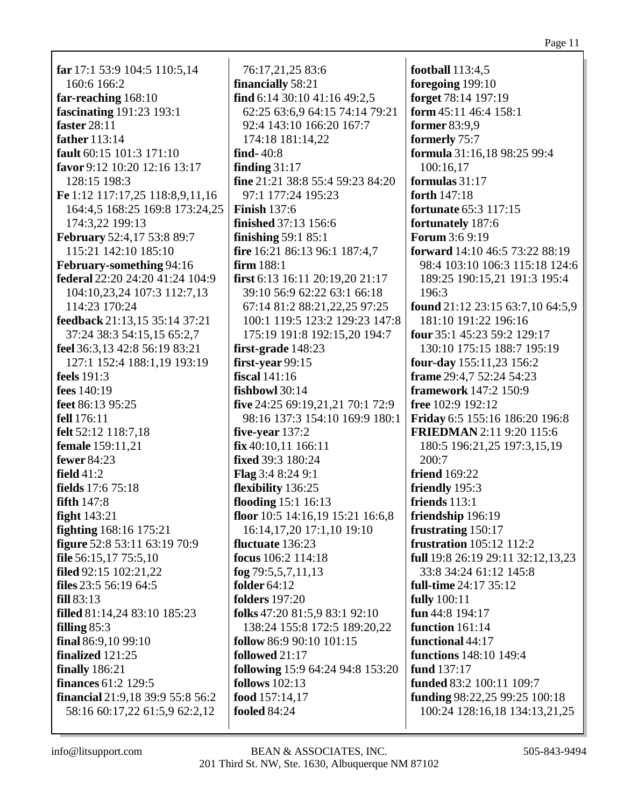**far** 17:1 53:9 104:5 110:5,14 160:6 166:2 far-reaching  $168:10$ fascinating 191:23 193:1 faster  $28:11$ father 113:14 fault  $60:15$   $101:3$   $171:10$ favor 9:12 10:20 12:16 13:17 128:15 198:3 Fe 1:12 117:17,25 118:8,9,11,16 164:4,5 168:25 169:8 173:24,25 174:3.22 199:13 **February** 52:4,17 53:8 89:7 115:21 142:10 185:10 February-something 94:16 federal 22:20 24:20 41:24 104:9 104:10.23.24 107:3 112:7.13 114:23 170:24 feedback 21:13,15 35:14 37:21 37:24 38:3 54:15,15 65:2,7 feel 36:3,13 42:8 56:19 83:21 127:1 152:4 188:1,19 193:19 **feels** 191:3 fees  $140:19$ feet 86:13 95:25 fell 176:11 felt 52:12 118:7,18 female 159:11.21 **fewer** 84:23 field  $41:2$ fields 17:6 75:18 fifth  $147:8$ fight  $143:21$ **fighting**  $168:16$  175:21 figure 52:8 53:11 63:19 70:9 file  $56:15,1775:5,10$ filed 92:15 102:21,22 files  $23:556:1964:5$  $fill 83:13$ filled 81:14,24 83:10 185:23 filling  $85:3$ final  $86:9.10$  99:10 finalized 121:25 **finally** 186:21 **finances** 61:2 129:5 financial 21:9,18 39:9 55:8 56:2 58:16 60:17,22 61:5,9 62:2,12

76:17,21,25 83:6 financially 58:21 find  $6:14$  30:10 41:16 49:2,5 62:25 63:6.9 64:15 74:14 79:21 92:4 143:10 166:20 167:7 174:18 181:14.22 find  $-40:8$ finding  $31:17$ fine 21:21 38:8 55:4 59:23 84:20 97:1 177:24 195:23 **Finish**  $137:6$ **finished** 37:13 156:6 finishing  $59:1$   $85:1$ fire 16:21 86:13 96:1 187:4,7 firm  $188:1$ **first** 6:13 16:11 20:19,20 21:17 39:10 56:9 62:22 63:1 66:18 67:14 81:2 88:21,22,25 97:25 100:1 119:5 123:2 129:23 147:8 175:19 191:8 192:15,20 194:7 first-grade 148:23 first-vear  $99:15$ fiscal  $141:16$ fishbowl  $30:14$ five 24:25 69:19,21,21 70:1 72:9 98:16 137:3 154:10 169:9 180:1 five-vear  $137:2$  $fix 40:10.11 166:11$ fixed 39:3 180:24 **Flag**  $3:48:249:1$ flexibility 136:25 flooding  $15:1\ 16:13$ floor 10:5 14:16,19 15:21 16:6,8 16:14, 17, 20 17:1, 10 19:10 fluctuate 136:23 focus 106:2 114:18 fog  $79:5,5,7,11,13$ folder  $64:12$ **folders** 197:20 folks 47:20 81:5,9 83:1 92:10 138:24 155:8 172:5 189:20,22 follow  $86:990:10101:15$ followed 21:17 following 15:9 64:24 94:8 153:20 follows  $102:13$ food 157:14.17 **fooled** 84:24

**football** 113:4,5 foregoing  $199:10$ forget 78:14 197:19 form 45:11 46:4 158:1 former  $83:9.9$ formerly 75:7 formula 31:16,18 98:25 99:4 100:16.17 formulas  $31:17$ forth 147:18 **fortunate** 65:3 117:15 fortunately 187:6 **Forum 3:6 9:19** forward 14:10 46:5 73:22 88:19 98:4 103:10 106:3 115:18 124:6 189:25 190:15,21 191:3 195:4 196:3 **found**  $21:12$   $23:15$   $63:7,10$   $64:5,9$ 181:10 191:22 196:16 four 35:1 45:23 59:2 129:17 130:10 175:15 188:7 195:19 **four-day**  $155:11,23$   $156:2$ **frame** 29:4.7 52:24 54:23 framework  $147:2 150:9$ free 102:9 192:12 **Friday** 6:5 155:16 186:20 196:8 FRIEDMAN 2:11 9:20 115:6 180:5 196:21,25 197:3,15,19  $200:7$ **friend** 169:22 friendly 195:3 friends  $113:1$ friendship 196:19 frustrating 150:17 **frustration** 105:12 112:2 full 19:8 26:19 29:11 32:12,13,23 33:8 34:24 61:12 145:8 **full-time** 24:17 35:12 fully 100:11 fun 44:8 194:17 function 161:14 functional 44:17 **functions** 148:10 149:4 fund 137:17 funded 83:2 100:11 109:7 funding  $98:22.25$   $99:25$   $100:18$ 100:24 128:16,18 134:13,21,25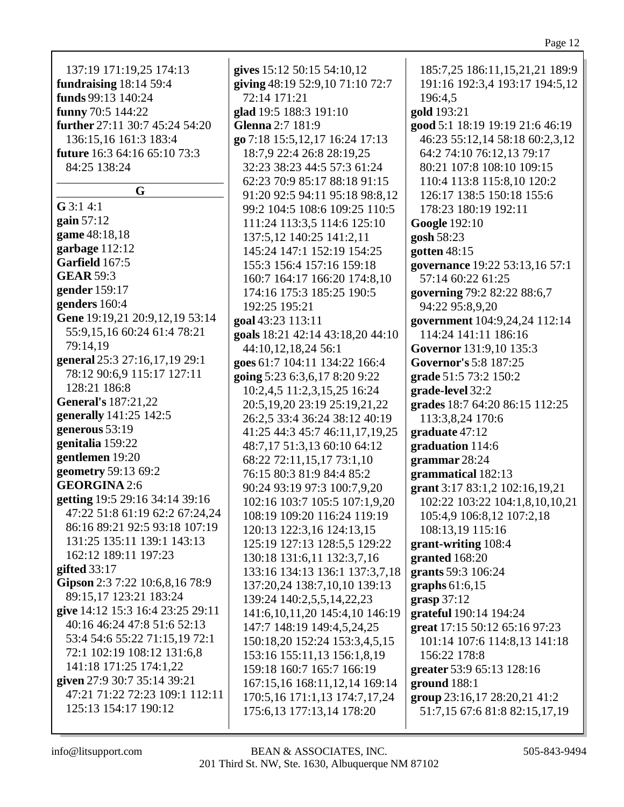| 137:19 171:19,25 174:13             | gives 15:12 50:15 54:10,12                                   | 185:7,25 186:11,15,21,21 189:9               |
|-------------------------------------|--------------------------------------------------------------|----------------------------------------------|
| fundraising 18:14 59:4              | giving 48:19 52:9,10 71:10 72:7                              | 191:16 192:3,4 193:17 194:5,12               |
| funds 99:13 140:24                  | 72:14 171:21                                                 | 196:4,5                                      |
| funny 70:5 144:22                   | glad 19:5 188:3 191:10                                       | gold 193:21                                  |
| further 27:11 30:7 45:24 54:20      | Glenna 2:7 181:9                                             | good 5:1 18:19 19:19 21:6 46:19              |
| 136:15,16 161:3 183:4               | go 7:18 15:5,12,17 16:24 17:13                               | 46:23 55:12,14 58:18 60:2,3,12               |
| <b>future</b> 16:3 64:16 65:10 73:3 | 18:7,9 22:4 26:8 28:19,25                                    | 64:2 74:10 76:12,13 79:17                    |
| 84:25 138:24                        | 32:23 38:23 44:5 57:3 61:24                                  | 80:21 107:8 108:10 109:15                    |
|                                     | 62:23 70:9 85:17 88:18 91:15                                 | 110:4 113:8 115:8,10 120:2                   |
| G                                   | 91:20 92:5 94:11 95:18 98:8,12                               | 126:17 138:5 150:18 155:6                    |
| $G$ 3:1 4:1                         | 99:2 104:5 108:6 109:25 110:5                                | 178:23 180:19 192:11                         |
| gain $57:12$                        | 111:24 113:3,5 114:6 125:10                                  | <b>Google 192:10</b>                         |
| game 48:18,18                       | 137:5,12 140:25 141:2,11                                     | gosh 58:23                                   |
| garbage 112:12                      | 145:24 147:1 152:19 154:25                                   | gotten $48:15$                               |
| Garfield 167:5                      | 155:3 156:4 157:16 159:18                                    | governance 19:22 53:13,16 57:1               |
| <b>GEAR 59:3</b>                    | 160:7 164:17 166:20 174:8,10                                 | 57:14 60:22 61:25                            |
| gender 159:17                       | 174:16 175:3 185:25 190:5                                    | governing 79:2 82:22 88:6,7                  |
| genders 160:4                       | 192:25 195:21                                                | 94:22 95:8,9,20                              |
| Gene 19:19,21 20:9,12,19 53:14      | goal 43:23 113:11                                            | government 104:9,24,24 112:14                |
| 55:9,15,16 60:24 61:4 78:21         | goals 18:21 42:14 43:18,20 44:10                             | 114:24 141:11 186:16                         |
| 79:14,19                            | 44:10,12,18,24 56:1                                          | Governor 131:9,10 135:3                      |
| general 25:3 27:16,17,19 29:1       | goes 61:7 104:11 134:22 166:4                                | Governor's 5:8 187:25                        |
| 78:12 90:6,9 115:17 127:11          | going 5:23 6:3,6,17 8:20 9:22                                | grade 51:5 73:2 150:2                        |
| 128:21 186:8                        | 10:2,4,5 11:2,3,15,25 16:24                                  | grade-level 32:2                             |
| <b>General's 187:21,22</b>          | 20:5, 19, 20 23:19 25:19, 21, 22                             | grades 18:7 64:20 86:15 112:25               |
| generally 141:25 142:5              | 26:2,5 33:4 36:24 38:12 40:19                                | 113:3,8,24 170:6                             |
| generous 53:19                      | 41:25 44:3 45:7 46:11,17,19,25                               | graduate 47:12                               |
| genitalia 159:22                    | 48:7,17 51:3,13 60:10 64:12                                  | graduation 114:6                             |
| gentlemen 19:20                     | 68:22 72:11,15,17 73:1,10                                    | grammar 28:24                                |
| geometry 59:13 69:2                 | 76:15 80:3 81:9 84:4 85:2                                    | grammatical 182:13                           |
| <b>GEORGINA 2:6</b>                 | 90:24 93:19 97:3 100:7,9,20                                  | grant 3:17 83:1,2 102:16,19,21               |
| getting 19:5 29:16 34:14 39:16      | 102:16 103:7 105:5 107:1,9,20                                | 102:22 103:22 104:1,8,10,10,21               |
| 47:22 51:8 61:19 62:2 67:24,24      | 108:19 109:20 116:24 119:19                                  | 105:4,9 106:8,12 107:2,18                    |
| 86:16 89:21 92:5 93:18 107:19       | 120:13 122:3,16 124:13,15                                    | 108:13,19 115:16                             |
| 131:25 135:11 139:1 143:13          | 125:19 127:13 128:5,5 129:22                                 | grant-writing 108:4                          |
| 162:12 189:11 197:23                | 130:18 131:6,11 132:3,7,16                                   | granted 168:20                               |
| gifted $33:17$                      | 133:16 134:13 136:1 137:3,7,18                               | grants 59:3 106:24                           |
| Gipson 2:3 7:22 10:6,8,16 78:9      | 137:20,24 138:7,10,10 139:13                                 | graphs $61:6,15$                             |
| 89:15,17 123:21 183:24              | 139:24 140:2,5,5,14,22,23                                    | grasp 37:12                                  |
| give 14:12 15:3 16:4 23:25 29:11    | 141:6, 10, 11, 20 145: 4, 10 146: 19                         | grateful 190:14 194:24                       |
| 40:16 46:24 47:8 51:6 52:13         | 147:7 148:19 149:4,5,24,25                                   | great 17:15 50:12 65:16 97:23                |
| 53:4 54:6 55:22 71:15,19 72:1       |                                                              |                                              |
| 72:1 102:19 108:12 131:6,8          | 150:18,20 152:24 153:3,4,5,15<br>153:16 155:11,13 156:1,8,19 | 101:14 107:6 114:8,13 141:18<br>156:22 178:8 |
| 141:18 171:25 174:1,22              | 159:18 160:7 165:7 166:19                                    |                                              |
| given 27:9 30:7 35:14 39:21         | 167:15,16 168:11,12,14 169:14                                | greater 53:9 65:13 128:16<br>ground $188:1$  |
| 47:21 71:22 72:23 109:1 112:11      | 170:5,16 171:1,13 174:7,17,24                                | group 23:16,17 28:20,21 41:2                 |
| 125:13 154:17 190:12                | 175:6,13 177:13,14 178:20                                    | 51:7,15 67:6 81:8 82:15,17,19                |
|                                     |                                                              |                                              |
|                                     |                                                              |                                              |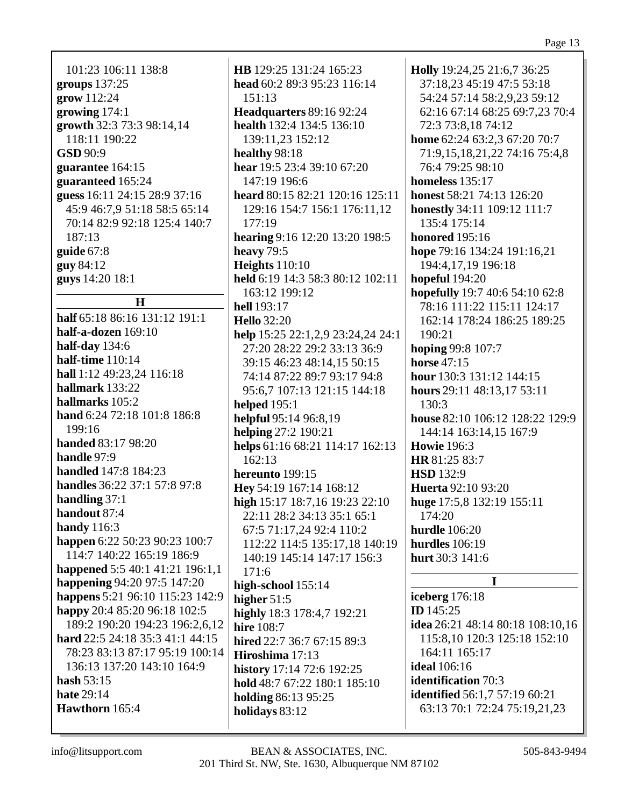101:23 106:11 138:8 groups  $137:25$ grow 112:24 growing  $174:1$ growth 32:3 73:3 98:14,14 118:11 190:22  $GSD 90:9$ guarantee 164:15 guaranteed 165:24 guess 16:11 24:15 28:9 37:16 45:9 46:7.9 51:18 58:5 65:14 70:14 82:9 92:18 125:4 140:7  $187:13$ guide  $67:8$ **guy 84:12** guys 14:20 18:1

# $H$

half 65:18 86:16 131:12 191:1 half-a-dozen  $169:10$ half-day  $134:6$ half-time  $110:14$ hall 1:12 49:23.24 116:18 hallmark 133:22 hallmarks 105:2 hand 6:24 72:18 101:8 186:8  $199:16$ **handed** 83:17 98:20 handle  $97:9$ **handled** 147:8 184:23 handles 36:22 37:1 57:8 97:8 handling  $37:1$ handout 87:4 **handy** 116:3 happen 6:22 50:23 90:23 100:7 114:7 140:22 165:19 186:9 happened 5:5 40:1 41:21 196:1,1 **happening 94:20 97:5 147:20** happens 5:21 96:10 115:23 142:9 happy 20:4 85:20 96:18 102:5 189:2 190:20 194:23 196:2,6,12 hard 22:5 24:18 35:3 41:1 44:15 78:23 83:13 87:17 95:19 100:14 136:13 137:20 143:10 164:9 hash  $53:15$ hate  $29:14$ Hawthorn 165:4

**HB** 129:25 131:24 165:23 head 60:2 89:3 95:23 116:14  $151:13$ **Headquarters 89:16 92:24** health 132:4 134:5 136:10 139:11.23 152:12 healthy 98:18 hear 19:5 23:4 39:10 67:20 147:19 196:6 heard 80:15 82:21 120:16 125:11 129:16 154:7 156:1 176:11.12  $177:19$ hearing 9:16 12:20 13:20 198:5 heavy  $79:5$ Heights  $110:10$ held 6:19 14:3 58:3 80:12 102:11 163:12 199:12 **hell**  $193:17$ **Hello** 32:20 help 15:25 22:1,2,9 23:24,24 24:1 27:20 28:22 29:2 33:13 36:9 39:15 46:23 48:14,15 50:15 74:14 87:22 89:7 93:17 94:8 95:6.7 107:13 121:15 144:18 **helped** 195:1 helpful 95:14 96:8,19 helping  $27:2$  190:21 helps 61:16 68:21 114:17 162:13  $162:13$ hereunto 199:15 Hey 54:19 167:14 168:12 high 15:17 18:7,16 19:23 22:10 22:11 28:2 34:13 35:1 65:1 67:5 71:17,24 92:4 110:2 112:22 114:5 135:17,18 140:19 140:19 145:14 147:17 156:3  $171:6$ high-school 155:14 higher  $51:5$ highly 18:3 178:4,7 192:21 hire  $108:7$ hired 22:7 36:7 67:15 89:3 Hiroshima 17:13 history 17:14 72:6 192:25 hold 48:7 67:22 180:1 185:10 holding 86:13 95:25 holidays 83:12

Holly 19:24,25 21:6,7 36:25 37:18,23 45:19 47:5 53:18 54:24 57:14 58:2,9,23 59:12 62:16 67:14 68:25 69:7,23 70:4 72:3 73:8,18 74:12 home 62:24 63:2,3 67:20 70:7 71:9,15,18,21,22 74:16 75:4,8 76:4 79:25 98:10 homeless  $135:17$ honest 58:21 74:13 126:20 **honestly** 34:11 109:12 111:7 135:4 175:14 **honored** 195:16 hope 79:16 134:24 191:16,21 194:4,17,19 196:18 hopeful  $194:20$ hopefully 19:7 40:6 54:10 62:8 78:16 111:22 115:11 124:17 162:14 178:24 186:25 189:25  $190:21$ hoping 99:8 107:7 horse  $47:15$ hour 130:3 131:12 144:15 hours  $29:11$   $48:13,17$   $53:11$  $130:3$ house 82:10 106:12 128:22 129:9 144:14 163:14,15 167:9 **Howie** 196:3 HR 81:25 83:7 **HSD** 132:9 **Huerta** 92:10 93:20 huge 17:5,8 132:19 155:11  $174:20$ hurdle  $106:20$ hurdles  $106:19$ hurt 30:3 141:6  $\mathbf{I}$ **iceberg** 176:18 **ID**  $145:25$ idea 26:21 48:14 80:18 108:10,16 115:8,10 120:3 125:18 152:10 164:11 165:17 **ideal** 106:16 **identification** 70:3 **identified** 56:1,7 57:19 60:21

63:13 70:1 72:24 75:19,21,23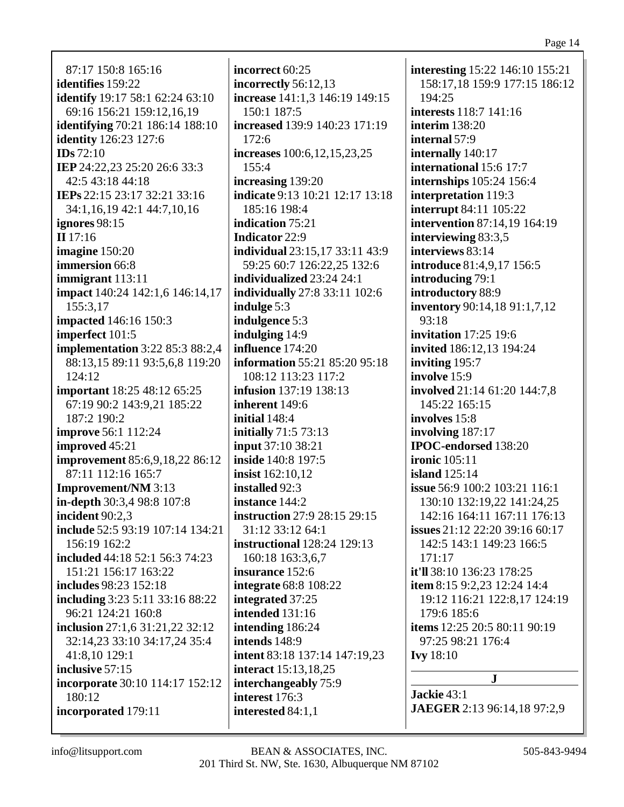87:17 150:8 165:16 **identifies** 159:22 **identify** 19:17 58:1 62:24 63:10 69:16 156:21 159:12,16,19 **identifying** 70:21 186:14 188:10 **identity** 126:23 127:6 **IDs** 72:10 **IEP** 24:22,23 25:20 26:6 33:3 42:5 43:18 44:18 **IEPs** 22:15 23:17 32:21 33:16 34:1,16,19 42:1 44:7,10,16 **ignores** 98:15 **II** 17:16 **imagine** 150:20 **immersion** 66:8 **immigrant** 113:11 **impact** 140:24 142:1,6 146:14,17 155:3,17 **impacted** 146:16 150:3 **imperfect** 101:5 **implementation** 3:22 85:3 88:2,4 88:13,15 89:11 93:5,6,8 119:20 124:12 **important** 18:25 48:12 65:25 67:19 90:2 143:9,21 185:22 187:2 190:2 **improve** 56:1 112:24 **improved** 45:21 **improvement** 85:6,9,18,22 86:12 87:11 112:16 165:7 **Improvement/NM** 3:13 **in-depth** 30:3,4 98:8 107:8 **incident** 90:2,3 **include** 52:5 93:19 107:14 134:21 156:19 162:2 **included** 44:18 52:1 56:3 74:23 151:21 156:17 163:22 **includes** 98:23 152:18 **including** 3:23 5:11 33:16 88:22 96:21 124:21 160:8 **inclusion** 27:1,6 31:21,22 32:12 32:14,23 33:10 34:17,24 35:4 41:8,10 129:1 **inclusive** 57:15 **incorporate** 30:10 114:17 152:12 180:12 **incorporated** 179:11

**incorrect** 60:25 **incorrectly** 56:12,13 **increase** 141:1,3 146:19 149:15 150:1 187:5 **increased** 139:9 140:23 171:19 172:6 **increases** 100:6,12,15,23,25 155:4 **increasing** 139:20 **indicate** 9:13 10:21 12:17 13:18 185:16 198:4 **indication** 75:21 **Indicator** 22:9 **individual** 23:15,17 33:11 43:9 59:25 60:7 126:22,25 132:6 **individualized** 23:24 24:1 **individually** 27:8 33:11 102:6 **indulge** 5:3 **indulgence** 5:3 **indulging** 14:9 **influence** 174:20 **information** 55:21 85:20 95:18 108:12 113:23 117:2 **infusion** 137:19 138:13 **inherent** 149:6 **initial** 148:4 **initially** 71:5 73:13 **input** 37:10 38:21 **inside** 140:8 197:5 **insist** 162:10,12 **installed** 92:3 **instance** 144:2 **instruction** 27:9 28:15 29:15 31:12 33:12 64:1 **instructional** 128:24 129:13 160:18 163:3,6,7 **insurance** 152:6 **integrate** 68:8 108:22 **integrated** 37:25 **intended** 131:16 **intending** 186:24 **intends** 148:9 **intent** 83:18 137:14 147:19,23 **interact** 15:13,18,25 **interchangeably** 75:9 **interest** 176:3 **interested** 84:1,1

**interesting** 15:22 146:10 155:21 158:17,18 159:9 177:15 186:12 194:25 **interests** 118:7 141:16 **interim** 138:20 **internal** 57:9 **internally** 140:17 **international** 15:6 17:7 **internships** 105:24 156:4 **interpretation** 119:3 **interrupt** 84:11 105:22 **intervention** 87:14,19 164:19 **interviewing** 83:3,5 **interviews** 83:14 **introduce** 81:4,9,17 156:5 **introducing** 79:1 **introductory** 88:9 **inventory** 90:14,18 91:1,7,12 93:18 **invitation** 17:25 19:6 **invited** 186:12,13 194:24 **inviting** 195:7 **involve** 15:9 **involved** 21:14 61:20 144:7,8 145:22 165:15 **involves** 15:8 **involving** 187:17 **IPOC-endorsed** 138:20 **ironic** 105:11 **island** 125:14 **issue** 56:9 100:2 103:21 116:1 130:10 132:19,22 141:24,25 142:16 164:11 167:11 176:13 **issues** 21:12 22:20 39:16 60:17 142:5 143:1 149:23 166:5 171:17 **it'll** 38:10 136:23 178:25 **item** 8:15 9:2,23 12:24 14:4 19:12 116:21 122:8,17 124:19 179:6 185:6 **items** 12:25 20:5 80:11 90:19 97:25 98:21 176:4 **Ivy** 18:10 **J Jackie** 43:1

**JAEGER** 2:13 96:14,18 97:2,9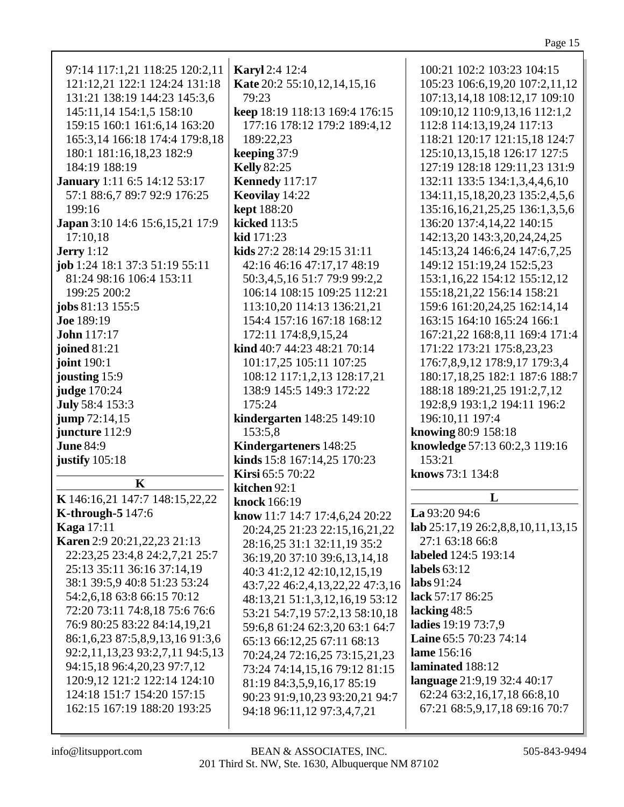|--|--|

| 97:14 117:1,21 118:25 120:2,11       | Karyl 2:4 12:4                  | 100:21 102:2 103:23 104:15            |
|--------------------------------------|---------------------------------|---------------------------------------|
| 121:12,21 122:1 124:24 131:18        | Kate 20:2 55:10,12,14,15,16     | 105:23 106:6, 19, 20 107:2, 11, 12    |
| 131:21 138:19 144:23 145:3,6         | 79:23                           | 107:13,14,18 108:12,17 109:10         |
| 145:11,14 154:1,5 158:10             | keep 18:19 118:13 169:4 176:15  | 109:10,12 110:9,13,16 112:1,2         |
| 159:15 160:1 161:6,14 163:20         | 177:16 178:12 179:2 189:4,12    | 112:8 114:13,19,24 117:13             |
|                                      |                                 |                                       |
| 165:3,14 166:18 174:4 179:8,18       | 189:22,23                       | 118:21 120:17 121:15,18 124:7         |
| 180:1 181:16,18,23 182:9             | keeping 37:9                    | 125:10, 13, 15, 18 126: 17 127: 5     |
| 184:19 188:19                        | <b>Kelly</b> 82:25              | 127:19 128:18 129:11,23 131:9         |
| <b>January</b> 1:11 6:5 14:12 53:17  | <b>Kennedy</b> 117:17           | 132:11 133:5 134:1,3,4,4,6,10         |
| 57:1 88:6,7 89:7 92:9 176:25         | Keovilay 14:22                  | 134:11,15,18,20,23 135:2,4,5,6        |
| 199:16                               | <b>kept</b> 188:20              | 135:16, 16, 21, 25, 25 136:1, 3, 5, 6 |
| Japan 3:10 14:6 15:6,15,21 17:9      | kicked 113:5                    | 136:20 137:4,14,22 140:15             |
| 17:10,18                             | kid 171:23                      | 142:13,20 143:3,20,24,24,25           |
| <b>Jerry</b> 1:12                    | kids 27:2 28:14 29:15 31:11     | 145:13,24 146:6,24 147:6,7,25         |
| job 1:24 18:1 37:3 51:19 55:11       | 42:16 46:16 47:17,17 48:19      | 149:12 151:19,24 152:5,23             |
| 81:24 98:16 106:4 153:11             |                                 |                                       |
|                                      | 50:3,4,5,16 51:7 79:9 99:2,2    | 153:1,16,22 154:12 155:12,12          |
| 199:25 200:2                         | 106:14 108:15 109:25 112:21     | 155:18,21,22 156:14 158:21            |
| jobs 81:13 155:5                     | 113:10,20 114:13 136:21,21      | 159:6 161:20,24,25 162:14,14          |
| <b>Joe</b> 189:19                    | 154:4 157:16 167:18 168:12      | 163:15 164:10 165:24 166:1            |
| <b>John</b> 117:17                   | 172:11 174:8,9,15,24            | 167:21,22 168:8,11 169:4 171:4        |
| joined 81:21                         | kind 40:7 44:23 48:21 70:14     | 171:22 173:21 175:8,23,23             |
| joint 190:1                          | 101:17,25 105:11 107:25         | 176:7,8,9,12 178:9,17 179:3,4         |
| jousting 15:9                        | 108:12 117:1,2,13 128:17,21     | 180:17,18,25 182:1 187:6 188:7        |
| judge 170:24                         | 138:9 145:5 149:3 172:22        | 188:18 189:21,25 191:2,7,12           |
| July 58:4 153:3                      | 175:24                          | 192:8,9 193:1,2 194:11 196:2          |
| <b>jump</b> 72:14,15                 | kindergarten 148:25 149:10      | 196:10,11 197:4                       |
| juncture 112:9                       | 153:5,8                         |                                       |
|                                      |                                 | knowing 80:9 158:18                   |
| <b>June 84:9</b>                     | Kindergarteners 148:25          | knowledge 57:13 60:2,3 119:16         |
| justify 105:18                       | kinds 15:8 167:14,25 170:23     | 153:21                                |
| K                                    | Kirsi 65:5 70:22                | knows 73:1 134:8                      |
|                                      | kitchen 92:1                    |                                       |
| K 146:16,21 147:7 148:15,22,22       | knock 166:19                    | L                                     |
| <b>K-through-5 147:6</b>             | know 11:7 14:7 17:4,6,24 20:22  | La 93:20 94:6                         |
| <b>Kaga</b> 17:11                    | 20:24,25 21:23 22:15,16,21,22   | lab 25:17,19 26:2,8,8,10,11,13,15     |
| <b>Karen</b> 2:9 20:21, 22, 23 21:13 | 28:16,25 31:1 32:11,19 35:2     | 27:1 63:18 66:8                       |
| 22:23,25 23:4,8 24:2,7,21 25:7       | 36:19,20 37:10 39:6,13,14,18    | labeled 124:5 193:14                  |
| 25:13 35:11 36:16 37:14,19           | 40:3 41:2,12 42:10,12,15,19     | labels $63:12$                        |
| 38:1 39:5,9 40:8 51:23 53:24         |                                 |                                       |
| 54:2,6,18 63:8 66:15 70:12           |                                 | labs $91:24$                          |
|                                      | 43:7,22 46:2,4,13,22,22 47:3,16 |                                       |
|                                      | 48:13,21 51:1,3,12,16,19 53:12  | lack 57:17 86:25                      |
| 72:20 73:11 74:8,18 75:6 76:6        | 53:21 54:7,19 57:2,13 58:10,18  | lacking 48:5                          |
| 76:9 80:25 83:22 84:14,19,21         | 59:6,8 61:24 62:3,20 63:1 64:7  | ladies 19:19 73:7,9                   |
| 86:1,6,23 87:5,8,9,13,16 91:3,6      | 65:13 66:12,25 67:11 68:13      | Laine 65:5 70:23 74:14                |
| 92:2,11,13,23 93:2,7,11 94:5,13      | 70:24,24 72:16,25 73:15,21,23   | lame 156:16                           |
| 94:15,18 96:4,20,23 97:7,12          | 73:24 74:14,15,16 79:12 81:15   | laminated 188:12                      |
| 120:9,12 121:2 122:14 124:10         | 81:19 84:3,5,9,16,17 85:19      | language 21:9,19 32:4 40:17           |
| 124:18 151:7 154:20 157:15           | 90:23 91:9,10,23 93:20,21 94:7  | 62:24 63:2,16,17,18 66:8,10           |
| 162:15 167:19 188:20 193:25          | 94:18 96:11,12 97:3,4,7,21      | 67:21 68:5,9,17,18 69:16 70:7         |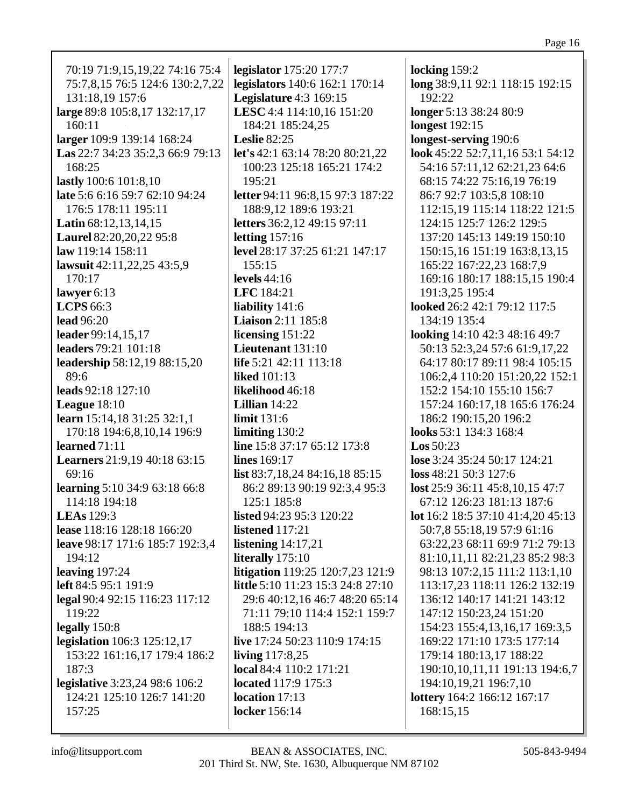| 70:19 71:9,15,19,22 74:16 75:4      | legislator 175:20 177:7                 | locking 159:2                     |
|-------------------------------------|-----------------------------------------|-----------------------------------|
| 75:7,8,15 76:5 124:6 130:2,7,22     | legislators 140:6 162:1 170:14          | long 38:9,11 92:1 118:15 192:15   |
| 131:18,19 157:6                     | <b>Legislature</b> 4:3 169:15           | 192:22                            |
| large 89:8 105:8,17 132:17,17       | LESC 4:4 114:10,16 151:20               | longer 5:13 38:24 80:9            |
| 160:11                              | 184:21 185:24,25                        | <b>longest</b> 192:15             |
| larger 109:9 139:14 168:24          | <b>Leslie</b> 82:25                     | longest-serving 190:6             |
| Las 22:7 34:23 35:2,3 66:9 79:13    | let's 42:1 63:14 78:20 80:21,22         | look 45:22 52:7,11,16 53:1 54:12  |
| 168:25                              | 100:23 125:18 165:21 174:2              | 54:16 57:11,12 62:21,23 64:6      |
| lastly 100:6 101:8,10               | 195:21                                  | 68:15 74:22 75:16,19 76:19        |
| late 5:6 6:16 59:7 62:10 94:24      | letter 94:11 96:8,15 97:3 187:22        | 86:7 92:7 103:5,8 108:10          |
| 176:5 178:11 195:11                 | 188:9,12 189:6 193:21                   | 112:15,19 115:14 118:22 121:5     |
| <b>Latin</b> $68:12,13,14,15$       | letters 36:2,12 49:15 97:11             | 124:15 125:7 126:2 129:5          |
| Laurel 82:20,20,22 95:8             | letting $157:16$                        | 137:20 145:13 149:19 150:10       |
| law 119:14 158:11                   | level 28:17 37:25 61:21 147:17          | 150:15,16 151:19 163:8,13,15      |
| lawsuit 42:11,22,25 43:5,9          | 155:15                                  | 165:22 167:22,23 168:7,9          |
| 170:17                              | levels $44:16$                          | 169:16 180:17 188:15,15 190:4     |
| lawyer $6:13$                       | LFC 184:21                              | 191:3,25 195:4                    |
| <b>LCPS</b> 66:3                    | liability 141:6                         | looked 26:2 42:1 79:12 117:5      |
| <b>lead</b> 96:20                   | <b>Liaison</b> 2:11 185:8               | 134:19 135:4                      |
| leader 99:14,15,17                  | licensing $151:22$                      | looking 14:10 42:3 48:16 49:7     |
| leaders 79:21 101:18                | Lieutenant 131:10                       | 50:13 52:3,24 57:6 61:9,17,22     |
| leadership 58:12,19 88:15,20        | life $5:21$ 42:11 113:18                | 64:17 80:17 89:11 98:4 105:15     |
| 89:6                                | <b>liked</b> 101:13                     | 106:2,4 110:20 151:20,22 152:1    |
| leads 92:18 127:10                  | likelihood 46:18                        | 152:2 154:10 155:10 156:7         |
| League $18:10$                      | Lillian $14:22$                         | 157:24 160:17,18 165:6 176:24     |
| learn 15:14,18 31:25 32:1,1         | <b>limit</b> 131:6                      | 186:2 190:15,20 196:2             |
| 170:18 194:6,8,10,14 196:9          | limiting 130:2                          | looks 53:1 134:3 168:4            |
| learned $71:11$                     | line 15:8 37:17 65:12 173:8             | $\text{Los } 50:23$               |
| <b>Learners</b> 21:9,19 40:18 63:15 | lines 169:17                            | lose 3:24 35:24 50:17 124:21      |
| 69:16                               | list 83:7,18,24 84:16,18 85:15          | loss 48:21 50:3 127:6             |
| learning 5:10 34:9 63:18 66:8       | 86:2 89:13 90:19 92:3,4 95:3            | lost 25:9 36:11 45:8,10,15 47:7   |
| 114:18 194:18                       | 125:1 185:8                             | 67:12 126:23 181:13 187:6         |
| <b>LEAs</b> 129:3                   | listed 94:23 95:3 120:22                | lot 16:2 18:5 37:10 41:4,20 45:13 |
| lease 118:16 128:18 166:20          | listened 117:21                         | 50:7,8 55:18,19 57:9 61:16        |
| leave 98:17 171:6 185:7 192:3,4     | listening $14:17,21$                    | 63:22,23 68:11 69:9 71:2 79:13    |
| 194:12                              | literally 175:10                        | 81:10,11,11 82:21,23 85:2 98:3    |
| leaving $197:24$                    | <b>litigation</b> 119:25 120:7,23 121:9 | 98:13 107:2,15 111:2 113:1,10     |
| <b>left</b> 84:5 95:1 191:9         | little 5:10 11:23 15:3 24:8 27:10       | 113:17,23 118:11 126:2 132:19     |
| legal 90:4 92:15 116:23 117:12      | 29:6 40:12,16 46:7 48:20 65:14          | 136:12 140:17 141:21 143:12       |
| 119:22                              | 71:11 79:10 114:4 152:1 159:7           | 147:12 150:23,24 151:20           |
| legally $150:8$                     | 188:5 194:13                            | 154:23 155:4, 13, 16, 17 169:3, 5 |
| <b>legislation</b> 106:3 125:12,17  | live 17:24 50:23 110:9 174:15           | 169:22 171:10 173:5 177:14        |
| 153:22 161:16,17 179:4 186:2        | living $117:8,25$                       | 179:14 180:13,17 188:22           |
| 187:3                               | local 84:4 110:2 171:21                 | 190:10,10,11,11 191:13 194:6,7    |
| legislative 3:23,24 98:6 106:2      | located 117:9 175:3                     | 194:10,19,21 196:7,10             |
| 124:21 125:10 126:7 141:20          | location 17:13                          | lottery 164:2 166:12 167:17       |
| 157:25                              | locker 156:14                           | 168:15,15                         |
|                                     |                                         |                                   |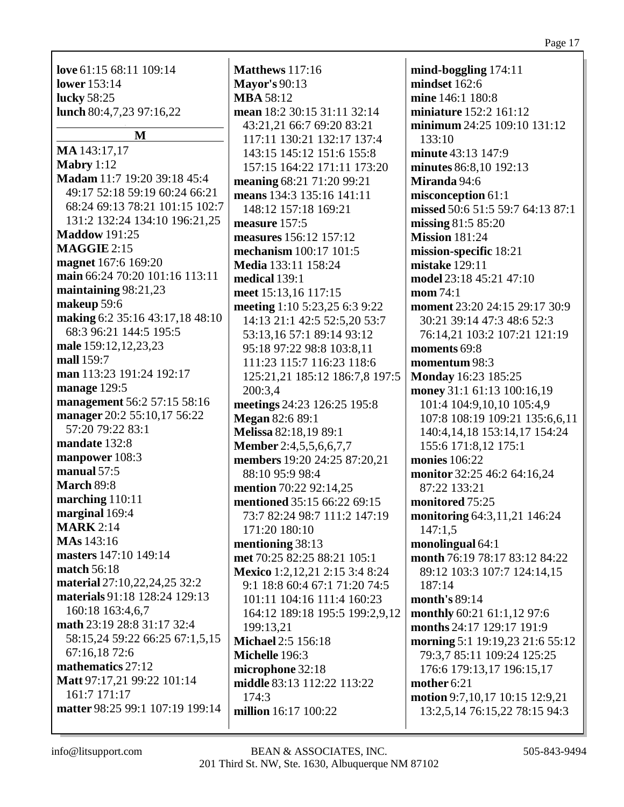| <b>lower</b> 153:14             | <b>Mayor's 90:13</b>           | mindset 162:6                    |
|---------------------------------|--------------------------------|----------------------------------|
| lucky 58:25                     | <b>MBA 58:12</b>               | mine 146:1 180:8                 |
| lunch 80:4,7,23 97:16,22        | mean 18:2 30:15 31:11 32:14    | miniature 152:2 161:12           |
|                                 | 43:21,21 66:7 69:20 83:21      | minimum 24:25 109:10 131:12      |
| M                               | 117:11 130:21 132:17 137:4     | 133:10                           |
| MA 143:17,17                    | 143:15 145:12 151:6 155:8      | minute 43:13 147:9               |
| Mabry $1:12$                    | 157:15 164:22 171:11 173:20    | minutes 86:8,10 192:13           |
| Madam 11:7 19:20 39:18 45:4     | meaning 68:21 71:20 99:21      | Miranda 94:6                     |
| 49:17 52:18 59:19 60:24 66:21   | means 134:3 135:16 141:11      | misconception 61:1               |
| 68:24 69:13 78:21 101:15 102:7  | 148:12 157:18 169:21           | missed 50:6 51:5 59:7 64:13 87:1 |
| 131:2 132:24 134:10 196:21,25   | measure 157:5                  | missing 81:5 85:20               |
| <b>Maddow</b> 191:25            | measures 156:12 157:12         | <b>Mission 181:24</b>            |
| <b>MAGGIE 2:15</b>              | mechanism 100:17 101:5         | mission-specific 18:21           |
| magnet 167:6 169:20             | Media 133:11 158:24            | mistake 129:11                   |
| main 66:24 70:20 101:16 113:11  | medical 139:1                  | model 23:18 45:21 47:10          |
| maintaining 98:21,23            | meet 15:13,16 117:15           | mom 74:1                         |
| makeup 59:6                     | meeting 1:10 5:23,25 6:3 9:22  | moment 23:20 24:15 29:17 30:9    |
| making 6:2 35:16 43:17,18 48:10 | 14:13 21:1 42:5 52:5,20 53:7   | 30:21 39:14 47:3 48:6 52:3       |
| 68:3 96:21 144:5 195:5          | 53:13,16 57:1 89:14 93:12      | 76:14,21 103:2 107:21 121:19     |
| male 159:12, 12, 23, 23         | 95:18 97:22 98:8 103:8,11      | moments 69:8                     |
| mall 159:7                      | 111:23 115:7 116:23 118:6      | momentum 98:3                    |
| man 113:23 191:24 192:17        | 125:21,21 185:12 186:7,8 197:5 | <b>Monday</b> 16:23 185:25       |
| manage 129:5                    | 200:3,4                        | money 31:1 61:13 100:16,19       |
| management 56:2 57:15 58:16     | meetings 24:23 126:25 195:8    | 101:4 104:9,10,10 105:4,9        |
| manager 20:2 55:10,17 56:22     | <b>Megan 82:6 89:1</b>         | 107:8 108:19 109:21 135:6,6,11   |
| 57:20 79:22 83:1                | Melissa 82:18,19 89:1          | 140:4,14,18 153:14,17 154:24     |
| mandate 132:8                   | <b>Member</b> 2:4,5,5,6,6,7,7  | 155:6 171:8,12 175:1             |
| manpower 108:3                  | members 19:20 24:25 87:20,21   | monies 106:22                    |
| manual 57:5                     | 88:10 95:9 98:4                | monitor 32:25 46:2 64:16,24      |
| March 89:8                      | mention 70:22 92:14,25         | 87:22 133:21                     |
| marching 110:11                 | mentioned 35:15 66:22 69:15    | monitored 75:25                  |
| marginal 169:4                  | 73:7 82:24 98:7 111:2 147:19   | monitoring 64:3,11,21 146:24     |
| <b>MARK</b> 2:14                | 171:20 180:10                  | 147:1,5                          |
| <b>MAs</b> 143:16               | mentioning 38:13               | monolingual $64:1$               |
| masters 147:10 149:14           | met 70:25 82:25 88:21 105:1    | month 76:19 78:17 83:12 84:22    |
| match 56:18                     | Mexico 1:2,12,21 2:15 3:4 8:24 | 89:12 103:3 107:7 124:14,15      |
| material 27:10,22,24,25 32:2    | 9:1 18:8 60:4 67:1 71:20 74:5  | 187:14                           |
| materials 91:18 128:24 129:13   | 101:11 104:16 111:4 160:23     | month's 89:14                    |
| 160:18 163:4,6,7                | 164:12 189:18 195:5 199:2,9,12 | monthly 60:21 61:1,12 97:6       |
| math 23:19 28:8 31:17 32:4      | 199:13,21                      | months 24:17 129:17 191:9        |
| 58:15,24 59:22 66:25 67:1,5,15  | <b>Michael 2:5 156:18</b>      | morning 5:1 19:19,23 21:6 55:12  |
| 67:16,18 72:6                   | Michelle 196:3                 | 79:3,7 85:11 109:24 125:25       |
| mathematics 27:12               | microphone 32:18               | 176:6 179:13,17 196:15,17        |
| Matt 97:17,21 99:22 101:14      | middle 83:13 112:22 113:22     | mother 6:21                      |
| 161:7 171:17                    | 174:3                          | motion 9:7,10,17 10:15 12:9,21   |
| matter 98:25 99:1 107:19 199:14 | million 16:17 100:22           | 13:2,5,14 76:15,22 78:15 94:3    |
|                                 |                                |                                  |
|                                 |                                |                                  |

**Matthews** 117:16 **Mayor's** 90:13

**mind-boggling** 174:11

**love** 61:15 68:11 109:14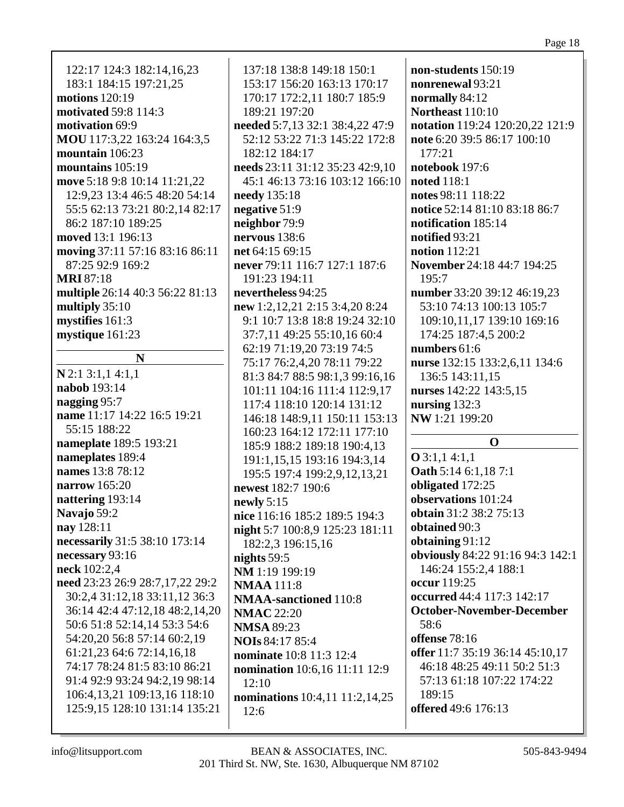| 122:17 124:3 182:14,16,23<br>183:1 184:15 197:21,25<br>motions 120:19<br><b>motivated 59:8 114:3</b><br>motivation 69:9 | 137:18 138:8 149:18 150:1<br>153:17 156:20 163:13 170:17<br>170:17 172:2,11 180:7 185:9<br>189:21 197:20<br>needed 5:7,13 32:1 38:4,22 47:9 | non-students 150:19<br>nonrenewal 93:21<br>normally 84:12<br><b>Northeast 110:10</b><br>notation 119:24 120:20,22 121:9 |
|-------------------------------------------------------------------------------------------------------------------------|---------------------------------------------------------------------------------------------------------------------------------------------|-------------------------------------------------------------------------------------------------------------------------|
| MOU 117:3,22 163:24 164:3,5<br>mountain 106:23                                                                          | 52:12 53:22 71:3 145:22 172:8<br>182:12 184:17                                                                                              | note 6:20 39:5 86:17 100:10<br>177:21                                                                                   |
| mountains 105:19                                                                                                        | needs 23:11 31:12 35:23 42:9,10                                                                                                             | notebook 197:6                                                                                                          |
| move 5:18 9:8 10:14 11:21,22                                                                                            | 45:1 46:13 73:16 103:12 166:10                                                                                                              | <b>noted</b> 118:1                                                                                                      |
| 12:9,23 13:4 46:5 48:20 54:14                                                                                           | needy 135:18                                                                                                                                | notes 98:11 118:22                                                                                                      |
| 55:5 62:13 73:21 80:2,14 82:17                                                                                          | negative 51:9                                                                                                                               | notice 52:14 81:10 83:18 86:7                                                                                           |
| 86:2 187:10 189:25                                                                                                      | neighbor 79:9                                                                                                                               | notification 185:14                                                                                                     |
| moved 13:1 196:13                                                                                                       | nervous 138:6                                                                                                                               | notified 93:21                                                                                                          |
| moving 37:11 57:16 83:16 86:11                                                                                          | net 64:15 69:15                                                                                                                             | notion 112:21                                                                                                           |
| 87:25 92:9 169:2                                                                                                        | never 79:11 116:7 127:1 187:6                                                                                                               | November 24:18 44:7 194:25                                                                                              |
| <b>MRI</b> 87:18                                                                                                        | 191:23 194:11                                                                                                                               | 195:7                                                                                                                   |
| multiple 26:14 40:3 56:22 81:13                                                                                         | nevertheless 94:25                                                                                                                          | number 33:20 39:12 46:19,23                                                                                             |
| multiply 35:10                                                                                                          | new 1:2,12,21 2:15 3:4,20 8:24                                                                                                              | 53:10 74:13 100:13 105:7                                                                                                |
| mystifies 161:3                                                                                                         | 9:1 10:7 13:8 18:8 19:24 32:10                                                                                                              | 109:10,11,17 139:10 169:16                                                                                              |
| mystique 161:23                                                                                                         | 37:7,11 49:25 55:10,16 60:4                                                                                                                 | 174:25 187:4,5 200:2                                                                                                    |
| N                                                                                                                       | 62:19 71:19,20 73:19 74:5                                                                                                                   | numbers 61:6                                                                                                            |
| $N$ 2:1 3:1,1 4:1,1                                                                                                     | 75:17 76:2,4,20 78:11 79:22                                                                                                                 | nurse 132:15 133:2,6,11 134:6                                                                                           |
| nabob 193:14                                                                                                            | 81:3 84:7 88:5 98:1,3 99:16,16                                                                                                              | 136:5 143:11,15                                                                                                         |
| nagging 95:7                                                                                                            | 101:11 104:16 111:4 112:9,17                                                                                                                | nurses 142:22 143:5,15                                                                                                  |
| name 11:17 14:22 16:5 19:21                                                                                             | 117:4 118:10 120:14 131:12                                                                                                                  | nursing 132:3<br>NW 1:21 199:20                                                                                         |
| 55:15 188:22                                                                                                            | 146:18 148:9,11 150:11 153:13<br>160:23 164:12 172:11 177:10                                                                                |                                                                                                                         |
| nameplate 189:5 193:21                                                                                                  | 185:9 188:2 189:18 190:4,13                                                                                                                 | $\mathbf 0$                                                                                                             |
| nameplates 189:4                                                                                                        | 191:1,15,15 193:16 194:3,14                                                                                                                 | $Q$ 3:1,1 4:1,1                                                                                                         |
| names 13:8 78:12                                                                                                        | 195:5 197:4 199:2,9,12,13,21                                                                                                                | Oath 5:14 6:1,18 7:1                                                                                                    |
| narrow 165:20                                                                                                           | newest 182:7 190:6                                                                                                                          | obligated 172:25                                                                                                        |
| nattering 193:14                                                                                                        | newly $5:15$                                                                                                                                | observations 101:24                                                                                                     |
| <b>Navajo</b> 59:2                                                                                                      | nice 116:16 185:2 189:5 194:3                                                                                                               | <b>obtain</b> 31:2 38:2 75:13                                                                                           |
| nay 128:11                                                                                                              | night 5:7 100:8,9 125:23 181:11                                                                                                             | obtained 90:3                                                                                                           |
| necessarily 31:5 38:10 173:14                                                                                           | 182:2,3 196:15,16                                                                                                                           | obtaining 91:12                                                                                                         |
| necessary 93:16                                                                                                         | nights $59:5$                                                                                                                               | obviously 84:22 91:16 94:3 142:1                                                                                        |
| neck 102:2,4                                                                                                            | NM 1:19 199:19                                                                                                                              | 146:24 155:2,4 188:1                                                                                                    |
| need 23:23 26:9 28:7,17,22 29:2                                                                                         | <b>NMAA</b> 111:8                                                                                                                           | occur 119:25                                                                                                            |
| 30:2,4 31:12,18 33:11,12 36:3                                                                                           | <b>NMAA-sanctioned</b> 110:8                                                                                                                | occurred 44:4 117:3 142:17                                                                                              |
| 36:14 42:4 47:12,18 48:2,14,20                                                                                          | <b>NMAC 22:20</b>                                                                                                                           | <b>October-November-December</b><br>58:6                                                                                |
| 50:6 51:8 52:14,14 53:3 54:6<br>54:20,20 56:8 57:14 60:2,19                                                             | <b>NMSA 89:23</b>                                                                                                                           | offense 78:16                                                                                                           |
| 61:21,23 64:6 72:14,16,18                                                                                               | <b>NOIs 84:17 85:4</b>                                                                                                                      | offer 11:7 35:19 36:14 45:10,17                                                                                         |
| 74:17 78:24 81:5 83:10 86:21                                                                                            | nominate 10:8 11:3 12:4                                                                                                                     | 46:18 48:25 49:11 50:2 51:3                                                                                             |
| 91:4 92:9 93:24 94:2,19 98:14                                                                                           | nomination 10:6,16 11:11 12:9<br>12:10                                                                                                      | 57:13 61:18 107:22 174:22                                                                                               |
| 106:4,13,21 109:13,16 118:10                                                                                            | nominations 10:4,11 11:2,14,25                                                                                                              | 189:15                                                                                                                  |
| 125:9,15 128:10 131:14 135:21                                                                                           | 12:6                                                                                                                                        | offered 49:6 176:13                                                                                                     |
|                                                                                                                         |                                                                                                                                             |                                                                                                                         |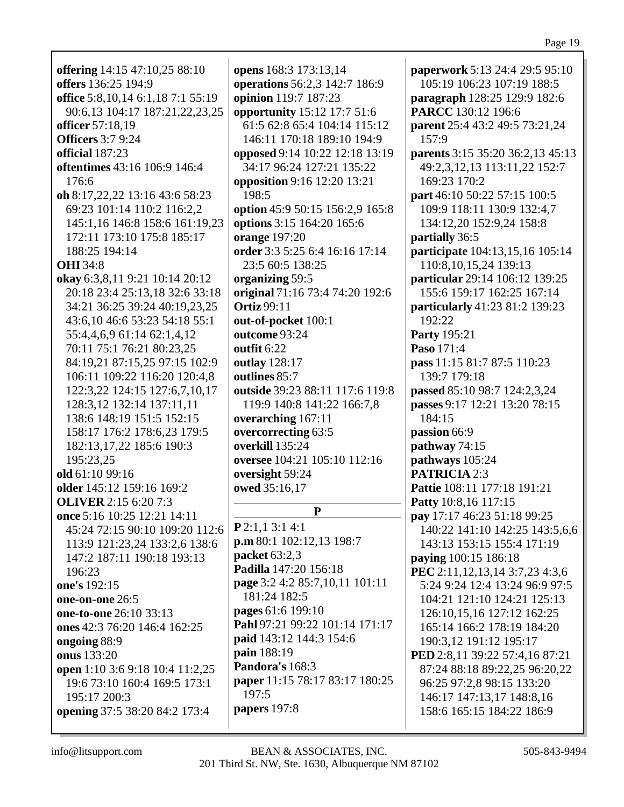|                                                                                                                                                   | opens 168:3 173:13,14                               |
|---------------------------------------------------------------------------------------------------------------------------------------------------|-----------------------------------------------------|
| offers 136:25 194:9                                                                                                                               | operations 56:2,3 142:7 186:9                       |
| office 5:8, 10, 14 6:1, 18 7:1 55:19                                                                                                              | opinion 119:7 187:23                                |
| 90:6,13 104:17 187:21,22,23,25                                                                                                                    | opportunity 15:12 17:7 51:6                         |
| officer 57:18,19                                                                                                                                  | 61:5 62:8 65:4 104:14 115:12                        |
| <b>Officers</b> 3:7 9:24                                                                                                                          | 146:11 170:18 189:10 194:9                          |
| official 187:23                                                                                                                                   | opposed 9:14 10:22 12:18 13:19                      |
| oftentimes 43:16 106:9 146:4                                                                                                                      | 34:17 96:24 127:21 135:22                           |
| 176:6                                                                                                                                             | opposition 9:16 12:20 13:21                         |
| oh 8:17,22,22 13:16 43:6 58:23                                                                                                                    | 198:5                                               |
| 69:23 101:14 110:2 116:2,2                                                                                                                        | option 45:9 50:15 156:2,9 165:8                     |
| 145:1,16 146:8 158:6 161:19,23                                                                                                                    | options 3:15 164:20 165:6                           |
| 172:11 173:10 175:8 185:17                                                                                                                        | orange 197:20                                       |
| 188:25 194:14                                                                                                                                     | order 3:3 5:25 6:4 16:16 17:14                      |
| <b>OHI</b> 34:8                                                                                                                                   | 23:5 60:5 138:25                                    |
| okay 6:3,8,11 9:21 10:14 20:12                                                                                                                    | organizing 59:5                                     |
| 20:18 23:4 25:13,18 32:6 33:18                                                                                                                    | original 71:16 73:4 74:20 192:6                     |
| 34:21 36:25 39:24 40:19,23,25                                                                                                                     | <b>Ortiz 99:11</b>                                  |
| 43:6,10 46:6 53:23 54:18 55:1                                                                                                                     | out-of-pocket 100:1                                 |
| 55:4,4,6,9 61:14 62:1,4,12                                                                                                                        | outcome 93:24                                       |
| 70:11 75:1 76:21 80:23,25                                                                                                                         | outfit 6:22                                         |
| 84:19,21 87:15,25 97:15 102:9                                                                                                                     | outlay 128:17                                       |
| 106:11 109:22 116:20 120:4,8                                                                                                                      | outlines 85:7                                       |
| 122:3,22 124:15 127:6,7,10,17                                                                                                                     | outside 39:23 88:11 117:6 119:8                     |
| 128:3,12 132:14 137:11,11                                                                                                                         | 119:9 140:8 141:22 166:7,8                          |
| 138:6 148:19 151:5 152:15                                                                                                                         | overarching 167:11                                  |
| 158:17 176:2 178:6,23 179:5                                                                                                                       | overcorrecting 63:5                                 |
| 182:13,17,22 185:6 190:3                                                                                                                          | overkill 135:24                                     |
| 195:23,25                                                                                                                                         | oversee 104:21 105:10 112:16                        |
| old 61:10 99:16                                                                                                                                   | oversight 59:24                                     |
|                                                                                                                                                   |                                                     |
|                                                                                                                                                   |                                                     |
|                                                                                                                                                   | owed 35:16,17                                       |
|                                                                                                                                                   | P                                                   |
|                                                                                                                                                   | $P$ 2:1,1 3:1 4:1                                   |
| 45:24 72:15 90:10 109:20 112:6                                                                                                                    |                                                     |
| 113:9 121:23,24 133:2,6 138:6                                                                                                                     | p.m 80:1 102:12,13 198:7<br>packet 63:2,3           |
| 147:2 187:11 190:18 193:13                                                                                                                        | Padilla 147:20 156:18                               |
| 196:23                                                                                                                                            | page 3:2 4:2 85:7,10,11 101:11                      |
|                                                                                                                                                   | 181:24 182:5                                        |
|                                                                                                                                                   |                                                     |
|                                                                                                                                                   | pages 61:6 199:10<br>Pahl 97:21 99:22 101:14 171:17 |
|                                                                                                                                                   |                                                     |
|                                                                                                                                                   | paid 143:12 144:3 154:6                             |
|                                                                                                                                                   | pain 188:19                                         |
| older 145:12 159:16 169:2<br><b>OLIVER</b> 2:15 6:20 7:3<br>once 5:16 10:25 12:21 14:11<br>one-to-one 26:10 33:13<br>ones 42:3 76:20 146:4 162:25 | Pandora's 168:3                                     |
| one's 192:15<br>one-on-one 26:5<br>ongoing 88:9<br>onus 133:20<br>open 1:10 3:6 9:18 10:4 11:2,25<br>19:6 73:10 160:4 169:5 173:1                 | paper 11:15 78:17 83:17 180:25                      |
| 195:17 200:3                                                                                                                                      | 197:5                                               |
| opening 37:5 38:20 84:2 173:4                                                                                                                     | papers 197:8                                        |

rwork 5:13 24:4 29:5 95:10 :19 106:23 107:19 188:5 **eraph** 128:25 129:9 182:6 CC 130:12 196:6 nt 25:4 43:2 49:5 73:21,24  $:9$ nts 3:15 35:20 36:2,13 45:13 2,3,12,13 113:11,22 152:7 :23 170:2 46:10 50:22 57:15 100:5 :9 118:11 130:9 132:4.7 :12,20 152:9,24 158:8 ally 36:5 cipate 104:13,15,16 105:14  $:8,10,15,24$  139:13 cular 29:14 106:12 139:25  $:6159:17162:25167:14$ cularly 41:23 81:2 139:23  $:22$ 195:21 171:4 1:15 81:7 87:5 110:23  $:7179:18$ **d** 85:10 98:7 124:2,3,24 s 9:17 12:21 13:20 78:15  $:15$ on 66:9 **vay** 74:15 **vavs** 105:24  $\textbf{RICIA} 2:3$ e 108:11 177:18 191:21 10:8,16 117:15 7:17 46:23 51:18 99:25 :22 141:10 142:25 143:5,6,6 :13 153:15 155:4 171:19 ng 100:15 186:18 2:11, 12, 13, 14 3: 7, 23 4: 3, 6 4 9:24 12:4 13:24 96:9 97:5 :21 121:10 124:21 125:13  $:10.15.16$  127:12 162:25 :14 166:2 178:19 184:20 :3,12 191:12 195:17 2:8,11 39:22 57:4,16 87:21 24 88:18 89:22.25 96:20.22 25 97:2,8 98:15 133:20  $: 17$  147:13,17 148:8,16 :6 165:15 184:22 186:9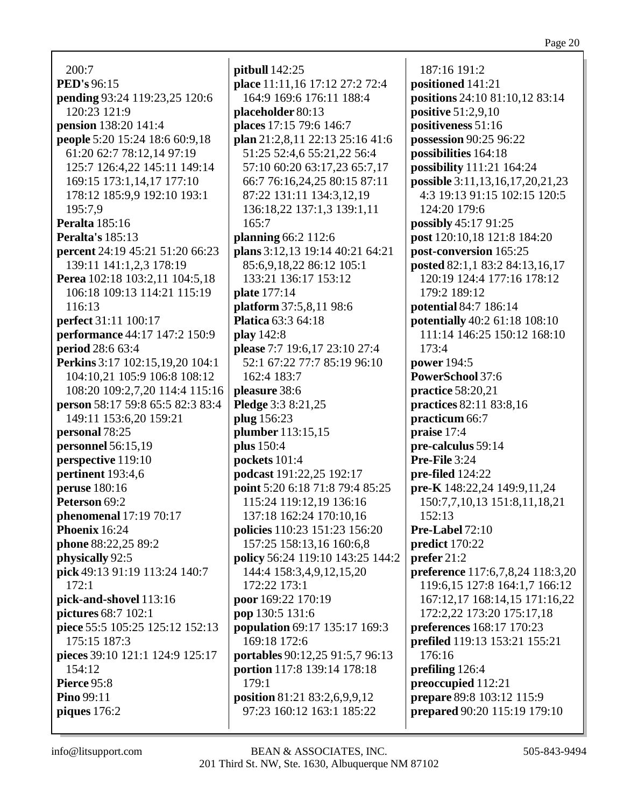200:7 **PED's** 96:15 **pending** 93:24 119:23,25 120:6 120:23 121:9 **pension** 138:20 141:4 **people** 5:20 15:24 18:6 60:9,18 61:20 62:7 78:12,14 97:19 125:7 126:4,22 145:11 149:14 169:15 173:1,14,17 177:10 178:12 185:9,9 192:10 193:1 195:7,9 **Peralta** 185:16 **Peralta's** 185:13 **percent** 24:19 45:21 51:20 66:23 139:11 141:1,2,3 178:19 **Perea** 102:18 103:2,11 104:5,18 106:18 109:13 114:21 115:19 116:13 **perfect** 31:11 100:17 **performance** 44:17 147:2 150:9 **period** 28:6 63:4 **Perkins** 3:17 102:15,19,20 104:1 104:10,21 105:9 106:8 108:12 108:20 109:2,7,20 114:4 115:16 **person** 58:17 59:8 65:5 82:3 83:4 149:11 153:6,20 159:21 **personal** 78:25 **personnel** 56:15,19 **perspective** 119:10 **pertinent** 193:4,6 **peruse** 180:16 **Peterson** 69:2 **phenomenal** 17:19 70:17 **Phoenix** 16:24 **phone** 88:22,25 89:2 **physically** 92:5 **pick** 49:13 91:19 113:24 140:7 172:1 **pick-and-shovel** 113:16 **pictures** 68:7 102:1 **piece** 55:5 105:25 125:12 152:13 175:15 187:3 **pieces** 39:10 121:1 124:9 125:17 154:12 **Pierce** 95:8 **Pino** 99:11 **piques** 176:2

**pitbull** 142:25 **place** 11:11,16 17:12 27:2 72:4 164:9 169:6 176:11 188:4 **placeholder** 80:13 **places** 17:15 79:6 146:7 **plan** 21:2,8,11 22:13 25:16 41:6 51:25 52:4,6 55:21,22 56:4 57:10 60:20 63:17,23 65:7,17 66:7 76:16,24,25 80:15 87:11 87:22 131:11 134:3,12,19 136:18,22 137:1,3 139:1,11 165:7 **planning** 66:2 112:6 **plans** 3:12,13 19:14 40:21 64:21 85:6,9,18,22 86:12 105:1 133:21 136:17 153:12 **plate** 177:14 **platform** 37:5,8,11 98:6 **Platica** 63:3 64:18 **play** 142:8 **please** 7:7 19:6,17 23:10 27:4 52:1 67:22 77:7 85:19 96:10 162:4 183:7 **pleasure** 38:6 **Pledge** 3:3 8:21,25 **plug** 156:23 **plumber** 113:15,15 **plus** 150:4 **pockets** 101:4 **podcast** 191:22,25 192:17 **point** 5:20 6:18 71:8 79:4 85:25 115:24 119:12,19 136:16 137:18 162:24 170:10,16 **policies** 110:23 151:23 156:20 157:25 158:13,16 160:6,8 **policy** 56:24 119:10 143:25 144:2 144:4 158:3,4,9,12,15,20 172:22 173:1 **poor** 169:22 170:19 **pop** 130:5 131:6 **population** 69:17 135:17 169:3 169:18 172:6 **portables** 90:12,25 91:5,7 96:13 **portion** 117:8 139:14 178:18 179:1 **position** 81:21 83:2,6,9,9,12 97:23 160:12 163:1 185:22

187:16 191:2 **positioned** 141:21 **positions** 24:10 81:10,12 83:14 **positive** 51:2,9,10 **positiveness** 51:16 **possession** 90:25 96:22 **possibilities** 164:18 **possibility** 111:21 164:24 **possible** 3:11,13,16,17,20,21,23 4:3 19:13 91:15 102:15 120:5 124:20 179:6 **possibly** 45:17 91:25 **post** 120:10,18 121:8 184:20 **post-conversion** 165:25 **posted** 82:1,1 83:2 84:13,16,17 120:19 124:4 177:16 178:12 179:2 189:12 **potential** 84:7 186:14 **potentially** 40:2 61:18 108:10 111:14 146:25 150:12 168:10 173:4 **power** 194:5 **PowerSchool** 37:6 **practice** 58:20,21 **practices** 82:11 83:8,16 **practicum** 66:7 **praise** 17:4 **pre-calculus** 59:14 **Pre-File** 3:24 **pre-filed** 124:22 **pre-K** 148:22,24 149:9,11,24 150:7,7,10,13 151:8,11,18,21 152:13 **Pre-Label** 72:10 **predict** 170:22 **prefer** 21:2 **preference** 117:6,7,8,24 118:3,20 119:6,15 127:8 164:1,7 166:12 167:12,17 168:14,15 171:16,22 172:2,22 173:20 175:17,18 **preferences** 168:17 170:23 **prefiled** 119:13 153:21 155:21 176:16 **prefiling** 126:4 **preoccupied** 112:21 **prepare** 89:8 103:12 115:9 **prepared** 90:20 115:19 179:10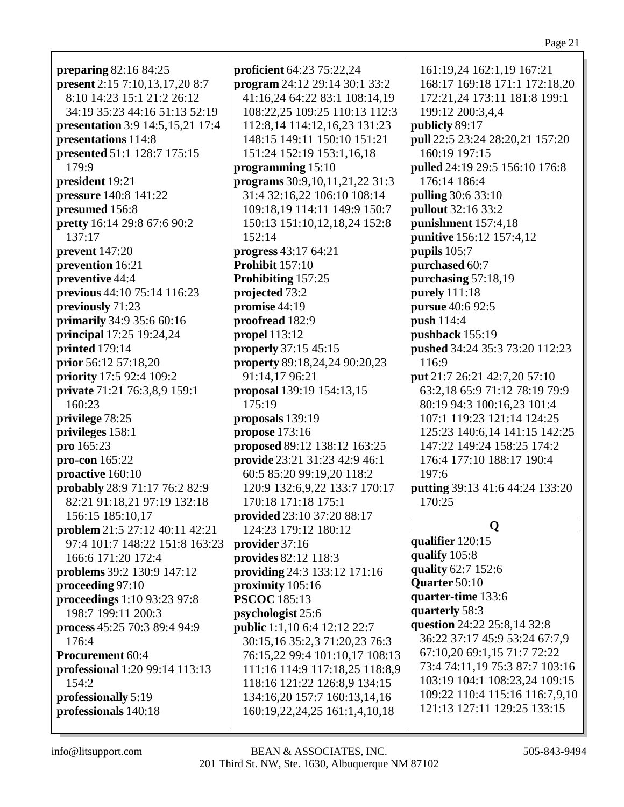**preparing** 82:16 84:25 **present** 2:15 7:10,13,17,20 8:7 8:10 14:23 15:1 21:2 26:12 34:19 35:23 44:16 51:13 52:19 **presentation** 3:9 14:5,15,21 17:4 **presentations** 114:8 **presented** 51:1 128:7 175:15 179:9 **president** 19:21 **pressure** 140:8 141:22 **presumed** 156:8 **pretty** 16:14 29:8 67:6 90:2 137:17 **prevent** 147:20 **prevention** 16:21 **preventive** 44:4 **previous** 44:10 75:14 116:23 **previously** 71:23 **primarily** 34:9 35:6 60:16 **principal** 17:25 19:24,24 **printed** 179:14 **prior** 56:12 57:18,20 **priority** 17:5 92:4 109:2 **private** 71:21 76:3,8,9 159:1 160:23 **privilege** 78:25 **privileges** 158:1 **pro** 165:23 **pro-con** 165:22 **proactive** 160:10 **probably** 28:9 71:17 76:2 82:9 82:21 91:18,21 97:19 132:18 156:15 185:10,17 **problem** 21:5 27:12 40:11 42:21 97:4 101:7 148:22 151:8 163:23 166:6 171:20 172:4 **problems** 39:2 130:9 147:12 **proceeding** 97:10 **proceedings** 1:10 93:23 97:8 198:7 199:11 200:3 **process** 45:25 70:3 89:4 94:9 176:4 **Procurement** 60:4 **professional** 1:20 99:14 113:13 154:2 **professionally** 5:19 **professionals** 140:18

**proficient** 64:23 75:22,24 **program** 24:12 29:14 30:1 33:2 41:16,24 64:22 83:1 108:14,19 108:22,25 109:25 110:13 112:3 112:8,14 114:12,16,23 131:23 148:15 149:11 150:10 151:21 151:24 152:19 153:1,16,18 **programming** 15:10 **programs** 30:9,10,11,21,22 31:3 31:4 32:16,22 106:10 108:14 109:18,19 114:11 149:9 150:7 150:13 151:10,12,18,24 152:8 152:14 **progress** 43:17 64:21 **Prohibit** 157:10 **Prohibiting** 157:25 **projected** 73:2 **promise** 44:19 **proofread** 182:9 **propel** 113:12 **properly** 37:15 45:15 **property** 89:18,24,24 90:20,23 91:14,17 96:21 **proposal** 139:19 154:13,15 175:19 **proposals** 139:19 **propose** 173:16 **proposed** 89:12 138:12 163:25 **provide** 23:21 31:23 42:9 46:1 60:5 85:20 99:19,20 118:2 120:9 132:6,9,22 133:7 170:17 170:18 171:18 175:1 **provided** 23:10 37:20 88:17 124:23 179:12 180:12 **provider** 37:16 **provides** 82:12 118:3 **providing** 24:3 133:12 171:16 **proximity** 105:16 **PSCOC** 185:13 **psychologist** 25:6 **public** 1:1,10 6:4 12:12 22:7 30:15,16 35:2,3 71:20,23 76:3 76:15,22 99:4 101:10,17 108:13 111:16 114:9 117:18,25 118:8,9 118:16 121:22 126:8,9 134:15 134:16,20 157:7 160:13,14,16 160:19,22,24,25 161:1,4,10,18

161:19,24 162:1,19 167:21 168:17 169:18 171:1 172:18,20 172:21,24 173:11 181:8 199:1 199:12 200:3,4,4 **publicly** 89:17 **pull** 22:5 23:24 28:20,21 157:20 160:19 197:15 **pulled** 24:19 29:5 156:10 176:8 176:14 186:4 **pulling** 30:6 33:10 **pullout** 32:16 33:2 **punishment** 157:4,18 **punitive** 156:12 157:4,12 **pupils** 105:7 **purchased** 60:7 **purchasing** 57:18,19 **purely** 111:18 **pursue** 40:6 92:5 **push** 114:4 **pushback** 155:19 **pushed** 34:24 35:3 73:20 112:23 116:9 **put** 21:7 26:21 42:7,20 57:10 63:2,18 65:9 71:12 78:19 79:9 80:19 94:3 100:16,23 101:4 107:1 119:23 121:14 124:25 125:23 140:6,14 141:15 142:25 147:22 149:24 158:25 174:2 176:4 177:10 188:17 190:4 197:6 **putting** 39:13 41:6 44:24 133:20 170:25 **Q qualifier** 120:15 **qualify** 105:8 **quality** 62:7 152:6 **Quarter** 50:10 **quarter-time** 133:6 **quarterly** 58:3 **question** 24:22 25:8,14 32:8 36:22 37:17 45:9 53:24 67:7,9 67:10,20 69:1,15 71:7 72:22 73:4 74:11,19 75:3 87:7 103:16 103:19 104:1 108:23,24 109:15 109:22 110:4 115:16 116:7,9,10 121:13 127:11 129:25 133:15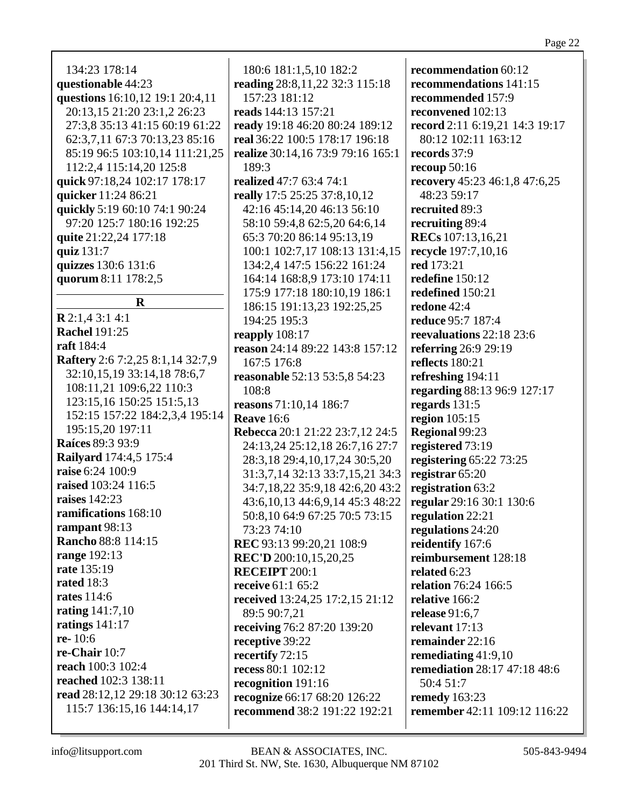| 134:23 178:14                           | 180:6 181:1,5,10 182:2              | recommendation 60:12                |
|-----------------------------------------|-------------------------------------|-------------------------------------|
| questionable 44:23                      | reading 28:8,11,22 32:3 115:18      | recommendations 141:15              |
| questions 16:10,12 19:1 20:4,11         | 157:23 181:12                       | recommended 157:9                   |
| 20:13,15 21:20 23:1,2 26:23             | reads 144:13 157:21                 | reconvened 102:13                   |
| 27:3,8 35:13 41:15 60:19 61:22          | ready 19:18 46:20 80:24 189:12      | record 2:11 6:19,21 14:3 19:17      |
| 62:3,7,11 67:3 70:13,23 85:16           | real 36:22 100:5 178:17 196:18      | 80:12 102:11 163:12                 |
| 85:19 96:5 103:10,14 111:21,25          | realize 30:14,16 73:9 79:16 165:1   | records 37:9                        |
| 112:2,4 115:14,20 125:8                 | 189:3                               | recoup $50:16$                      |
| quick 97:18,24 102:17 178:17            | realized 47:7 63:4 74:1             | recovery 45:23 46:1,8 47:6,25       |
| quicker 11:24 86:21                     | really 17:5 25:25 37:8,10,12        | 48:23 59:17                         |
| quickly 5:19 60:10 74:1 90:24           | 42:16 45:14,20 46:13 56:10          | recruited 89:3                      |
| 97:20 125:7 180:16 192:25               | 58:10 59:4,8 62:5,20 64:6,14        | recruiting 89:4                     |
| quite 21:22,24 177:18                   | 65:3 70:20 86:14 95:13,19           | <b>RECs</b> 107:13,16,21            |
| quiz 131:7                              | 100:1 102:7,17 108:13 131:4,15      | recycle 197:7,10,16                 |
| quizzes 130:6 131:6                     | 134:2,4 147:5 156:22 161:24         | red 173:21                          |
| quorum 8:11 178:2,5                     | 164:14 168:8,9 173:10 174:11        | redefine 150:12                     |
|                                         | 175:9 177:18 180:10,19 186:1        | redefined 150:21                    |
| $\mathbf R$                             | 186:15 191:13,23 192:25,25          | redone 42:4                         |
| <b>R</b> 2:1,4 3:1 4:1                  | 194:25 195:3                        | reduce 95:7 187:4                   |
| <b>Rachel 191:25</b>                    | reapply $108:17$                    | reevaluations 22:18 23:6            |
| <b>raft</b> 184:4                       | reason 24:14 89:22 143:8 157:12     | referring 26:9 29:19                |
| <b>Raftery</b> 2:6 7:2,25 8:1,14 32:7,9 | 167:5 176:8                         | reflects 180:21                     |
| 32:10,15,19 33:14,18 78:6,7             | reasonable 52:13 53:5,8 54:23       | refreshing 194:11                   |
| 108:11,21 109:6,22 110:3                | 108:8                               | regarding 88:13 96:9 127:17         |
| 123:15,16 150:25 151:5,13               | reasons 71:10,14 186:7              | regards 131:5                       |
| 152:15 157:22 184:2,3,4 195:14          | <b>Reave</b> 16:6                   | region $105:15$                     |
| 195:15,20 197:11                        | Rebecca 20:1 21:22 23:7,12 24:5     | Regional 99:23                      |
| <b>Raíces 89:3 93:9</b>                 | 24:13,24 25:12,18 26:7,16 27:7      | registered 73:19                    |
| <b>Railyard</b> 174:4,5 175:4           | 28:3,18 29:4,10,17,24 30:5,20       | registering 65:22 73:25             |
| raise 6:24 100:9                        | 31:3,7,14 32:13 33:7,15,21 34:3     | registrar 65:20                     |
| raised 103:24 116:5                     | 34:7,18,22 35:9,18 42:6,20 43:2     | registration 63:2                   |
| raises 142:23                           | 43:6, 10, 13 44:6, 9, 14 45:3 48:22 | regular 29:16 30:1 130:6            |
| <b>ramifications</b> 168:10             | 50:8,10 64:9 67:25 70:5 73:15       | regulation 22:21                    |
| rampant 98:13                           | 73:23 74:10                         | regulations 24:20                   |
| <b>Rancho 88:8 114:15</b>               | REC 93:13 99:20,21 108:9            | reidentify 167:6                    |
| <b>range</b> 192:13                     | <b>REC'D</b> 200:10,15,20,25        | reimbursement 128:18                |
| <b>rate</b> 135:19                      | <b>RECEIPT 200:1</b>                | related 6:23                        |
| rated 18:3                              | receive 61:1 65:2                   | <b>relation</b> 76:24 166:5         |
| <b>rates</b> 114:6                      | received 13:24,25 17:2,15 21:12     | relative 166:2                      |
| rating $141:7,10$                       | 89:5 90:7,21                        | release $91:6,7$                    |
| ratings $141:17$                        | receiving 76:2 87:20 139:20         | relevant 17:13                      |
| <b>re-</b> 10:6                         | receptive 39:22                     | remainder 22:16                     |
| <b>re-Chair</b> 10:7                    | recertify 72:15                     | remediating $41:9,10$               |
| reach 100:3 102:4                       | recess 80:1 102:12                  | remediation 28:17 47:18 48:6        |
| <b>reached</b> 102:3 138:11             | recognition 191:16                  | 50:4 51:7                           |
| read 28:12,12 29:18 30:12 63:23         | recognize 66:17 68:20 126:22        | <b>remedy</b> 163:23                |
| 115:7 136:15,16 144:14,17               | recommend 38:2 191:22 192:21        | <b>remember</b> 42:11 109:12 116:22 |
|                                         |                                     |                                     |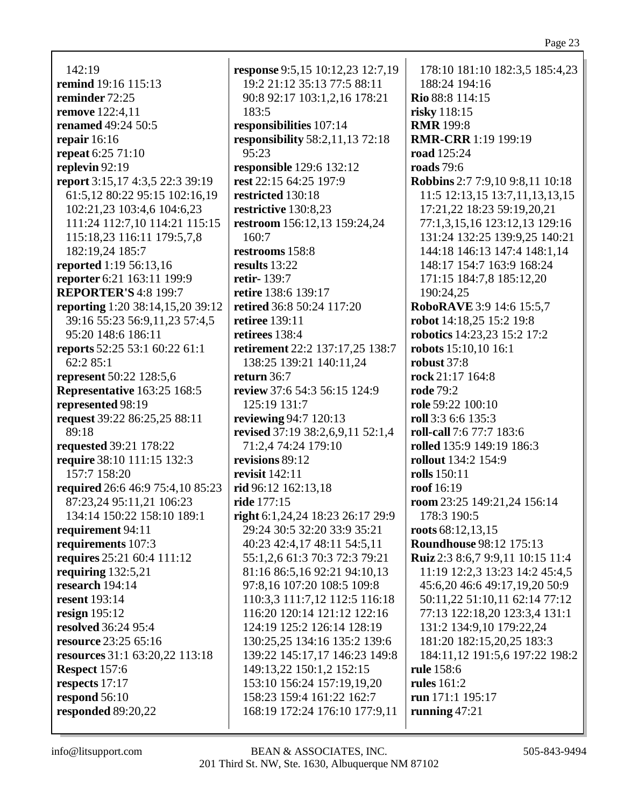Page 23

142:19 **remind** 19:16 115:13 **reminder** 72:25 **remove** 122:4,11 **renamed** 49:24 50:5 **repair** 16:16 **repeat** 6:25 71:10 **replevin** 92:19 **report** 3:15,17 4:3,5 22:3 39:19 61:5,12 80:22 95:15 102:16,19 102:21,23 103:4,6 104:6,23 111:24 112:7,10 114:21 115:15 115:18,23 116:11 179:5,7,8 182:19,24 185:7 **reported** 1:19 56:13,16 **reporter** 6:21 163:11 199:9 **REPORTER'S** 4:8 199:7 **reporting** 1:20 38:14,15,20 39:12 39:16 55:23 56:9,11,23 57:4,5 95:20 148:6 186:11 **reports** 52:25 53:1 60:22 61:1 62:2 85:1 **represent** 50:22 128:5,6 **Representative** 163:25 168:5 **represented** 98:19 **request** 39:22 86:25,25 88:11 89:18 **requested** 39:21 178:22 **require** 38:10 111:15 132:3 157:7 158:20 **required** 26:6 46:9 75:4,10 85:23 87:23,24 95:11,21 106:23 134:14 150:22 158:10 189:1 **requirement** 94:11 **requirements** 107:3 **requires** 25:21 60:4 111:12 **requiring** 132:5,21 **research** 194:14 **resent** 193:14 **resign** 195:12 **resolved** 36:24 95:4 **resource** 23:25 65:16 **resources** 31:1 63:20,22 113:18 **Respect** 157:6 **respects** 17:17 **respond** 56:10 **responded** 89:20,22

**response** 9:5,15 10:12,23 12:7,19 19:2 21:12 35:13 77:5 88:11 90:8 92:17 103:1,2,16 178:21 183:5 **responsibilities** 107:14 **responsibility** 58:2,11,13 72:18 95:23 **responsible** 129:6 132:12 **rest** 22:15 64:25 197:9 **restricted** 130:18 **restrictive** 130:8,23 **restroom** 156:12,13 159:24,24 160:7 **restrooms** 158:8 **results** 13:22 **retir-** 139:7 **retire** 138:6 139:17 **retired** 36:8 50:24 117:20 **retiree** 139:11 **retirees** 138:4 **retirement** 22:2 137:17,25 138:7 138:25 139:21 140:11,24 **return** 36:7 **review** 37:6 54:3 56:15 124:9 125:19 131:7 **reviewing** 94:7 120:13 **revised** 37:19 38:2,6,9,11 52:1,4 71:2,4 74:24 179:10 **revisions** 89:12 **revisit** 142:11 **rid** 96:12 162:13,18 **ride** 177:15 **right** 6:1,24,24 18:23 26:17 29:9 29:24 30:5 32:20 33:9 35:21 40:23 42:4,17 48:11 54:5,11 55:1,2,6 61:3 70:3 72:3 79:21 81:16 86:5,16 92:21 94:10,13 97:8,16 107:20 108:5 109:8 110:3,3 111:7,12 112:5 116:18 116:20 120:14 121:12 122:16 124:19 125:2 126:14 128:19 130:25,25 134:16 135:2 139:6 139:22 145:17,17 146:23 149:8 149:13,22 150:1,2 152:15 153:10 156:24 157:19,19,20 158:23 159:4 161:22 162:7 168:19 172:24 176:10 177:9,11

178:10 181:10 182:3,5 185:4,23 188:24 194:16 **Rio** 88:8 114:15 **risky** 118:15 **RMR** 199:8 **RMR-CRR** 1:19 199:19 **road** 125:24 **roads** 79:6 **Robbins** 2:7 7:9,10 9:8,11 10:18 11:5 12:13,15 13:7,11,13,13,15 17:21,22 18:23 59:19,20,21 77:1,3,15,16 123:12,13 129:16 131:24 132:25 139:9,25 140:21 144:18 146:13 147:4 148:1,14 148:17 154:7 163:9 168:24 171:15 184:7,8 185:12,20 190:24,25 **RoboRAVE** 3:9 14:6 15:5,7 **robot** 14:18,25 15:2 19:8 **robotics** 14:23,23 15:2 17:2 **robots** 15:10,10 16:1 **robust** 37:8 **rock** 21:17 164:8 **rode** 79:2 **role** 59:22 100:10 **roll** 3:3 6:6 135:3 **roll-call** 7:6 77:7 183:6 **rolled** 135:9 149:19 186:3 **rollout** 134:2 154:9 **rolls** 150:11 **roof** 16:19 **room** 23:25 149:21,24 156:14 178:3 190:5 **roots** 68:12,13,15 **Roundhouse** 98:12 175:13 **Ruiz** 2:3 8:6,7 9:9,11 10:15 11:4 11:19 12:2,3 13:23 14:2 45:4,5 45:6,20 46:6 49:17,19,20 50:9 50:11,22 51:10,11 62:14 77:12 77:13 122:18,20 123:3,4 131:1 131:2 134:9,10 179:22,24 181:20 182:15,20,25 183:3 184:11,12 191:5,6 197:22 198:2 **rule** 158:6 **rules** 161:2 **run** 171:1 195:17 **running** 47:21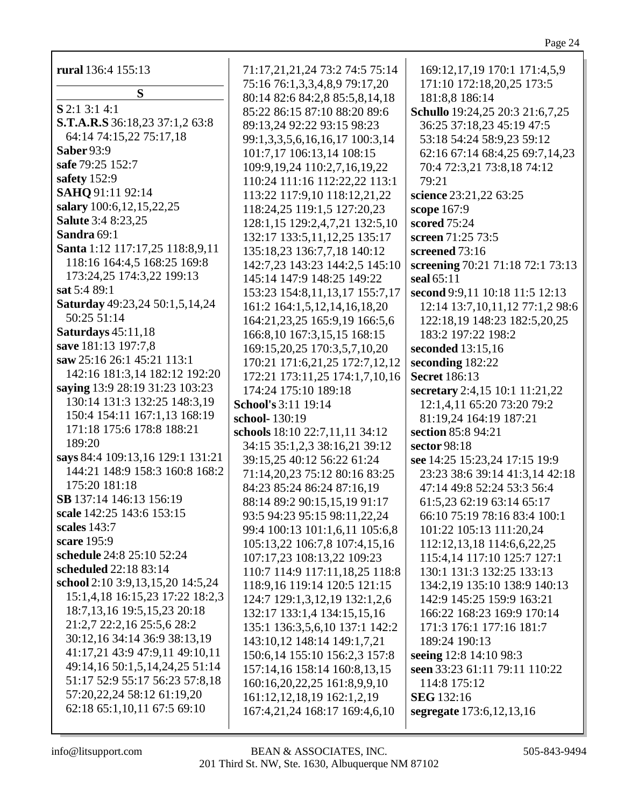Page 24

| rural 136:4 155:13               | 71:17,21,21,24 73:2 74:5 75:14     | 169:12,17,19 170:1 171:4,5,9     |
|----------------------------------|------------------------------------|----------------------------------|
| S                                | 75:16 76:1,3,3,4,8,9 79:17,20      | 171:10 172:18,20,25 173:5        |
|                                  | 80:14 82:6 84:2,8 85:5,8,14,18     | 181:8,8 186:14                   |
| S 2:1 3:1 4:1                    | 85:22 86:15 87:10 88:20 89:6       | Schullo 19:24,25 20:3 21:6,7,25  |
| S.T.A.R.S 36:18,23 37:1,2 63:8   | 89:13,24 92:22 93:15 98:23         | 36:25 37:18,23 45:19 47:5        |
| 64:14 74:15,22 75:17,18          | 99:1,3,3,5,6,16,16,17 100:3,14     | 53:18 54:24 58:9,23 59:12        |
| <b>Saber 93:9</b>                | 101:7,17 106:13,14 108:15          | 62:16 67:14 68:4,25 69:7,14,23   |
| safe 79:25 152:7                 | 109:9, 19, 24 110:2, 7, 16, 19, 22 | 70:4 72:3,21 73:8,18 74:12       |
| safety 152:9                     | 110:24 111:16 112:22,22 113:1      | 79:21                            |
| SAHQ 91:11 92:14                 | 113:22 117:9,10 118:12,21,22       | science 23:21,22 63:25           |
| salary 100:6, 12, 15, 22, 25     | 118:24,25 119:1,5 127:20,23        | scope 167:9                      |
| <b>Salute</b> 3:4 8:23,25        | 128:1,15 129:2,4,7,21 132:5,10     | scored 75:24                     |
| Sandra 69:1                      | 132:17 133:5, 11, 12, 25 135:17    | screen 71:25 73:5                |
| Santa 1:12 117:17,25 118:8,9,11  | 135:18,23 136:7,7,18 140:12        | screened 73:16                   |
| 118:16 164:4,5 168:25 169:8      | 142:7,23 143:23 144:2,5 145:10     | screening 70:21 71:18 72:1 73:13 |
| 173:24,25 174:3,22 199:13        | 145:14 147:9 148:25 149:22         | seal $65:11$                     |
| sat 5:4 89:1                     | 153:23 154:8,11,13,17 155:7,17     | second 9:9,11 10:18 11:5 12:13   |
| Saturday 49:23,24 50:1,5,14,24   | 161:2 164:1,5,12,14,16,18,20       | 12:14 13:7,10,11,12 77:1,2 98:6  |
| 50:25 51:14                      | 164:21,23,25 165:9,19 166:5,6      | 122:18,19 148:23 182:5,20,25     |
| Saturdays 45:11,18               | 166:8, 10 167:3, 15, 15 168:15     | 183:2 197:22 198:2               |
| save 181:13 197:7,8              | 169:15,20,25 170:3,5,7,10,20       | seconded 13:15,16                |
| saw 25:16 26:1 45:21 113:1       | 170:21 171:6,21,25 172:7,12,12     | seconding 182:22                 |
| 142:16 181:3,14 182:12 192:20    | 172:21 173:11,25 174:1,7,10,16     | <b>Secret</b> 186:13             |
| saying 13:9 28:19 31:23 103:23   | 174:24 175:10 189:18               | secretary 2:4,15 10:1 11:21,22   |
| 130:14 131:3 132:25 148:3,19     | <b>School's 3:11 19:14</b>         | 12:1,4,11 65:20 73:20 79:2       |
| 150:4 154:11 167:1,13 168:19     | school-130:19                      | 81:19,24 164:19 187:21           |
| 171:18 175:6 178:8 188:21        | schools 18:10 22:7,11,11 34:12     | section 85:8 94:21               |
| 189:20                           | 34:15 35:1,2,3 38:16,21 39:12      | sector 98:18                     |
| says 84:4 109:13,16 129:1 131:21 | 39:15,25 40:12 56:22 61:24         | see 14:25 15:23,24 17:15 19:9    |
| 144:21 148:9 158:3 160:8 168:2   | 71:14,20,23 75:12 80:16 83:25      | 23:23 38:6 39:14 41:3,14 42:18   |
| 175:20 181:18                    | 84:23 85:24 86:24 87:16,19         | 47:14 49:8 52:24 53:3 56:4       |
| SB 137:14 146:13 156:19          | 88:14 89:2 90:15,15,19 91:17       | 61:5,23 62:19 63:14 65:17        |
| scale 142:25 143:6 153:15        | 93:5 94:23 95:15 98:11,22,24       | 66:10 75:19 78:16 83:4 100:1     |
| scales 143:7                     | 99:4 100:13 101:1,6,11 105:6,8     | 101:22 105:13 111:20,24          |
| scare 195:9                      | 105:13,22 106:7,8 107:4,15,16      | 112:12,13,18 114:6,6,22,25       |
| schedule 24:8 25:10 52:24        | 107:17,23 108:13,22 109:23         | 115:4,14 117:10 125:7 127:1      |
| scheduled 22:18 83:14            | 110:7 114:9 117:11,18,25 118:8     | 130:1 131:3 132:25 133:13        |
| school 2:10 3:9,13,15,20 14:5,24 | 118:9,16 119:14 120:5 121:15       | 134:2,19 135:10 138:9 140:13     |
| 15:1,4,18 16:15,23 17:22 18:2,3  | 124:7 129:1,3,12,19 132:1,2,6      | 142:9 145:25 159:9 163:21        |
| 18:7, 13, 16 19:5, 15, 23 20:18  | 132:17 133:1,4 134:15,15,16        | 166:22 168:23 169:9 170:14       |
| 21:2,7 22:2,16 25:5,6 28:2       | 135:1 136:3,5,6,10 137:1 142:2     | 171:3 176:1 177:16 181:7         |
| 30:12,16 34:14 36:9 38:13,19     | 143:10,12 148:14 149:1,7,21        | 189:24 190:13                    |
| 41:17,21 43:9 47:9,11 49:10,11   | 150:6,14 155:10 156:2,3 157:8      | seeing 12:8 14:10 98:3           |
| 49:14,16 50:1,5,14,24,25 51:14   | 157:14,16 158:14 160:8,13,15       | seen 33:23 61:11 79:11 110:22    |
| 51:17 52:9 55:17 56:23 57:8,18   | 160:16,20,22,25 161:8,9,9,10       | 114:8 175:12                     |
| 57:20,22,24 58:12 61:19,20       | 161:12, 12, 18, 19 162:1, 2, 19    | <b>SEG</b> 132:16                |
| 62:18 65:1,10,11 67:5 69:10      | 167:4,21,24 168:17 169:4,6,10      | segregate 173:6, 12, 13, 16      |
|                                  |                                    |                                  |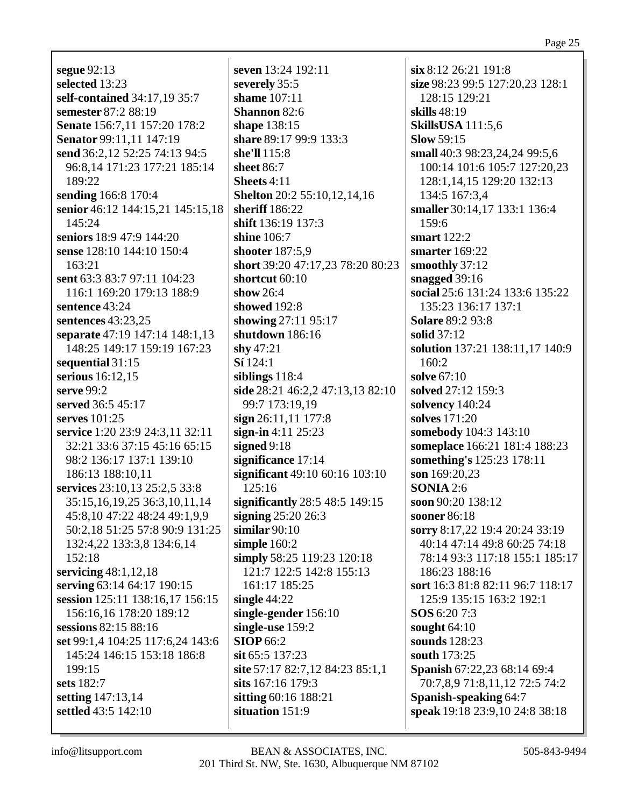**segue** 92:13 **selected** 13:23 **self-contained** 34:17,19 35:7 **semester** 87:2 88:19 **Senate** 156:7,11 157:20 178:2 **Senator** 99:11,11 147:19 **send** 36:2,12 52:25 74:13 94:5 96:8,14 171:23 177:21 185:14 189:22 **sending** 166:8 170:4 **senior** 46:12 144:15,21 145:15,18  $145:24$ **seniors** 18:9 47:9 144:20 **sense** 128:10 144:10 150:4 163:21 **sent** 63:3 83:7 97:11 104:23 116:1 169:20 179:13 188:9 **sentence** 43:24 **sentences** 43:23,25 **separate** 47:19 147:14 148:1,13 148:25 149:17 159:19 167:23 **sequential** 31:15 **serious** 16:12,15 **serve** 99:2 **served** 36:5 45:17 **serves** 101:25 **service** 1:20 23:9 24:3,11 32:11 32:21 33:6 37:15 45:16 65:15 98:2 136:17 137:1 139:10 186:13 188:10,11 **services** 23:10,13 25:2,5 33:8 35:15,16,19,25 36:3,10,11,14 45:8,10 47:22 48:24 49:1,9,9 50:2,18 51:25 57:8 90:9 131:25 132:4,22 133:3,8 134:6,14 152:18 **servicing** 48:1,12,18 **serving** 63:14 64:17 190:15 **session** 125:11 138:16,17 156:15 156:16,16 178:20 189:12 **sessions** 82:15 88:16 **set** 99:1,4 104:25 117:6,24 143:6 145:24 146:15 153:18 186:8 199:15 **sets** 182:7 **setting** 147:13,14 **settled** 43:5 142:10

**seven** 13:24 192:11 **severely** 35:5 **shame** 107:11 **Shannon** 82:6 **shape** 138:15 **share** 89:17 99:9 133:3 **she'll** 115:8 **sheet** 86:7 **Sheets** 4:11 **Shelton** 20:2 55:10,12,14,16 **sheriff** 186:22 **shift** 136:19 137:3 **shine** 106:7 **shooter** 187:5,9 **short** 39:20 47:17,23 78:20 80:23 **shortcut** 60:10 **show** 26:4 **showed** 192:8 **showing** 27:11 95:17 **shutdown** 186:16 **shy** 47:21 **Sí** 124:1 **siblings** 118:4 **side** 28:21 46:2,2 47:13,13 82:10 99:7 173:19,19 **sign** 26:11,11 177:8 **sign-in** 4:11 25:23 **signed** 9:18 **significance** 17:14 **significant** 49:10 60:16 103:10 125:16 **significantly** 28:5 48:5 149:15 **signing** 25:20 26:3 **similar** 90:10 **simple** 160:2 **simply** 58:25 119:23 120:18 121:7 122:5 142:8 155:13 161:17 185:25 **single** 44:22 **single-gender** 156:10 **single-use** 159:2 **SIOP** 66:2 **sit** 65:5 137:23 **site** 57:17 82:7,12 84:23 85:1,1 **sits** 167:16 179:3 **sitting** 60:16 188:21 **situation** 151:9

**six** 8:12 26:21 191:8 **size** 98:23 99:5 127:20,23 128:1 128:15 129:21 **skills** 48:19 **SkillsUSA** 111:5,6 **Slow** 59:15 **small** 40:3 98:23,24,24 99:5,6 100:14 101:6 105:7 127:20,23 128:1,14,15 129:20 132:13 134:5 167:3,4 **smaller** 30:14,17 133:1 136:4 159:6 **smart** 122:2 **smarter** 169:22 **smoothly** 37:12 **snagged** 39:16 **social** 25:6 131:24 133:6 135:22 135:23 136:17 137:1 **Solare** 89:2 93:8 **solid** 37:12 **solution** 137:21 138:11,17 140:9 160:2 **solve** 67:10 **solved** 27:12 159:3 **solvency** 140:24 **solves** 171:20 **somebody** 104:3 143:10 **someplace** 166:21 181:4 188:23 **something's** 125:23 178:11 **son** 169:20,23 **SONIA** 2:6 **soon** 90:20 138:12 **sooner** 86:18 **sorry** 8:17,22 19:4 20:24 33:19 40:14 47:14 49:8 60:25 74:18 78:14 93:3 117:18 155:1 185:17 186:23 188:16 **sort** 16:3 81:8 82:11 96:7 118:17 125:9 135:15 163:2 192:1 **SOS** 6:20 7:3 **sought** 64:10 **sounds** 128:23 **south** 173:25 **Spanish** 67:22,23 68:14 69:4 70:7,8,9 71:8,11,12 72:5 74:2 **Spanish-speaking** 64:7 **speak** 19:18 23:9,10 24:8 38:18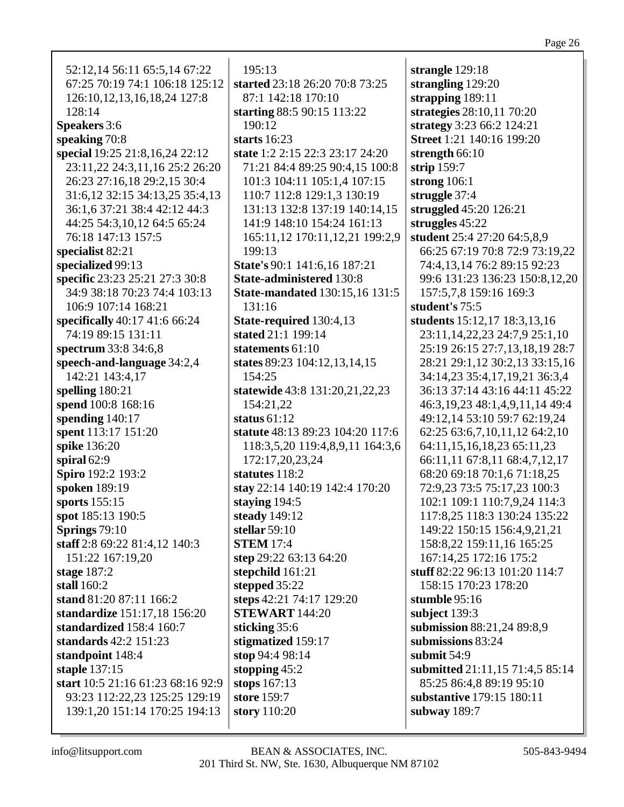| 52:12,14 56:11 65:5,14 67:22                       | 195:13                                | strangle 129:18                                             |
|----------------------------------------------------|---------------------------------------|-------------------------------------------------------------|
| 67:25 70:19 74:1 106:18 125:12                     | started 23:18 26:20 70:8 73:25        | strangling 129:20                                           |
| 126:10, 12, 13, 16, 18, 24 127:8                   | 87:1 142:18 170:10                    | strapping 189:11                                            |
| 128:14                                             | starting 88:5 90:15 113:22            | strategies 28:10,11 70:20                                   |
| <b>Speakers</b> 3:6                                | 190:12                                | strategy 3:23 66:2 124:21                                   |
| speaking 70:8                                      | starts $16:23$                        | Street 1:21 140:16 199:20                                   |
| special 19:25 21:8,16,24 22:12                     | state 1:2 2:15 22:3 23:17 24:20       | strength 66:10                                              |
| 23:11,22 24:3,11,16 25:2 26:20                     | 71:21 84:4 89:25 90:4,15 100:8        | strip 159:7                                                 |
| 26:23 27:16,18 29:2,15 30:4                        | 101:3 104:11 105:1,4 107:15           | strong $106:1$                                              |
| 31:6, 12 32:15 34:13, 25 35:4, 13                  | 110:7 112:8 129:1,3 130:19            | struggle 37:4                                               |
| 36:1,6 37:21 38:4 42:12 44:3                       | 131:13 132:8 137:19 140:14,15         | struggled 45:20 126:21                                      |
| 44:25 54:3,10,12 64:5 65:24                        | 141:9 148:10 154:24 161:13            | struggles 45:22                                             |
| 76:18 147:13 157:5                                 | 165:11,12 170:11,12,21 199:2,9        | student 25:4 27:20 64:5,8,9                                 |
| specialist 82:21                                   | 199:13                                | 66:25 67:19 70:8 72:9 73:19,22                              |
| specialized 99:13                                  | State's 90:1 141:6,16 187:21          | 74:4,13,14 76:2 89:15 92:23                                 |
| specific 23:23 25:21 27:3 30:8                     | <b>State-administered 130:8</b>       | 99:6 131:23 136:23 150:8,12,20                              |
| 34:9 38:18 70:23 74:4 103:13                       | <b>State-mandated 130:15,16 131:5</b> | 157:5,7,8 159:16 169:3                                      |
| 106:9 107:14 168:21                                | 131:16                                | student's 75:5                                              |
| specifically 40:17 41:6 66:24                      | State-required 130:4,13               | students 15:12,17 18:3,13,16                                |
| 74:19 89:15 131:11                                 | stated 21:1 199:14                    | 23:11, 14, 22, 23 24: 7, 9 25: 1, 10                        |
| spectrum 33:8 34:6,8                               | statements 61:10                      | 25:19 26:15 27:7,13,18,19 28:7                              |
| speech-and-language 34:2,4                         | states 89:23 104:12,13,14,15          | 28:21 29:1,12 30:2,13 33:15,16                              |
| 142:21 143:4,17                                    | 154:25                                | 34:14,23 35:4,17,19,21 36:3,4                               |
| spelling $180:21$                                  | statewide 43:8 131:20,21,22,23        | 36:13 37:14 43:16 44:11 45:22                               |
| spend 100:8 168:16                                 | 154:21,22                             | 46:3, 19, 23 48:1, 4, 9, 11, 14 49: 4                       |
| spending $140:17$                                  | status $61:12$                        | 49:12,14 53:10 59:7 62:19,24                                |
| spent 113:17 151:20                                | statute 48:13 89:23 104:20 117:6      | 62:25 63:6,7,10,11,12 64:2,10                               |
| spike 136:20                                       | 118:3,5,20 119:4,8,9,11 164:3,6       | 64:11,15,16,18,23 65:11,23                                  |
| spiral 62:9                                        | 172:17,20,23,24                       | 66:11,11 67:8,11 68:4,7,12,17                               |
| Spiro 192:2 193:2                                  | statutes 118:2                        | 68:20 69:18 70:1,6 71:18,25                                 |
| spoken 189:19                                      | stay 22:14 140:19 142:4 170:20        | 72:9,23 73:5 75:17,23 100:3                                 |
| sports 155:15                                      | staying $194:5$                       | 102:1 109:1 110:7,9,24 114:3                                |
| spot 185:13 190:5                                  | steady 149:12                         | 117:8,25 118:3 130:24 135:22                                |
| Springs 79:10                                      | stellar $59:10$                       | 149:22 150:15 156:4,9,21,21                                 |
| staff 2:8 69:22 81:4,12 140:3                      | <b>STEM 17:4</b>                      | 158:8,22 159:11,16 165:25                                   |
| 151:22 167:19,20                                   | step 29:22 63:13 64:20                | 167:14,25 172:16 175:2                                      |
| stage $187:2$                                      | stepchild 161:21                      | stuff 82:22 96:13 101:20 114:7                              |
| stall 160:2                                        | stepped 35:22                         | 158:15 170:23 178:20                                        |
| stand 81:20 87:11 166:2                            | steps 42:21 74:17 129:20              | stumble 95:16                                               |
| standardize 151:17,18 156:20                       | <b>STEWART</b> 144:20                 | subject $139:3$                                             |
| standardized 158:4 160:7                           | sticking 35:6                         | submission 88:21,24 89:8,9<br>submissions 83:24             |
| standards $42:2$ 151:23                            | stigmatized 159:17<br>stop 94:4 98:14 | submit 54:9                                                 |
| standpoint 148:4                                   |                                       |                                                             |
| staple 137:15<br>start 10:5 21:16 61:23 68:16 92:9 | stopping $45:2$<br>stops 167:13       | submitted 21:11,15 71:4,5 85:14<br>85:25 86:4,8 89:19 95:10 |
| 93:23 112:22,23 125:25 129:19                      | store 159:7                           | substantive 179:15 180:11                                   |
| 139:1,20 151:14 170:25 194:13                      | story 110:20                          | subway $189:7$                                              |
|                                                    |                                       |                                                             |
|                                                    |                                       |                                                             |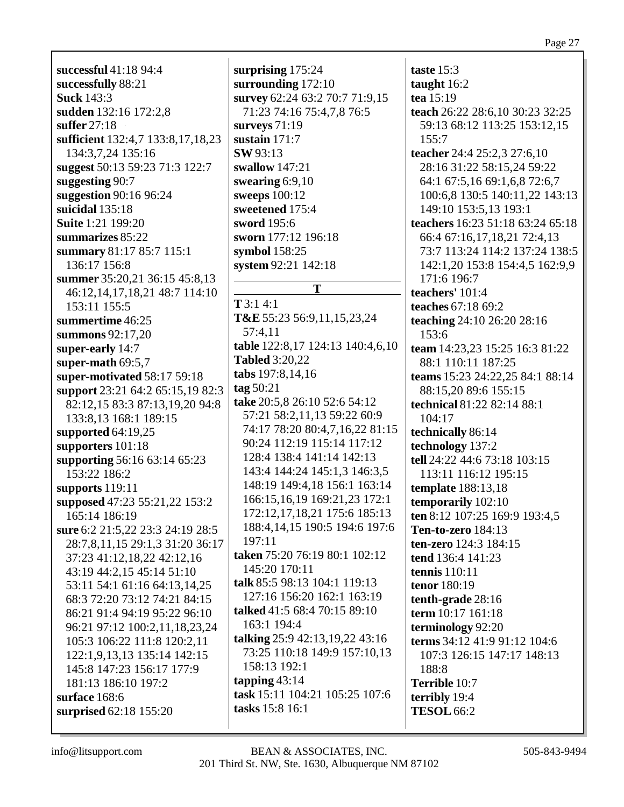**successful** 41:18 94:4 **successfully** 88:21 **Suck** 143:3 **sudden** 132:16 172:2,8 **suffer** 27:18 **sufficient** 132:4,7 133:8,17,18,23 134:3,7,24 135:16 **suggest** 50:13 59:23 71:3 122:7 **suggesting** 90:7 **suggestion** 90:16 96:24 **suicidal** 135:18 **Suite** 1:21 199:20 **summarizes** 85:22 **summary** 81:17 85:7 115:1 136:17 156:8 **summer** 35:20,21 36:15 45:8,13 46:12,14,17,18,21 48:7 114:10 153:11 155:5 **summertime** 46:25 **summons** 92:17,20 **super-early** 14:7 **super-math** 69:5,7 **super-motivated** 58:17 59:18 **support** 23:21 64:2 65:15,19 82:3 82:12,15 83:3 87:13,19,20 94:8 133:8,13 168:1 189:15 **supported** 64:19,25 **supporters** 101:18 **supporting** 56:16 63:14 65:23 153:22 186:2 **supports** 119:11 **supposed** 47:23 55:21,22 153:2 165:14 186:19 **sure** 6:2 21:5,22 23:3 24:19 28:5 28:7,8,11,15 29:1,3 31:20 36:17 37:23 41:12,18,22 42:12,16 43:19 44:2,15 45:14 51:10 53:11 54:1 61:16 64:13,14,25 68:3 72:20 73:12 74:21 84:15 86:21 91:4 94:19 95:22 96:10 96:21 97:12 100:2,11,18,23,24 105:3 106:22 111:8 120:2,11 122:1,9,13,13 135:14 142:15 145:8 147:23 156:17 177:9 181:13 186:10 197:2 **surface** 168:6 **surprised** 62:18 155:20

**surprising** 175:24 **surrounding** 172:10 **survey** 62:24 63:2 70:7 71:9,15 71:23 74:16 75:4,7,8 76:5 **surveys** 71:19 **sustain** 171:7 **SW** 93:13 **swallow** 147:21 **swearing** 6:9,10 **sweeps** 100:12 **sweetened** 175:4 **sword** 195:6 **sworn** 177:12 196:18 **symbol** 158:25 **system** 92:21 142:18 **T T** 3:1 4:1 **T&E** 55:23 56:9,11,15,23,24 57:4,11 **table** 122:8,17 124:13 140:4,6,10 **Tabled** 3:20,22 **tabs** 197:8,14,16 **tag** 50:21 **take** 20:5,8 26:10 52:6 54:12 57:21 58:2,11,13 59:22 60:9 74:17 78:20 80:4,7,16,22 81:15 90:24 112:19 115:14 117:12 128:4 138:4 141:14 142:13 143:4 144:24 145:1,3 146:3,5 148:19 149:4,18 156:1 163:14 166:15,16,19 169:21,23 172:1 172:12,17,18,21 175:6 185:13 188:4,14,15 190:5 194:6 197:6 197:11 **taken** 75:20 76:19 80:1 102:12 145:20 170:11 **talk** 85:5 98:13 104:1 119:13 127:16 156:20 162:1 163:19 **talked** 41:5 68:4 70:15 89:10 163:1 194:4 **talking** 25:9 42:13,19,22 43:16 73:25 110:18 149:9 157:10,13 158:13 192:1 **tapping** 43:14 **task** 15:11 104:21 105:25 107:6 **tasks** 15:8 16:1

**taste** 15:3 **taught** 16:2 **tea** 15:19 **teach** 26:22 28:6,10 30:23 32:25 59:13 68:12 113:25 153:12,15 155:7 **teacher** 24:4 25:2,3 27:6,10 28:16 31:22 58:15,24 59:22 64:1 67:5,16 69:1,6,8 72:6,7 100:6,8 130:5 140:11,22 143:13 149:10 153:5,13 193:1 **teachers** 16:23 51:18 63:24 65:18 66:4 67:16,17,18,21 72:4,13 73:7 113:24 114:2 137:24 138:5 142:1,20 153:8 154:4,5 162:9,9 171:6 196:7 **teachers'** 101:4 **teaches** 67:18 69:2 **teaching** 24:10 26:20 28:16 153:6 **team** 14:23,23 15:25 16:3 81:22 88:1 110:11 187:25 **teams** 15:23 24:22,25 84:1 88:14 88:15,20 89:6 155:15 **technical** 81:22 82:14 88:1 104:17 **technically** 86:14 **technology** 137:2 **tell** 24:22 44:6 73:18 103:15 113:11 116:12 195:15 **template** 188:13,18 **temporarily** 102:10 **ten** 8:12 107:25 169:9 193:4,5 **Ten-to-zero** 184:13 **ten-zero** 124:3 184:15 **tend** 136:4 141:23 **tennis** 110:11 **tenor** 180:19 **tenth-grade** 28:16 **term** 10:17 161:18 **terminology** 92:20 **terms** 34:12 41:9 91:12 104:6 107:3 126:15 147:17 148:13 188:8 **Terrible** 10:7 **terribly** 19:4 **TESOL** 66:2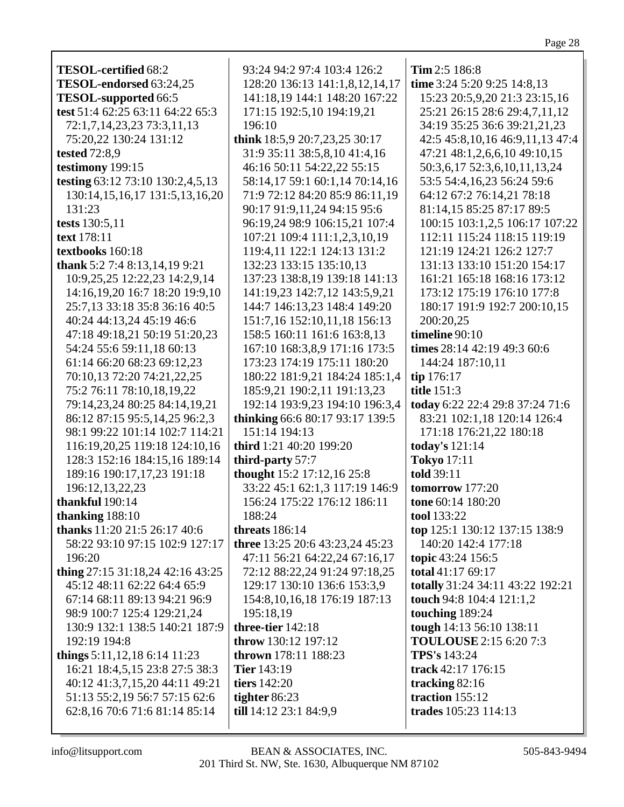| <b>TESOL-certified 68:2</b>                                | 93:24 94:2 97:4 103:4 126:2                                   | Tim 2:5 186:8                       |
|------------------------------------------------------------|---------------------------------------------------------------|-------------------------------------|
| TESOL-endorsed 63:24,25                                    | 128:20 136:13 141:1,8,12,14,17                                | time 3:24 5:20 9:25 14:8,13         |
| TESOL-supported 66:5                                       | 141:18,19 144:1 148:20 167:22                                 | 15:23 20:5,9,20 21:3 23:15,16       |
| test 51:4 62:25 63:11 64:22 65:3                           | 171:15 192:5,10 194:19,21                                     | 25:21 26:15 28:6 29:4,7,11,12       |
| 72:1,7,14,23,23 73:3,11,13                                 | 196:10                                                        | 34:19 35:25 36:6 39:21,21,23        |
| 75:20,22 130:24 131:12                                     | think 18:5,9 20:7,23,25 30:17                                 | 42:5 45:8, 10, 16 46:9, 11, 13 47:4 |
| tested 72:8,9                                              | 31:9 35:11 38:5,8,10 41:4,16                                  | 47:21 48:1,2,6,6,10 49:10,15        |
| testimony 199:15                                           | 46:16 50:11 54:22,22 55:15                                    | 50:3,6,17 52:3,6,10,11,13,24        |
| testing 63:12 73:10 130:2,4,5,13                           | 58:14,17 59:1 60:1,14 70:14,16                                | 53:5 54:4,16,23 56:24 59:6          |
| 130:14,15,16,17 131:5,13,16,20                             | 71:9 72:12 84:20 85:9 86:11,19                                | 64:12 67:2 76:14,21 78:18           |
| 131:23                                                     | 90:17 91:9,11,24 94:15 95:6                                   | 81:14,15 85:25 87:17 89:5           |
| tests 130:5,11                                             | 96:19,24 98:9 106:15,21 107:4                                 | 100:15 103:1,2,5 106:17 107:22      |
| text 178:11                                                | 107:21 109:4 111:1,2,3,10,19                                  | 112:11 115:24 118:15 119:19         |
| textbooks 160:18                                           | 119:4,11 122:1 124:13 131:2                                   | 121:19 124:21 126:2 127:7           |
| thank 5:2 7:4 8:13,14,19 9:21                              | 132:23 133:15 135:10,13                                       | 131:13 133:10 151:20 154:17         |
| 10:9,25,25 12:22,23 14:2,9,14                              | 137:23 138:8,19 139:18 141:13                                 | 161:21 165:18 168:16 173:12         |
| 14:16,19,20 16:7 18:20 19:9,10                             | 141:19,23 142:7,12 143:5,9,21                                 | 173:12 175:19 176:10 177:8          |
| 25:7,13 33:18 35:8 36:16 40:5                              | 144:7 146:13,23 148:4 149:20                                  | 180:17 191:9 192:7 200:10,15        |
| 40:24 44:13,24 45:19 46:6                                  | 151:7,16 152:10,11,18 156:13                                  | 200:20,25                           |
|                                                            |                                                               | timeline 90:10                      |
| 47:18 49:18,21 50:19 51:20,23<br>54:24 55:6 59:11,18 60:13 | 158:5 160:11 161:6 163:8,13                                   | times 28:14 42:19 49:3 60:6         |
|                                                            | 167:10 168:3,8,9 171:16 173:5<br>173:23 174:19 175:11 180:20  |                                     |
| 61:14 66:20 68:23 69:12,23                                 |                                                               | 144:24 187:10,11                    |
| 70:10,13 72:20 74:21,22,25<br>75:2 76:11 78:10,18,19,22    | 180:22 181:9,21 184:24 185:1,4<br>185:9,21 190:2,11 191:13,23 | tip 176:17<br>title 151:3           |
| 79:14,23,24 80:25 84:14,19,21                              | 192:14 193:9,23 194:10 196:3,4                                | today 6:22 22:4 29:8 37:24 71:6     |
| 86:12 87:15 95:5,14,25 96:2,3                              | thinking 66:6 80:17 93:17 139:5                               | 83:21 102:1,18 120:14 126:4         |
| 98:1 99:22 101:14 102:7 114:21                             | 151:14 194:13                                                 | 171:18 176:21,22 180:18             |
| 116:19,20,25 119:18 124:10,16                              | third 1:21 40:20 199:20                                       | today's 121:14                      |
| 128:3 152:16 184:15,16 189:14                              | third-party 57:7                                              | <b>Tokyo</b> 17:11                  |
| 189:16 190:17,17,23 191:18                                 | thought 15:2 17:12,16 25:8                                    | told 39:11                          |
| 196:12,13,22,23                                            | 33:22 45:1 62:1,3 117:19 146:9                                | tomorrow 177:20                     |
| thankful 190:14                                            | 156:24 175:22 176:12 186:11                                   | tone 60:14 180:20                   |
| thanking $188:10$                                          | 188:24                                                        | tool 133:22                         |
| thanks 11:20 21:5 26:17 40:6                               | threats $186:14$                                              | top 125:1 130:12 137:15 138:9       |
| 58:22 93:10 97:15 102:9 127:17                             | three 13:25 20:6 43:23,24 45:23                               | 140:20 142:4 177:18                 |
| 196:20                                                     | 47:11 56:21 64:22,24 67:16,17                                 | topic 43:24 156:5                   |
| thing 27:15 31:18,24 42:16 43:25                           | 72:12 88:22,24 91:24 97:18,25                                 | total 41:17 69:17                   |
| 45:12 48:11 62:22 64:4 65:9                                | 129:17 130:10 136:6 153:3,9                                   | totally 31:24 34:11 43:22 192:21    |
| 67:14 68:11 89:13 94:21 96:9                               | 154:8, 10, 16, 18 176: 19 187: 13                             | touch 94:8 104:4 121:1,2            |
| 98:9 100:7 125:4 129:21,24                                 | 195:18,19                                                     | touching 189:24                     |
| 130:9 132:1 138:5 140:21 187:9                             | three-tier 142:18                                             | tough 14:13 56:10 138:11            |
| 192:19 194:8                                               | throw 130:12 197:12                                           | <b>TOULOUSE</b> 2:15 6:20 7:3       |
| things $5:11,12,18$ 6:14 11:23                             | <b>thrown</b> 178:11 188:23                                   | <b>TPS's</b> 143:24                 |
| 16:21 18:4,5,15 23:8 27:5 38:3                             | <b>Tier</b> 143:19                                            | track 42:17 176:15                  |
| 40:12 41:3,7,15,20 44:11 49:21                             | tiers 142:20                                                  | tracking 82:16                      |
| 51:13 55:2,19 56:7 57:15 62:6                              | tighter 86:23                                                 | traction 155:12                     |
| 62:8,16 70:6 71:6 81:14 85:14                              | till 14:12 23:1 84:9,9                                        | trades 105:23 114:13                |
|                                                            |                                                               |                                     |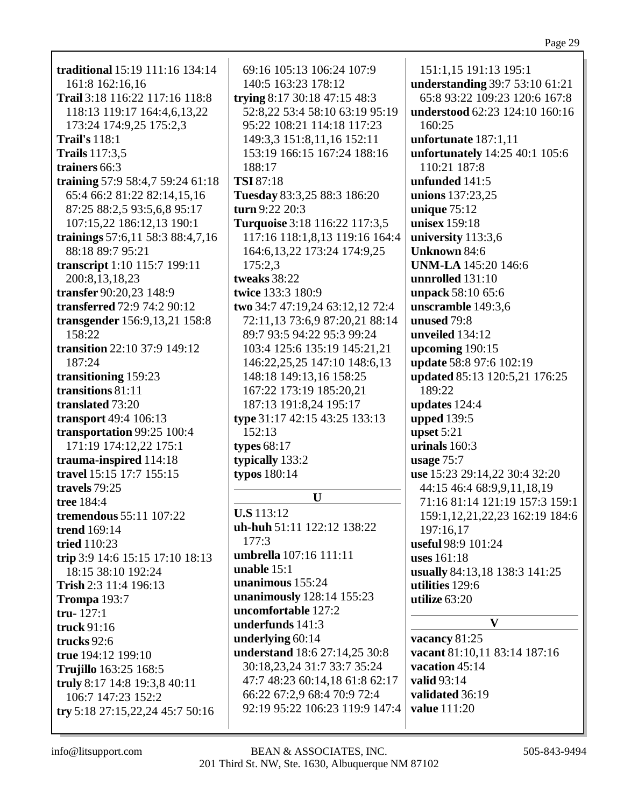| traditional 15:19 111:16 134:14  | 69:16 105:13 106:24 107:9        | 151:1,15 191:13 195:1          |
|----------------------------------|----------------------------------|--------------------------------|
| 161:8 162:16,16                  | 140:5 163:23 178:12              | understanding 39:7 53:10 61:21 |
| Trail 3:18 116:22 117:16 118:8   | trying 8:17 30:18 47:15 48:3     | 65:8 93:22 109:23 120:6 167:8  |
| 118:13 119:17 164:4,6,13,22      | 52:8,22 53:4 58:10 63:19 95:19   | understood 62:23 124:10 160:16 |
| 173:24 174:9,25 175:2,3          | 95:22 108:21 114:18 117:23       | 160:25                         |
| <b>Trail's</b> 118:1             | 149:3,3 151:8,11,16 152:11       | unfortunate 187:1,11           |
| <b>Trails</b> 117:3,5            | 153:19 166:15 167:24 188:16      | unfortunately 14:25 40:1 105:6 |
| trainers 66:3                    | 188:17                           | 110:21 187:8                   |
| training 57:9 58:4,7 59:24 61:18 | <b>TSI</b> 87:18                 | unfunded 141:5                 |
| 65:4 66:2 81:22 82:14,15,16      | Tuesday 83:3,25 88:3 186:20      | unions 137:23,25               |
| 87:25 88:2,5 93:5,6,8 95:17      | turn 9:22 20:3                   | unique $75:12$                 |
| 107:15,22 186:12,13 190:1        | Turquoise 3:18 116:22 117:3,5    | unisex 159:18                  |
| trainings 57:6,11 58:3 88:4,7,16 | 117:16 118:1,8,13 119:16 164:4   | university 113:3,6             |
| 88:18 89:7 95:21                 | 164:6, 13, 22 173: 24 174: 9, 25 | <b>Unknown 84:6</b>            |
| transcript 1:10 115:7 199:11     | 175:2,3                          | <b>UNM-LA</b> 145:20 146:6     |
| 200:8,13,18,23                   | tweaks 38:22                     | unnrolled 131:10               |
| transfer 90:20,23 148:9          | twice 133:3 180:9                | unpack 58:10 65:6              |
| transferred 72:9 74:2 90:12      | two 34:7 47:19,24 63:12,12 72:4  | unscramble 149:3,6             |
| transgender 156:9,13,21 158:8    | 72:11,13 73:6,9 87:20,21 88:14   | unused 79:8                    |
| 158:22                           | 89:7 93:5 94:22 95:3 99:24       | unveiled 134:12                |
| transition 22:10 37:9 149:12     | 103:4 125:6 135:19 145:21,21     | upcoming $190:15$              |
| 187:24                           | 146:22,25,25 147:10 148:6,13     | update 58:8 97:6 102:19        |
| transitioning 159:23             | 148:18 149:13,16 158:25          | updated 85:13 120:5,21 176:25  |
| transitions 81:11                | 167:22 173:19 185:20,21          | 189:22                         |
| translated 73:20                 | 187:13 191:8,24 195:17           | updates 124:4                  |
| transport 49:4 106:13            | type 31:17 42:15 43:25 133:13    | <b>upped</b> 139:5             |
| transportation 99:25 100:4       | 152:13                           | upset $5:21$                   |
| 171:19 174:12,22 175:1           | types $68:17$                    | urinals 160:3                  |
| trauma-inspired 114:18           | typically 133:2                  | usage $75:7$                   |
| travel 15:15 17:7 155:15         | typos 180:14                     | use 15:23 29:14,22 30:4 32:20  |
| travels 79:25                    |                                  | 44:15 46:4 68:9,9,11,18,19     |
| tree 184:4                       | U                                | 71:16 81:14 121:19 157:3 159:1 |
| <b>tremendous</b> 55:11 107:22   | <b>U.S</b> 113:12                | 159:1,12,21,22,23 162:19 184:6 |
| <b>trend</b> 169:14              | uh-huh 51:11 122:12 138:22       | 197:16,17                      |
| <b>tried</b> 110:23              | 177:3                            | useful 98:9 101:24             |
| trip 3:9 14:6 15:15 17:10 18:13  | umbrella 107:16 111:11           | uses 161:18                    |
| 18:15 38:10 192:24               | unable $15:1$                    | usually 84:13,18 138:3 141:25  |
| Trish 2:3 11:4 196:13            | unanimous 155:24                 | utilities 129:6                |
| <b>Trompa</b> 193:7              | unanimously 128:14 155:23        | utilize $63:20$                |
| $tru-127:1$                      | uncomfortable 127:2              |                                |
| truck 91:16                      | underfunds 141:3                 | $\mathbf{V}$                   |
| trucks 92:6                      | underlying 60:14                 | vacancy 81:25                  |
| true 194:12 199:10               | understand 18:6 27:14,25 30:8    | vacant 81:10,11 83:14 187:16   |
| Trujillo 163:25 168:5            | 30:18,23,24 31:7 33:7 35:24      | vacation 45:14                 |
| truly 8:17 14:8 19:3,8 40:11     | 47:7 48:23 60:14,18 61:8 62:17   | valid 93:14                    |
| 106:7 147:23 152:2               | 66:22 67:2,9 68:4 70:9 72:4      | validated 36:19                |
| try 5:18 27:15,22,24 45:7 50:16  | 92:19 95:22 106:23 119:9 147:4   | <b>value</b> 111:20            |
|                                  |                                  |                                |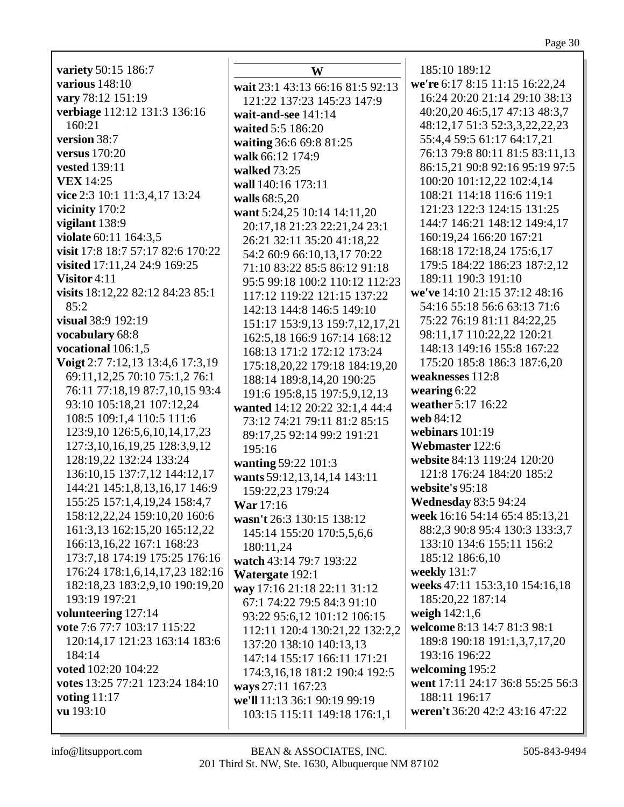variety 50:15 186:7 various  $148:10$ vary 78:12 151:19 verbiage 112:12 131:3 136:16  $160:21$ version 38:7 versus  $170:20$ **vested** 139:11 **VEX** 14:25 vice 2:3 10:1 11:3,4,17 13:24 vicinity 170:2 vigilant  $138:9$ violate 60:11 164:3.5 visit 17:8 18:7 57:17 82:6 170:22 visited 17:11,24 24:9 169:25 Visitor  $4:11$ visits  $18:12.22$   $82:12$   $84:23$   $85:1$  $85:2$ visual 38:9 192:19 vocabulary 68:8 vocational  $106:1.5$ Voigt 2:7 7:12,13 13:4,6 17:3,19 69:11,12,25 70:10 75:1,2 76:1 76:11 77:18,19 87:7,10,15 93:4 93:10 105:18,21 107:12,24 108:5 109:1,4 110:5 111:6 123:9.10 126:5.6.10.14.17.23 127:3, 10, 16, 19, 25 128:3, 9, 12 128:19,22 132:24 133:24 136:10,15 137:7,12 144:12,17 144:21 145:1,8,13,16,17 146:9 155:25 157:1,4,19,24 158:4,7 158:12,22,24 159:10,20 160:6 161:3,13 162:15,20 165:12,22 166:13,16,22 167:1 168:23 173:7,18 174:19 175:25 176:16 176:24 178:1,6,14,17,23 182:16 182:18,23 183:2,9,10 190:19,20 193:19 197:21 volunteering 127:14 vote 7:6 77:7 103:17 115:22 120:14.17 121:23 163:14 183:6 184:14 voted 102:20 104:22 votes 13:25 77:21 123:24 184:10 voting  $11:17$ **vu** 193:10

W wait 23:1 43:13 66:16 81:5 92:13 121:22 137:23 145:23 147:9 wait-and-see 141:14 waited 5:5 186:20 waiting 36:6 69:8 81:25 walk 66:12 174:9 walked  $73:25$ wall 140:16 173:11 walls 68:5.20 want 5:24,25 10:14 14:11,20 20:17,18 21:23 22:21,24 23:1 26:21 32:11 35:20 41:18,22 54:2 60:9 66:10,13,17 70:22 71:10 83:22 85:5 86:12 91:18 95:5 99:18 100:2 110:12 112:23 117:12 119:22 121:15 137:22 142:13 144:8 146:5 149:10 151:17 153:9,13 159:7,12,17,21 162:5,18 166:9 167:14 168:12 168:13 171:2 172:12 173:24 175:18.20.22 179:18 184:19.20 188:14 189:8,14,20 190:25 191:6 195:8,15 197:5,9,12,13 wanted 14:12 20:22 32:1,4 44:4 73:12 74:21 79:11 81:2 85:15 89:17.25 92:14 99:2 191:21  $195:16$ **wanting 59:22 101:3** wants 59:12,13,14,14 143:11 159:22.23 179:24 War 17:16 wasn't 26:3 130:15 138:12 145:14 155:20 170:5,5,6,6 180:11.24 watch 43:14 79:7 193:22 Watergate 192:1 way 17:16 21:18 22:11 31:12 67:1 74:22 79:5 84:3 91:10 93:22 95:6,12 101:12 106:15 112:11 120:4 130:21,22 132:2,2 137:20 138:10 140:13,13 147:14 155:17 166:11 171:21 174:3,16,18 181:2 190:4 192:5 ways 27:11 167:23 we'll 11:13 36:1 90:19 99:19 103:15 115:11 149:18 176:1,1

185:10 189:12 we're 6:17 8:15 11:15 16:22,24 16:24 20:20 21:14 29:10 38:13 40:20,20 46:5,17 47:13 48:3,7 48:12,17 51:3 52:3,3,22,22,23 55:4,4 59:5 61:17 64:17,21 76:13 79:8 80:11 81:5 83:11.13 86:15.21 90:8 92:16 95:19 97:5 100:20 101:12,22 102:4,14 108:21 114:18 116:6 119:1 121:23 122:3 124:15 131:25 144:7 146:21 148:12 149:4,17 160:19,24 166:20 167:21 168:18 172:18,24 175:6,17 179:5 184:22 186:23 187:2,12 189:11 190:3 191:10 we've 14:10 21:15 37:12 48:16 54:16 55:18 56:6 63:13 71:6 75:22 76:19 81:11 84:22,25 98:11,17 110:22,22 120:21 148:13 149:16 155:8 167:22 175:20 185:8 186:3 187:6,20 weaknesses 112:8 wearing  $6:22$ weather 5:17 16:22 web 84:12 webinars 101:19 Webmaster 122:6 website 84:13 119:24 120:20 121:8 176:24 184:20 185:2 website's 95:18 **Wednesday 83:5 94:24** week 16:16 54:14 65:4 85:13,21 88:2,3 90:8 95:4 130:3 133:3,7 133:10 134:6 155:11 156:2 185:12 186:6,10 weekly 131:7 weeks 47:11 153:3,10 154:16,18 185:20,22 187:14 weigh  $142:1,6$ welcome 8:13 14:7 81:3 98:1 189:8 190:18 191:1,3,7,17,20 193:16 196:22 welcoming 195:2 went 17:11 24:17 36:8 55:25 56:3 188:11 196:17 weren't 36:20 42:2 43:16 47:22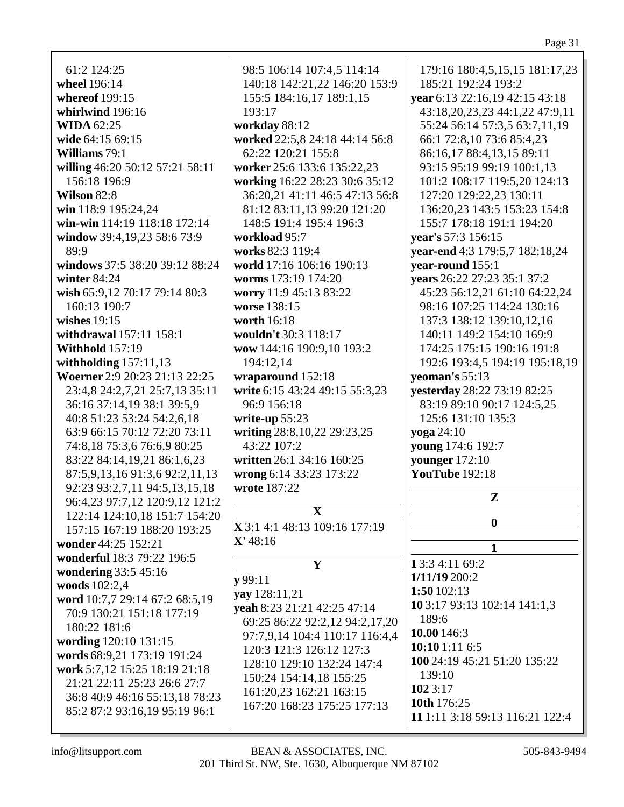Page 31

61:2 124:25 wheel 196:14 whereof 199:15 whirlwind 196:16 WIDA  $62:25$ wide 64:15 69:15 **Williams**  $79:1$ willing 46:20 50:12 57:21 58:11 156:18 196:9 **Wilson 82:8** win 118:9 195:24.24 win-win 114:19 118:18 172:14 window 39:4,19,23 58:6 73:9 89:9 windows 37:5 38:20 39:12 88:24 winter  $84:24$ wish 65:9.12 70:17 79:14 80:3 160:13 190:7 wishes  $19:15$ withdrawal 157:11 158:1 **Withhold 157:19** with holding  $157:11,13$ Woerner 2:9 20:23 21:13 22:25 23:4,8 24:2,7,21 25:7,13 35:11 36:16 37:14,19 38:1 39:5,9 40:8 51:23 53:24 54:2,6,18 63:9 66:15 70:12 72:20 73:11 74:8.18 75:3.6 76:6.9 80:25 83:22 84:14,19,21 86:1,6,23 87:5,9,13,16 91:3,6 92:2,11,13 92:23 93:2,7,11 94:5,13,15,18 96:4,23 97:7,12 120:9,12 121:2 122:14 124:10,18 151:7 154:20 157:15 167:19 188:20 193:25 wonder 44:25 152:21 wonderful 18:3 79:22 196:5 wondering 33:5 45:16 woods 102:2,4 word 10:7,7 29:14 67:2 68:5,19 70:9 130:21 151:18 177:19 180:22 181:6 wording 120:10 131:15 words 68:9,21 173:19 191:24 work 5:7.12 15:25 18:19 21:18 21:21 22:11 25:23 26:6 27:7 36:8 40:9 46:16 55:13,18 78:23 85:2 87:2 93:16,19 95:19 96:1

98:5 106:14 107:4,5 114:14 140:18 142:21,22 146:20 153:9 155:5 184:16,17 189:1,15 193:17 workday 88:12 worked 22:5,8 24:18 44:14 56:8 62:22 120:21 155:8 worker 25:6 133:6 135:22,23 working 16:22 28:23 30:6 35:12 36:20,21 41:11 46:5 47:13 56:8 81:12 83:11.13 99:20 121:20 148:5 191:4 195:4 196:3 workload 95:7 works 82:3 119:4 world 17:16 106:16 190:13 worms 173:19 174:20 worry 11:9 45:13 83:22 **worse** 138:15 worth 16:18 wouldn't 30:3 118:17 wow 144:16 190:9,10 193:2 194:12,14 wraparound 152:18 write 6:15 43:24 49:15 55:3,23 96:9 156:18 write-up  $55:23$ writing 28:8, 10, 22 29: 23, 25 43:22 107:2 written 26:1 34:16 160:25 wrong 6:14 33:23 173:22 wrote 187:22  $\mathbf{X}$ X 3:1 4:1 48:13 109:16 177:19  $X' 48:16$ Y  $v$ 99:11 yay 128:11,21 yeah 8:23 21:21 42:25 47:14 69:25 86:22 92:2,12 94:2,17,20 97:7,9,14 104:4 110:17 116:4,4 120:3 121:3 126:12 127:3 128:10 129:10 132:24 147:4 150:24 154:14,18 155:25 161:20,23 162:21 163:15

179:16 180:4,5,15,15 181:17,23 185:21 192:24 193:2 vear 6:13 22:16,19 42:15 43:18 43:18,20,23,23 44:1,22 47:9,11 55:24 56:14 57:3,5 63:7,11,19 66:1 72:8,10 73:6 85:4,23 86:16,17 88:4,13,15 89:11 93:15 95:19 99:19 100:1,13 101:2 108:17 119:5,20 124:13 127:20 129:22,23 130:11 136:20.23 143:5 153:23 154:8 155:7 178:18 191:1 194:20 vear's 57:3 156:15 vear-end 4:3 179:5,7 182:18,24 year-round 155:1 vears 26:22 27:23 35:1 37:2 45:23 56:12.21 61:10 64:22.24 98:16 107:25 114:24 130:16 137:3 138:12 139:10.12.16 140:11 149:2 154:10 169:9 174:25 175:15 190:16 191:8 192:6 193:4,5 194:19 195:18,19 veoman's  $55:13$ **vesterday** 28:22 73:19 82:25 83:19 89:10 90:17 124:5.25 125:6 131:10 135:3 voga 24:10 **young** 174:6 192:7 vounger 172:10 **YouTube** 192:18  ${\bf Z}$  $\bf{0}$  $\mathbf{1}$ 1 3:3 4:11 69:2  $1/11/19200:2$ 1:50  $102:13$ 10 3:17 93:13 102:14 141:1,3 189:6 10.00 146:3  $10:101:116:5$ 100 24:19 45:21 51:20 135:22  $139:10$  $1023:17$ 10th 176:25 11 1:11 3:18 59:13 116:21 122:4

167:20 168:23 175:25 177:13